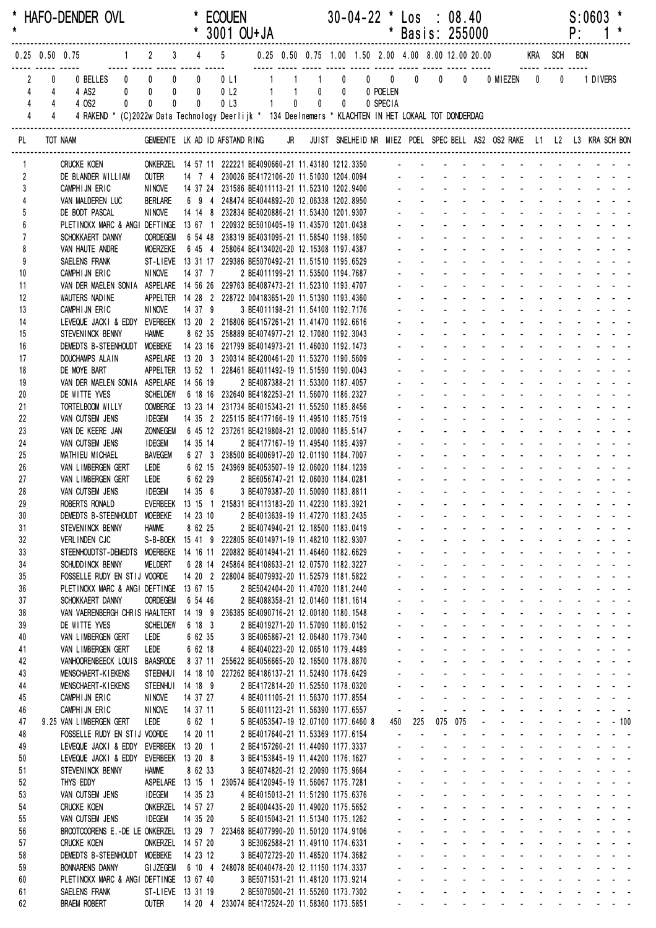| $\star$             |                                       | * HAFO-DENDER OVL                                                                                                  |                                                                |                          |             | <b>ECOUEN</b>         | * 3001 OU+JA                                                                                      |                        |                              |                           | $30 - 04 - 22$ * Los                                | * Basis: 255000                            |                                                  | : 08.40           |            |                                                                                                                                                                                                                                |                             |   | P:                                       | S:0603   |  |
|---------------------|---------------------------------------|--------------------------------------------------------------------------------------------------------------------|----------------------------------------------------------------|--------------------------|-------------|-----------------------|---------------------------------------------------------------------------------------------------|------------------------|------------------------------|---------------------------|-----------------------------------------------------|--------------------------------------------|--------------------------------------------------|-------------------|------------|--------------------------------------------------------------------------------------------------------------------------------------------------------------------------------------------------------------------------------|-----------------------------|---|------------------------------------------|----------|--|
|                     | $0.25$ 0.50 0.75                      |                                                                                                                    | $2 \t 3$                                                       |                          | $4\qquad 5$ |                       |                                                                                                   |                        |                              |                           | 0.25 0.50 0.75 1.00 1.50 2.00 4.00 8.00 12.00 20.00 |                                            |                                                  |                   |            |                                                                                                                                                                                                                                |                             |   | KRA SCH BON                              |          |  |
|                     | 2<br>4<br>4                           | 0 BELLES<br>4 AS2<br>0                                                                                             | $0$ 0<br>$\pmb{0}$<br>$\overline{\mathbf{0}}$<br>$\pmb{0}$     | $\mathbf 0$<br>$\pmb{0}$ |             | 0L1<br>0 <sub>l</sub> |                                                                                                   | $1 \quad \blacksquare$ | $\mathbf{1}$<br>$1 \qquad 0$ | $\pmb{0}$<br>$\mathbf{0}$ | $0 \qquad 0 \qquad 0$<br>0 POELEN                   |                                            | $\mathbf{0}$                                     | 0                 |            | 0 MIEZEN                                                                                                                                                                                                                       | 0                           | 0 |                                          | 1 DIVERS |  |
|                     | 4<br>$\overline{4}$<br>$\overline{4}$ | 4 OS2<br>0<br>4 RAKEND * (C)2022w Data Technology Deerlijk * 134 Deelnemers * KLACHTEN IN HET LOKAAL TOT DONDERDAG | 0<br>$\mathbf{0}$                                              | $\mathbf{0}$             |             | 0 <sub>l</sub>        | $\mathbf{1}$                                                                                      |                        | $0\qquad 0$                  | $\mathbf 0$               | 0 SPECIA                                            |                                            |                                                  |                   |            |                                                                                                                                                                                                                                |                             |   |                                          |          |  |
| PL                  |                                       | TOT NAAM                                                                                                           | GEMEENTE LK AD ID AFSTAND RING                                 |                          |             |                       |                                                                                                   | <b>JR</b>              |                              |                           |                                                     |                                            |                                                  |                   |            | JUIST SNELHEID NR MIEZ POEL SPEC BELL AS2 OS2 RAKE L1 L2 L3 KRA SCH BON                                                                                                                                                        |                             |   |                                          |          |  |
| 1                   |                                       | <b>CRUCKE KOEN</b>                                                                                                 | ONKERZEL 14 57 11 222221 BE4090660-21 11.43180 1212.3350       |                          |             |                       |                                                                                                   |                        |                              |                           |                                                     |                                            |                                                  |                   |            |                                                                                                                                                                                                                                |                             |   |                                          |          |  |
| $\overline{2}$<br>3 |                                       | DE BLANDER WILLIAM<br>CAMPHIJN ERIC                                                                                | <b>OUTER</b><br><b>NINOVE</b>                                  |                          |             |                       | 14 7 4 230026 BE4172106-20 11.51030 1204.0094<br>14 37 24 231586 BE4011113-21 11.52310 1202.9400  |                        |                              |                           |                                                     |                                            |                                                  |                   |            |                                                                                                                                                                                                                                |                             |   |                                          |          |  |
| 4                   |                                       | VAN MALDEREN LUC                                                                                                   | BERLARE                                                        |                          |             |                       | 6 9 4 248474 BE4044892-20 12.06338 1202.8950                                                      |                        |                              |                           |                                                     |                                            |                                                  |                   |            |                                                                                                                                                                                                                                |                             |   |                                          |          |  |
| 5                   |                                       | DE BODT PASCAL                                                                                                     | NINOVE                                                         |                          |             |                       | 14 14 8 232834 BE4020886-21 11.53430 1201.9307                                                    |                        |                              |                           |                                                     |                                            |                                                  |                   |            |                                                                                                                                                                                                                                |                             |   |                                          |          |  |
| $6\overline{6}$     |                                       | PLETINCKX MARC & ANGI DEFTINGE 13 67 1 220932 BE5010405-19 11.43570 1201.0438                                      |                                                                |                          |             |                       |                                                                                                   |                        |                              |                           |                                                     |                                            |                                                  |                   |            |                                                                                                                                                                                                                                |                             |   |                                          |          |  |
| $\overline{7}$<br>8 |                                       | SCHOKKAERT DANNY<br>VAN HAUTE ANDRE                                                                                | <b>OORDEGEM</b><br>MOERZEKE                                    |                          |             |                       | 6 54 48 238319 BE4031095-21 11.58540 1198.1850<br>6 45 4 258064 BE4134020-20 12.15308 1197.4387   |                        |                              |                           |                                                     |                                            |                                                  |                   |            |                                                                                                                                                                                                                                |                             |   |                                          |          |  |
| 9                   |                                       | SAELENS FRANK                                                                                                      | ST-LIEVE 13 31 17 229386 BE5070492-21 11.51510 1195.6529       |                          |             |                       |                                                                                                   |                        |                              |                           |                                                     |                                            |                                                  |                   |            |                                                                                                                                                                                                                                |                             |   |                                          |          |  |
| 10                  |                                       | CAMPHIJN ERIC                                                                                                      | <b>NINOVE</b>                                                  | 14 37 7                  |             |                       | 2 BE4011199-21 11.53500 1194.7687                                                                 |                        |                              |                           |                                                     |                                            |                                                  |                   |            |                                                                                                                                                                                                                                |                             |   |                                          |          |  |
| 11<br>12            |                                       | VAN DER MAELEN SONIA ASPELARE 14 56 26 229763 BE4087473-21 11.52310 1193.4707<br>WAUTERS NADINE                    | APPELTER  14  28  2  228722  004183651-20  11.51390  1193.4360 |                          |             |                       |                                                                                                   |                        |                              |                           |                                                     |                                            |                                                  |                   |            |                                                                                                                                                                                                                                |                             |   |                                          |          |  |
| 13                  |                                       | CAMPHIJN ERIC                                                                                                      | <b>NINOVE</b>                                                  | 14 37 9                  |             |                       | 3 BE4011198-21 11.54100 1192.7176                                                                 |                        |                              |                           |                                                     |                                            |                                                  |                   |            |                                                                                                                                                                                                                                |                             |   |                                          |          |  |
| 14                  |                                       | LEVEQUE JACKI & EDDY EVERBEEK 13 20 2 216806 BE4157261-21 11.41470 1192.6616                                       |                                                                |                          |             |                       |                                                                                                   |                        |                              |                           |                                                     |                                            |                                                  |                   |            |                                                                                                                                                                                                                                |                             |   |                                          |          |  |
| 15                  |                                       | STEVENINCK BENNY                                                                                                   | <b>HAMME</b>                                                   |                          |             |                       | 8 62 35 258889 BE4074977-21 12.17080 1192.3043                                                    |                        |                              |                           |                                                     |                                            |                                                  |                   |            |                                                                                                                                                                                                                                |                             |   |                                          |          |  |
| 16<br>17            |                                       | DEMEDTS B-STEENHOUDT MOEBEKE<br>DOUCHAMPS ALAIN                                                                    | ASPELARE  13 20 3 230314 BE4200461-20 11.53270 1190.5609       |                          |             |                       | 14 23 16 221799 BE4014973-21 11.46030 1192.1473                                                   |                        |                              |                           |                                                     |                                            |                                                  |                   |            |                                                                                                                                                                                                                                |                             |   |                                          |          |  |
| 18                  |                                       | DE MOYE BART                                                                                                       | APPELTER 13 52 1 228461 BE4011492-19 11.51590 1190.0043        |                          |             |                       |                                                                                                   |                        |                              |                           |                                                     |                                            |                                                  |                   |            |                                                                                                                                                                                                                                |                             |   |                                          |          |  |
| 19                  |                                       | VAN DER MAELEN SONIA ASPELARE 14 56 19                                                                             |                                                                |                          |             |                       | 2 BE4087388-21 11.53300 1187.4057                                                                 |                        |                              |                           |                                                     |                                            |                                                  |                   |            |                                                                                                                                                                                                                                |                             |   |                                          |          |  |
| 20<br>21            |                                       | DE WITTE YVES                                                                                                      | <b>SCHELDEW</b><br><b>OOMBERGE</b>                             |                          |             |                       | 6 18 16 232640 BE4182253-21 11.56070 1186.2327<br>13 23 14 231734 BE4015343-21 11.55250 1185.8456 |                        |                              |                           |                                                     |                                            |                                                  |                   |            |                                                                                                                                                                                                                                |                             |   |                                          |          |  |
| 22                  |                                       | TORTELBOOM WILLY<br>VAN CUTSEM JENS                                                                                | <b>IDEGEM</b>                                                  |                          |             |                       | 14 35 2 225115 BE4177166-19 11.49510 1185.7519                                                    |                        |                              |                           |                                                     |                                            |                                                  |                   |            |                                                                                                                                                                                                                                |                             |   |                                          |          |  |
| 23                  |                                       | VAN DE KEERE JAN                                                                                                   | <b>ZONNEGEM</b>                                                |                          |             |                       | 6 45 12 237261 BE4219808-21 12.00080 1185.5147                                                    |                        |                              |                           |                                                     |                                            |                                                  |                   |            |                                                                                                                                                                                                                                |                             |   |                                          |          |  |
| 24                  |                                       | VAN CUTSEM JENS                                                                                                    | <b>IDEGEM</b>                                                  | 14 35 14                 |             |                       | 2 BE4177167-19 11.49540 1185.4397                                                                 |                        |                              |                           |                                                     |                                            |                                                  |                   |            |                                                                                                                                                                                                                                |                             |   |                                          |          |  |
| 25<br>26            |                                       | MATHIEU MICHAEL<br>VAN LIMBERGEN GERT                                                                              | <b>BAVEGEM</b><br>LEDE                                         |                          |             |                       | 6 27 3 238500 BE4006917-20 12.01190 1184.7007<br>6 62 15 243969 BE4053507-19 12.06020 1184.1239   |                        |                              |                           |                                                     |                                            |                                                  |                   |            |                                                                                                                                                                                                                                |                             |   |                                          |          |  |
| 27                  |                                       | VAN LIMBERGEN GERT                                                                                                 | LEDE                                                           |                          |             |                       | 6 62 29 2 BE6056747-21 12.06030 1184.0281                                                         |                        |                              |                           |                                                     |                                            |                                                  |                   |            |                                                                                                                                                                                                                                |                             |   |                                          |          |  |
| 28                  |                                       | VAN CUTSEM JENS                                                                                                    | <b>IDEGEM</b>                                                  | 14 35 6                  |             |                       | 3 BE4079387-20 11.50090 1183.8811                                                                 |                        |                              |                           |                                                     |                                            |                                                  |                   |            |                                                                                                                                                                                                                                |                             |   |                                          |          |  |
| 29                  |                                       | ROBERTS RONALD                                                                                                     | EVERBEEK 13 15 1 215831 BE4113183-20 11.42230 1183.3921        |                          |             |                       |                                                                                                   |                        |                              |                           |                                                     |                                            |                                                  |                   |            | المنافر والمنافر المنافر المنافر المنافر المنافر المنافر                                                                                                                                                                       |                             |   |                                          |          |  |
| 30<br>31            |                                       | DEMEDTS B-STEENHOUDT MOEBEKE<br>STEVENINCK BENNY                                                                   | <b>HAMME</b>                                                   | 14 23 10<br>8 62 25      |             |                       | 2 BE4013639-19 11.47270 1183.2435<br>2 BE4074940-21 12.18500 1183.0419                            |                        |                              |                           |                                                     | $\omega_{\rm{max}}$                        | $\omega_{\rm{max}}$                              |                   |            | designed the contract of the contract of the<br>and a state of the state of the state of                                                                                                                                       |                             |   |                                          |          |  |
| 32                  |                                       | <b>VERLINDEN CJC</b>                                                                                               | S-B-BOEK 15 41 9 222805 BE4014971-19 11.48210 1182.9307        |                          |             |                       |                                                                                                   |                        |                              |                           |                                                     |                                            | $\Delta \sim 100$                                |                   |            | and a straightful and a straight                                                                                                                                                                                               |                             |   | and a strain and a                       |          |  |
| 33                  |                                       | STEENHOUDTST-DEMEDTS MOERBEKE 14 16 11 220882 BE4014941-21 11.46460 1182.6629                                      |                                                                |                          |             |                       |                                                                                                   |                        |                              |                           |                                                     |                                            | $\mathbf{L}^{\text{max}}$                        |                   |            | and the company of the com-                                                                                                                                                                                                    |                             |   |                                          |          |  |
| 34                  |                                       | SCHUDD INCK BENNY                                                                                                  | <b>MELDERT</b>                                                 |                          |             |                       | 6 28 14 245864 BE4108633-21 12.07570 1182.3227                                                    |                        |                              |                           |                                                     |                                            | $\mathbf{L}^{\text{max}}$<br>$\Delta \sim 100$   |                   |            | and a straight and state<br>and a series of the series of the series of                                                                                                                                                        |                             |   | and a straight and                       |          |  |
| 35<br>36            |                                       | FOSSELLE RUDY EN STIJ VOORDE<br>PLETINCKX MARC & ANGI DEFTINGE 13 67 15                                            |                                                                |                          |             |                       | 14 20 2 228004 BE4079932-20 11.52579 1181.5822<br>2 BE5042404-20 11.47020 1181.2440               |                        |                              |                           |                                                     |                                            | $\Delta \sim 100$                                |                   |            | design and a state of the state of the                                                                                                                                                                                         |                             |   |                                          |          |  |
| 37                  |                                       | SCHOKKAERT DANNY                                                                                                   | <b>OORDEGEM</b>                                                | 6 54 46                  |             |                       | 2 BE4088358-21 12.01460 1181.1614                                                                 |                        |                              |                           |                                                     | $\mathcal{L}^{\pm}$                        | $\omega_{\rm{max}}$                              |                   |            | and a state of the state of the state of                                                                                                                                                                                       |                             |   |                                          |          |  |
| 38                  |                                       | VAN VAERENBERGH CHRIS HAALTERT 14 19 9                                                                             |                                                                |                          |             |                       | 236385 BE4090716-21 12.00180 1180.1548                                                            |                        |                              |                           |                                                     | $\Delta \sim 100$                          | $\Delta \sim 100$                                |                   |            | and a state of the state of the state of                                                                                                                                                                                       |                             |   |                                          |          |  |
| 39<br>40            |                                       | DE WITTE YVES<br>VAN LIMBERGEN GERT                                                                                | <b>SCHELDEW</b><br>LEDE                                        | 6 18 3<br>6 62 35        |             |                       | 2 BE4019271-20 11.57090 1180.0152<br>3 BE4065867-21 12.06480 1179.7340                            |                        |                              |                           |                                                     | $\omega_{\rm{max}}$                        | $\omega_{\rm{max}}$<br>$\mathbf{L}^{\text{max}}$ |                   |            | and a straight and state<br>and a series of the series of the series of                                                                                                                                                        | $\sim 100$                  |   | and a strain and a                       |          |  |
| 41                  |                                       | VAN LIMBERGEN GERT                                                                                                 | LEDE                                                           | 6 62 18                  |             |                       | 4 BE4040223-20 12.06510 1179.4489                                                                 |                        |                              |                           |                                                     |                                            | $\Delta \sim 100$                                |                   |            | and a series of the series of the series of                                                                                                                                                                                    |                             |   |                                          |          |  |
| 42                  |                                       | VANHOORENBEECK LOUIS BAASRODE                                                                                      |                                                                |                          |             |                       | 8 37 11 255622 BE4056665-20 12.16500 1178.8870                                                    |                        |                              |                           |                                                     | $\sim$                                     | $\Delta \sim 100$                                |                   |            | and a state of the state of the state of                                                                                                                                                                                       |                             |   |                                          |          |  |
| 43                  |                                       | MENSCHAERT-KIEKENS                                                                                                 | STEENHUI 14 18 10 227262 BE4186137-21 11.52490 1178.6429       |                          |             |                       |                                                                                                   |                        |                              |                           |                                                     | $\mathcal{L}^{\pm}$                        | $\Delta \sim 100$                                |                   |            | and a state of the state of the state of                                                                                                                                                                                       |                             |   |                                          |          |  |
| 44<br>45            |                                       | MENSCHAERT-KIEKENS<br>CAMPHIJN ERIC                                                                                | STEENHUI 14 18 9<br><b>NINOVE</b>                              | 14 37 27                 |             |                       | 2 BE4172814-20 11.52550 1178.0320<br>4 BE4011105-21 11.56370 1177.8554                            |                        |                              |                           |                                                     | $\omega_{\rm{max}}$<br>$\omega_{\rm{max}}$ | $\Delta \sim 100$<br>$\Delta \sim 100$           |                   |            | and a straight and a straight<br>and a straightful and states                                                                                                                                                                  |                             |   | and a strain and a<br>and a strain and a |          |  |
| 46                  |                                       | CAMPHIJN ERIC                                                                                                      | <b>NINOVE</b>                                                  | 14 37 11                 |             |                       | 5 BE4011123-21 11.56390 1177.6557                                                                 |                        |                              |                           | $\blacksquare$                                      | $\blacksquare$                             | $\blacksquare$                                   |                   |            | المناصب والمستنقذ والمستنقذ والمستنقذ والمستنقذ                                                                                                                                                                                |                             |   |                                          |          |  |
| 47                  |                                       | 9.25 VAN LIMBERGEN GERT                                                                                            | LEDE                                                           | 6 62 1                   |             |                       | 5 BE4053547-19 12.07100 1177.6460 8                                                               |                        |                              |                           | 450                                                 | 225                                        |                                                  | 075 075           |            | $        100$                                                                                                                                                                                                                  |                             |   |                                          |          |  |
| 48                  |                                       | FOSSELLE RUDY EN STIJ VOORDE                                                                                       |                                                                | 14 20 11                 |             |                       | 2 BE4017640-21 11.53369 1177.6154                                                                 |                        |                              |                           | $\mathbf{u}$                                        | $\mathbf{r}$                               | $\sim$                                           |                   | $\sim 100$ | and a strain and a strain and<br>and a strain and a strain and a                                                                                                                                                               |                             |   |                                          |          |  |
| 49<br>50            |                                       | LEVEQUE JACKI & EDDY EVERBEEK 13 20 1<br>LEVEQUE JACKI & EDDY EVERBEEK 13 20 8                                     |                                                                |                          |             |                       | 2 BE4157260-21 11.44090 1177.3337<br>3 BE4153845-19 11.44200 1176.1627                            |                        |                              |                           |                                                     | $\Delta \sim 100$                          | $\Delta \sim 100$                                |                   |            | and a state of the state of the state of                                                                                                                                                                                       |                             |   |                                          |          |  |
| 51                  |                                       | STEVENINCK BENNY                                                                                                   | <b>HAMME</b>                                                   | 8 62 33                  |             |                       | 3 BE4074820-21 12.20090 1175.9664                                                                 |                        |                              |                           |                                                     | $\mathcal{L}^{\text{max}}$                 | $\mathbf{L}^{\text{max}}$                        |                   |            | and a straightful and a straight                                                                                                                                                                                               |                             |   | and a strain and a                       |          |  |
| 52                  |                                       | THYS EDDY                                                                                                          | ASPELARE 13 15 1 230574 BE4120945-19 11.56067 1175.7281        |                          |             |                       |                                                                                                   |                        |                              |                           |                                                     |                                            | $\mathbf{L}^{\text{max}}$                        |                   |            | and a straight and state                                                                                                                                                                                                       | $\Delta \sim 100$<br>$\sim$ |   | and a straight and                       |          |  |
| 53                  |                                       | VAN CUTSEM JENS                                                                                                    | <b>IDEGEM</b>                                                  | 14 35 23                 |             |                       | 4 BE4015013-21 11.51290 1175.6376                                                                 |                        |                              |                           |                                                     |                                            | $\Delta \sim 100$<br>$\Delta \sim 100$           | $\Delta \sim 100$ |            | and a state of the state of the state of<br>and a straight and a straight                                                                                                                                                      |                             |   | and a strain and a                       |          |  |
| 54<br>55            |                                       | <b>CRUCKE KOEN</b><br>VAN CUTSEM JENS                                                                              | ONKERZEL 14 57 27<br><b>IDEGEM</b>                             | 14 35 20                 |             |                       | 2 BE4004435-20 11.49020 1175.5652<br>5 BE4015043-21 11.51340 1175.1262                            |                        |                              |                           |                                                     | $\sim$<br>÷.<br>$\sim$                     |                                                  | $\Delta \sim 100$ |            | and a straight and a straight                                                                                                                                                                                                  |                             |   | and a strain and a                       |          |  |
| 56                  |                                       | BROOTCOORENS E.-DE LE ONKERZEL 13 29 7 223468 BE4077990-20 11.50120 1174.9106                                      |                                                                |                          |             |                       |                                                                                                   |                        |                              |                           |                                                     | $\omega_{\rm{max}}$                        | $\Delta \sim 100$                                |                   |            | and a straight and a straight                                                                                                                                                                                                  |                             |   | and a strain and a                       |          |  |
| 57                  |                                       | <b>CRUCKE KOEN</b>                                                                                                 | ONKERZEL 14 57 20                                              |                          |             |                       | 3 BE3062588-21 11.49110 1174.6331                                                                 |                        |                              |                           |                                                     | $\omega_{\rm{max}}$                        | $\mathbf{L}^{\text{max}}$                        |                   |            | and a straightful and a straight                                                                                                                                                                                               |                             |   | and a strain and a                       |          |  |
| 58<br>59            |                                       | DEMEDTS B-STEENHOUDT MOEBEKE<br><b>BONNARENS DANNY</b>                                                             | <b>GI JZEGEM</b>                                               | 14 23 12                 |             |                       | 3 BE4072729-20 11.48520 1174.3682<br>6 10 4 248078 BE4040478-20 12.11150 1174.3337                |                        |                              |                           |                                                     |                                            | $\omega_{\rm{max}}$<br>$\Delta \sim 100$         |                   |            | and a straightful and a straight<br>and a straightful and a straight and                                                                                                                                                       |                             |   | المنابذ المنابذ والمنابذ                 |          |  |
| 60                  |                                       | PLETINCKX MARC & ANGI DEFTINGE 13 67 40                                                                            |                                                                |                          |             |                       | 3 BE5071531-21 11.48120 1173.9214                                                                 |                        |                              |                           |                                                     | $\mathbf{z}$ and $\mathbf{z}$              | $\Delta \sim 100$                                |                   |            | design and a state of the state of the state of the state of the state of the state of the state of the state of the state of the state of the state of the state of the state of the state of the state of the state of the s |                             |   |                                          |          |  |
| 61                  |                                       | SAELENS FRANK                                                                                                      | ST-LIEVE 13 31 19                                              |                          |             |                       | 2 BE5070500-21 11.55260 1173.7302                                                                 |                        |                              |                           |                                                     | $\mathbf{z}$ and $\mathbf{z}$              | $\Delta \sim 100$                                | $\Delta \sim 100$ |            | and a state of the state of the state of the state of the state of the state of the state of the state of the                                                                                                                  |                             |   |                                          |          |  |
| 62                  |                                       | <b>BRAEM ROBERT</b>                                                                                                | <b>OUTER</b>                                                   |                          |             |                       | 14 20 4 233074 BE4172524-20 11.58360 1173.5851                                                    |                        |                              |                           |                                                     | $\mathbf{L}^{\text{max}}$                  |                                                  |                   |            | and a series of the contract of the series of                                                                                                                                                                                  |                             |   |                                          |          |  |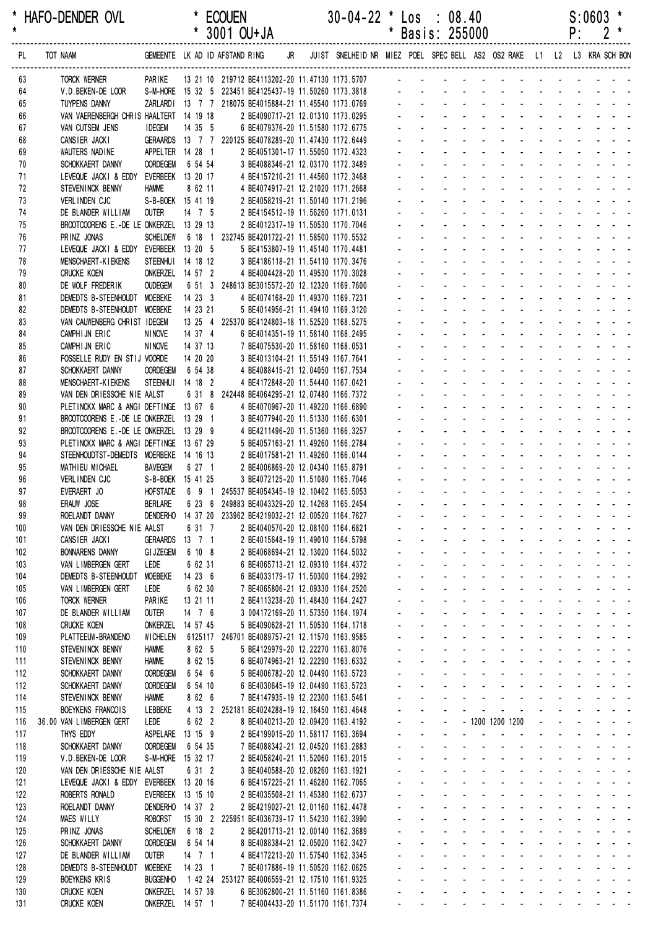| $\star$    | HAFO-DENDER OVL                                                                  |                                   |                                       | <b>ECOUEN</b><br>* 3001 OU+JA                                                             |                                                                        | $30-04-22$ * Los : 08.40                                                |    |                     | * Basis: 255000                         |                                                                               |                                                                  |                                              |        | P:                         | S:0603                                                                                                                                   |
|------------|----------------------------------------------------------------------------------|-----------------------------------|---------------------------------------|-------------------------------------------------------------------------------------------|------------------------------------------------------------------------|-------------------------------------------------------------------------|----|---------------------|-----------------------------------------|-------------------------------------------------------------------------------|------------------------------------------------------------------|----------------------------------------------|--------|----------------------------|------------------------------------------------------------------------------------------------------------------------------------------|
| PL         | TOT NAAM                                                                         |                                   |                                       | GEMEENTE LK AD ID AFSTAND RING                                                            | JR                                                                     | JUIST SNELHEID NR MIEZ POEL SPEC BELL AS2 OS2 RAKE L1 L2 L3 KRA SCH BON |    |                     |                                         |                                                                               |                                                                  |                                              |        |                            |                                                                                                                                          |
| 63         | TORCK WERNER                                                                     | PARIKE                            |                                       | 13 21 10 219712 BE4113202-20 11.47130 1173.5707                                           |                                                                        |                                                                         |    |                     |                                         |                                                                               |                                                                  |                                              |        |                            |                                                                                                                                          |
| 64         | V.D.BEKEN-DE LOOR                                                                |                                   |                                       | S-M-HORE 15 32 5 223451 BE4125437-19 11.50260 1173.3818                                   |                                                                        |                                                                         |    |                     |                                         |                                                                               |                                                                  |                                              |        |                            |                                                                                                                                          |
| 65         | <b>TUYPENS DANNY</b>                                                             |                                   |                                       | ZARLARDI 13 7 7 218075 BE4015884-21 11.45540 1173.0769                                    |                                                                        |                                                                         |    |                     |                                         |                                                                               |                                                                  |                                              |        |                            |                                                                                                                                          |
| 66<br>67   | VAN VAERENBERGH CHRIS HAALTERT 14 19 18<br>VAN CUTSEM JENS                       | <b>IDEGEM</b>                     | 14 35 5                               |                                                                                           | 2 BE4090717-21 12.01310 1173.0295<br>6 BE4079376-20 11.51580 1172.6775 |                                                                         |    |                     |                                         |                                                                               |                                                                  |                                              |        |                            |                                                                                                                                          |
| 68         | CANSIER JACKI                                                                    | GERAARDS                          |                                       | 13 7 7 220125 BE4078289-20 11.47430 1172.6449                                             |                                                                        |                                                                         |    |                     |                                         |                                                                               |                                                                  |                                              |        |                            |                                                                                                                                          |
| 69         | WAUTERS NADINE                                                                   |                                   | APPELTER 14 28 1                      |                                                                                           | 2 BE4051301-17 11.55050 1172.4323                                      |                                                                         |    |                     |                                         |                                                                               |                                                                  |                                              |        |                            |                                                                                                                                          |
| 70         | SCHOKKAERT DANNY                                                                 | <b>OORDEGEM</b>                   | 6 54 54                               |                                                                                           | 3 BE4088346-21 12.03170 1172.3489                                      |                                                                         |    |                     |                                         |                                                                               |                                                                  |                                              |        |                            |                                                                                                                                          |
| 71         | LEVEQUE JACKI & EDDY EVERBEEK 13 20 17                                           |                                   |                                       |                                                                                           | 4 BE4157210-21 11.44560 1172.3468                                      |                                                                         |    |                     |                                         |                                                                               |                                                                  |                                              |        |                            |                                                                                                                                          |
| 72         | STEVENINCK BENNY                                                                 | <b>HAMME</b>                      | 8 62 11                               |                                                                                           | 4 BE4074917-21 12.21020 1171.2668                                      |                                                                         |    |                     |                                         |                                                                               |                                                                  |                                              |        |                            |                                                                                                                                          |
| 73<br>74   | VERLINDEN CJC<br>DE BLANDER WILLIAM                                              | <b>OUTER</b>                      | S-B-BOEK 15 41 19<br>$14$ 7 5         |                                                                                           | 2 BE4058219-21 11.50140 1171.2196<br>2 BE4154512-19 11.56260 1171.0131 |                                                                         |    |                     |                                         |                                                                               |                                                                  |                                              |        |                            |                                                                                                                                          |
| 75         | BROOTCOORENS E.-DE LE ONKERZEL 13 29 13                                          |                                   |                                       |                                                                                           | 2 BE4012317-19 11.50530 1170.7046                                      |                                                                         |    |                     |                                         |                                                                               |                                                                  |                                              |        |                            |                                                                                                                                          |
| 76         | PRINZ JONAS                                                                      | <b>SCHELDEW</b>                   |                                       | 6 18 1 232745 BE4201722-21 11.58500 1170.5532                                             |                                                                        |                                                                         |    |                     |                                         |                                                                               |                                                                  |                                              |        |                            |                                                                                                                                          |
| 77         | LEVEQUE JACKI & EDDY EVERBEEK 13 20 5                                            |                                   |                                       |                                                                                           | 5 BE4153807-19 11.45140 1170.4481                                      |                                                                         |    |                     |                                         |                                                                               |                                                                  |                                              |        |                            |                                                                                                                                          |
| 78         | <b>MENSCHAERT-KIEKENS</b>                                                        | STEENHUI                          | 14 18 12                              |                                                                                           | 3 BE4186118-21 11.54110 1170.3476                                      |                                                                         |    |                     |                                         |                                                                               |                                                                  |                                              |        |                            |                                                                                                                                          |
| 79         | <b>CRUCKE KOEN</b>                                                               |                                   | ONKERZEL 14 57 2                      |                                                                                           | 4 BE4004428-20 11.49530 1170.3028                                      |                                                                         |    |                     |                                         |                                                                               |                                                                  |                                              |        |                            |                                                                                                                                          |
| 80         | DE WOLF FREDERIK                                                                 | <b>OUDEGEM</b>                    | 6 51 3                                | 248613 BE3015572-20 12.12320 1169.7600                                                    |                                                                        |                                                                         |    |                     |                                         |                                                                               |                                                                  |                                              |        |                            |                                                                                                                                          |
| 81         | DEMEDTS B-STEENHOUDT MOEBEKE                                                     |                                   | 14233<br>14 23 21                     |                                                                                           | 4 BE4074168-20 11.49370 1169.7231                                      |                                                                         |    |                     |                                         |                                                                               |                                                                  |                                              |        |                            |                                                                                                                                          |
| 82<br>83   | DEMEDTS B-STEENHOUDT MOEBEKE<br>VAN CAUWENBERG CHRIST IDEGEM                     |                                   |                                       | 13 25 4 225370 BE4124803-18 11.52520 1168.5275                                            | 5 BE4014956-21 11.49410 1169.3120                                      |                                                                         |    |                     |                                         |                                                                               |                                                                  |                                              |        |                            |                                                                                                                                          |
| 84         | CAMPHIJN ERIC                                                                    | <b>NINOVE</b>                     | 14 37 4                               |                                                                                           | 6 BE4014351-19 11.58140 1168.2495                                      |                                                                         |    |                     |                                         |                                                                               |                                                                  |                                              |        |                            |                                                                                                                                          |
| 85         | CAMPHIJN ERIC                                                                    | <b>NINOVE</b>                     | 14 37 13                              |                                                                                           | 7 BE4075530-20 11.58160 1168.0531                                      |                                                                         |    |                     |                                         |                                                                               |                                                                  |                                              |        |                            |                                                                                                                                          |
| 86         | FOSSELLE RUDY EN STIJ VOORDE                                                     |                                   | 14 20 20                              |                                                                                           | 3 BE4013104-21 11.55149 1167.7641                                      |                                                                         |    |                     |                                         |                                                                               |                                                                  |                                              |        |                            |                                                                                                                                          |
| 87         | SCHOKKAERT DANNY                                                                 | <b>OORDEGEM</b>                   | 6 54 38                               |                                                                                           | 4 BE4088415-21 12.04050 1167.7534                                      |                                                                         |    |                     |                                         |                                                                               |                                                                  |                                              |        |                            |                                                                                                                                          |
| 88         | <b>MENSCHAERT-KIEKENS</b>                                                        |                                   | STEENHUI 14 18 2                      |                                                                                           | 4 BE4172848-20 11.54440 1167.0421                                      |                                                                         |    |                     |                                         |                                                                               |                                                                  |                                              |        |                            |                                                                                                                                          |
| 89         | VAN DEN DRIESSCHE NIE AALST                                                      |                                   | 6 31 8                                | 242448 BE4064295-21 12.07480 1166.7372                                                    |                                                                        |                                                                         |    |                     |                                         |                                                                               |                                                                  |                                              |        |                            |                                                                                                                                          |
| 90         | PLETINCKX MARC & ANGI DEFTINGE 13 67 6<br>BROOTCOORENS E.-DE LE ONKERZEL 13 29 1 |                                   |                                       |                                                                                           | 4 BE4070967-20 11.49220 1166.6890<br>3 BE4077940-20 11.51330 1166.6301 |                                                                         |    |                     |                                         |                                                                               |                                                                  |                                              |        |                            |                                                                                                                                          |
| 91<br>92   | BROOTCOORENS E.-DE LE ONKERZEL                                                   |                                   | 13 29 9                               |                                                                                           | 4 BE4211496-20 11.51360 1166.3257                                      |                                                                         |    |                     |                                         |                                                                               |                                                                  |                                              |        |                            |                                                                                                                                          |
| 93         | PLETINCKX MARC & ANGI DEFTINGE 13 67 29                                          |                                   |                                       |                                                                                           | 5 BE4057163-21 11.49260 1166.2784                                      |                                                                         |    |                     |                                         |                                                                               |                                                                  |                                              |        |                            |                                                                                                                                          |
| 94         | STEENHOUDTST-DEMEDTS MOERBEKE 14 16 13                                           |                                   |                                       |                                                                                           | 2 BE4017581-21 11.49260 1166.0144                                      |                                                                         |    |                     |                                         |                                                                               |                                                                  |                                              |        |                            |                                                                                                                                          |
| 95         | MATHIEU MICHAEL                                                                  | <b>BAVEGEM</b>                    | 6 27 1                                |                                                                                           | 2 BE4006869-20 12.04340 1165.8791                                      |                                                                         |    |                     |                                         |                                                                               |                                                                  |                                              |        |                            |                                                                                                                                          |
| 96         | VERLINDEN CJC                                                                    |                                   | S-B-BOEK 15 41 25                     |                                                                                           | 3 BE4072125-20 11.51080 1165.7046                                      |                                                                         |    |                     |                                         |                                                                               |                                                                  |                                              |        |                            |                                                                                                                                          |
| 97         | EVERAERT JO                                                                      | <b>HOFSTADE</b>                   |                                       | 6 9 1 245537 BE4054345-19 12.10402 1165.5053                                              |                                                                        |                                                                         |    |                     |                                         |                                                                               |                                                                  |                                              |        |                            |                                                                                                                                          |
| 98<br>99   | ERAUW JOSE<br>ROELANDT DANNY                                                     | <b>BERLARE</b><br><b>DENDERHO</b> | 6 23 6                                | 249883 BE4043329-20 12.14268 1165.2454<br>14 37 20 233962 BE4219032-21 12.00520 1164.7627 |                                                                        |                                                                         |    |                     | $\mathbf{r}$                            | $\sim$                                                                        | $\Delta\phi$ and $\Delta\phi$ and $\Delta\phi$<br>$\blacksquare$ |                                              |        |                            | 2002 C                                                                                                                                   |
| 100        | VAN DEN DRIESSCHE NIE AALST                                                      |                                   | 6 31 7                                |                                                                                           | 2 BE4040570-20 12.08100 1164.6821                                      |                                                                         |    |                     |                                         |                                                                               | and a straight and a straight                                    |                                              |        |                            |                                                                                                                                          |
| 101        | CANSIER JACKI                                                                    | <b>GERAARDS</b>                   | $13 \t 7 \t 1$                        |                                                                                           | 2 BE4015648-19 11.49010 1164.5798                                      |                                                                         |    | a.                  | $\mathbf{r}$                            | <b>Contract Contract</b>                                                      | <b>Contractor</b>                                                | $\Delta \sim 100$                            |        |                            |                                                                                                                                          |
| 102        | <b>BONNARENS DANNY</b>                                                           | <b>GI JZEGEM</b>                  | 6 10 8                                |                                                                                           | 2 BE4068694-21 12.13020 1164.5032                                      |                                                                         |    | ä.                  | $\sim 100$                              |                                                                               | <b>All Carried Control</b><br>$\sim$                             |                                              |        |                            |                                                                                                                                          |
| 103        | VAN LIMBERGEN GERT                                                               | LEDE                              | 6 62 31                               |                                                                                           | 6 BE4065713-21 12.09310 1164.4372                                      |                                                                         |    | $\mathbf{r}$        | $\sim 100$                              | $\sim 100$                                                                    | <b>All Cards</b><br>$\sim$                                       |                                              |        |                            | $\sim 100$                                                                                                                               |
| 104        | DEMEDTS B-STEENHOUDT                                                             | <b>MOEBEKE</b>                    | 14 23 6                               |                                                                                           | 6 BE4033179-17 11.50300 1164.2992                                      |                                                                         |    |                     | <b>All Service</b>                      |                                                                               | <b>All States</b>                                                |                                              |        |                            |                                                                                                                                          |
| 105        | VAN LIMBERGEN GERT                                                               | LEDE                              | 6 62 30                               |                                                                                           | 7 BE4065806-21 12.09330 1164.2520                                      |                                                                         |    |                     | and a state                             |                                                                               |                                                                  |                                              |        |                            |                                                                                                                                          |
| 106<br>107 | <b>TORCK WERNER</b><br>DE BLANDER WILLIAM                                        | PARIKE<br><b>OUTER</b>            | 13 21 11<br>14 7 6                    |                                                                                           | 2 BE4113238-20 11.48430 1164.2427<br>3 004172169-20 11.57350 1164.1974 |                                                                         |    | ä.                  | $\Delta \sim 100$<br>$\sim$             | <b>Contract Contract</b><br>$\sim$                                            | and a straight and a straight<br><b>Contract Contract</b>        | $\Delta \sim 100$                            |        | $\Delta \sim 10^{-1}$      | $\mathcal{L}^{\text{max}}(\mathcal{L}^{\text{max}})$ , where $\mathcal{L}^{\text{max}}$<br>$\omega_{\rm{max}}$ , and $\omega_{\rm{max}}$ |
| 108        | <b>CRUCKE KOEN</b>                                                               | onkerzel                          | 14 57 45                              |                                                                                           | 5 BE4090628-21 11.50530 1164.1718                                      |                                                                         |    | $\sim$              |                                         |                                                                               | and a straight and a straight                                    | $\Delta \sim 10^4$                           |        | $\Delta \sim 100$          | $\omega_{\rm{eff}}=2.00$ km s $^{-1}$                                                                                                    |
| 109        | PLATTEEUW-BRANDENO                                                               | <b>WICHELEN</b>                   |                                       | 6125117 246701 BE4089757-21 12.11570 1163.9585                                            |                                                                        |                                                                         |    | ¥.                  | $\sim 100$                              | $\Delta \sim 100$                                                             | $\omega_{\rm{max}}$<br>$\mathbf{u} = \mathbf{0}$<br>$\sim$       | $\mathbf{r}$                                 |        | $\mathcal{L}^{\text{max}}$ | - - -                                                                                                                                    |
| 110        | STEVEN INCK BENNY                                                                | <b>HAMME</b>                      | 8 62 5                                |                                                                                           | 5 BE4129979-20 12.22270 1163.8076                                      |                                                                         |    | $\blacksquare$      | $\sim$                                  | $\sim$<br>$\blacksquare$                                                      | $\mathbf{r}$<br>$\sim$                                           |                                              |        |                            | $\sim$ $ \sim$                                                                                                                           |
| 111        | STEVEN INCK BENNY                                                                | <b>HAMME</b>                      | 8 62 15                               |                                                                                           | 6 BE4074963-21 12.22290 1163.6332                                      |                                                                         |    |                     |                                         |                                                                               |                                                                  |                                              |        |                            | $\omega_{\rm{max}}$ and $\omega_{\rm{max}}$                                                                                              |
| 112        | SCHOKKAERT DANNY                                                                 | <b>OORDEGEM</b>                   | 6 54 6                                |                                                                                           | 5 BE4006782-20 12.04490 1163.5723                                      |                                                                         |    |                     |                                         | $\mathbf{L}^{\text{max}} = \mathbf{L}^{\text{max}} = \mathbf{L}^{\text{max}}$ |                                                                  |                                              |        |                            | $\omega_{\rm{eff}}=0.01$ and $\omega_{\rm{eff}}=0.01$                                                                                    |
| 112        | SCHOKKAERT DANNY                                                                 | <b>OORDEGEM</b>                   | 6 54 10                               |                                                                                           | 6 BE4030645-19 12.04490 1163.5723                                      |                                                                         |    | $\mathbf{r}$        | $\mathbf{r}$                            | <b>Contract Contract</b>                                                      | <b>Contract Contract</b>                                         | $\omega$                                     |        |                            | $\sim$ $\sim$ $\sim$                                                                                                                     |
| 114<br>115 | STEVEN INCK BENNY<br>BOEYKENS FRANCOIS                                           | <b>HAMME</b><br>LEBBEKE           | 8 62 6                                | 4 13 2 252181 BE4024288-19 12.16450 1163.4648                                             | 7 BE4147935-19 12.22300 1163.5461                                      |                                                                         | a. | ä.<br>¥.            | $\Delta \sim 100$<br>$\sim$             |                                                                               | and a strategic and<br>and a straight and                        | ÷.<br>$\sim$                                 |        |                            | $\sim$ $ \sim$<br>$\sim$ $ -$                                                                                                            |
| 116        | 36.00 VAN LIMBERGEN GERT                                                         | LEDE                              | 6 62 2                                |                                                                                           | 8 BE4040213-20 12.09420 1163.4192                                      |                                                                         |    | $\blacksquare$      | $\mathbf{r}$                            |                                                                               | - 1200 1200 1200                                                 | $\blacksquare$                               | $\sim$ | $\omega_{\rm{max}}$        |                                                                                                                                          |
| 117        | THYS EDDY                                                                        | ASPELARE                          | 13 15 9                               |                                                                                           | 2 BE4199015-20 11.58117 1163.3694                                      |                                                                         |    |                     |                                         | ä,                                                                            |                                                                  |                                              |        |                            | $\omega_{\rm{max}}$ and $\omega_{\rm{max}}$                                                                                              |
| 118        | SCHOKKAERT DANNY                                                                 | <b>OORDEGEM</b>                   | 6 54 35                               |                                                                                           | 7 BE4088342-21 12.04520 1163.2883                                      |                                                                         |    |                     |                                         |                                                                               |                                                                  |                                              |        |                            | $\mathbf{1}^{\prime}$ , and $\mathbf{1}^{\prime}$ , and $\mathbf{1}^{\prime}$                                                            |
| 119        | V.D. BEKEN-DE LOOR                                                               |                                   | S-M-HORE 15 32 17                     |                                                                                           | 2 BE4058240-21 11.52060 1163.2015                                      |                                                                         |    | ä.                  | $\sim$                                  | $\Delta \sim 100$<br>$\sim$                                                   | $\sim$<br><b>Contract Contract</b>                               | $\mathcal{L}$                                |        | $\Delta \sim 100$          | $\omega_{\rm{max}}$ and $\omega_{\rm{max}}$                                                                                              |
| 120        | VAN DEN DRIESSCHE NIE AALST                                                      |                                   | 6 31 2                                |                                                                                           | 3 BE4040588-20 12.08260 1163.1921                                      |                                                                         |    | ä.                  | $\Delta \sim 100$                       | $\Delta \sim 10^4$                                                            | <b>Service</b> State                                             | $\Delta \sim 10^4$<br>$\Delta \sim 10^{-11}$ |        | $\Delta \sim 10^{-1}$      | $\omega_{\rm{max}}$ and $\omega_{\rm{max}}$                                                                                              |
| 121        | LEVEQUE JACKI & EDDY                                                             |                                   | EVERBEEK 13 20 16                     |                                                                                           | 6 BE4157225-21 11.46280 1162.7065                                      |                                                                         |    | $\mathbf{r}$        | $\sim 100$                              | $\Delta \sim 100$                                                             | $\omega_{\rm{max}}$<br>$\Delta \sim 100$<br>$\sim$               |                                              |        |                            | - - -                                                                                                                                    |
| 122        | ROBERTS RONALD<br>ROELANDT DANNY                                                 |                                   | EVERBEEK 13 15 10<br>DENDERHO 14 37 2 |                                                                                           | 2 BE4035508-21 11.45380 1162.6737<br>2 BE4219027-21 12.01160 1162.4478 |                                                                         |    |                     | $\omega_{\rm{max}}$<br>and a state      | $\sim$<br>$\blacksquare$                                                      | $\blacksquare$<br>$\blacksquare$                                 |                                              |        |                            | $\sim$ $ \sim$<br>$\omega_{\rm{max}}$ and $\omega_{\rm{max}}$                                                                            |
| 123<br>124 | <b>MAES WILLY</b>                                                                | <b>ROBORST</b>                    |                                       | 15 30 2 225951 BE4036739-17 11.54230 1162.3990                                            |                                                                        |                                                                         |    |                     | and a strip                             | $\mathcal{L}$                                                                 |                                                                  |                                              |        |                            | $\omega_{\rm{eff}}=0.01$ and $\omega_{\rm{eff}}=0.01$                                                                                    |
| 125        | PRINZ JONAS                                                                      | <b>SCHELDEW</b>                   | 6 18 2                                |                                                                                           | 2 BE4201713-21 12.00140 1162.3689                                      |                                                                         |    | $\mathbf{r}$        | ¥.                                      | <b>Contractor</b><br>÷.                                                       | $\mathcal{L}^{\mathcal{A}}$<br>$\sim 100$                        |                                              |        |                            | $\sim$ $ \sim$                                                                                                                           |
| 126        | SCHOKKAERT DANNY                                                                 | <b>OORDEGEM</b>                   | 6 54 14                               |                                                                                           | 8 BE4088384-21 12.05020 1162.3427                                      |                                                                         |    | ä.                  | $\omega_{\rm{max}}$                     | $\Delta \sim 100$                                                             | $\Delta \sim 10^4$                                               |                                              |        |                            |                                                                                                                                          |
| 127        | DE BLANDER WILLIAM                                                               | <b>OUTER</b>                      | $14$ 7 1                              |                                                                                           | 4 BE4172213-20 11.57540 1162.3345                                      |                                                                         |    |                     | $\mathbf{L}^{\text{max}}$<br>$\sim 100$ | $\sim 100$                                                                    | $\omega_{\rm{max}}$<br>$\sim 100$<br>$\mathbf{r}$                |                                              |        |                            | ÷,                                                                                                                                       |
| 128        | DEMEDTS B-STEENHOUDT                                                             | <b>MOEBEKE</b>                    | 14 23 1                               |                                                                                           | 7 BE4017886-19 11.50520 1162.0625                                      |                                                                         |    | ¥.                  | $\sim 100$                              | $\sim$<br>$\mathbf{r}$                                                        | $\sim 100$                                                       |                                              |        |                            |                                                                                                                                          |
| 129        | <b>BOEYKENS KRIS</b>                                                             | <b>BUGGENHO</b>                   |                                       | 1 42 24 253127 BE4006559-21 12.17510 1161.9325                                            |                                                                        |                                                                         |    |                     |                                         |                                                                               |                                                                  |                                              |        |                            |                                                                                                                                          |
| 130<br>131 | <b>CRUCKE KOEN</b><br><b>CRUCKE KOEN</b>                                         |                                   | ONKERZEL 14 57 39<br>ONKERZEL 14 57 1 |                                                                                           | 6 BE3062800-21 11.51160 1161.8386<br>7 BE4004433-20 11.51170 1161.7374 |                                                                         |    | $\omega_{\rm{max}}$ | $\omega_{\rm{max}}$                     |                                                                               | and a strategic and                                              | and a straight of                            |        | $\omega_{\rm{max}}$        | $\omega_{\rm{eff}}$ , $\omega_{\rm{eff}}$ , $\omega_{\rm{eff}}$                                                                          |
|            |                                                                                  |                                   |                                       |                                                                                           |                                                                        |                                                                         |    |                     |                                         |                                                                               |                                                                  |                                              |        |                            |                                                                                                                                          |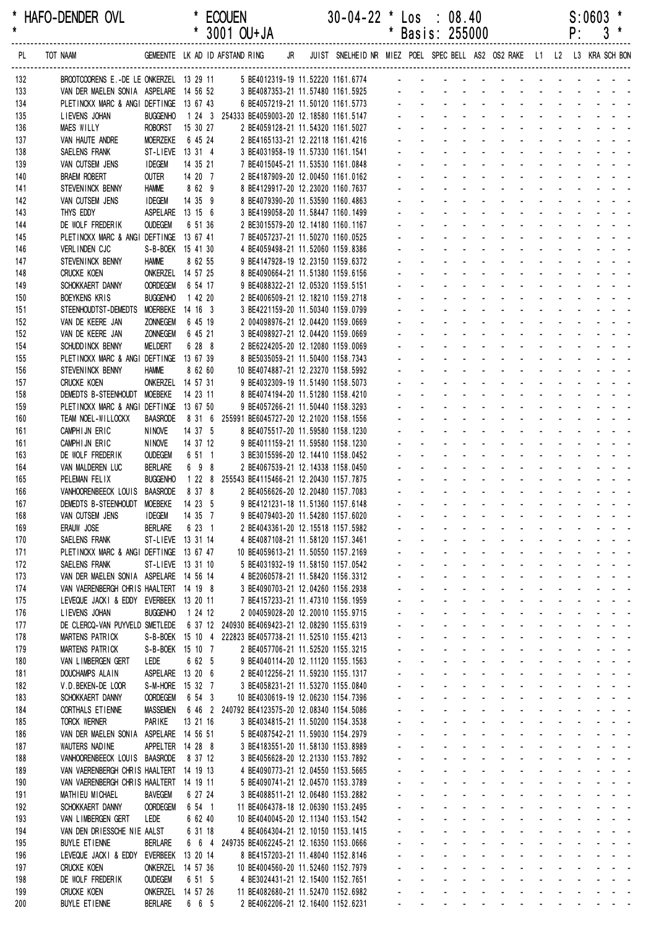| *<br>$\star$ | HAFO-DENDER OVL                                                                  |                                    |                             | <b>ECOUEN</b><br>* 3001 OU+JA                                                                | $30-04-22$ * Los : 08.40                                                | $\star$        |                                               | Basis: 255000                                                                                    |                                                                                                           |                                                                     |                                   |                                                           | P:                                                   | S:0603                                                                                                       |  |
|--------------|----------------------------------------------------------------------------------|------------------------------------|-----------------------------|----------------------------------------------------------------------------------------------|-------------------------------------------------------------------------|----------------|-----------------------------------------------|--------------------------------------------------------------------------------------------------|-----------------------------------------------------------------------------------------------------------|---------------------------------------------------------------------|-----------------------------------|-----------------------------------------------------------|------------------------------------------------------|--------------------------------------------------------------------------------------------------------------|--|
| PL           | TOT NAAM                                                                         |                                    |                             | GEMEENTE LK AD ID AFSTAND RING<br>JR                                                         | JUIST SNELHEID NR MIEZ POEL SPEC BELL AS2 OS2 RAKE L1 L2 L3 KRA SCH BON |                |                                               |                                                                                                  |                                                                                                           |                                                                     |                                   |                                                           |                                                      |                                                                                                              |  |
| 132          | BROOTCOORENS E.-DE LE ONKERZEL 13 29 11                                          |                                    |                             | 5 BE4012319-19 11.52220 1161.6774                                                            |                                                                         |                |                                               | and the company of the state of the                                                              |                                                                                                           |                                                                     |                                   |                                                           |                                                      |                                                                                                              |  |
| 133          | VAN DER MAELEN SONIA ASPELARE 14 56 52                                           |                                    |                             | 3 BE4087353-21 11.57480 1161.5925                                                            |                                                                         |                |                                               |                                                                                                  |                                                                                                           |                                                                     |                                   |                                                           |                                                      |                                                                                                              |  |
| 134<br>135   | PLETINCKX MARC & ANGI DEFTINGE 13 67 43<br>LIEVENS JOHAN                         | <b>BUGGENHO</b>                    |                             | 6 BE4057219-21 11.50120 1161.5773<br>1 24 3 254333 BE4059003-20 12.18580 1161.5147           |                                                                         |                |                                               |                                                                                                  |                                                                                                           |                                                                     |                                   |                                                           |                                                      |                                                                                                              |  |
| 136          | <b>MAES WILLY</b>                                                                | <b>ROBORST</b>                     | 15 30 27                    | 2 BE4059128-21 11.54320 1161.5027                                                            |                                                                         |                |                                               |                                                                                                  |                                                                                                           |                                                                     |                                   |                                                           |                                                      |                                                                                                              |  |
| 137          | VAN HAUTE ANDRE                                                                  | <b>MOERZEKE</b>                    | 6 45 24                     | 2 BE4165133-21 12.22118 1161.4216                                                            |                                                                         |                |                                               |                                                                                                  |                                                                                                           |                                                                     |                                   |                                                           |                                                      |                                                                                                              |  |
| 138          | SAELENS FRANK                                                                    |                                    | ST-LIEVE 13 31 4            | 3 BE4031958-19 11.57330 1161.1541                                                            |                                                                         |                |                                               |                                                                                                  |                                                                                                           |                                                                     |                                   |                                                           |                                                      |                                                                                                              |  |
| 139<br>140   | VAN CUTSEM JENS<br><b>BRAEM ROBERT</b>                                           | <b>IDEGEM</b><br><b>OUTER</b>      | 14 35 21<br>14 20 7         | 7 BE4015045-21 11.53530 1161.0848<br>2 BE4187909-20 12.00450 1161.0162                       |                                                                         |                |                                               |                                                                                                  |                                                                                                           |                                                                     |                                   |                                                           |                                                      |                                                                                                              |  |
| 141          | STEVENINCK BENNY                                                                 | <b>HAMME</b>                       | 8 62 9                      | 8 BE4129917-20 12.23020 1160.7637                                                            |                                                                         |                |                                               |                                                                                                  |                                                                                                           |                                                                     |                                   |                                                           |                                                      |                                                                                                              |  |
| 142          | VAN CUTSEM JENS                                                                  | <b>IDEGEM</b>                      | 14 35 9                     | 8 BE4079390-20 11.53590 1160.4863                                                            |                                                                         |                |                                               |                                                                                                  |                                                                                                           |                                                                     |                                   |                                                           |                                                      |                                                                                                              |  |
| 143          | THYS EDDY                                                                        |                                    | ASPELARE 13 15 6            | 3 BE4199058-20 11.58447 1160.1499                                                            |                                                                         |                |                                               |                                                                                                  |                                                                                                           |                                                                     |                                   |                                                           |                                                      |                                                                                                              |  |
| 144<br>145   | DE WOLF FREDERIK<br>PLETINCKX MARC & ANGI DEFTINGE 13 67 41                      | <b>OUDEGEM</b>                     | 6 51 36                     | 2 BE3015579-20 12.14180 1160.1167<br>7 BE4057237-21 11.50270 1160.0525                       |                                                                         |                |                                               |                                                                                                  |                                                                                                           |                                                                     |                                   |                                                           |                                                      |                                                                                                              |  |
| 146          | <b>VERLINDEN CJC</b>                                                             |                                    | S-B-BOEK 15 41 30           | 4 BE4059498-21 11.52060 1159.8386                                                            |                                                                         |                |                                               |                                                                                                  |                                                                                                           |                                                                     |                                   |                                                           |                                                      |                                                                                                              |  |
| 147          | STEVENINCK BENNY                                                                 | <b>HAMME</b>                       | 8 62 55                     | 9 BE4147928-19 12.23150 1159.6372                                                            |                                                                         |                |                                               |                                                                                                  |                                                                                                           |                                                                     |                                   |                                                           |                                                      |                                                                                                              |  |
| 148          | <b>CRUCKE KOEN</b>                                                               |                                    | ONKERZEL 14 57 25           | 8 BE4090664-21 11.51380 1159.6156                                                            |                                                                         |                |                                               |                                                                                                  |                                                                                                           |                                                                     |                                   |                                                           |                                                      |                                                                                                              |  |
| 149<br>150   | SCHOKKAERT DANNY<br>BOEYKENS KRIS                                                | <b>OORDEGEM</b><br><b>BUGGENHO</b> | 6 54 17<br>1 42 20          | 9 BE4088322-21 12.05320 1159.5151<br>2 BE4006509-21 12.18210 1159.2718                       |                                                                         |                |                                               |                                                                                                  |                                                                                                           |                                                                     |                                   |                                                           |                                                      |                                                                                                              |  |
| 151          | STEENHOUDTST-DEMEDTS                                                             | MOERBEKE 14 16 3                   |                             | 3 BE4221159-20 11.50340 1159.0799                                                            |                                                                         |                |                                               |                                                                                                  |                                                                                                           |                                                                     |                                   |                                                           |                                                      |                                                                                                              |  |
| 152          | VAN DE KEERE JAN                                                                 | <b>ZONNEGEM</b>                    | 6 45 19                     | 2 004098976-21 12.04420 1159.0669                                                            |                                                                         |                |                                               |                                                                                                  |                                                                                                           |                                                                     |                                   |                                                           |                                                      |                                                                                                              |  |
| 152          | VAN DE KEERE JAN                                                                 | <b>ZONNEGEM</b>                    | 6 45 21                     | 3 BE4098927-21 12.04420 1159.0669                                                            |                                                                         |                |                                               |                                                                                                  |                                                                                                           |                                                                     |                                   |                                                           |                                                      |                                                                                                              |  |
| 154<br>155   | SCHUDD INCK BENNY<br>PLETINCKX MARC & ANGI DEFTINGE 13 67 39                     | MELDERT                            | 6 28 8                      | 2 BE6224205-20 12.12080 1159.0069<br>8 BE5035059-21 11.50400 1158.7343                       |                                                                         |                |                                               |                                                                                                  |                                                                                                           |                                                                     |                                   |                                                           |                                                      |                                                                                                              |  |
| 156          | STEVENINCK BENNY                                                                 | <b>HAMME</b>                       | 8 62 60                     | 10 BE4074887-21 12.23270 1158.5992                                                           |                                                                         |                |                                               |                                                                                                  |                                                                                                           |                                                                     |                                   |                                                           |                                                      |                                                                                                              |  |
| 157          | <b>CRUCKE KOEN</b>                                                               |                                    | ONKERZEL 14 57 31           | 9 BE4032309-19 11.51490 1158.5073                                                            |                                                                         |                |                                               |                                                                                                  |                                                                                                           |                                                                     |                                   |                                                           |                                                      |                                                                                                              |  |
| 158          | DEMEDTS B-STEENHOUDT                                                             | MOEBEKE                            | 14 23 11                    | 8 BE4074194-20 11.51280 1158.4210                                                            |                                                                         |                |                                               |                                                                                                  |                                                                                                           |                                                                     |                                   |                                                           |                                                      |                                                                                                              |  |
| 159<br>160   | PLETINCKX MARC & ANGI DEFTINGE 13 67 50<br>TEAM NOEL-WILLOCKX                    | <b>BAASRODE</b>                    | 8 31 6                      | 9 BE4057266-21 11.50440 1158.3293<br>255991 BE6045727-20 12.21020 1158.1556                  |                                                                         |                |                                               |                                                                                                  |                                                                                                           |                                                                     |                                   |                                                           |                                                      |                                                                                                              |  |
| 161          | CAMPHIJN ERIC                                                                    | <b>NINOVE</b>                      | 14 37 5                     | 8 BE4075517-20 11.59580 1158.1230                                                            |                                                                         |                |                                               |                                                                                                  |                                                                                                           |                                                                     |                                   |                                                           |                                                      |                                                                                                              |  |
| 161          | CAMPHIJN ERIC                                                                    | <b>NINOVE</b>                      | 14 37 12                    | 9 BE4011159-21 11.59580 1158.1230                                                            |                                                                         |                |                                               |                                                                                                  |                                                                                                           |                                                                     |                                   |                                                           |                                                      |                                                                                                              |  |
| 163          | DE WOLF FREDERIK<br>VAN MALDEREN LUC                                             | <b>OUDEGEM</b><br><b>BERLARE</b>   | 6 51 1<br>6 9 8             | 3 BE3015596-20 12.14410 1158.0452                                                            |                                                                         |                |                                               |                                                                                                  |                                                                                                           |                                                                     |                                   |                                                           |                                                      |                                                                                                              |  |
| 164<br>165   | PELEMAN FELIX                                                                    | <b>BUGGENHO</b>                    |                             | 2 BE4067539-21 12.14338 1158.0450<br>1 22 8 255543 BE4115466-21 12.20430 1157.7875           |                                                                         |                |                                               |                                                                                                  |                                                                                                           |                                                                     |                                   |                                                           |                                                      |                                                                                                              |  |
| 166          | VANHOORENBEECK LOUIS                                                             | BAASRODE                           | 8 37 8                      | 2 BE4056626-20 12.20480 1157.7083                                                            |                                                                         |                |                                               |                                                                                                  |                                                                                                           |                                                                     |                                   |                                                           |                                                      |                                                                                                              |  |
| 167          | DEMEDTS B-STEENHOUDT                                                             | <b>MOEBEKE</b>                     | 14 23 5                     | 9 BE4121231-18 11.51360 1157.6148                                                            |                                                                         |                |                                               |                                                                                                  | <b>All Street</b>                                                                                         |                                                                     | and the state of the state of the |                                                           |                                                      |                                                                                                              |  |
| 168<br>169   | VAN CUTSEM JENS<br>ERAUW JOSE                                                    | <b>IDEGEM</b><br><b>BERLARE</b>    | 14 35 7<br>6 23 1           | 9 BE4079403-20 11.54280 1157.6020<br>2 BE4043361-20 12.15518 1157.5982                       |                                                                         |                |                                               |                                                                                                  |                                                                                                           | and a straightful and state and<br>and a straight and straight      |                                   | $\Delta \sim 100$<br>$\mathcal{L}$                        | <b>Contract Contract</b><br><b>Contract Contract</b> | $\mathcal{L}^{\text{max}}(\mathcal{L}^{\text{max}})$ . The $\mathcal{L}^{\text{max}}$<br>$\omega_{\rm{max}}$ |  |
| 170          | SAELENS FRANK                                                                    |                                    | ST-LIEVE 13 31 14           | 4 BE4087108-21 11.58120 1157.3461                                                            |                                                                         |                |                                               | $\omega_{\rm{max}}$<br>$\omega_{\rm{max}}$                                                       |                                                                                                           | and a straight and                                                  |                                   | $\mathcal{L}_{\mathrm{max}}$<br>$\omega_{\rm{max}}$       | $\Delta \sim 100$                                    | $\sim 100$<br>$\sim 100$ km s $^{-1}$                                                                        |  |
| 171          | PLETINCKX MARC & ANGI DEFTINGE 13 67 47                                          |                                    |                             | 10 BE4059613-21 11.50550 1157.2169                                                           |                                                                         |                | $\sim$                                        | $\mathcal{L}^{\text{max}}$                                                                       | <b>All States</b>                                                                                         |                                                                     | <b>Service Control</b><br>$\sim$  |                                                           |                                                      | $\sim$ $ \sim$                                                                                               |  |
| 172          | SAELENS FRANK                                                                    |                                    | ST-LIEVE 13 31 10           | 5 BE4031932-19 11.58150 1157.0542                                                            |                                                                         |                |                                               | and a straight and                                                                               |                                                                                                           |                                                                     | <b>Contractor</b>                 |                                                           |                                                      | $\sim 100$ km s $^{-1}$                                                                                      |  |
| 173<br>174   | VAN DER MAELEN SONIA ASPELARE 14 56 14<br>VAN VAERENBERGH CHRIS HAALTERT 14 19 8 |                                    |                             | 4 BE2060578-21 11.58420 1156.3312<br>3 BE4090703-21 12.04260 1156.2938                       |                                                                         | $\blacksquare$ | $\mathcal{L}^{\text{max}}$<br>$\sim$          | $\omega_{\rm{max}}$<br>$\Delta \sim 100$<br>$\mathbf{r}$                                         | <b>All States</b>                                                                                         | $\omega$<br><b>Contract Contract</b>                                | $\sim 100$                        | $\mathcal{L}^{\text{max}}$<br>$\Delta \sim 100$<br>$\sim$ |                                                      | $\mathcal{L}^{\pm}$<br>$\omega_{\rm{max}}$<br>and the state of the state of                                  |  |
| 175          | LEVEQUE JACKI & EDDY EVERBEEK 13 20 11                                           |                                    |                             | 7 BE4157233-21 11.47310 1156.1959                                                            |                                                                         |                | ä.                                            | $\Delta \sim 10^{-1}$                                                                            |                                                                                                           |                                                                     |                                   |                                                           |                                                      | and a state of the state of the state of                                                                     |  |
| 176          | LIEVENS JOHAN                                                                    | <b>BUGGENHO</b>                    | 1 24 12                     | 2 004059028-20 12.20010 1155.9715                                                            |                                                                         |                | $\mathbf{r} = \mathbf{r}$                     | $\omega_{\rm{max}}$<br>$\omega_{\rm{max}}$                                                       | All Carolina                                                                                              | $\Delta \sim 10^{-1}$                                               | $\Delta \sim 100$                 | $\omega_{\rm{max}}$                                       |                                                      | and a strain and a                                                                                           |  |
| 177          | DE CLERCQ-VAN PUYVELD SMETLEDE                                                   |                                    |                             | 6 37 12 240930 BE4069423-21 12.08290 1155.6319                                               |                                                                         |                | $\mathbf{r}$                                  | $\mathcal{L}^{\text{max}}$<br>$\sim$                                                             | <b>Contractor</b>                                                                                         | $\mathbf{r}$                                                        | $\sim 100$                        | $\mathbf{z}$ and $\mathbf{z}$<br>$\mathbf{r}$             |                                                      | and a strong state                                                                                           |  |
| 178<br>179   | MARTENS PATRICK<br>MARTENS PATRICK                                               |                                    | S-B-BOEK 15 10 7            | S-B-BOEK 15 10 4 222823 BE4057738-21 11.52510 1155.4213<br>2 BE4057706-21 11.52520 1155.3215 |                                                                         |                | $\mathbf{r}$ .                                | $\omega_{\rm{max}}$                                                                              | $\mathcal{L}^{\text{max}}(\mathcal{L}^{\text{max}})$ . The $\mathcal{L}^{\text{max}}$<br>and a strategies |                                                                     |                                   | $\sim$                                                    |                                                      | and the state of the<br>$\omega_{\rm{max}}$<br><b>Service</b> State                                          |  |
| 180          | VAN LIMBERGEN GERT                                                               | LEDE                               | 6 62 5                      | 9 BE4040114-20 12.11120 1155.1563                                                            |                                                                         |                | $\mathbf{r}$ .                                | $\Delta \sim 10^{-1}$                                                                            |                                                                                                           | and a straight and straight                                         |                                   | $\Delta \sim 100$<br>$\sim$                               | $\Delta \sim 100$                                    | $\omega_{\rm{max}}$ , and $\omega_{\rm{max}}$                                                                |  |
| 181          | DOUCHAMPS ALAIN                                                                  |                                    | ASPELARE 13 20 6            | 2 BE4012256-21 11.59230 1155.1317                                                            |                                                                         |                | ä.                                            | $\omega_{\rm{max}}$                                                                              |                                                                                                           | and a straight and a straight                                       |                                   | $\mathcal{L}$                                             |                                                      | $\omega_{\rm{max}}$ and $\omega_{\rm{max}}$                                                                  |  |
| 182          | V.D.BEKEN-DE LOOR                                                                |                                    | S-M-HORE 15 32 7            | 3 BE4058231-21 11.53270 1155.0840                                                            |                                                                         |                | $\mathbf{L}^{\text{max}}$                     | $\mathbf{L}^{\text{max}}$<br>$\omega_{\rm{max}}$                                                 |                                                                                                           | and a straight and state                                            |                                   | $\sim 100$<br>$\mathbf{r}$                                | $\sim 100$                                           | $\mathbf{r} = \mathbf{r} \mathbf{r} + \mathbf{r} \mathbf{r}$                                                 |  |
| 183<br>184   | SCHOKKAERT DANNY<br>CORTHALS ET IENNE                                            | <b>OORDEGEM</b><br>MASSEMEN        | 6 54 3                      | 10 BE4030619-19 12.06230 1154.7396<br>6 46 2 240792 BE4123575-20 12.08340 1154.5086          |                                                                         |                |                                               | $\Delta \sim 100$<br>$\mathbf{L}^{\text{max}}$                                                   |                                                                                                           | and a straightful and state<br>الموارد والمستنبذ والمستنبذ والمنافذ | $\sim$                            |                                                           | $\sim$                                               | $\omega_{\rm{max}}$ and $\omega_{\rm{max}}$<br><b>Service Control</b>                                        |  |
| 185          | <b>TORCK WERNER</b>                                                              | PARIKE                             | 13 21 16                    | 3 BE4034815-21 11.50200 1154.3538                                                            |                                                                         |                |                                               | $\mathbf{L}^{\text{max}}$                                                                        |                                                                                                           | الموارد والمستحدث والمستحدث                                         |                                   |                                                           |                                                      | <b>Contract Contract Contract</b>                                                                            |  |
| 186          | VAN DER MAELEN SONIA                                                             | ASPELARE 14 56 51                  |                             | 5 BE4087542-21 11.59030 1154.2979                                                            |                                                                         |                |                                               | $\Delta \sim 10^{-11}$<br>$\Delta \sim 100$                                                      |                                                                                                           |                                                                     |                                   |                                                           |                                                      | and a strain and a strain and a                                                                              |  |
| 187          | WAUTERS NADINE                                                                   |                                    | APPELTER 14 28 8            | 3 BE4183551-20 11.58130 1153.8989                                                            |                                                                         |                | a.                                            | $\Delta \sim 100$<br>$\mathbf{L}^{\text{max}}$<br>$\omega_{\rm{max}}$                            | and a strategies                                                                                          | and a straight and a straight                                       | <b>Contract Contract Contract</b> |                                                           |                                                      | and a strain and a<br>and a strain and a                                                                     |  |
| 188<br>189   | VANHOORENBEECK LOUIS BAASRODE<br>VAN VAERENBERGH CHRIS HAALTERT 14 19 13         |                                    | 8 37 12                     | 3 BE4056628-20 12.21330 1153.7892<br>4 BE4090773-21 12.04550 1153.5665                       |                                                                         |                | $\mathbf{r} = \mathbf{r}$                     | and a straight<br>$\Delta \sim 100$                                                              |                                                                                                           | $\sim 100$                                                          | $\sim 100$                        | $\sim$                                                    |                                                      | and a series of the series                                                                                   |  |
| 190          | VAN VAERENBERGH CHRIS HAALTERT 14 19 11                                          |                                    |                             | 5 BE4090741-21 12.04570 1153.3789                                                            |                                                                         |                |                                               | and a straight and                                                                               |                                                                                                           |                                                                     |                                   |                                                           |                                                      | <b>Service Control</b>                                                                                       |  |
| 191          | MATHIEU MICHAEL                                                                  | <b>BAVEGEM</b>                     | 6 27 24                     | 3 BE4088511-21 12.06480 1153.2882                                                            |                                                                         |                | $\mathcal{L}^{\mathcal{L}}$                   | $\omega_{\rm{max}}$                                                                              |                                                                                                           | and a straight and                                                  |                                   | $\sim$                                                    |                                                      | <b>Service Control</b>                                                                                       |  |
| 192          | SCHOKKAERT DANNY                                                                 | <b>OORDEGEM</b>                    | 6 54 1                      | 11 BE4064378-18 12.06390 1153.2495                                                           |                                                                         |                | $\mathbf{r}$ .<br>$\mathcal{L}_{\mathcal{A}}$ | $\Delta \sim 100$<br>$\omega_{\rm{max}}$                                                         |                                                                                                           | and a straight and a straight<br>and a strategic and                |                                   | ÷.<br>$\Delta \sim 10^4$                                  |                                                      | $\omega_{\rm{max}}$ , and $\omega_{\rm{max}}$<br>$\sim 10^{-1}$ m $^{-1}$                                    |  |
| 193<br>194   | VAN LIMBERGEN GERT<br>VAN DEN DRIESSCHE NIE AALST                                | LEDE                               | 6 62 40<br>6 31 18          | 10 BE4040045-20 12.11340 1153.1542<br>4 BE4064304-21 12.10150 1153.1415                      |                                                                         |                | $\mathbf{r} = \mathbf{r}$                     | $\omega_{\rm{max}}$<br>$\omega_{\rm{max}}$                                                       | All Carolina                                                                                              |                                                                     | <b>All States</b>                 | $\mathcal{L}^{\text{max}}$<br>$\blacksquare$              |                                                      | $\mathcal{L}^{\text{max}}$                                                                                   |  |
| 195          | <b>BUYLE ETIENNE</b>                                                             | <b>BERLARE</b>                     |                             | 6 6 4 249735 BE4062245-21 12.16350 1153.0666                                                 |                                                                         |                |                                               | $\sim 100$<br>$\mathbf{z} = \mathbf{z}$                                                          | <b>All States</b>                                                                                         |                                                                     | <b>All States</b><br>$\sim$       |                                                           | $\sim$                                               | $\sim 100$ km s $^{-1}$                                                                                      |  |
| 196          | LEVEQUE JACKI & EDDY                                                             | EVERBEEK 13 20 14                  |                             | 8 BE4157203-21 11.48040 1152.8146                                                            |                                                                         |                | $\mathcal{L}^{\mathcal{A}}$                   |                                                                                                  | $\Delta \phi = 0.000$ and $\Delta \phi = 0.000$                                                           | $\omega$                                                            | <b>Contractor</b>                 | $\sim$                                                    |                                                      | $\mathbf{z} = \mathbf{z} + \mathbf{z} + \mathbf{z} + \mathbf{z}$                                             |  |
| 197<br>198   | <b>CRUCKE KOEN</b><br>DE WOLF FREDERIK                                           | <b>OUDEGEM</b>                     | ONKERZEL 14 57 36<br>6 51 5 | 10 BE4004560-20 11.52460 1152.7979<br>4 BE3024431-21 12.15400 1152.7651                      |                                                                         |                |                                               | $\omega_{\rm{max}}$<br>$\omega_{\rm{max}}$<br>$\Delta \sim 10^{-1}$<br>$\mathbf{L} = \mathbf{0}$ | $\sim$<br>$\sim 100$<br>$\mathcal{L}^{\text{max}}$                                                        | $\omega$<br>$\mathcal{L}$<br>$\Delta \sim 100$                      | <b>Contract Contract</b>          | $\mathcal{L}^{\text{max}}$<br>$\Delta \sim 100$           | $\Delta \phi = \Delta \phi$ and $\Delta \phi$        | $\sim 100$<br>$\omega_{\rm{max}}$<br>$\omega_{\rm{max}}$ , and $\omega_{\rm{max}}$                           |  |
| 199          | <b>CRUCKE KOEN</b>                                                               |                                    | ONKERZEL 14 57 26           | 11 BE4082680-21 11.52470 1152.6982                                                           |                                                                         |                |                                               | $\omega_{\rm{max}}$<br>$\mathcal{L}^{\text{max}}$<br>$\mathcal{L}^{\mathcal{A}}$                 |                                                                                                           | and a straight and a straight                                       |                                   | and a state of                                            |                                                      | $\omega_{\rm{max}}$ and $\omega_{\rm{max}}$                                                                  |  |
| 200          | <b>BUYLE ETIENNE</b>                                                             | <b>BERLARE</b>                     | 6 6 5                       | 2 BE4062206-21 12.16400 1152.6231                                                            |                                                                         |                | $\omega_{\rm{max}}$                           | $\mathbf{L}^{\text{max}}$                                                                        |                                                                                                           |                                                                     |                                   |                                                           |                                                      | المناصب والمستنقذ والمستنقذ والمستنقذ والمستنقذ والمستنقذ                                                    |  |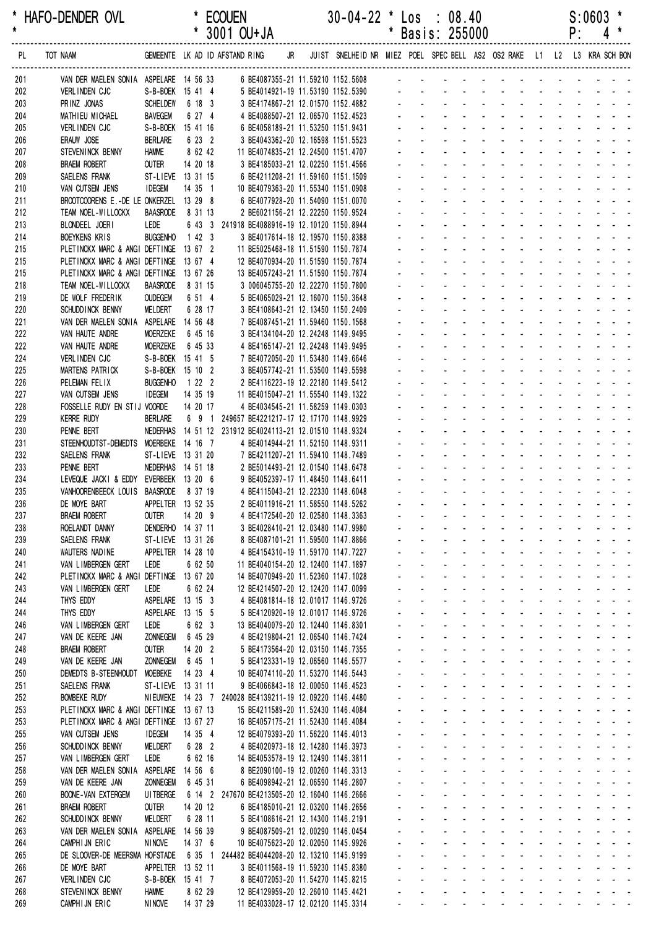| *<br>$\star$ | HAFO-DENDER OVL                                               |                                      |                    | <b>ECOUEN</b><br>* 3001 OU+JA                                            | $30 - 04 - 22$ *                                                        | *  |                                     | Los : 08.40<br>Basis: 255000                                              |                                                                             |                                                                                                                       |                                      |                                                                                                          | P÷                                     | S:0603                                                           | $4$ *                                                                                   |
|--------------|---------------------------------------------------------------|--------------------------------------|--------------------|--------------------------------------------------------------------------|-------------------------------------------------------------------------|----|-------------------------------------|---------------------------------------------------------------------------|-----------------------------------------------------------------------------|-----------------------------------------------------------------------------------------------------------------------|--------------------------------------|----------------------------------------------------------------------------------------------------------|----------------------------------------|------------------------------------------------------------------|-----------------------------------------------------------------------------------------|
| PL           | TOT NAAM                                                      |                                      |                    | GEMEENTE LK AD ID AFSTAND RING<br>JR                                     | JUIST SNELHEID NR MIEZ POEL SPEC BELL AS2 OS2 RAKE L1 L2 L3 KRA SCH BON |    |                                     |                                                                           |                                                                             |                                                                                                                       |                                      |                                                                                                          |                                        |                                                                  |                                                                                         |
| 201          | VAN DER MAELEN SONIA ASPELARE 14 56 33                        |                                      |                    | 6 BE4087355-21 11.59210 1152.5608                                        |                                                                         |    |                                     |                                                                           |                                                                             |                                                                                                                       |                                      |                                                                                                          |                                        |                                                                  |                                                                                         |
| 202          | <b>VERLINDEN CJC</b>                                          | S-B-BOEK 15 41 4                     |                    | 5 BE4014921-19 11.53190 1152.5390                                        |                                                                         |    |                                     |                                                                           |                                                                             |                                                                                                                       |                                      |                                                                                                          |                                        |                                                                  |                                                                                         |
| 203          | PRINZ JONAS                                                   | <b>SCHELDEW</b>                      | 6 18 3             | 3 BE4174867-21 12.01570 1152.4882                                        |                                                                         |    |                                     |                                                                           |                                                                             |                                                                                                                       |                                      |                                                                                                          |                                        |                                                                  |                                                                                         |
| 204          | MATHIEU MICHAEL                                               | <b>BAVEGEM</b>                       | 6 27 4             | 4 BE4088507-21 12.06570 1152.4523                                        |                                                                         |    |                                     |                                                                           |                                                                             |                                                                                                                       |                                      |                                                                                                          |                                        |                                                                  |                                                                                         |
| 205          | VERLINDEN CJC                                                 | S-B-BOEK 15 41 16                    |                    | 6 BE4058189-21 11.53250 1151.9431                                        |                                                                         |    |                                     |                                                                           |                                                                             |                                                                                                                       |                                      |                                                                                                          |                                        |                                                                  |                                                                                         |
| 206<br>207   | ERAUW JOSE<br>STEVENINCK BENNY                                | <b>BERLARE</b><br><b>HAMME</b>       | 6 23 2<br>8 62 42  | 3 BE4043362-20 12.16598 1151.5523<br>11 BE4074835-21 12.24500 1151.4707  |                                                                         |    |                                     |                                                                           |                                                                             |                                                                                                                       |                                      |                                                                                                          |                                        |                                                                  |                                                                                         |
| 208          | <b>BRAEM ROBERT</b>                                           | <b>OUTER</b>                         | 14 20 18           | 3 BE4185033-21 12.02250 1151.4566                                        |                                                                         |    |                                     |                                                                           |                                                                             |                                                                                                                       |                                      |                                                                                                          |                                        |                                                                  |                                                                                         |
| 209          | SAELENS FRANK                                                 | ST-LIEVE 13 31 15                    |                    | 6 BE4211208-21 11.59160 1151.1509                                        |                                                                         |    |                                     |                                                                           |                                                                             |                                                                                                                       |                                      |                                                                                                          |                                        |                                                                  |                                                                                         |
| 210          | VAN CUTSEM JENS                                               | <b>IDEGEM</b>                        | 14 35 1            | 10 BE4079363-20 11.55340 1151.0908                                       |                                                                         |    |                                     |                                                                           |                                                                             |                                                                                                                       |                                      |                                                                                                          |                                        |                                                                  |                                                                                         |
| 211          | BROOTCOORENS E.-DE LE ONKERZEL 13 29 8                        |                                      |                    | 6 BE4077928-20 11.54090 1151.0070                                        |                                                                         |    |                                     |                                                                           |                                                                             |                                                                                                                       |                                      |                                                                                                          |                                        |                                                                  |                                                                                         |
| 212          | TEAM NOEL-WILLOCKX                                            | <b>BAASRODE</b>                      | 8 31 13            | 2 BE6021156-21 12.22250 1150.9524                                        |                                                                         |    |                                     |                                                                           |                                                                             |                                                                                                                       |                                      |                                                                                                          |                                        |                                                                  |                                                                                         |
| 213          | BLONDEEL JOERI                                                | LEDE                                 |                    | 6 43 3 241918 BE4088916-19 12.10120 1150.8944                            |                                                                         |    |                                     |                                                                           |                                                                             |                                                                                                                       |                                      |                                                                                                          |                                        |                                                                  |                                                                                         |
| 214<br>215   | <b>BOEYKENS KRIS</b><br>PLETINCKX MARC & ANGI DEFTINGE        | <b>BUGGENHO</b>                      | 1423<br>13 67 2    | 3 BE4017614-18 12.19570 1150.8388<br>11 BE5025468-18 11.51590 1150.7874  |                                                                         |    |                                     |                                                                           |                                                                             |                                                                                                                       |                                      |                                                                                                          |                                        |                                                                  |                                                                                         |
| 215          | PLETINCKX MARC & ANGI DEFTINGE 13 67 4                        |                                      |                    | 12 BE4070934-20 11.51590 1150.7874                                       |                                                                         |    |                                     |                                                                           |                                                                             |                                                                                                                       |                                      |                                                                                                          |                                        |                                                                  |                                                                                         |
| 215          | PLETINCKX MARC & ANGI DEFTINGE 13 67 26                       |                                      |                    | 13 BE4057243-21 11.51590 1150.7874                                       |                                                                         |    |                                     |                                                                           |                                                                             |                                                                                                                       |                                      |                                                                                                          |                                        |                                                                  |                                                                                         |
| 218          | TEAM NOEL-WILLOCKX                                            | <b>BAASRODE</b>                      | 8 31 15            | 3 006045755-20 12.22270 1150.7800                                        |                                                                         |    |                                     |                                                                           |                                                                             |                                                                                                                       |                                      |                                                                                                          |                                        |                                                                  |                                                                                         |
| 219          | DE WOLF FREDERIK                                              | <b>OUDEGEM</b>                       | 6 51 4             | 5 BE4065029-21 12.16070 1150.3648                                        |                                                                         |    |                                     |                                                                           |                                                                             |                                                                                                                       |                                      |                                                                                                          |                                        |                                                                  |                                                                                         |
| 220          | SCHUDD INCK BENNY                                             | MELDERT                              | 6 28 17            | 3 BE4108643-21 12.13450 1150.2409                                        |                                                                         |    |                                     |                                                                           |                                                                             |                                                                                                                       |                                      |                                                                                                          |                                        |                                                                  |                                                                                         |
| 221          | VAN DER MAELEN SONIA                                          | ASPELARE 14 56 48                    |                    | 7 BE4087451-21 11.59460 1150.1568                                        |                                                                         |    |                                     |                                                                           |                                                                             |                                                                                                                       |                                      |                                                                                                          |                                        |                                                                  |                                                                                         |
| 222          | VAN HAUTE ANDRE                                               | <b>MOERZEKE</b>                      | 6 45 16            | 3 BE4134104-20 12.24248 1149.9495                                        |                                                                         |    |                                     |                                                                           |                                                                             |                                                                                                                       |                                      |                                                                                                          |                                        |                                                                  |                                                                                         |
| 222          | VAN HAUTE ANDRE                                               | <b>MOERZEKE</b>                      | 6 45 33            | 4 BE4165147-21 12.24248 1149.9495                                        |                                                                         |    |                                     |                                                                           |                                                                             |                                                                                                                       |                                      |                                                                                                          |                                        |                                                                  |                                                                                         |
| 224<br>225   | VERLINDEN CJC<br>MARTENS PATRICK                              | S-B-BOEK 15 41 5<br>S-B-BOEK 15 10 2 |                    | 7 BE4072050-20 11.53480 1149.6646<br>3 BE4057742-21 11.53500 1149.5598   |                                                                         |    |                                     |                                                                           |                                                                             |                                                                                                                       |                                      |                                                                                                          |                                        |                                                                  |                                                                                         |
| 226          | PELEMAN FELIX                                                 | <b>BUGGENHO</b>                      | 1222               | 2 BE4116223-19 12.22180 1149.5412                                        |                                                                         |    |                                     |                                                                           |                                                                             |                                                                                                                       |                                      |                                                                                                          |                                        |                                                                  |                                                                                         |
| 227          | VAN CUTSEM JENS                                               | <b>IDEGEM</b>                        | 14 35 19           | 11 BE4015047-21 11.55540 1149.1322                                       |                                                                         |    |                                     |                                                                           |                                                                             |                                                                                                                       |                                      |                                                                                                          |                                        |                                                                  |                                                                                         |
| 228          | FOSSELLE RUDY EN STIJ VOORDE                                  |                                      | 14 20 17           | 4 BE4034545-21 11.58259 1149.0303                                        |                                                                         |    |                                     |                                                                           |                                                                             |                                                                                                                       |                                      |                                                                                                          |                                        |                                                                  |                                                                                         |
| 229          | <b>KERRE RUDY</b>                                             | <b>BERLARE</b>                       | 691                | 249657 BE4221217-17 12.17170 1148.9929                                   |                                                                         |    |                                     |                                                                           |                                                                             |                                                                                                                       |                                      |                                                                                                          |                                        |                                                                  |                                                                                         |
| 230          | PENNE BERT                                                    | <b>NEDERHAS</b>                      |                    | 14 51 12 231912 BE4024113-21 12.01510 1148.9324                          |                                                                         |    |                                     |                                                                           |                                                                             |                                                                                                                       |                                      |                                                                                                          |                                        |                                                                  |                                                                                         |
| 231          | STEENHOUDTST-DEMEDTS MOERBEKE                                 |                                      | 14 16 7            | 4 BE4014944-21 11.52150 1148.9311                                        |                                                                         |    |                                     |                                                                           |                                                                             |                                                                                                                       |                                      |                                                                                                          |                                        |                                                                  |                                                                                         |
| 232          | SAELENS FRANK                                                 | ST-LIEVE 13 31 20                    |                    | 7 BE4211207-21 11.59410 1148.7489                                        |                                                                         |    |                                     |                                                                           |                                                                             |                                                                                                                       |                                      |                                                                                                          |                                        |                                                                  |                                                                                         |
| 233<br>234   | PENNE BERT<br>LEVEQUE JACKI & EDDY EVERBEEK 13 20 6           | NEDERHAS 14 51 18                    |                    | 2 BE5014493-21 12.01540 1148.6478<br>9 BE4052397-17 11.48450 1148.6411   |                                                                         |    |                                     |                                                                           |                                                                             |                                                                                                                       |                                      |                                                                                                          |                                        |                                                                  |                                                                                         |
| 235          | VANHOORENBEECK LOUIS                                          | BAASRODE 8 37 19                     |                    | 4 BE4115043-21 12.22330 1148.6048                                        |                                                                         |    |                                     |                                                                           |                                                                             |                                                                                                                       |                                      |                                                                                                          |                                        |                                                                  |                                                                                         |
| 236          | DE MOYE BART                                                  | APPELTER 13 52 35                    |                    | 2 BE4011916-21 11.58550 1148.5262                                        |                                                                         |    |                                     |                                                                           |                                                                             | and a straightful and a straight                                                                                      |                                      |                                                                                                          |                                        |                                                                  | $\sigma_{\rm{eff}}=0.01$ and $\sigma_{\rm{eff}}=0.01$                                   |
| 237          | <b>BRAEM ROBERT</b>                                           | <b>OUTER</b>                         | 14 20 9            | 4 BE4172540-20 12.02580 1148.3363                                        |                                                                         |    |                                     |                                                                           |                                                                             | and the second control of the second                                                                                  |                                      | $\mathbf{u} = \mathbf{u} \cdot \mathbf{u}$ .                                                             | <b>Contractor</b>                      |                                                                  | $\sim$ $ \sim$                                                                          |
| 238          | ROELANDT DANNY                                                | DENDERHO 14 37 11                    |                    | 3 BE4028410-21 12.03480 1147.9980                                        |                                                                         |    | $\mathbf{r}$                        |                                                                           | <b>Contractor</b><br>$\sim$                                                 | $\sim$                                                                                                                | <b>Contractor</b>                    | $\Delta \phi = 0.01$                                                                                     | <b>Contract Contract</b>               |                                                                  | $\omega_{\rm{eff}}=2.00$ km $^{-1}$                                                     |
| 239          | SAELENS FRANK                                                 | ST-LIEVE 13 31 26                    |                    | 8 BE4087101-21 11.59500 1147.8866                                        |                                                                         |    |                                     | $\mathbf{L}^{\text{max}}$                                                 |                                                                             | and a straight and a                                                                                                  |                                      | $\mathbf{L}^{\text{max}}$                                                                                | $\Delta \sim 100$                      | $\Delta \sim 10^4$                                               | $\omega_{\rm{max}}$ , and $\omega_{\rm{max}}$                                           |
| 240          | WAUTERS NADINE                                                | APPELTER 14 28 10                    |                    | 4 BE4154310-19 11.59170 1147.7227                                        |                                                                         |    | $\mathbf{r}$                        | $\sim 100$                                                                | $\omega_{\rm{max}}$<br>$\Delta \sim 10^4$                                   | $\Delta \sim 100$                                                                                                     | $\sim$                               |                                                                                                          |                                        |                                                                  | $\sim$ $ \sim$                                                                          |
| 241          | VAN LIMBERGEN GERT<br>PLETINCKX MARC & ANGI DEFTINGE 13 67 20 | LEDE                                 | 6 62 50            | 11 BE4040154-20 12.12400 1147.1897                                       |                                                                         |    | $\sim$                              | $\omega_{\rm{max}}$ and $\omega_{\rm{max}}$<br>$\mathcal{L}^{\text{max}}$ | <b>Contractor</b><br>$\mathbf{r}$                                           | $\mathcal{L}_{\mathcal{A}}$<br>$\sim 100$<br>$\mathbf{r}$                                                             | $\mathcal{L}^{\pm}$                  |                                                                                                          |                                        |                                                                  | $\sim$ 10 $\sim$ 10 $\sim$<br><b>Contract Contract</b>                                  |
| 242<br>243   | VAN LIMBERGEN GERT                                            | LEDE                                 | 6 62 24            | 14 BE4070949-20 11.52360 1147.1028<br>12 BE4214507-20 12.12420 1147.0099 |                                                                         |    |                                     | $\sim$                                                                    | $\sim$<br>$\sim$                                                            | $\mathcal{L}^{\mathcal{A}}$                                                                                           | $\sim$                               | $\omega_{\rm{max}}$ and $\omega_{\rm{max}}$                                                              |                                        | and a state of                                                   |                                                                                         |
| 244          | THYS EDDY                                                     | ASPELARE 13 15 3                     |                    | 4 BE4081814-18 12.01017 1146.9726                                        |                                                                         |    | $\sim$                              | $\mathcal{L}^{\text{max}}$                                                | $\sim$                                                                      | $\Delta \sim 10^4$<br>$\mathbf{r}$                                                                                    | <b>Contractor</b>                    | $\omega_{\rm{max}}$                                                                                      |                                        | and the state of the                                             |                                                                                         |
| 244          | THYS EDDY                                                     | ASPELARE                             | 13 15 5            | 5 BE4120920-19 12.01017 1146.9726                                        |                                                                         | ÷. |                                     | $\Delta \sim 10^{-11}$<br>$\omega_{\rm{max}}$                             | $\Delta \sim 10^4$<br>$\Delta \sim 100$                                     | $\Delta \sim 100$                                                                                                     | $\sim 100$                           | $\mathbf{L}^{\text{max}}$                                                                                | $\Delta \sim 100$<br>$\Delta \sim 100$ |                                                                  | $\omega_{\rm{eff}}=2.0\pm0.02$                                                          |
| 246          | VAN LIMBERGEN GERT                                            | LEDE                                 | 6 62 3             | 13 BE4040079-20 12.12440 1146.8301                                       |                                                                         |    | $\mathbf{r}$                        | $\sim 100$                                                                | $\blacksquare$<br>$\sim$ $-$                                                | $\omega_{\rm{max}}$                                                                                                   | $\mathbb{Z}^2$<br>$\sim 10$          | $\mathbf{r}$                                                                                             | $\Delta \sim 100$                      |                                                                  | $\mathcal{L}^{\text{max}}$ , and $\mathcal{L}^{\text{max}}$                             |
| 247          | VAN DE KEERE JAN                                              | <b>ZONNEGEM</b>                      | 6 45 29            | 4 BE4219804-21 12.06540 1146.7424                                        |                                                                         |    | $\mathbf{r}$                        | $\omega_{\rm{max}}$ and $\omega_{\rm{max}}$                               | $\Delta \sim 100$                                                           | $\mathbf{r}$<br>$\sim 100$                                                                                            | $\blacksquare$                       |                                                                                                          |                                        | $\mathbf{u} = \mathbf{u} + \mathbf{u} + \mathbf{u} + \mathbf{u}$ |                                                                                         |
| 248          | <b>BRAEM ROBERT</b>                                           | <b>OUTER</b>                         | 14 20 2            | 5 BE4173564-20 12.03150 1146.7355                                        |                                                                         |    |                                     |                                                                           | ¥.<br>$\sim 100$                                                            | $\sim$                                                                                                                | $\mathcal{L}^{\pm}$                  |                                                                                                          |                                        |                                                                  | $\Delta \phi = \Delta \phi = 0.1$                                                       |
| 249          | VAN DE KEERE JAN                                              | <b>ZONNEGEM</b>                      | 6 45 1             | 5 BE4123331-19 12.06560 1146.5577                                        |                                                                         |    |                                     |                                                                           | $\sim 100$                                                                  | $\sim$                                                                                                                | $\sim$                               |                                                                                                          |                                        |                                                                  | $\sim$ $ \sim$                                                                          |
| 250<br>251   | DEMEDTS B-STEENHOUDT<br>SAELENS FRANK                         | <b>MOEBEKE</b><br>ST-LIEVE 13 31 11  | 14 23 4            | 10 BE4074110-20 11.53270 1146.5443<br>9 BE4066843-18 12.00050 1146.4523  |                                                                         | ÷. | $\sim$                              | $\mathcal{L}$<br>$\mathcal{L}^{\text{max}}$<br>$\mathcal{L}^{\text{max}}$ | <b>Contractor</b><br>$\mathbf{r}$<br>and a state                            | $\sim$<br>$\sim 100$<br><b>All States</b>                                                                             |                                      | $\omega_{\rm{max}}$<br>$\mathcal{L}^{\mathcal{A}}$<br>$\omega_{\rm{max}}$<br>$\mathcal{L}_{\mathcal{A}}$ | $\mathcal{L}$<br>$\sim$                | $\mathcal{L}^{\mathcal{A}}$                                      | $\sim$ $\sim$ $\sim$ $\sim$<br>$\omega_{\rm{max}}$ , and $\omega_{\rm{max}}$            |
| 252          | <b>BOMBEKE RUDY</b>                                           |                                      |                    | NIEUWEKE 14 23 7 240028 BE4139211-19 12.09220 1146.4480                  |                                                                         |    | $\mathbf{r} = \mathbf{r}$           | $\sim 100$<br>$\mathbf{L}^{\text{max}}$                                   | <b>All Cards</b>                                                            | <b>All Cards</b>                                                                                                      | $\sim 10$                            |                                                                                                          | $\mathbf{r}$                           |                                                                  | $\sim 100$ km s $^{-1}$                                                                 |
| 253          | PLETINCKX MARC & ANGI DEFTINGE 13 67 13                       |                                      |                    | 15 BE4211589-20 11.52430 1146.4084                                       |                                                                         |    | $\sim$                              | $\omega_{\rm{max}}$                                                       | $\sim$<br>$\Delta \sim 100$                                                 | $\mathcal{L}_{\mathcal{A}}$                                                                                           | <b>Contractor</b><br>$\sim$          |                                                                                                          |                                        |                                                                  | $\omega_{\rm{eff}}=0.01$ and $\omega_{\rm{eff}}=0.01$                                   |
| 253          | PLETINCKX MARC & ANGI DEFTINGE 13 67 27                       |                                      |                    | 16 BE4057175-21 11.52430 1146.4084                                       |                                                                         |    |                                     | $\mathcal{L}^{\text{max}}$                                                |                                                                             | $\mathbf{r}$                                                                                                          | $\mathcal{L}^{\pm}$                  |                                                                                                          |                                        | <b>Contract Contract</b>                                         |                                                                                         |
| 255          | VAN CUTSEM JENS                                               | <b>IDEGEM</b>                        | 14 35 4            | 12 BE4079393-20 11.56220 1146.4013                                       |                                                                         |    |                                     | $\mathcal{L}^{\text{max}}$                                                | $\sim$                                                                      | $\sim$                                                                                                                |                                      | $\mathcal{L}^{\text{max}}$                                                                               |                                        |                                                                  | $\Delta \phi = \Delta \phi = 0.1$                                                       |
| 256          | SCHUDD INCK BENNY                                             | <b>MELDERT</b>                       | 6 28 2             | 4 BE4020973-18 12.14280 1146.3973                                        |                                                                         |    | ÷.                                  | $\mathcal{L}$                                                             | $\sim$<br>$\mathbf{r}$                                                      | $\mathbf{r}$                                                                                                          | $\sim$                               | $\omega_{\rm{max}}$<br>$\sim$                                                                            | $\sim$                                 |                                                                  | $\omega_{\rm{max}}$ , and $\omega_{\rm{max}}$                                           |
| 257          | VAN LIMBERGEN GERT                                            | LEDE                                 | 6 62 16            | 14 BE4053578-19 12.12490 1146.3811                                       |                                                                         | ÷. |                                     | $\omega_{\rm{max}}$                                                       | $\Delta \sim 10^{-11}$                                                      | $\Delta \sim 10^4$<br>$\Delta \phi = \Delta \phi = 0.01$                                                              |                                      | and a straight                                                                                           |                                        |                                                                  | $\omega_{\rm{eff}}=2.0\pm0.02$                                                          |
| 258          | VAN DER MAELEN SONIA<br>VAN DE KEERE JAN                      | ASPELARE<br><b>ZONNEGEM</b>          | 14 56 6<br>6 45 31 | 8 BE2090100-19 12.00260 1146.3313<br>6 BE4098942-21 12.06590 1146.2807   |                                                                         | ÷. | $\mathcal{L}^{\pm}$<br>$\mathbf{r}$ | $\mathbf{L}^{\text{max}}$<br>$\omega_{\rm{max}}$                          | $\mathbf{L}^{\text{max}}$<br>$\Delta \sim 10^4$<br>$\blacksquare$<br>$\sim$ | $\omega_{\rm{eff}}$<br>$\mathbf{r}$                                                                                   | $\sim 100$<br>$\blacksquare$         | $\mathbf{r}$                                                                                             | <b>All Cards</b>                       | $\Delta \sim 100$                                                | $\omega_{\rm{eff}}=2.0\pm0.02$<br>$\mathcal{L} = \{ \mathcal{L} \}$ . The $\mathcal{L}$ |
| 259<br>260   | <b>BOONE-VAN EXTERGEM</b>                                     | UI TBERGE                            |                    | 6 14 2 247670 BE4213505-20 12.16040 1146.2666                            |                                                                         |    |                                     | $\mathbf{r}$                                                              | ¥.<br><b>Contractor</b>                                                     | $\sim$                                                                                                                | $\sim$<br>$\mathcal{L}^{\text{max}}$ | $\mathcal{L}_{\mathcal{A}}$                                                                              |                                        | $\sim 100$                                                       | $\sim$ $ \sim$                                                                          |
| 261          | <b>BRAEM ROBERT</b>                                           | <b>OUTER</b>                         | 14 20 12           | 6 BE4185010-21 12.03200 1146.2656                                        |                                                                         |    |                                     |                                                                           | $\sim$                                                                      | $\sim$                                                                                                                | $\mathcal{L}^{\pm}$                  |                                                                                                          |                                        |                                                                  | $\omega_{\rm{max}}$                                                                     |
| 262          | SCHUDD INCK BENNY                                             | <b>MELDERT</b>                       | 6 28 11            | 5 BE4108616-21 12.14300 1146.2191                                        |                                                                         |    | $\mathbf{r}$                        | ä,                                                                        | $\sim$<br>$\mathbf{r}$                                                      | $\omega$                                                                                                              | ¥.<br>$\sim$                         | $\mathbf{r}$                                                                                             | $\mathcal{L}$                          | $\mathbf{r}$                                                     | $\sim 10^{-1}$ m $^{-1}$                                                                |
| 263          | VAN DER MAELEN SONIA                                          | ASPELARE                             | 14 56 39           | 9 BE4087509-21 12.00290 1146.0454                                        |                                                                         |    |                                     | $\omega_{\rm{max}}$                                                       | $\Delta \sim 100$                                                           | $\Delta \sim 10^{-1}$<br>$\omega_{\rm{max}}$                                                                          | $\sim 100$                           | $\mathcal{L}^{\text{max}}$<br>$\mathcal{L}^{\mathcal{A}}$                                                | $\mathcal{L}$                          |                                                                  | $\sim$ $ \sim$                                                                          |
| 264          | CAMPHIJN ERIC                                                 | <b>NINOVE</b>                        | 14 37 6            | 10 BE4075623-20 12.02050 1145.9926                                       |                                                                         |    | $\mathcal{L}^{\pm}$                 | $\mathcal{L}^{\text{max}}$                                                | $\mathbf{L}^{\text{max}}$<br>$\Delta \sim 10$                               | $\Delta \sim 100$                                                                                                     | $\sim 100$<br>$\sim$                 |                                                                                                          | $\mathbf{r}$                           |                                                                  | $\sim 100$ km s $^{-1}$                                                                 |
| 265          | DE SLOOVER-DE MEERSMA HOFSTADE                                |                                      |                    | 6 35 1 244482 BE4044208-20 12.13210 1145.9199                            |                                                                         |    | $\sim$                              | $\mathbf{a} = \mathbf{0}$                                                 | $\blacksquare$<br>$\sim$                                                    | $\mathbf{r}$                                                                                                          | $\blacksquare$<br>$\sim$             |                                                                                                          |                                        |                                                                  | $\omega_{\rm{eff}}=0.01$ and $\omega_{\rm{eff}}=0.01$                                   |
| 266          | DE MOYE BART                                                  | APPELTER 13 52 11                    |                    | 3 BE4011568-19 11.59230 1145.8380                                        |                                                                         |    |                                     | $\mathbf{r}$                                                              | $\mathbf{r}$                                                                | $\mathbf{r}$                                                                                                          | $\mathcal{L}^{\mathcal{L}}$          |                                                                                                          |                                        |                                                                  | $\sim 100$                                                                              |
| 267<br>268   | VERLINDEN CJC<br>STEVENINCK BENNY                             | S-B-BOEK 15 41 7<br><b>HAMME</b>     | 8 62 29            | 8 BE4072053-20 11.54270 1145.8215<br>12 BE4129959-20 12.26010 1145.4421  |                                                                         | ä, | $\sim$                              | ä,                                                                        | $\sim$                                                                      | $\mathbf{r}$<br>$\omega$                                                                                              | $\sim$                               | $\mathcal{L}^{\text{max}}$<br>$\sim 10^{-1}$<br>$\omega_{\rm{max}}=0.1$                                  | $\sim$<br>$\sim$                       |                                                                  | $\omega_{\rm{max}}$ , and $\omega_{\rm{max}}$                                           |
| 269          | CAMPHIJN ERIC                                                 | <b>NINOVE</b>                        | 14 37 29           | 11 BE4033028-17 12.02120 1145.3314                                       |                                                                         |    | $\mathbf{r} = \mathbf{r}$           | $\mathbf{L}^{\text{max}}$                                                 |                                                                             | $\mathbf{u}^{\prime}$ , $\mathbf{u}^{\prime}$ , $\mathbf{u}^{\prime}$ , $\mathbf{u}^{\prime}$ , $\mathbf{u}^{\prime}$ |                                      | and a straight                                                                                           |                                        |                                                                  | $\omega_{\rm{max}}$ , and $\omega_{\rm{max}}$                                           |
|              |                                                               |                                      |                    |                                                                          |                                                                         |    |                                     |                                                                           |                                                                             |                                                                                                                       |                                      |                                                                                                          |                                        |                                                                  |                                                                                         |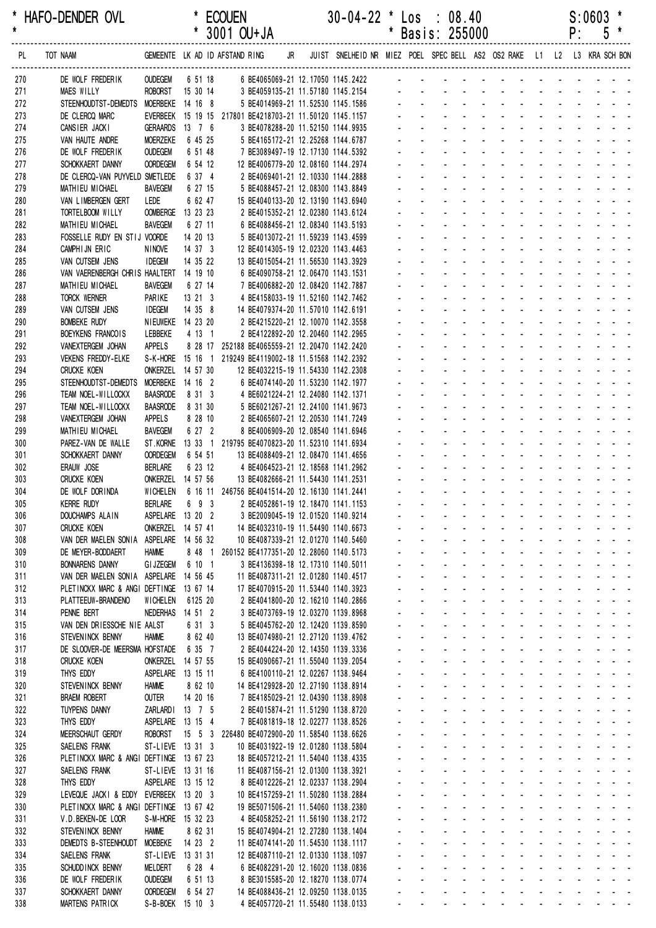|            | HAFO-DENDER OVL                                                                  |                                     |                    | <b>ECOUEN</b>                                                                                             | $30-04-22$ * Los : 08.40 |                             |                                    |                                                                                                                 |                                                                                                               |                |                   |    | $S:0603$ *                                                                                                                                                                                                                                                            |  |
|------------|----------------------------------------------------------------------------------|-------------------------------------|--------------------|-----------------------------------------------------------------------------------------------------------|--------------------------|-----------------------------|------------------------------------|-----------------------------------------------------------------------------------------------------------------|---------------------------------------------------------------------------------------------------------------|----------------|-------------------|----|-----------------------------------------------------------------------------------------------------------------------------------------------------------------------------------------------------------------------------------------------------------------------|--|
| $\star$    |                                                                                  |                                     |                    | * 3001 OU+JA                                                                                              |                          | $\star$                     |                                    | Basis: 255000                                                                                                   |                                                                                                               |                |                   | P: | 5                                                                                                                                                                                                                                                                     |  |
| PL.        | TOT NAAM                                                                         |                                     |                    | GEMEENTE LK AD ID AFSTAND RING JR JUIST SNELHEID NR MIEZ POEL SPEC BELL AS2 OS2 RAKE L1 L2 L3 KRA SCH BON |                          |                             |                                    |                                                                                                                 |                                                                                                               |                |                   |    |                                                                                                                                                                                                                                                                       |  |
| 270        | DE WOLF FREDERIK                                                                 | <b>OUDEGEM</b>                      |                    | 6 51 18 6 BE4065069-21 12.17050 1145.2422                                                                 |                          |                             |                                    | and a series and a series and                                                                                   |                                                                                                               |                |                   |    |                                                                                                                                                                                                                                                                       |  |
| 271        | <b>MAES WILLY</b>                                                                | ROBORST 15 30 14                    |                    |                                                                                                           |                          |                             |                                    |                                                                                                                 |                                                                                                               |                |                   |    |                                                                                                                                                                                                                                                                       |  |
| 272        | STEENHOUDTST-DEMEDTS                                                             | MOERBEKE 14 16 8                    |                    | 5 BE4014969-21 11.52530 1145.1586                                                                         |                          |                             |                                    |                                                                                                                 |                                                                                                               |                |                   |    | والمناور والمناور والمناور والمناور والمناور<br><u>.</u>                                                                                                                                                                                                              |  |
| 273<br>274 | DE CLERCQ MARC<br>CANSIER JACKI                                                  | GERAARDS 13 7 6                     |                    | EVERBEEK 15 19 15 217801 BE4218703-21 11.50120 1145.1157<br>3 BE4078288-20 11.52150 1144.9935             |                          |                             |                                    |                                                                                                                 | and a state of the state of the state of the state of the state of the state of the state of the state of the |                |                   |    |                                                                                                                                                                                                                                                                       |  |
| 275        | VAN HAUTE ANDRE                                                                  | MOERZEKE                            | 6 45 25            | 5 BE4165172-21 12.25268 1144.6787                                                                         |                          |                             |                                    |                                                                                                                 | and a strain and a strain and a                                                                               |                |                   |    |                                                                                                                                                                                                                                                                       |  |
| 276        | DE WOLF FREDERIK                                                                 | <b>OUDEGEM</b>                      | 6 51 48            | 7 BE3089497-19 12.17130 1144.5392                                                                         |                          |                             |                                    |                                                                                                                 |                                                                                                               |                |                   |    | and a series of the series of the series                                                                                                                                                                                                                              |  |
| 277        | SCHOKKAERT DANNY                                                                 | <b>OORDEGEM</b>                     | 6 54 12            | 12 BE4006779-20 12.08160 1144.2974                                                                        |                          |                             |                                    |                                                                                                                 |                                                                                                               |                |                   |    |                                                                                                                                                                                                                                                                       |  |
| 278        | DE CLERCQ-VAN PUYVELD SMETLEDE                                                   |                                     | 6 37 4             | 2 BE4069401-21 12.10330 1144.2888                                                                         |                          |                             |                                    |                                                                                                                 |                                                                                                               |                |                   |    | والمناور والمناور والوالو الوالو الوالي                                                                                                                                                                                                                               |  |
| 279        | MATHIEU MICHAEL                                                                  | BAVEGEM                             | 6 27 15            | 5 BE4088457-21 12.08300 1143.8849                                                                         |                          |                             |                                    |                                                                                                                 |                                                                                                               |                |                   |    | <u>. Kanadan ang kabupatèn Sumali Suma</u><br>and a state of the state of the state                                                                                                                                                                                   |  |
| 280<br>281 | VAN LIMBERGEN GERT<br>TORTELBOOM WILLY                                           | LEDE<br>OOMBERGE 13 23 23           | 6 62 47            | 15 BE4040133-20 12.13190 1143.6940<br>2 BE4015352-21 12.02380 1143.6124                                   |                          |                             |                                    |                                                                                                                 |                                                                                                               |                |                   |    | a na manana na manana sa sa                                                                                                                                                                                                                                           |  |
| 282        | MATHIEU MICHAEL                                                                  | <b>BAVEGEM</b>                      | 6 27 11            | 6 BE4088456-21 12.08340 1143.5193                                                                         |                          |                             |                                    |                                                                                                                 |                                                                                                               |                |                   |    | a construction of the construction of the construction of the construction of the construction of the construction of the construction of the construction of the construction of the construction of the construction of the                                         |  |
| 283        | FOSSELLE RUDY EN STIJ VOORDE                                                     |                                     | 14 20 13           | 5 BE4013072-21 11.59239 1143.4599                                                                         |                          |                             |                                    |                                                                                                                 |                                                                                                               |                |                   |    | design and a state of the state of                                                                                                                                                                                                                                    |  |
| 284        | CAMPHIJN ERIC                                                                    | <b>NINOVE</b>                       | 14 37 3            | 12 BE4014305-19 12.02320 1143.4463                                                                        |                          |                             |                                    |                                                                                                                 |                                                                                                               |                |                   |    | .                                                                                                                                                                                                                                                                     |  |
| 285        | VAN CUTSEM JENS                                                                  | <b>IDEGEM</b>                       | 14 35 22           | 13 BE4015054-21 11.56530 1143.3929                                                                        |                          |                             |                                    |                                                                                                                 |                                                                                                               |                |                   |    | de la provincia de la provincia de la provincia de                                                                                                                                                                                                                    |  |
| 286        | VAN VAERENBERGH CHRIS HAALTERT 14 19 10                                          |                                     |                    | 6 BE4090758-21 12.06470 1143.1531                                                                         |                          |                             |                                    |                                                                                                                 |                                                                                                               |                |                   |    | <u>.</u>                                                                                                                                                                                                                                                              |  |
| 287        | MATHIEU MICHAEL                                                                  | <b>BAVEGEM</b>                      | 6 27 14            | 7 BE4006882-20 12.08420 1142.7887                                                                         |                          |                             |                                    |                                                                                                                 |                                                                                                               |                |                   |    | and a state of the state of the state of the state of the state of the state of the state of the state of the<br>and a series of the series of the series of                                                                                                          |  |
| 288<br>289 | <b>TORCK WERNER</b><br>VAN CUTSEM JENS                                           | PARIKE<br><b>IDEGEM</b>             | 13 21 3<br>14 35 8 | 4 BE4158033-19 11.52160 1142.7462<br>14 BE4079374-20 11.57010 1142.6191                                   |                          |                             |                                    |                                                                                                                 |                                                                                                               |                |                   |    | والمتعاون والمتعاون والمتعاون والمتعاون والمتعاونة                                                                                                                                                                                                                    |  |
| 290        | <b>BOMBEKE RUDY</b>                                                              | NIEUWEKE 14 23 20                   |                    | 2 BE4215220-21 12.10070 1142.3558                                                                         |                          |                             |                                    |                                                                                                                 |                                                                                                               |                |                   |    | a construction of the construction of the construction of the construction of the construction of the construction of the construction of the construction of the construction of the construction of the construction of the                                         |  |
| 291        | BOEYKENS FRANCOIS                                                                | LEBBEKE                             | 4 13 1             | 2 BE4122892-20 12.20460 1142.2965                                                                         |                          |                             |                                    |                                                                                                                 |                                                                                                               |                |                   |    | de la provincia de la provincia de la provincia de                                                                                                                                                                                                                    |  |
| 292        | VANEXTERGEM JOHAN                                                                | APPELS                              |                    | 8 28 17 252188 BE4065559-21 12.20470 1142.2420                                                            |                          |                             |                                    |                                                                                                                 |                                                                                                               |                |                   |    | .                                                                                                                                                                                                                                                                     |  |
| 293        | <b>VEKENS FREDDY-ELKE</b>                                                        |                                     |                    | S-K-HORE 15 16 1 219249 BE4119002-18 11.51568 1142.2392                                                   |                          |                             |                                    |                                                                                                                 |                                                                                                               |                |                   |    | and a state of the state of the state of the state of the state of the state of the state of the state of the                                                                                                                                                         |  |
| 294        | <b>CRUCKE KOEN</b>                                                               | ONKERZEL 14 57 30                   |                    | 12 BE4032215-19 11.54330 1142.2308                                                                        |                          |                             |                                    |                                                                                                                 |                                                                                                               |                |                   |    | a construction of the construction of the construction of the construction of the construction of the construction of the construction of the construction of the construction of the construction of the construction of the                                         |  |
| 295        | STEENHOUDTST-DEMEDTS                                                             | MOERBEKE 14 16 2                    |                    | 6 BE4074140-20 11.53230 1142.1977                                                                         |                          |                             |                                    |                                                                                                                 |                                                                                                               |                |                   |    | and a state of the state of the state of                                                                                                                                                                                                                              |  |
| 296        | TEAM NOEL-WILLOCKX                                                               | <b>BAASRODE</b><br><b>BAASRODE</b>  | 8 31 3<br>8 31 30  | 4 BE6021224-21 12.24080 1142.1371                                                                         |                          |                             |                                    |                                                                                                                 |                                                                                                               |                |                   |    | and a series of the contract of the<br>design and a state of the state of the state of the state of the state of the state of the state of the state of the state of the state of the state of the state of the state of the state of the state of the state of the s |  |
| 297<br>298 | TEAM NOEL-WILLOCKX<br>VANEXTERGEM JOHAN                                          | <b>APPELS</b>                       | 8 28 10            | 5 BE6021267-21 12.24100 1141.9673<br>2 BE4065607-21 12.20530 1141.7249                                    |                          |                             |                                    |                                                                                                                 |                                                                                                               |                |                   |    | <u>.</u>                                                                                                                                                                                                                                                              |  |
| 299        | MATHIEU MICHAEL                                                                  | BAVEGEM                             | 6 27 2             | 8 BE4006909-20 12.08540 1141.6946                                                                         |                          |                             |                                    |                                                                                                                 |                                                                                                               | and a straight |                   |    | and a strain                                                                                                                                                                                                                                                          |  |
| 300        | PAREZ-VAN DE WALLE                                                               |                                     |                    | ST.KORNE 13 33 1 219795 BE4070823-20 11.52310 1141.6934                                                   |                          |                             |                                    |                                                                                                                 |                                                                                                               |                | $\Delta \sim 100$ |    | and a strain and a                                                                                                                                                                                                                                                    |  |
| 301        | SCHOKKAERT DANNY                                                                 | <b>OORDEGEM</b>                     | 6 54 51            | 13 BE4088409-21 12.08470 1141.4656                                                                        |                          |                             |                                    |                                                                                                                 |                                                                                                               |                |                   |    | والمناور والمناور والمناور والمناور والمناور                                                                                                                                                                                                                          |  |
| 302        | ERAUW JOSE                                                                       | <b>BERLARE</b>                      | 6 23 12            | 4 BE4064523-21 12.18568 1141.2962                                                                         |                          |                             |                                    |                                                                                                                 |                                                                                                               |                |                   |    | .                                                                                                                                                                                                                                                                     |  |
| 303        | <b>CRUCKE KOEN</b>                                                               | ONKERZEL 14 57 56                   |                    | 13 BE4082666-21 11.54430 1141.2531                                                                        |                          |                             |                                    |                                                                                                                 |                                                                                                               |                |                   |    | <u>.</u>                                                                                                                                                                                                                                                              |  |
| 304        | DE WOLF DORINDA                                                                  |                                     |                    | WICHELEN 6 16 11 246756 BE4041514-20 12.16130 1141.2441                                                   |                          |                             |                                    |                                                                                                                 |                                                                                                               |                |                   |    | <u>.</u>                                                                                                                                                                                                                                                              |  |
| 305<br>306 | <b>KERRE RUDY</b><br>DOUCHAMPS ALAIN                                             | <b>BERLARE</b><br>ASPELARE 13 20 2  |                    | 6 9 3 2 BE4052861-19 12.18470 1141.1153<br>3 BE2009045-19 12.01520 1140.9214                              |                          |                             |                                    | the contract of the contract of the contract of the contract of the contract of the contract of the contract of |                                                                                                               |                |                   |    | المناصر والمستنقل والمستنقل والمستنقل والمستنقل والمستنقل                                                                                                                                                                                                             |  |
| 307        | <b>CRUCKE KOEN</b>                                                               | ONKERZEL 14 57 41                   |                    | 14 BE4032310-19 11.54490 1140.6673                                                                        |                          |                             |                                    |                                                                                                                 |                                                                                                               |                |                   |    | المتعاطي والمتعاطي والمتعاط والمتعاط والمتعاط                                                                                                                                                                                                                         |  |
| 308        | VAN DER MAELEN SONIA                                                             | ASPELARE 14 56 32                   |                    | 10 BE4087339-21 12.01270 1140.5460                                                                        |                          |                             |                                    |                                                                                                                 |                                                                                                               |                |                   |    | المنافذ والمنافر والمنافر والمنافر والمنافر والمنافر                                                                                                                                                                                                                  |  |
| 309        | DE MEYER-BODDAERT                                                                | <b>HAMME</b>                        |                    | 8 48 1 260152 BE4177351-20 12.28060 1140.5173                                                             |                          |                             |                                    |                                                                                                                 |                                                                                                               |                |                   |    | <u>.</u>                                                                                                                                                                                                                                                              |  |
| 310        | <b>BONNARENS DANNY</b>                                                           | <b>GI JZEGEM</b>                    | 6 10 1             | 3 BE4136398-18 12.17310 1140.5011                                                                         |                          |                             | and a state                        |                                                                                                                 |                                                                                                               |                |                   |    | and a state of the state of the state                                                                                                                                                                                                                                 |  |
| 311        | VAN DER MAELEN SONIA ASPELARE 14 56 45                                           |                                     |                    | 11 BE4087311-21 12.01280 1140.4517                                                                        |                          |                             | $\omega_{\rm{max}}$                | $\Delta \sim 10^{-11}$                                                                                          |                                                                                                               |                |                   |    | de la provincia de la provincia de                                                                                                                                                                                                                                    |  |
| 312        | PLETINCKX MARC & ANGI DEFTINGE 13 67 14                                          |                                     |                    | 17 BE4070915-20 11.53440 1140.3923                                                                        |                          |                             | $\omega_{\rm{max}}$                | $\sim 100$                                                                                                      |                                                                                                               |                |                   |    | and a series of the contract of the<br>design and a state of the state of the                                                                                                                                                                                         |  |
| 313<br>314 | PLATTEEUW-BRANDENO<br>PENNE BERT                                                 | <b>WICHELEN</b><br>NEDERHAS 14 51 2 | 6125 20            | 2 BE4041800-20 12.16210 1140.2866<br>3 BE4073769-19 12.03270 1139.8968                                    |                          |                             | and a state                        |                                                                                                                 |                                                                                                               |                |                   |    | المناطق والمناطق والمناطق والمناطق والمناطق والمناطق                                                                                                                                                                                                                  |  |
| 315        | VAN DEN DRIESSCHE NIE AALST                                                      |                                     | 6 31 3             | 5 BE4045762-20 12.12420 1139.8590                                                                         |                          |                             |                                    | $\Delta \sim 100$                                                                                               |                                                                                                               |                |                   |    | and the contract of the contract of                                                                                                                                                                                                                                   |  |
| 316        | STEVENINCK BENNY                                                                 | <b>HAMME</b>                        | 8 62 40            | 13 BE4074980-21 12.27120 1139.4762                                                                        |                          |                             | and a state                        |                                                                                                                 |                                                                                                               |                |                   |    | and a state of the state of the state                                                                                                                                                                                                                                 |  |
| 317        | DE SLOOVER-DE MEERSMA HOFSTADE                                                   |                                     | 6 35 7             | 2 BE4044224-20 12.14350 1139.3336                                                                         |                          |                             | and a state                        |                                                                                                                 |                                                                                                               |                |                   |    | and a state of the state of the state                                                                                                                                                                                                                                 |  |
| 318        | <b>CRUCKE KOEN</b>                                                               | <b>ONKERZEL 14 57 55</b>            |                    | 15 BE4090667-21 11.55040 1139.2054                                                                        |                          |                             |                                    |                                                                                                                 |                                                                                                               |                |                   |    | a construction of the construction of the construction of the construction of the construction of the construction of the construction of the construction of the construction of the construction of the construction of the                                         |  |
| 319        | THYS EDDY                                                                        | ASPELARE 13 15 11                   |                    | 6 BE4100110-21 12.02267 1138.9464                                                                         |                          |                             |                                    |                                                                                                                 |                                                                                                               |                |                   |    | المنافذ والمستنقل والمستنقل والمستنقل والمستنقل والمستنقل                                                                                                                                                                                                             |  |
| 320        | STEVENINCK BENNY                                                                 | <b>HAMME</b>                        | 8 62 10            | 14 BE4129928-20 12.27190 1138.8914                                                                        |                          |                             |                                    |                                                                                                                 |                                                                                                               |                |                   |    | المناطق والمناطق والمناطق والمناطق والمناطق والمناطق<br>المنافذ والمستنقل والمستعين والمستنقل والمستنقل                                                                                                                                                               |  |
| 321<br>322 | <b>BRAEM ROBERT</b><br><b>TUYPENS DANNY</b>                                      | <b>OUTER</b><br>ZARLARDI 13 7 5     | 14 20 16           | 7 BE4185029-21 12.04390 1138.8908<br>2 BE4015874-21 11.51290 1138.8720                                    |                          |                             | and a state                        |                                                                                                                 |                                                                                                               |                |                   |    | and a state of the state of the state                                                                                                                                                                                                                                 |  |
| 323        | THYS EDDY                                                                        | ASPELARE 13 15 4                    |                    | 7 BE4081819-18 12.02277 1138.8526                                                                         |                          |                             | $\mathbf{L}^{\text{max}}$          | $\Delta \sim 100$                                                                                               |                                                                                                               |                |                   |    | and a state of the state of the state                                                                                                                                                                                                                                 |  |
| 324        | MEERSCHAUT GERDY                                                                 |                                     |                    | ROBORST 15 5 3 226480 BE4072900-20 11.58540 1138.6626                                                     |                          |                             | and a state                        |                                                                                                                 |                                                                                                               |                |                   |    | and a series of the contract of the                                                                                                                                                                                                                                   |  |
| 325        | SAELENS FRANK                                                                    | ST-LIEVE 13 31 3                    |                    | 10 BE4031922-19 12.01280 1138.5804                                                                        |                          |                             | and a state                        |                                                                                                                 |                                                                                                               |                |                   |    | and a series of the series of the series of                                                                                                                                                                                                                           |  |
| 326        | PLETINCKX MARC & ANGI DEFTINGE 13 67 23                                          |                                     |                    | 18 BE4057212-21 11.54040 1138.4335                                                                        |                          |                             |                                    | $\omega_{\rm{max}}$                                                                                             |                                                                                                               |                |                   |    | المناطق والمناطق والمناطق والمناطق والمناطق                                                                                                                                                                                                                           |  |
| 327        | SAELENS FRANK                                                                    | ST-LIEVE 13 31 16                   |                    | 11 BE4087156-21 12.01300 1138.3921                                                                        |                          |                             |                                    | $\omega_{\rm{max}}$                                                                                             |                                                                                                               |                |                   |    | and a series of the contract of the                                                                                                                                                                                                                                   |  |
| 328        | THYS EDDY                                                                        | ASPELARE 13 15 12                   |                    | 8 BE4012226-21 12.02337 1138.2904                                                                         |                          |                             | $\Delta \sim 100$                  | $\Delta \sim 100$<br>$\Delta \sim 100$                                                                          |                                                                                                               |                |                   |    | and a series of the series of the series of<br>and a state of the state of the state                                                                                                                                                                                  |  |
| 329<br>330 | LEVEQUE JACKI & EDDY EVERBEEK 13 20 3<br>PLETINCKX MARC & ANGI DEFTINGE 13 67 42 |                                     |                    | 10 BE4157259-21 11.50280 1138.2884<br>19 BE5071506-21 11.54060 1138.2380                                  |                          |                             | $\omega_{\rm{max}}$<br>and a state |                                                                                                                 |                                                                                                               |                |                   |    | and a series of the contract of the                                                                                                                                                                                                                                   |  |
| 331        | V.D. BEKEN-DE LOOR                                                               | S-M-HORE 15 32 23                   |                    | 4 BE4058252-21 11.56190 1138.2172                                                                         |                          |                             | and the con-                       |                                                                                                                 |                                                                                                               |                |                   |    | المناطق والمتناط والمتناط والمتناط والمتناط                                                                                                                                                                                                                           |  |
| 332        | STEVENINCK BENNY                                                                 | <b>HAMME</b>                        | 8 62 31            | 15 BE4074904-21 12.27280 1138.1404                                                                        |                          |                             |                                    | $\omega_{\rm{max}}$                                                                                             |                                                                                                               |                |                   |    | المناطق والمناطق والمناطق والمناطق والمناطق                                                                                                                                                                                                                           |  |
| 333        | DEMEDTS B-STEENHOUDT                                                             | <b>MOEBEKE</b>                      | 14 23 2            | 11 BE4074141-20 11.54530 1138.1117                                                                        |                          |                             |                                    | $\omega_{\rm{max}}$                                                                                             |                                                                                                               |                |                   |    | and a series of the contract of the                                                                                                                                                                                                                                   |  |
| 334        | SAELENS FRANK                                                                    | ST-LIEVE 13 31 31                   |                    | 12 BE4087110-21 12.01330 1138.1097                                                                        |                          | $\mathcal{L}^{\mathcal{L}}$ |                                    | $\Delta \sim 100$                                                                                               |                                                                                                               |                |                   |    | and a series of the series of the series of                                                                                                                                                                                                                           |  |
| 335        | SCHUDD INCK BENNY                                                                | MELDERT                             | 6 28 4             | 6 BE4082291-20 12.16020 1138.0836                                                                         |                          |                             |                                    | $\Delta \sim 100$                                                                                               |                                                                                                               |                |                   |    | and a state of the state of the state                                                                                                                                                                                                                                 |  |
| 336        | DE WOLF FREDERIK                                                                 | <b>OUDEGEM</b>                      | 6 51 13            | 8 BE3015585-20 12.18270 1138.0774                                                                         |                          |                             | $\omega_{\rm{max}}$                | $\Delta \sim 100$                                                                                               |                                                                                                               |                |                   |    | and a series of the contract of the                                                                                                                                                                                                                                   |  |
| 337<br>338 | SCHOKKAERT DANNY<br>MARTENS PATRICK                                              | <b>OORDEGEM</b><br>S-B-BOEK 15 10 3 | 6 54 27            | 14 BE4088436-21 12.09250 1138.0135<br>4 BE4057720-21 11.55480 1138.0133                                   |                          |                             |                                    | $\omega_{\rm{max}}$                                                                                             | and a straightful contract and straight                                                                       |                |                   |    | and a series of the series of the series of                                                                                                                                                                                                                           |  |
|            |                                                                                  |                                     |                    |                                                                                                           |                          |                             |                                    |                                                                                                                 |                                                                                                               |                |                   |    |                                                                                                                                                                                                                                                                       |  |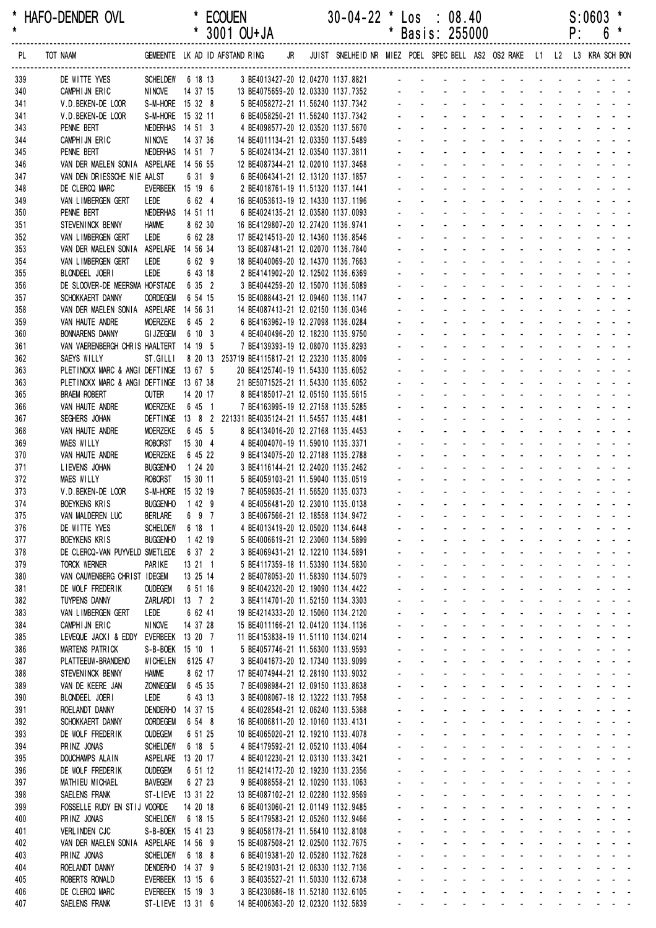| *<br>$\star$ | HAFO-DENDER OVL                                       |                                   |                | <b>ECOUEN</b>                                                                                            |  | $30-04-22$ * Los : 08.40                                               |         |                                    |                                                                                                                                                                                                                                |                                  |                          |                                                                                                                 |                            |                                                                                      |                   | $S:0603$ *                                                                                                                                                                                                                    |  |
|--------------|-------------------------------------------------------|-----------------------------------|----------------|----------------------------------------------------------------------------------------------------------|--|------------------------------------------------------------------------|---------|------------------------------------|--------------------------------------------------------------------------------------------------------------------------------------------------------------------------------------------------------------------------------|----------------------------------|--------------------------|-----------------------------------------------------------------------------------------------------------------|----------------------------|--------------------------------------------------------------------------------------|-------------------|-------------------------------------------------------------------------------------------------------------------------------------------------------------------------------------------------------------------------------|--|
|              |                                                       |                                   |                | * 3001 OU+JA                                                                                             |  |                                                                        | $\star$ |                                    | Basis: 255000                                                                                                                                                                                                                  |                                  |                          |                                                                                                                 |                            |                                                                                      | P:                | 6                                                                                                                                                                                                                             |  |
| PL           | TOT NAAM                                              |                                   |                | GEMEENTE LK AD ID AFSTAND RING JR JUIST SNELHEID NR MIEZ POEL SPECBELL AS2 OS2 RAKE L1 L2 L3 KRA SCH-BON |  |                                                                        |         |                                    |                                                                                                                                                                                                                                |                                  |                          |                                                                                                                 |                            |                                                                                      |                   |                                                                                                                                                                                                                               |  |
| 339          | DE WITTE YVES                                         | SCHELDEW 6 18 13                  |                | 3 BE4013427-20 12.04270 1137.8821                                                                        |  |                                                                        |         |                                    | and a straight and                                                                                                                                                                                                             |                                  |                          |                                                                                                                 |                            |                                                                                      |                   |                                                                                                                                                                                                                               |  |
| 340          | CAMPHIJN ERIC<br>V.D.BEKEN-DE LOOR                    | <b>NINOVE</b><br>S-M-HORE 15 32 8 | 14 37 15       |                                                                                                          |  | 13 BE4075659-20 12.03330 1137.7352                                     |         |                                    | and the state of the state of the state                                                                                                                                                                                        |                                  |                          |                                                                                                                 |                            |                                                                                      |                   |                                                                                                                                                                                                                               |  |
| 341<br>341   | V.D.BEKEN-DE LOOR                                     | S-M-HORE 15 32 11                 |                |                                                                                                          |  | 5 BE4058272-21 11.56240 1137.7342<br>6 BE4058250-21 11.56240 1137.7342 |         |                                    |                                                                                                                                                                                                                                |                                  |                          |                                                                                                                 |                            |                                                                                      |                   |                                                                                                                                                                                                                               |  |
| 343          | PENNE BERT                                            | NEDERHAS 14 51 3                  |                |                                                                                                          |  | 4 BE4098577-20 12.03520 1137.5670                                      |         |                                    |                                                                                                                                                                                                                                |                                  |                          |                                                                                                                 | $\Delta \sim 10^{-11}$     |                                                                                      |                   |                                                                                                                                                                                                                               |  |
| 344          | CAMPHIJN ERIC                                         | <b>NINOVE</b>                     | 14 37 36       | 14 BE4011134-21 12.03350 1137.5489                                                                       |  |                                                                        |         |                                    |                                                                                                                                                                                                                                | and a straight and a straight    |                          |                                                                                                                 |                            |                                                                                      |                   |                                                                                                                                                                                                                               |  |
| 345          | PENNE BERT                                            | NEDERHAS 14 51 7                  |                | 5 BE4024134-21 12.03540 1137.3811                                                                        |  |                                                                        |         |                                    |                                                                                                                                                                                                                                |                                  |                          | and the state of the state                                                                                      |                            |                                                                                      |                   |                                                                                                                                                                                                                               |  |
| 346          | VAN DER MAELEN SONIA ASPELARE 14 56 55                |                                   |                | 12 BE4087344-21 12.02010 1137.3468                                                                       |  |                                                                        |         |                                    |                                                                                                                                                                                                                                |                                  |                          |                                                                                                                 |                            |                                                                                      |                   |                                                                                                                                                                                                                               |  |
| 347          | VAN DEN DRIESSCHE NIE AALST                           |                                   | 6 31 9         | 6 BE4064341-21 12.13120 1137.1857                                                                        |  |                                                                        |         |                                    | a construction of the construction of the construction of the construction of the construction of the construction of the construction of the construction of the construction of the construction of the construction of the  |                                  |                          |                                                                                                                 |                            |                                                                                      |                   |                                                                                                                                                                                                                               |  |
| 348          | DE CLERCQ MARC                                        | EVERBEEK 15 19 6                  |                | 2 BE4018761-19 11.51320 1137.1441                                                                        |  |                                                                        |         |                                    |                                                                                                                                                                                                                                |                                  |                          |                                                                                                                 |                            |                                                                                      |                   | <u>.</u>                                                                                                                                                                                                                      |  |
| 349          | VAN LIMBERGEN GERT                                    | LEDE                              | 6 62 4         | 16 BE4053613-19 12.14330 1137.1196                                                                       |  |                                                                        |         |                                    | de la participat de la participat de la                                                                                                                                                                                        |                                  |                          |                                                                                                                 |                            |                                                                                      |                   |                                                                                                                                                                                                                               |  |
| 350<br>351   | PENNE BERT<br>STEVENINCK BENNY                        | NEDERHAS 14 51 11<br><b>HAMME</b> | 8 62 30        | 6 BE4024135-21 12.03580 1137.0093<br>16 BE4129807-20 12.27420 1136.9741                                  |  |                                                                        |         |                                    |                                                                                                                                                                                                                                |                                  |                          |                                                                                                                 | $\omega_{\rm{max}}$        |                                                                                      |                   | and a straight<br><b>Contract Contract</b>                                                                                                                                                                                    |  |
| 352          | VAN LIMBERGEN GERT                                    | LEDE                              | 6 62 28        | 17 BE4214513-20 12.14360 1136.8546                                                                       |  |                                                                        |         |                                    |                                                                                                                                                                                                                                |                                  |                          |                                                                                                                 |                            |                                                                                      |                   |                                                                                                                                                                                                                               |  |
| 353          | VAN DER MAELEN SONIA                                  | ASPELARE 14 56 34                 |                | 13 BE4087481-21 12.02070 1136.7840                                                                       |  |                                                                        |         |                                    |                                                                                                                                                                                                                                |                                  |                          |                                                                                                                 |                            |                                                                                      |                   |                                                                                                                                                                                                                               |  |
| 354          | VAN LIMBERGEN GERT                                    | LEDE                              | 6 62 9         | 18 BE4040069-20 12.14370 1136.7663                                                                       |  |                                                                        |         |                                    |                                                                                                                                                                                                                                | and a strategies and             |                          | $\sim 100$                                                                                                      |                            | $\omega_{\rm{max}}$ , $\omega_{\rm{max}}$                                            | <b>Contractor</b> |                                                                                                                                                                                                                               |  |
| 355          | BLONDEEL JOERI                                        | LEDE                              | 6 43 18        | 2 BE4141902-20 12.12502 1136.6369                                                                        |  |                                                                        |         |                                    |                                                                                                                                                                                                                                |                                  |                          |                                                                                                                 |                            |                                                                                      |                   |                                                                                                                                                                                                                               |  |
| 356          | DE SLOOVER-DE MEERSMA HOFSTADE                        |                                   | 6 35 2         | 3 BE4044259-20 12.15070 1136.5089                                                                        |  |                                                                        |         |                                    |                                                                                                                                                                                                                                |                                  | $\mathbf{r}$             |                                                                                                                 |                            |                                                                                      |                   |                                                                                                                                                                                                                               |  |
| 357          | SCHOKKAERT DANNY                                      | <b>OORDEGEM</b>                   | 6 54 15        | 15 BE4088443-21 12.09460 1136.1147                                                                       |  |                                                                        |         |                                    |                                                                                                                                                                                                                                |                                  |                          |                                                                                                                 |                            |                                                                                      |                   |                                                                                                                                                                                                                               |  |
| 358          | VAN DER MAELEN SONIA ASPELARE 14 56 31                |                                   |                | 14 BE4087413-21 12.02150 1136.0346                                                                       |  |                                                                        |         |                                    |                                                                                                                                                                                                                                |                                  |                          |                                                                                                                 |                            |                                                                                      |                   |                                                                                                                                                                                                                               |  |
| 359          | VAN HAUTE ANDRE                                       | <b>MOERZEKE</b>                   | 6 45 2         | 6 BE4163962-19 12.27098 1136.0284                                                                        |  |                                                                        |         |                                    |                                                                                                                                                                                                                                |                                  |                          |                                                                                                                 |                            |                                                                                      |                   |                                                                                                                                                                                                                               |  |
| 360          | <b>BONNARENS DANNY</b>                                | <b>GI JZEGEM</b>                  | 6 10 3         | 4 BE4040496-20 12.18230 1135.9750                                                                        |  |                                                                        |         |                                    | $\mathbf{L} = \mathbf{L}$                                                                                                                                                                                                      |                                  | <b>Contract Contract</b> | in the second control of the second second and the second second second and second the second second and second |                            |                                                                                      |                   |                                                                                                                                                                                                                               |  |
| 361          | VAN VAERENBERGH CHRIS HAALTERT 14 19 5                | ST.GILLI                          |                | 7 BE4139393-19 12.08070 1135.8293                                                                        |  |                                                                        |         |                                    |                                                                                                                                                                                                                                |                                  |                          |                                                                                                                 |                            | $\mathbf{L} = \mathbf{L} \mathbf{L} + \mathbf{L} \mathbf{L} + \mathbf{L} \mathbf{L}$ | and a state       |                                                                                                                                                                                                                               |  |
| 362<br>363   | SAEYS WILLY<br>PLETINCKX MARC & ANGI DEFTINGE 13 67 5 |                                   |                | 8 20 13 253719 BE4115817-21 12.23230 1135.8009<br>20 BE4125740-19 11.54330 1135.6052                     |  |                                                                        |         |                                    |                                                                                                                                                                                                                                |                                  |                          |                                                                                                                 |                            |                                                                                      | <b>Contractor</b> |                                                                                                                                                                                                                               |  |
| 363          | PLETINCKX MARC & ANGI DEFTINGE 13 67 38               |                                   |                | 21 BE5071525-21 11.54330 1135.6052                                                                       |  |                                                                        |         |                                    |                                                                                                                                                                                                                                |                                  |                          |                                                                                                                 |                            |                                                                                      |                   |                                                                                                                                                                                                                               |  |
| 365          | <b>BRAEM ROBERT</b>                                   | <b>OUTER</b>                      | 14 20 17       | 8 BE4185017-21 12.05150 1135.5615                                                                        |  |                                                                        |         |                                    |                                                                                                                                                                                                                                |                                  |                          |                                                                                                                 |                            |                                                                                      |                   |                                                                                                                                                                                                                               |  |
| 366          | VAN HAUTE ANDRE                                       | <b>MOERZEKE</b>                   | 6 45 1         | 7 BE4163995-19 12.27158 1135.5285                                                                        |  |                                                                        |         |                                    |                                                                                                                                                                                                                                |                                  | <b>Contract Contract</b> | $\sim 100$                                                                                                      |                            | $\omega_{\rm{max}}$ , $\omega_{\rm{max}}$                                            | $\sim 100$        |                                                                                                                                                                                                                               |  |
| 367          | SEGHERS JOHAN                                         |                                   |                | DEFTINGE 13 8 2 221331 BE4035124-21 11.54557 1135.4481                                                   |  |                                                                        |         |                                    |                                                                                                                                                                                                                                | and a strategic and              |                          |                                                                                                                 |                            |                                                                                      |                   |                                                                                                                                                                                                                               |  |
| 368          | VAN HAUTE ANDRE                                       | MOERZEKE                          | 6 45 5         | 8 BE4134016-20 12.27168 1135.4453                                                                        |  |                                                                        |         |                                    |                                                                                                                                                                                                                                |                                  | $\Delta \sim 10$         | $\sim 100$                                                                                                      | $\mathcal{L}^{\text{max}}$ |                                                                                      | and a state       |                                                                                                                                                                                                                               |  |
| 369          | <b>MAES WILLY</b>                                     | <b>ROBORST</b>                    | 15 30 4        | 4 BE4004070-19 11.59010 1135.3371                                                                        |  |                                                                        |         |                                    |                                                                                                                                                                                                                                | and a straight                   |                          | <b>Contractor</b>                                                                                               | $\sim$                     |                                                                                      |                   | and the state of the state of                                                                                                                                                                                                 |  |
| 370          | VAN HAUTE ANDRE                                       | <b>MOERZEKE</b>                   | 6 45 22        | 9 BE4134075-20 12.27188 1135.2788                                                                        |  |                                                                        |         |                                    | and a series of the contract of the                                                                                                                                                                                            |                                  |                          |                                                                                                                 |                            |                                                                                      |                   |                                                                                                                                                                                                                               |  |
| 371          | LIEVENS JOHAN                                         | <b>BUGGENHO</b>                   | 1 24 20        | 3 BE4116144-21 12.24020 1135.2462                                                                        |  |                                                                        |         |                                    | .                                                                                                                                                                                                                              |                                  |                          |                                                                                                                 |                            |                                                                                      |                   |                                                                                                                                                                                                                               |  |
| 372          | <b>MAES WILLY</b>                                     | <b>ROBORST</b>                    | 15 30 11       | 5 BE4059103-21 11.59040 1135.0519                                                                        |  |                                                                        |         |                                    | design and a state of the state of the state of the state of the state of the state of the state of the state of the state of the state of the state of the state of the state of the state of the state of the state of the s |                                  |                          |                                                                                                                 |                            |                                                                                      |                   |                                                                                                                                                                                                                               |  |
| 373          | V.D. BEKEN-DE LOOR                                    | S-M-HORE 15 32 19                 |                | 7 BE4059635-21 11.56520 1135.0373                                                                        |  |                                                                        |         |                                    | and a straight and a straight and                                                                                                                                                                                              |                                  |                          |                                                                                                                 |                            |                                                                                      |                   |                                                                                                                                                                                                                               |  |
| 374<br>375   | <b>BOEYKENS KRIS</b><br>VAN MALDEREN LUC              | BUGGENHO 1 42 9<br><b>BERLARE</b> | 6 9 7          | 4 BE4056481-20 12.23010 1135.0138                                                                        |  | 3 BE4067566-21 12.18558 1134.9472                                      |         |                                    |                                                                                                                                                                                                                                |                                  |                          |                                                                                                                 |                            |                                                                                      |                   | المنابع الموارد والمتناوب والمتناوب والمتناوب                                                                                                                                                                                 |  |
| 376          | DE WITTE YVES                                         | <b>SCHELDEW</b>                   | 6 18 1         | 4 BE4013419-20 12.05020 1134.6448                                                                        |  |                                                                        |         |                                    |                                                                                                                                                                                                                                | and a straight and a straight    |                          |                                                                                                                 |                            |                                                                                      |                   | <b>Contract Contract Contract</b>                                                                                                                                                                                             |  |
| 377          | <b>BOEYKENS KRIS</b>                                  | <b>BUGGENHO</b>                   | 1 42 19        | 5 BE4006619-21 12.23060 1134.5899                                                                        |  |                                                                        |         |                                    | a construction of the construction of the construction of the construction of the construction of the construction of the construction of the construction of the construction of the construction of the construction of the  |                                  |                          |                                                                                                                 |                            |                                                                                      |                   |                                                                                                                                                                                                                               |  |
| 378          | DE CLERCQ-VAN PUYVELD SMETLEDE                        |                                   | 6 37 2         | 3 BE4069431-21 12.12210 1134.5891                                                                        |  |                                                                        |         | and a state                        |                                                                                                                                                                                                                                |                                  |                          |                                                                                                                 |                            |                                                                                      |                   | and a state of the state of the state of                                                                                                                                                                                      |  |
| 379          | <b>TORCK WERNER</b>                                   | PARIKE                            | 13 21 1        | 5 BE4117359-18 11.53390 1134.5830                                                                        |  |                                                                        |         | $\omega_{\rm{max}}$                | $\Delta \sim 100$                                                                                                                                                                                                              |                                  |                          |                                                                                                                 |                            |                                                                                      |                   | and the second contract of the second                                                                                                                                                                                         |  |
| 380          | VAN CAUWENBERG CHRIST IDEGEM                          |                                   | 13 25 14       | 2 BE4078053-20 11.58390 1134.5079                                                                        |  |                                                                        |         | and a state                        |                                                                                                                                                                                                                                | and a straightful and a straight |                          |                                                                                                                 |                            |                                                                                      |                   | and a straight and                                                                                                                                                                                                            |  |
| 381          | DE WOLF FREDERIK                                      | <b>OUDEGEM</b>                    | 6 51 16        |                                                                                                          |  | 9 BE4042320-20 12.19090 1134.4422                                      |         |                                    | $\Delta \sim 10^4$                                                                                                                                                                                                             | and a straightful and a straight |                          |                                                                                                                 |                            |                                                                                      |                   | and a straight and                                                                                                                                                                                                            |  |
| 382          | <b>TUYPENS DANNY</b>                                  | <b>ZARLARDI</b>                   | $13 \t 7 \t 2$ | 3 BE4114701-20 11.52150 1134.3303                                                                        |  |                                                                        |         |                                    |                                                                                                                                                                                                                                |                                  |                          |                                                                                                                 |                            |                                                                                      |                   | a construction of the construction of                                                                                                                                                                                         |  |
| 383          | VAN LIMBERGEN GERT                                    | LEDE                              | 6 62 41        | 19 BE4214333-20 12.15060 1134.2120                                                                       |  |                                                                        |         |                                    | $\omega_{\rm{max}}$                                                                                                                                                                                                            |                                  |                          |                                                                                                                 |                            |                                                                                      |                   | <u>.</u>                                                                                                                                                                                                                      |  |
| 384          | CAMPHIJN ERIC                                         | <b>NINOVE</b>                     | 14 37 28       | 15 BE4011166-21 12.04120 1134.1136                                                                       |  |                                                                        |         | $\Delta \sim 10^4$                 | $\Delta \sim 100$                                                                                                                                                                                                              |                                  |                          |                                                                                                                 |                            |                                                                                      |                   | a construction of the construction of the construction of the construction of the construction of the construction of the construction of the construction of the construction of the construction of the construction of the |  |
| 385          | LEVEQUE JACKI & EDDY                                  | EVERBEEK 13 20 7                  |                | 11 BE4153838-19 11.51110 1134.0214                                                                       |  |                                                                        |         | $\omega_{\rm{max}}$<br>and a state | $\Delta \sim 100$                                                                                                                                                                                                              | and a straight and a straight    |                          |                                                                                                                 |                            |                                                                                      |                   | and the second contract of the second<br>and a straight and                                                                                                                                                                   |  |
| 386<br>387   | MARTENS PATRICK<br>PLATTEEUW-BRANDENO                 | S-B-BOEK 15 10 1<br>WICHELEN      | 6125 47        | 5 BE4057746-21 11.56300 1133.9593<br>3 BE4041673-20 12.17340 1133.9099                                   |  |                                                                        |         | and a state                        |                                                                                                                                                                                                                                | المتواصل والمتعارف والمتواطن     |                          |                                                                                                                 |                            |                                                                                      |                   | and a straight and                                                                                                                                                                                                            |  |
| 388          | STEVEN INCK BENNY                                     | <b>HAMME</b>                      | 8 62 17        | 17 BE4074944-21 12.28190 1133.9032                                                                       |  |                                                                        |         |                                    |                                                                                                                                                                                                                                | and a straightful and states     |                          |                                                                                                                 |                            |                                                                                      |                   | and a straight and                                                                                                                                                                                                            |  |
| 389          | VAN DE KEERE JAN                                      | <b>ZONNEGEM</b>                   | 6 45 35        | 7 BE4098984-21 12.09150 1133.8638                                                                        |  |                                                                        |         |                                    | $\mathcal{L}^{\text{max}}$                                                                                                                                                                                                     |                                  |                          |                                                                                                                 |                            |                                                                                      |                   | and a series of the contract of the                                                                                                                                                                                           |  |
| 390          | BLONDEEL JOERI                                        | LEDE                              | 6 43 13        | 3 BE4008067-18 12.13222 1133.7958                                                                        |  |                                                                        |         | and a control                      |                                                                                                                                                                                                                                |                                  |                          |                                                                                                                 |                            |                                                                                      |                   | and a strain and a strain and a strain                                                                                                                                                                                        |  |
| 391          | ROELANDT DANNY                                        | DENDERHO                          | 14 37 15       | 4 BE4028548-21 12.06240 1133.5368                                                                        |  |                                                                        |         | $\omega_{\rm{max}}$                | $\Delta \sim 10^{-11}$                                                                                                                                                                                                         |                                  |                          |                                                                                                                 |                            |                                                                                      |                   | <u>.</u>                                                                                                                                                                                                                      |  |
| 392          | SCHOKKAERT DANNY                                      | <b>OORDEGEM</b>                   | 6 54 8         | 16 BE4006811-20 12.10160 1133.4131                                                                       |  |                                                                        |         | $\mathbf{L}^{\text{max}}$          | $\Delta \sim 100$                                                                                                                                                                                                              |                                  |                          |                                                                                                                 |                            |                                                                                      |                   | a construction of the construction of                                                                                                                                                                                         |  |
| 393          | DE WOLF FREDERIK                                      | <b>OUDEGEM</b>                    | 6 51 25        | 10 BE4065020-21 12.19210 1133.4078                                                                       |  |                                                                        |         |                                    | $\sim 100$                                                                                                                                                                                                                     |                                  |                          |                                                                                                                 |                            |                                                                                      |                   | المنابذ والمستنقل والمستنقل والمستنقل والمستنقل                                                                                                                                                                               |  |
| 394          | PRINZ JONAS                                           | <b>SCHELDEW</b>                   | 6 18 5         | 4 BE4179592-21 12.05210 1133.4064                                                                        |  |                                                                        |         |                                    |                                                                                                                                                                                                                                | and a straightful control of the |                          |                                                                                                                 |                            |                                                                                      |                   | and a straight and                                                                                                                                                                                                            |  |
| 395          | DOUCHAMPS ALAIN                                       | ASPELARE                          | 13 20 17       | 4 BE4012230-21 12.03130 1133.3421                                                                        |  |                                                                        |         |                                    | $\omega_{\rm{max}}$                                                                                                                                                                                                            |                                  |                          |                                                                                                                 |                            |                                                                                      |                   | المنافذ والمستنقذ والمستنقذ والمستنقذ والمستنقذ والمستنقذ                                                                                                                                                                     |  |
| 396          | DE WOLF FREDERIK                                      | <b>OUDEGEM</b>                    | 6 51 12        | 11 BE4214172-20 12.19230 1133.2356                                                                       |  |                                                                        |         |                                    | $\Delta \sim 100$                                                                                                                                                                                                              |                                  |                          |                                                                                                                 |                            |                                                                                      |                   | a construction of the construction of the construction of the construction of the construction of the construction of the construction of the construction of the construction of the construction of the construction of the |  |
| 397          | MATHIEU MICHAEL                                       | <b>BAVEGEM</b>                    | 6 27 23        |                                                                                                          |  | 9 BE4088558-21 12.10290 1133.1063                                      |         | $\omega_{\rm{max}}$<br>and a state | $\Delta \sim 100$                                                                                                                                                                                                              | and a state of the state of      |                          |                                                                                                                 |                            |                                                                                      |                   | and a straightful and a straight and<br>and a straight and                                                                                                                                                                    |  |
| 398<br>399   | SAELENS FRANK<br>FOSSELLE RUDY EN STIJ VOORDE         | ST-LIEVE 13 31 22                 | 14 20 18       | 13 BE4087102-21 12.02280 1132.9569<br>6 BE4013060-21 12.01149 1132.9485                                  |  |                                                                        |         | and a state                        |                                                                                                                                                                                                                                | and a straightful and state the  |                          |                                                                                                                 |                            |                                                                                      |                   | and a straight and                                                                                                                                                                                                            |  |
| 400          | PRINZ JONAS                                           | <b>SCHELDEW</b>                   | 6 18 15        | 5 BE4179583-21 12.05260 1132.9466                                                                        |  |                                                                        |         |                                    |                                                                                                                                                                                                                                | and a straightful and state the  |                          |                                                                                                                 |                            |                                                                                      |                   | and a straight and                                                                                                                                                                                                            |  |
| 401          | VERLINDEN CJC                                         | S-B-BOEK 15 41 23                 |                | 9 BE4058178-21 11.56410 1132.8108                                                                        |  |                                                                        |         |                                    | design and a series of the series of the                                                                                                                                                                                       |                                  |                          |                                                                                                                 |                            |                                                                                      |                   |                                                                                                                                                                                                                               |  |
| 402          | VAN DER MAELEN SONIA                                  | ASPELARE 14 56 9                  |                | 15 BE4087508-21 12.02500 1132.7675                                                                       |  |                                                                        |         | and a state                        |                                                                                                                                                                                                                                |                                  |                          |                                                                                                                 |                            |                                                                                      |                   | and a state of the state of the state of                                                                                                                                                                                      |  |
| 403          | PRINZ JONAS                                           | <b>SCHELDEW</b>                   | 6 18 8         | 6 BE4019381-20 12.05280 1132.7628                                                                        |  |                                                                        |         | and the                            | $\Delta \sim 100$                                                                                                                                                                                                              |                                  |                          |                                                                                                                 |                            |                                                                                      |                   | and a straightful and a straight and                                                                                                                                                                                          |  |
| 404          | ROELANDT DANNY                                        | DENDERHO 14 37 9                  |                | 5 BE4219031-21 12.06330 1132.7136                                                                        |  |                                                                        |         |                                    | <u>.</u>                                                                                                                                                                                                                       |                                  |                          |                                                                                                                 |                            |                                                                                      |                   |                                                                                                                                                                                                                               |  |
| 405          | ROBERTS RONALD                                        | EVERBEEK 13 15 6                  |                | 3 BE4035527-21 11.50330 1132.6738                                                                        |  |                                                                        |         |                                    | المنافذ والمستنقل والمستنقل والمستنقل والمستنقل والمستنقل                                                                                                                                                                      |                                  |                          |                                                                                                                 |                            |                                                                                      |                   |                                                                                                                                                                                                                               |  |
| 406          | DE CLERCQ MARC                                        | EVERBEEK 15 19 3                  |                | 3 BE4230686-18 11.52180 1132.6105                                                                        |  |                                                                        |         | $\omega_{\rm{max}}$                |                                                                                                                                                                                                                                |                                  |                          |                                                                                                                 |                            |                                                                                      |                   | المناصر المناصر المناصر المناصر المناصرات                                                                                                                                                                                     |  |
| 407          | SAELENS FRANK                                         | ST-LIEVE 13 31 6                  |                | 14 BE4006363-20 12.02320 1132.5839                                                                       |  |                                                                        |         |                                    | and a series of the series of the series of the                                                                                                                                                                                |                                  |                          |                                                                                                                 |                            |                                                                                      |                   |                                                                                                                                                                                                                               |  |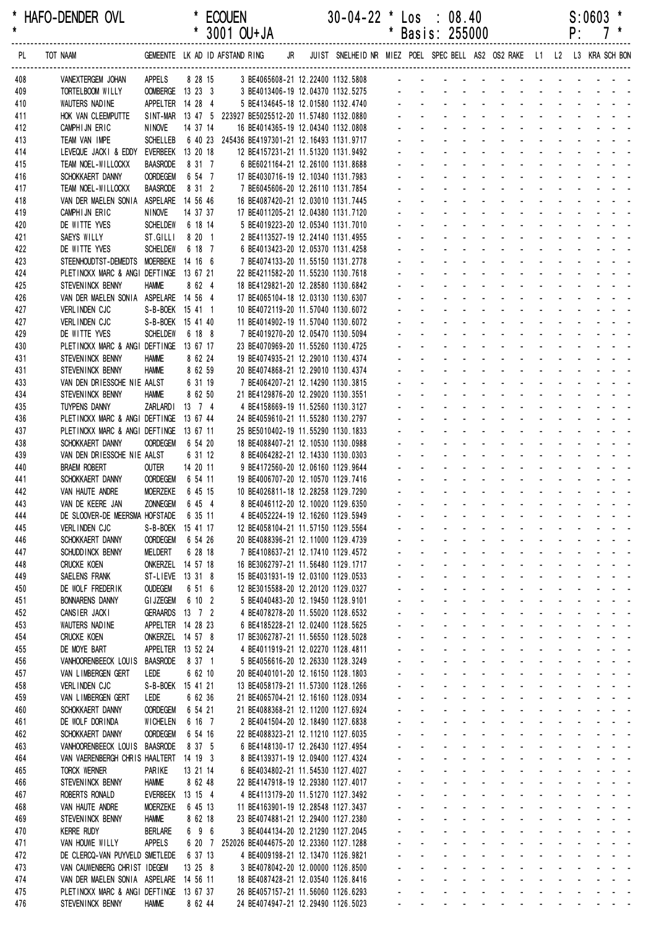| $\star$    | * HAFO-DENDER OVL                                                      |                                    |                     | <b>ECOUEN</b><br>* 3001 OU+JA                                                                 | $30-04-22$ * Los : 08.40                                                | $\pmb{*}$                           |                                  | Basis: 255000                                                                            |                                                                                             |                                                                                    |                                  |                                                                                         |                            | P:           | S:0603            |                                                                                              |  |
|------------|------------------------------------------------------------------------|------------------------------------|---------------------|-----------------------------------------------------------------------------------------------|-------------------------------------------------------------------------|-------------------------------------|----------------------------------|------------------------------------------------------------------------------------------|---------------------------------------------------------------------------------------------|------------------------------------------------------------------------------------|----------------------------------|-----------------------------------------------------------------------------------------|----------------------------|--------------|-------------------|----------------------------------------------------------------------------------------------|--|
| PL         | TOT NAAM                                                               |                                    |                     | GEMEENTE LK AD ID AFSTAND RING<br>JR                                                          | JUIST SNELHEID NR MIEZ POEL SPEC BELL AS2 OS2 RAKE L1 L2 L3 KRA SCH BON |                                     |                                  |                                                                                          |                                                                                             |                                                                                    |                                  |                                                                                         |                            |              |                   |                                                                                              |  |
| 408        | VANEXTERGEM JOHAN                                                      | APPELS                             | 8 28 15             | 3 BE4065608-21 12.22400 1132.5808                                                             |                                                                         |                                     |                                  |                                                                                          |                                                                                             |                                                                                    |                                  |                                                                                         |                            |              |                   |                                                                                              |  |
| 409        | TORTELBOOM WILLY                                                       | OOMBERGE 13 23 3                   |                     | 3 BE4013406-19 12.04370 1132.5275                                                             |                                                                         |                                     |                                  |                                                                                          |                                                                                             |                                                                                    |                                  |                                                                                         |                            |              |                   |                                                                                              |  |
| 410        | WAUTERS NADINE                                                         | APPELTER 14 28 4                   |                     | 5 BE4134645-18 12.01580 1132.4740                                                             |                                                                         |                                     |                                  |                                                                                          |                                                                                             |                                                                                    |                                  |                                                                                         |                            |              |                   |                                                                                              |  |
| 411<br>412 | HOK VAN CLEEMPUTTE<br>CAMPHIJN ERIC                                    | <b>NINOVE</b>                      | 14 37 14            | SINT-MAR 13 47 5 223927 BE5025512-20 11.57480 1132.0880<br>16 BE4014365-19 12.04340 1132.0808 |                                                                         |                                     |                                  |                                                                                          |                                                                                             |                                                                                    |                                  |                                                                                         |                            |              |                   |                                                                                              |  |
| 413        | TEAM VAN IMPE                                                          | <b>SCHELLEB</b>                    |                     | 6 40 23 245436 BE4197301-21 12.16493 1131.9717                                                |                                                                         |                                     |                                  |                                                                                          |                                                                                             |                                                                                    |                                  |                                                                                         |                            |              |                   |                                                                                              |  |
| 414        | LEVEQUE JACKI & EDDY                                                   | <b>EVERBEEK</b>                    | 13 20 18            | 12 BE4157231-21 11.51320 1131.9492                                                            |                                                                         |                                     |                                  |                                                                                          |                                                                                             |                                                                                    |                                  |                                                                                         |                            |              |                   |                                                                                              |  |
| 415        | TEAM NOEL-WILLOCKX                                                     | <b>BAASRODE</b>                    | 8 31 7              | 6 BE6021164-21 12.26100 1131.8688                                                             |                                                                         |                                     |                                  |                                                                                          |                                                                                             |                                                                                    |                                  |                                                                                         |                            |              |                   |                                                                                              |  |
| 416        | SCHOKKAERT DANNY                                                       | <b>OORDEGEM</b>                    | 6 54 7              | 17 BE4030716-19 12.10340 1131.7983                                                            |                                                                         |                                     |                                  |                                                                                          |                                                                                             |                                                                                    |                                  |                                                                                         |                            |              |                   |                                                                                              |  |
| 417<br>418 | TEAM NOEL-WILLOCKX<br>VAN DER MAELEN SONIA ASPELARE 14 56 46           | <b>BAASRODE</b>                    | 8 31 2              | 7 BE6045606-20 12.26110 1131.7854<br>16 BE4087420-21 12.03010 1131.7445                       |                                                                         |                                     |                                  |                                                                                          |                                                                                             |                                                                                    |                                  |                                                                                         |                            |              |                   |                                                                                              |  |
| 419        | CAMPHIJN ERIC                                                          | <b>NINOVE</b>                      | 14 37 37            | 17 BE4011205-21 12.04380 1131.7120                                                            |                                                                         |                                     |                                  |                                                                                          |                                                                                             |                                                                                    |                                  |                                                                                         |                            |              |                   |                                                                                              |  |
| 420        | DE WITTE YVES                                                          | <b>SCHELDEW</b>                    | 6 18 14             | 5 BE4019223-20 12.05340 1131.7010                                                             |                                                                         |                                     |                                  |                                                                                          |                                                                                             |                                                                                    |                                  |                                                                                         |                            |              |                   |                                                                                              |  |
| 421        | SAEYS WILLY                                                            | ST.GILLI                           | 8 20 1              | 2 BE4113527-19 12.24140 1131.4955                                                             |                                                                         |                                     |                                  |                                                                                          |                                                                                             |                                                                                    |                                  |                                                                                         |                            |              |                   |                                                                                              |  |
| 422<br>423 | DE WITTE YVES<br>STEENHOUDTST-DEMEDTS MOERBEKE 14 16 6                 | <b>SCHELDEW</b>                    | 6 18 7              | 6 BE4013423-20 12.05370 1131.4258<br>7 BE4074133-20 11.55150 1131.2778                        |                                                                         |                                     |                                  |                                                                                          |                                                                                             |                                                                                    |                                  |                                                                                         |                            |              |                   |                                                                                              |  |
| 424        | PLETINCKX MARC & ANGI DEFTINGE 13 67 21                                |                                    |                     | 22 BE4211582-20 11.55230 1130.7618                                                            |                                                                         |                                     |                                  |                                                                                          |                                                                                             |                                                                                    |                                  |                                                                                         |                            |              |                   |                                                                                              |  |
| 425        | STEVENINCK BENNY                                                       | <b>HAMME</b>                       | 8 62 4              | 18 BE4129821-20 12.28580 1130.6842                                                            |                                                                         |                                     |                                  |                                                                                          |                                                                                             |                                                                                    |                                  |                                                                                         |                            |              |                   |                                                                                              |  |
| 426        | VAN DER MAELEN SONIA ASPELARE 14 56 4                                  |                                    |                     | 17 BE4065104-18 12.03130 1130.6307                                                            |                                                                         |                                     |                                  |                                                                                          |                                                                                             |                                                                                    |                                  |                                                                                         |                            |              |                   |                                                                                              |  |
| 427        | <b>VERLINDEN CJC</b>                                                   | S-B-BOEK 15 41 1                   |                     | 10 BE4072119-20 11.57040 1130.6072                                                            |                                                                         |                                     |                                  |                                                                                          |                                                                                             |                                                                                    |                                  |                                                                                         |                            |              |                   |                                                                                              |  |
| 427<br>429 | VERLINDEN CJC<br>DE WITTE YVES                                         | S-B-BOEK<br><b>SCHELDEW</b>        | 15 41 40<br>6 18 8  | 11 BE4014902-19 11.57040 1130.6072<br>7 BE4019270-20 12.05470 1130.5094                       |                                                                         |                                     |                                  |                                                                                          |                                                                                             |                                                                                    |                                  |                                                                                         |                            |              |                   |                                                                                              |  |
| 430        | PLETINCKX MARC & ANGI DEFTINGE 13 67 17                                |                                    |                     | 23 BE4070969-20 11.55260 1130.4725                                                            |                                                                         |                                     |                                  |                                                                                          |                                                                                             |                                                                                    |                                  |                                                                                         |                            |              |                   |                                                                                              |  |
| 431        | STEVENINCK BENNY                                                       | <b>HAMME</b>                       | 8 62 24             | 19 BE4074935-21 12.29010 1130.4374                                                            |                                                                         |                                     |                                  |                                                                                          |                                                                                             |                                                                                    |                                  |                                                                                         |                            |              |                   |                                                                                              |  |
| 431        | STEVEN INCK BENNY                                                      | <b>HAMME</b>                       | 8 62 59             | 20 BE4074868-21 12.29010 1130.4374                                                            |                                                                         |                                     |                                  |                                                                                          |                                                                                             |                                                                                    |                                  |                                                                                         |                            |              |                   |                                                                                              |  |
| 433        | VAN DEN DRIESSCHE NIE AALST                                            |                                    | 6 31 19             | 7 BE4064207-21 12.14290 1130.3815                                                             |                                                                         |                                     |                                  |                                                                                          |                                                                                             |                                                                                    |                                  |                                                                                         |                            |              |                   |                                                                                              |  |
| 434<br>435 | STEVENINCK BENNY<br><b>TUYPENS DANNY</b>                               | <b>HAMME</b><br>ZARLARDI 13 7 4    | 8 62 50             | 21 BE4129876-20 12.29020 1130.3551<br>4 BE4158669-19 11.52560 1130.3127                       |                                                                         |                                     |                                  |                                                                                          |                                                                                             |                                                                                    |                                  |                                                                                         |                            |              |                   |                                                                                              |  |
| 436        | PLETINCKX MARC & ANGI DEFTINGE                                         |                                    | 13 67 44            | 24 BE4059610-21 11.55280 1130.2797                                                            |                                                                         |                                     |                                  |                                                                                          |                                                                                             |                                                                                    |                                  |                                                                                         |                            |              |                   |                                                                                              |  |
| 437        | PLETINCKX MARC & ANGI DEFTINGE                                         |                                    | 13 67 11            | 25 BE5010402-19 11.55290 1130.1833                                                            |                                                                         |                                     |                                  |                                                                                          |                                                                                             |                                                                                    |                                  |                                                                                         |                            |              |                   |                                                                                              |  |
| 438        | SCHOKKAERT DANNY                                                       | <b>OORDEGEM</b>                    | 6 54 20             | 18 BE4088407-21 12.10530 1130.0988                                                            |                                                                         |                                     |                                  |                                                                                          |                                                                                             |                                                                                    |                                  |                                                                                         |                            |              |                   |                                                                                              |  |
| 439<br>440 | VAN DEN DRIESSCHE NIE AALST<br><b>BRAEM ROBERT</b>                     | <b>OUTER</b>                       | 6 31 12<br>14 20 11 | 8 BE4064282-21 12.14330 1130.0303<br>9 BE4172560-20 12.06160 1129.9644                        |                                                                         |                                     |                                  |                                                                                          |                                                                                             |                                                                                    |                                  |                                                                                         |                            |              |                   |                                                                                              |  |
| 441        | SCHOKKAERT DANNY                                                       | <b>OORDEGEM</b>                    | 6 54 11             | 19 BE4006707-20 12.10570 1129.7416                                                            |                                                                         |                                     |                                  |                                                                                          |                                                                                             |                                                                                    |                                  |                                                                                         |                            |              |                   |                                                                                              |  |
| 442        | VAN HAUTE ANDRE                                                        | <b>MOERZEKE</b>                    | 6 45 15             | 10 BE4026811-18 12.28258 1129.7290                                                            |                                                                         |                                     |                                  |                                                                                          |                                                                                             |                                                                                    |                                  |                                                                                         |                            |              |                   |                                                                                              |  |
| 443        | VAN DE KEERE JAN                                                       | <b>ZONNEGEM</b>                    | 6 45 4              | 8 BE4046112-20 12.10020 1129.6350                                                             |                                                                         |                                     |                                  | $\sim 100$                                                                               | and a state of                                                                              |                                                                                    |                                  | $\Delta \phi = 0.0000$                                                                  |                            |              |                   | $\mathcal{L}^{\text{max}}$ , and $\mathcal{L}^{\text{max}}$                                  |  |
| 444        | DE SLOOVER-DE MEERSMA HOFSTADE                                         |                                    | 6 35 11             | 4 BE4052224-19 12.16260 1129.5949                                                             |                                                                         |                                     |                                  | $\sim 100$                                                                               | <b>All States</b>                                                                           | $\Delta \sim 100$                                                                  | $\sim 100$                       |                                                                                         |                            |              |                   | and the state of the                                                                         |  |
| 445<br>446 | VERLINDEN CJC<br>SCHOKKAERT DANNY                                      | S-B-BOEK<br><b>OORDEGEM</b>        | 15 41 17<br>6 54 26 | 12 BE4058104-21 11.57150 1129.5564<br>20 BE4088396-21 12.11000 1129.4739                      |                                                                         |                                     | $\blacksquare$                   |                                                                                          | and a straight and a straight<br><b>All Cards</b>                                           | $\sim$                                                                             | $\sim 100$                       |                                                                                         | $\sim 10$                  |              |                   | and the contract of<br>$\mathcal{L}^{\text{max}}$ , and $\mathcal{L}^{\text{max}}$ , and     |  |
| 447        | SCHUDD INCK BENNY                                                      | MELDERT                            | 6 28 18             | 7 BE4108637-21 12.17410 1129.4572                                                             |                                                                         |                                     | $\mathbf{r}$                     | $\mathcal{L}^{\pm}$                                                                      | $\omega_{\rm{max}}$ and $\omega_{\rm{max}}$                                                 | $\Delta \sim 100$                                                                  |                                  | $\Delta \phi = 0.01$                                                                    | $\sim$                     | $\sim$       |                   | and the control of                                                                           |  |
| 448        | <b>CRUCKE KOEN</b>                                                     | ONKERZEL                           | 14 57 18            | 16 BE3062797-21 11.56480 1129.1717                                                            |                                                                         |                                     | ä,                               | $\omega_{\rm{max}}$                                                                      | and a straight and a straight                                                               |                                                                                    |                                  |                                                                                         | ä,                         |              |                   | $\Delta \phi = \Delta \phi = 0.1$                                                            |  |
| 449        | SAELENS FRANK                                                          | ST-LIEVE 13 31 8                   |                     | 15 BE4031931-19 12.03100 1129.0533                                                            |                                                                         | $\mathcal{L}^{\pm}$                 |                                  | $\mathbf{L}^{\text{max}}$<br>$\Delta \sim 100$                                           | $\mathbf{z} = \mathbf{z}$                                                                   | $\Delta \sim 100$<br>$\Delta \sim 10^4$                                            |                                  | $\Delta \phi = 0.000$                                                                   | $\omega_{\rm{max}}$        |              |                   | $\mathbf{z} = \mathbf{z} + \mathbf{z}$ .                                                     |  |
| 450<br>451 | DE WOLF FREDERIK<br><b>BONNARENS DANNY</b>                             | <b>OUDEGEM</b><br><b>GI JZEGEM</b> | 6 51 6<br>6 10 2    | 12 BE3015588-20 12.20120 1129.0327<br>5 BE4040483-20 12.19450 1128.9101                       |                                                                         |                                     | $\blacksquare$<br>$\blacksquare$ | $\sim 100$<br>$\Delta \sim 100$                                                          | <b>All Service</b><br>$\mathbf{a}^{\prime}$ , $\mathbf{a}^{\prime}$ , $\mathbf{a}^{\prime}$ | $\Delta \sim 100$<br>$\sim 100$                                                    |                                  | $\mathcal{L}_{\text{max}}$ , and<br>$\Delta\phi_{\rm{max}}$ and $\Delta\phi_{\rm{max}}$ |                            |              |                   | $\omega_{\rm{eff}}=0.01$ and $\omega_{\rm{eff}}=0.01$<br>and the state of the                |  |
| 452        | CANSIER JACKI                                                          | GERAARDS 13 7 2                    |                     | 4 BE4078278-20 11.55020 1128.6532                                                             |                                                                         |                                     | $\blacksquare$                   | $\mathbf{L}^{\text{max}}$                                                                | $\omega$ .<br>$\Delta \sim 100$                                                             | $\sim$                                                                             |                                  | $\omega_{\rm{max}}$ and $\omega_{\rm{max}}$                                             | $\mathcal{L}^{\text{max}}$ |              |                   | $\mathbf{z} = \mathbf{z} + \mathbf{z} + \mathbf{z}$                                          |  |
| 453        | WAUTERS NADINE                                                         | APPELTER 14 28 23                  |                     | 6 BE4185228-21 12.02400 1128.5625                                                             |                                                                         |                                     | $\mathbf{r}$                     | $\Delta \sim 100$                                                                        | $\omega_{\rm{max}}$ and $\omega_{\rm{max}}$                                                 | $\Delta \sim 100$                                                                  |                                  | $\mathbf{L} = \mathbf{L} \mathbf{L}$                                                    |                            |              |                   | and a strain and a                                                                           |  |
| 454        | <b>CRUCKE KOEN</b>                                                     | ONKERZEL 14 57 8                   |                     | 17 BE3062787-21 11.56550 1128.5028                                                            |                                                                         |                                     | ä,                               | $\Delta \sim 100$                                                                        | $\omega_{\rm{max}}$ and $\omega_{\rm{max}}$                                                 |                                                                                    | and a straight                   |                                                                                         |                            |              |                   | and a state of                                                                               |  |
| 455        | DE MOYE BART                                                           | APPELTER 13 52 24                  |                     | 4 BE4011919-21 12.02270 1128.4811                                                             |                                                                         | $\mathcal{L}^{\pm}$                 | $\mathbf{r}$                     | $\Delta \sim 100$                                                                        | $\mathbf{a} = \mathbf{0}$                                                                   | $\Delta \sim 10^{-1}$<br>$\Delta \sim 10^{-1}$                                     |                                  | $\mathbf{u} = \mathbf{u} \cdot \mathbf{u}$ .                                            | $\omega_{\rm{max}}$        |              |                   | $\omega_{\rm{max}}$ , and $\omega_{\rm{max}}$                                                |  |
| 456<br>457 | VANHOORENBEECK LOUIS<br>VAN LIMBERGEN GERT                             | <b>BAASRODE</b><br>LEDE            | 8 37 1<br>6 62 10   | 5 BE4056616-20 12.26330 1128.3249<br>20 BE4040101-20 12.16150 1128.1803                       |                                                                         | $\blacksquare$                      | $\blacksquare$                   | $\omega_{\rm{max}}$<br>$\mathbf{r}$                                                      | $\omega_{\rm{max}}$<br>$\mathbf{r} = \mathbf{r} \cdot \mathbf{r}$                           | $\Delta \sim 100$<br>$\Delta \sim 100$<br>$\mathbf{r}$                             | $\omega_{\rm{max}}$<br>$\omega$  | $\sim$                                                                                  | $\mathbf{z} = \mathbf{z}$  |              |                   | and a state of<br>and the contract of                                                        |  |
| 458        | VERLINDEN CJC                                                          | S-B-BOEK                           | 15 41 21            | 13 BE4058179-21 11.57300 1128.1266                                                            |                                                                         |                                     | $\blacksquare$                   |                                                                                          | <b>All Cards</b>                                                                            | $\sim$                                                                             | $\mathcal{L}_{\mathrm{max}}$     |                                                                                         | $\mathbf{r}$               |              |                   | <b>Contract Contract Contract</b>                                                            |  |
| 459        | VAN LIMBERGEN GERT                                                     | LEDE                               | 6 62 36             | 21 BE4065704-21 12.16160 1128.0934                                                            |                                                                         |                                     | $\mathbf{r}$                     |                                                                                          | $\omega_{\rm{max}}=2.5$                                                                     | $\Delta \sim 100$                                                                  |                                  | $\omega_{\rm{max}}$ , $\omega_{\rm{max}}$                                               | $\sim$                     | $\mathbf{r}$ |                   | and a state of the                                                                           |  |
| 460        | SCHOKKAERT DANNY                                                       | <b>OORDEGEM</b>                    | 6 54 21             | 21 BE4088368-21 12.11200 1127.6924                                                            |                                                                         | $\mathbf{r}$                        | ä,                               | $\omega_{\rm{max}}$                                                                      | and a straight                                                                              |                                                                                    |                                  | $\Delta \phi = 0.01$                                                                    |                            |              |                   | $\Delta \phi = \Delta \phi = 0.1$                                                            |  |
| 461        | DE WOLF DORINDA                                                        | WICHELEN                           | 6 16 7              | 2 BE4041504-20 12.18490 1127.6838                                                             |                                                                         | $\mathbf{L}^{\text{max}}$           |                                  | $\omega_{\rm{max}}$<br>$\Delta \sim 100$                                                 | $\omega_{\rm{eff}}=0.01$ and $\omega_{\rm{eff}}=0.01$                                       | $\Delta \sim 10^4$                                                                 | $\Delta \sim 100$                | $\sim$                                                                                  | $\mathcal{L}^{\text{max}}$ |              |                   | $\omega_{\rm{max}}$ , and $\omega_{\rm{max}}$                                                |  |
| 462<br>463 | SCHOKKAERT DANNY<br>VANHOORENBEECK LOUIS                               | <b>OORDEGEM</b><br><b>BAASRODE</b> | 6 54 16<br>8 37 5   | 22 BE4088323-21 12.11210 1127.6035<br>6 BE4148130-17 12.26430 1127.4954                       |                                                                         | $\blacksquare$                      | $\sim$<br>$\blacksquare$         | $\Delta \sim 100$<br>$\omega_{\rm{max}}$                                                 | $\sim 100$<br>$\sim 100$<br>$\blacksquare$                                                  | $\omega_{\rm{max}}$<br>$\Delta \sim 100$<br>$\sim 100$                             | $\sim 100$                       | $\omega_{\rm{max}}$ and                                                                 |                            |              |                   | $\omega_{\rm{eff}}=0.01$ and $\omega_{\rm{eff}}=0.01$                                        |  |
| 464        | VAN VAERENBERGH CHRIS HAALTERT 14 19 3                                 |                                    |                     | 8 BE4139371-19 12.09400 1127.4324                                                             |                                                                         |                                     | $\blacksquare$                   |                                                                                          | $\omega$ .<br>$\omega_{\rm{max}}$                                                           | $\sim$                                                                             |                                  | $\omega_{\rm{max}}=0.1$                                                                 | $\blacksquare$             |              |                   | $\mathbf{z} = \mathbf{z} + \mathbf{z} + \mathbf{z}$                                          |  |
| 465        | <b>TORCK WERNER</b>                                                    | PARIKE                             | 13 21 14            | 6 BE4034802-21 11.54530 1127.4027                                                             |                                                                         |                                     | $\mathbf{r}$                     |                                                                                          | $\omega_{\rm{max}}$ , $\omega_{\rm{max}}$                                                   | $\Delta \sim 100$                                                                  |                                  | and a state                                                                             |                            |              |                   | and a strain and a                                                                           |  |
| 466        | STEVENINCK BENNY                                                       | <b>HAMME</b>                       | 8 62 48             | 22 BE4147918-19 12.29380 1127.4017                                                            |                                                                         |                                     | ä,                               | $\omega_{\rm{max}}$                                                                      | and a state                                                                                 | $\Delta \sim 10^4$                                                                 |                                  | $\Delta \phi = \Delta \phi$ and                                                         | $\Delta \sim 10^{-1}$      |              |                   | and a state                                                                                  |  |
| 467        | ROBERTS RONALD                                                         | <b>EVERBEEK</b>                    | 13 15 4             | 4 BE4113179-20 11.51270 1127.3492                                                             |                                                                         | a.                                  | ÷.                               | $\Delta \sim 10^{-1}$                                                                    | $\mathbf{z} = \mathbf{z}$                                                                   | $\Delta \sim 10^{-1}$<br>$\Delta \sim 10^{-1}$                                     |                                  | $\mathbf{u} = \mathbf{u} \cdot \mathbf{u}$ .                                            | $\omega_{\rm{max}}$        |              | $\Delta \sim 100$ | and a state of<br>$\mathcal{L}^{\text{max}}$ , and $\mathcal{L}^{\text{max}}$                |  |
| 468<br>469 | VAN HAUTE ANDRE<br>STEVEN INCK BENNY                                   | <b>MOERZEKE</b><br><b>HAMME</b>    | 6 45 13<br>8 62 18  | 11 BE4163901-19 12.28548 1127.3437<br>23 BE4074881-21 12.29400 1127.2380                      |                                                                         | $\blacksquare$                      | $\blacksquare$                   | $\omega_{\rm{max}}$                                                                      | $\mathbf{r}$<br>$\sim$<br>$\mathbf{r} = \mathbf{r} \cdot \mathbf{r}$                        | $\sim$<br>$\mathbf{r}$                                                             | $\mathbf{a}$<br>$\omega$         | $\mathbf{r}$                                                                            |                            |              |                   | and the contract of                                                                          |  |
| 470        | <b>KERRE RUDY</b>                                                      | <b>BERLARE</b>                     | 6 9 6               | 3 BE4044134-20 12.21290 1127.2045                                                             |                                                                         |                                     | $\blacksquare$                   |                                                                                          | <b>All Cards</b>                                                                            | $\sim$                                                                             | $\mathbf{r}$                     |                                                                                         | $\mathbf{r}$               |              |                   | $\mathcal{L}^{\text{max}}$ , and $\mathcal{L}^{\text{max}}$                                  |  |
| 471        | VAN HOUWE WILLY                                                        | <b>APPELS</b>                      | 6 20 7              | 252026 BE4044675-20 12.23360 1127.1288                                                        |                                                                         |                                     | $\mathbf{r}$                     |                                                                                          | $\omega_{\rm{max}}=0.1$                                                                     | $\sim$                                                                             | $\Delta \sim 100$                | $\sim$                                                                                  | ÷.                         | $\mathbf{r}$ |                   |                                                                                              |  |
| 472        | DE CLERCQ-VAN PUYVELD SMETLEDE                                         |                                    | 6 37 13             | 4 BE4009198-21 12.13470 1126.9821                                                             |                                                                         |                                     | ä,                               | $\omega_{\rm{max}}$                                                                      | $\Delta\phi_{\rm{max}}$ and $\Delta\phi_{\rm{max}}$                                         | $\Delta \sim 100$                                                                  | $\mathbf{r}$                     | $\sim 10$                                                                               | L.<br>$\omega_{\rm{eff}}$  |              |                   |                                                                                              |  |
| 473<br>474 | VAN CAUWENBERG CHRIST IDEGEM<br>VAN DER MAELEN SONIA ASPELARE 14 56 11 |                                    | 13 25 8             | 3 BE4078042-20 12.00000 1126.8500<br>18 BE4087428-21 12.03540 1126.8416                       |                                                                         | $\mathbf{L}^{\text{max}}$<br>$\sim$ |                                  | $\mathbf{L}^{\text{max}}$<br>$\Delta \sim 100$<br>$\Delta \sim 100$<br>$\Delta \sim 100$ | $\mathbf{z} = \mathbf{z}$<br>$\sim 100$                                                     | $\Delta \sim 100$<br>$\Delta \sim 100$<br>$\omega_{\rm{max}}$<br>$\Delta \sim 100$ | $\Delta \sim 10^4$<br>$\sim 100$ | $\sim$<br>$\sim$                                                                        |                            |              |                   | $\omega_{\rm{eff}}=0.01$ and $\omega_{\rm{eff}}=0.01$<br>$\omega_{\rm{eff}}=2.00$ km $^{-1}$ |  |
| 475        | PLETINCKX MARC & ANGI DEFTINGE 13 67 37                                |                                    |                     | 26 BE4057157-21 11.56060 1126.6293                                                            |                                                                         |                                     |                                  |                                                                                          |                                                                                             |                                                                                    | $\blacksquare$                   |                                                                                         |                            |              |                   |                                                                                              |  |
| 476        | STEVENINCK BENNY                                                       | <b>HAMME</b>                       | 8 62 44             | 24 BE4074947-21 12.29490 1126.5023                                                            |                                                                         |                                     |                                  | $\Delta \sim 100$                                                                        | and a series of the contract of the series                                                  |                                                                                    |                                  |                                                                                         |                            |              |                   |                                                                                              |  |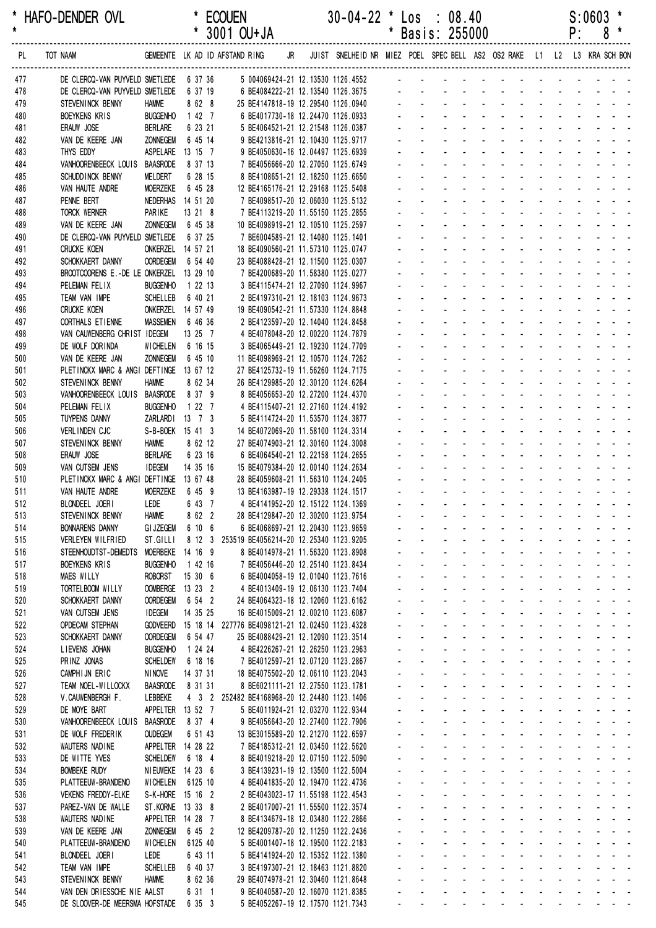| *<br>$\star$ | HAFO-DENDER OVL                                             |                                      |                     | <b>ECOUEN</b><br>* 3001 OU+JA                                                         |    | $30-04-22$ * Los : 08.40                                                | $^\ast$        | Basis: 255000                                    |                                                  |                                                                                                                                                                                                                                           |                                                                      |                                                    |                                                                                                               |                   |                     | P:                 | S:0603<br>8                                                      | *                                             |  |
|--------------|-------------------------------------------------------------|--------------------------------------|---------------------|---------------------------------------------------------------------------------------|----|-------------------------------------------------------------------------|----------------|--------------------------------------------------|--------------------------------------------------|-------------------------------------------------------------------------------------------------------------------------------------------------------------------------------------------------------------------------------------------|----------------------------------------------------------------------|----------------------------------------------------|---------------------------------------------------------------------------------------------------------------|-------------------|---------------------|--------------------|------------------------------------------------------------------|-----------------------------------------------|--|
| PL.          | TOT NAAM                                                    |                                      |                     | GEMEENTE LK AD ID AFSTAND RING                                                        | JR | JUIST SNELHEID NR MIEZ POEL SPEC BELL AS2 OS2 RAKE L1 L2 L3 KRA SCH BON |                |                                                  |                                                  |                                                                                                                                                                                                                                           |                                                                      |                                                    |                                                                                                               |                   |                     |                    |                                                                  |                                               |  |
| 477          | DE CLERCQ-VAN PUYVELD SMETLEDE 6 37 36                      |                                      |                     | 5 004069424-21 12.13530 1126.4552                                                     |    |                                                                         |                |                                                  |                                                  |                                                                                                                                                                                                                                           |                                                                      |                                                    |                                                                                                               |                   |                     |                    |                                                                  |                                               |  |
| 478          | DE CLERCQ-VAN PUYVELD SMETLEDE                              |                                      | 6 37 19             | 6 BE4084222-21 12.13540 1126.3675                                                     |    |                                                                         |                |                                                  |                                                  |                                                                                                                                                                                                                                           |                                                                      |                                                    |                                                                                                               |                   |                     |                    |                                                                  |                                               |  |
| 479<br>480   | STEVENINCK BENNY<br><b>BOEYKENS KRIS</b>                    | <b>HAMME</b><br><b>BUGGENHO</b>      | 8 62 8<br>1427      | 25 BE4147818-19 12.29540 1126.0940<br>6 BE4017730-18 12.24470 1126.0933               |    |                                                                         |                |                                                  |                                                  |                                                                                                                                                                                                                                           |                                                                      |                                                    |                                                                                                               |                   |                     |                    |                                                                  |                                               |  |
| 481          | ERAUW JOSE                                                  | <b>BERLARE</b>                       | 6 23 21             | 5 BE4064521-21 12.21548 1126.0387                                                     |    |                                                                         |                |                                                  |                                                  |                                                                                                                                                                                                                                           |                                                                      |                                                    |                                                                                                               |                   |                     |                    |                                                                  |                                               |  |
| 482          | VAN DE KEERE JAN                                            | <b>ZONNEGEM</b>                      | 6 45 14             | 9 BE4213816-21 12.10430 1125.9717                                                     |    |                                                                         |                |                                                  |                                                  |                                                                                                                                                                                                                                           |                                                                      |                                                    |                                                                                                               |                   |                     |                    |                                                                  |                                               |  |
| 483          | THYS EDDY                                                   | ASPELARE                             | 13 15 7             | 9 BE4050630-16 12.04497 1125.6939                                                     |    |                                                                         |                |                                                  |                                                  |                                                                                                                                                                                                                                           |                                                                      |                                                    |                                                                                                               |                   |                     |                    |                                                                  |                                               |  |
| 484          | VANHOORENBEECK LOUIS BAASRODE                               |                                      | 8 37 13             | 7 BE4056666-20 12.27050 1125.6749                                                     |    |                                                                         |                |                                                  |                                                  |                                                                                                                                                                                                                                           |                                                                      |                                                    |                                                                                                               |                   |                     |                    |                                                                  |                                               |  |
| 485          | SCHUDD INCK BENNY                                           | MELDERT                              | 6 28 15             | 8 BE4108651-21 12.18250 1125.6650                                                     |    |                                                                         |                |                                                  |                                                  |                                                                                                                                                                                                                                           |                                                                      |                                                    |                                                                                                               |                   |                     |                    |                                                                  |                                               |  |
| 486<br>487   | VAN HAUTE ANDRE<br>PENNE BERT                               | <b>MOERZEKE</b><br><b>NEDERHAS</b>   | 6 45 28<br>14 51 20 | 12 BE4165176-21 12.29168 1125.5408<br>7 BE4098517-20 12.06030 1125.5132               |    |                                                                         |                |                                                  |                                                  |                                                                                                                                                                                                                                           |                                                                      |                                                    |                                                                                                               |                   |                     |                    |                                                                  |                                               |  |
| 488          | TORCK WERNER                                                | PARIKE                               | 13 21 8             | 7 BE4113219-20 11.55150 1125.2855                                                     |    |                                                                         |                |                                                  |                                                  |                                                                                                                                                                                                                                           |                                                                      |                                                    |                                                                                                               |                   |                     |                    |                                                                  |                                               |  |
| 489          | VAN DE KEERE JAN                                            | <b>ZONNEGEM</b>                      | 6 45 38             | 10 BE4098919-21 12.10510 1125.2597                                                    |    |                                                                         |                |                                                  |                                                  |                                                                                                                                                                                                                                           |                                                                      |                                                    |                                                                                                               |                   |                     |                    |                                                                  |                                               |  |
| 490          | DE CLERCQ-VAN PUYVELD SMETLEDE                              |                                      | 6 37 25             | 7 BE6004589-21 12.14080 1125.1401                                                     |    |                                                                         |                |                                                  |                                                  |                                                                                                                                                                                                                                           |                                                                      |                                                    |                                                                                                               |                   |                     |                    |                                                                  |                                               |  |
| 491          | <b>CRUCKE KOEN</b>                                          | ONKERZEL 14 57 21                    |                     | 18 BE4090560-21 11.57310 1125.0747                                                    |    |                                                                         |                |                                                  |                                                  |                                                                                                                                                                                                                                           |                                                                      |                                                    |                                                                                                               |                   |                     |                    |                                                                  |                                               |  |
| 492          | SCHOKKAERT DANNY                                            | <b>OORDEGEM</b>                      | 6 54 40             | 23 BE4088428-21 12.11500 1125.0307                                                    |    |                                                                         |                |                                                  |                                                  |                                                                                                                                                                                                                                           |                                                                      |                                                    |                                                                                                               |                   |                     |                    |                                                                  |                                               |  |
| 493          | BROOTCOORENS E.-DE LE ONKERZEL<br>PELEMAN FELIX             | <b>BUGGENHO</b>                      | 13 29 10<br>1 22 13 | 7 BE4200689-20 11.58380 1125.0277<br>3 BE4115474-21 12.27090 1124.9967                |    |                                                                         |                |                                                  |                                                  |                                                                                                                                                                                                                                           |                                                                      |                                                    |                                                                                                               |                   |                     |                    |                                                                  |                                               |  |
| 494<br>495   | TEAM VAN IMPE                                               | <b>SCHELLEB</b>                      | 6 40 21             | 2 BE4197310-21 12.18103 1124.9673                                                     |    |                                                                         |                |                                                  |                                                  |                                                                                                                                                                                                                                           |                                                                      |                                                    |                                                                                                               |                   |                     |                    |                                                                  |                                               |  |
| 496          | <b>CRUCKE KOEN</b>                                          | ONKERZEL 14 57 49                    |                     | 19 BE4090542-21 11.57330 1124.8848                                                    |    |                                                                         |                |                                                  |                                                  |                                                                                                                                                                                                                                           |                                                                      |                                                    |                                                                                                               |                   |                     |                    |                                                                  |                                               |  |
| 497          | CORTHALS ET IENNE                                           | <b>MASSEMEN</b>                      | 6 46 36             | 2 BE4123597-20 12.14040 1124.8458                                                     |    |                                                                         |                |                                                  |                                                  |                                                                                                                                                                                                                                           |                                                                      |                                                    |                                                                                                               |                   |                     |                    |                                                                  |                                               |  |
| 498          | VAN CAUWENBERG CHRIST IDEGEM                                |                                      | 13 25 7             | 4 BE4078048-20 12.00220 1124.7879                                                     |    |                                                                         |                |                                                  |                                                  |                                                                                                                                                                                                                                           |                                                                      |                                                    |                                                                                                               |                   |                     |                    |                                                                  |                                               |  |
| 499          | DE WOLF DORINDA                                             | WICHELEN                             | 6 16 15             | 3 BE4065449-21 12.19230 1124.7709                                                     |    |                                                                         |                |                                                  |                                                  |                                                                                                                                                                                                                                           |                                                                      |                                                    |                                                                                                               |                   |                     |                    |                                                                  |                                               |  |
| 500          | VAN DE KEERE JAN                                            | <b>ZONNEGEM</b>                      | 6 45 10             | 11 BE4098969-21 12.10570 1124.7262                                                    |    |                                                                         |                |                                                  |                                                  |                                                                                                                                                                                                                                           |                                                                      |                                                    |                                                                                                               |                   |                     |                    |                                                                  |                                               |  |
| 501<br>502   | PLETINCKX MARC & ANGI DEFTINGE 13 67 12<br>STEVENINCK BENNY | <b>HAMME</b>                         | 8 62 34             | 27 BE4125732-19 11.56260 1124.7175<br>26 BE4129985-20 12.30120 1124.6264              |    |                                                                         |                |                                                  |                                                  |                                                                                                                                                                                                                                           |                                                                      |                                                    |                                                                                                               |                   |                     |                    |                                                                  |                                               |  |
| 503          | VANHOORENBEECK LOUIS                                        | <b>BAASRODE</b>                      | 8 37 9              | 8 BE4056653-20 12.27200 1124.4370                                                     |    |                                                                         |                |                                                  |                                                  |                                                                                                                                                                                                                                           |                                                                      |                                                    |                                                                                                               |                   |                     |                    |                                                                  |                                               |  |
| 504          | PELEMAN FELIX                                               | <b>BUGGENHO</b>                      | 1 22 7              | 4 BE4115407-21 12.27160 1124.4192                                                     |    |                                                                         |                |                                                  |                                                  |                                                                                                                                                                                                                                           |                                                                      |                                                    |                                                                                                               |                   |                     |                    |                                                                  |                                               |  |
| 505          | <b>TUYPENS DANNY</b>                                        | <b>ZARLARDI</b>                      | $13 \t 7 \t 3$      | 5 BE4114724-20 11.53570 1124.3877                                                     |    |                                                                         |                |                                                  |                                                  |                                                                                                                                                                                                                                           |                                                                      |                                                    |                                                                                                               |                   |                     |                    |                                                                  |                                               |  |
| 506          | VERLINDEN CJC                                               | S-B-BOEK 15 41 3                     |                     | 14 BE4072069-20 11.58100 1124.3314                                                    |    |                                                                         |                |                                                  |                                                  |                                                                                                                                                                                                                                           |                                                                      |                                                    |                                                                                                               |                   |                     |                    |                                                                  |                                               |  |
| 507          | STEVENINCK BENNY                                            | <b>HAMME</b>                         | 8 62 12<br>6 23 16  | 27 BE4074903-21 12.30160 1124.3008                                                    |    |                                                                         |                |                                                  |                                                  |                                                                                                                                                                                                                                           |                                                                      |                                                    |                                                                                                               |                   |                     |                    |                                                                  |                                               |  |
| 508<br>509   | ERAUW JOSE<br>VAN CUTSEM JENS                               | <b>BERLARE</b><br><b>IDEGEM</b>      | 14 35 16            | 6 BE4064540-21 12.22158 1124.2655<br>15 BE4079384-20 12.00140 1124.2634               |    |                                                                         |                |                                                  |                                                  |                                                                                                                                                                                                                                           |                                                                      |                                                    |                                                                                                               |                   |                     |                    |                                                                  |                                               |  |
| 510          | PLETINCKX MARC & ANGI DEFTINGE 13 67 48                     |                                      |                     | 28 BE4059608-21 11.56310 1124.2405                                                    |    |                                                                         |                |                                                  |                                                  |                                                                                                                                                                                                                                           |                                                                      |                                                    |                                                                                                               |                   |                     |                    |                                                                  |                                               |  |
| 511          | VAN HAUTE ANDRE                                             | <b>MOERZEKE</b>                      | 6459                | 13 BE4163987-19 12.29338 1124.1517                                                    |    |                                                                         |                |                                                  |                                                  |                                                                                                                                                                                                                                           |                                                                      |                                                    |                                                                                                               |                   |                     |                    |                                                                  |                                               |  |
| 512          | BLONDEEL JOERI                                              | LEDE                                 | 6437                | 4 BE4141952-20 12.15122 1124.1369                                                     |    |                                                                         |                |                                                  |                                                  |                                                                                                                                                                                                                                           |                                                                      |                                                    | a construction of the construction of the                                                                     |                   |                     |                    |                                                                  |                                               |  |
| 513          | STEVENINCK BENNY                                            | <b>HAMME</b>                         | 8 62 2              | 28 BE4129847-20 12.30200 1123.9754                                                    |    |                                                                         |                |                                                  |                                                  |                                                                                                                                                                                                                                           |                                                                      |                                                    | and a series of the series of the series of                                                                   |                   |                     |                    |                                                                  |                                               |  |
| 514          | <b>BONNARENS DANNY</b>                                      | <b>GI JZEGEM</b>                     | 6 10 6              | 6 BE4068697-21 12.20430 1123.9659                                                     |    |                                                                         | $\blacksquare$ |                                                  | $\Delta \sim 100$                                | and a state of the state of the state of the state of the state of the state of the state of the state of the<br>a na mana na mana na mana na sa                                                                                          |                                                                      |                                                    |                                                                                                               |                   |                     |                    |                                                                  |                                               |  |
| 515<br>516   | VERLEYEN WILFRIED<br>STEENHOUDTST-DEMEDTS                   | ST.GILLI<br>MOERBEKE 14 16 9         |                     | 8 12 3 253519 BE4056214-20 12.25340 1123.9205<br>8 BE4014978-21 11.56320 1123.8908    |    |                                                                         |                | $\mathbf{r} = \mathbf{r}$                        | $\sim 100$                                       | and a straight and a straight                                                                                                                                                                                                             |                                                                      |                                                    |                                                                                                               |                   |                     |                    | and a straight and a straight                                    |                                               |  |
| 517          | <b>BOEYKENS KRIS</b>                                        | <b>BUGGENHO</b>                      | 1 42 16             | 7 BE4056446-20 12.25140 1123.8434                                                     |    |                                                                         |                |                                                  | $\Delta \sim 100$                                | and a straight and a straight                                                                                                                                                                                                             |                                                                      |                                                    |                                                                                                               |                   |                     |                    | and a straightful and a straight                                 |                                               |  |
| 518          | <b>MAES WILLY</b>                                           | <b>ROBORST</b>                       | 15306               | 6 BE4004058-19 12.01040 1123.7616                                                     |    |                                                                         |                |                                                  |                                                  | and a straight and a                                                                                                                                                                                                                      |                                                                      |                                                    |                                                                                                               |                   |                     |                    |                                                                  |                                               |  |
| 519          | TORTELBOOM WILLY                                            | OOMBERGE 13 23 2                     |                     | 4 BE4013409-19 12.06130 1123.7404                                                     |    |                                                                         | $\blacksquare$ |                                                  | $\Delta \sim 100$                                | and a straight and a straight                                                                                                                                                                                                             |                                                                      |                                                    |                                                                                                               |                   |                     |                    | and a straight and a straight                                    |                                               |  |
| 520          | SCHOKKAERT DANNY                                            | <b>OORDEGEM</b>                      | 6 54 2              | 24 BE4064323-18 12.12060 1123.6162                                                    |    |                                                                         | ä,             |                                                  | $\Delta \sim 100$                                | design and a state of the state of the                                                                                                                                                                                                    |                                                                      |                                                    |                                                                                                               |                   |                     |                    |                                                                  |                                               |  |
| 521          | VAN CUTSEM JENS                                             | <b>IDEGEM</b>                        | 14 35 25            | 16 BE4015009-21 12.00210 1123.6087                                                    |    |                                                                         | L.             |                                                  | $\Delta \sim 100$<br>$\Delta \sim 10^{-1}$       | <u>.</u><br>a construction of the construction of the construction of the construction of the construction of the construction of the construction of the construction of the construction of the construction of the construction of the |                                                                      |                                                    |                                                                                                               |                   |                     |                    |                                                                  |                                               |  |
| 522<br>523   | <b>OPDECAM STEPHAN</b><br>SCHOKKAERT DANNY                  | <b>GODVEERD</b><br><b>OORDEGEM</b>   | 6 54 47             | 15 18 14 227776 BE4098121-21 12.02450 1123.4328<br>25 BE4088429-21 12.12090 1123.3514 |    |                                                                         | ä,             | $\mathbf{r} = \mathbf{r}$<br>$\mathcal{L}^{\pm}$ |                                                  | والمناور والمتناور والمتناور والمناور والمناور                                                                                                                                                                                            |                                                                      |                                                    |                                                                                                               |                   |                     |                    |                                                                  |                                               |  |
| 524          | LIEVENS JOHAN                                               | <b>BUGGENHO</b>                      | 1 24 24             | 4 BE4226267-21 12.26250 1123.2963                                                     |    |                                                                         |                |                                                  |                                                  | and a straight                                                                                                                                                                                                                            |                                                                      |                                                    | $\Delta \phi = 0.01$                                                                                          |                   |                     |                    | and a strain and a                                               |                                               |  |
| 525          | PRINZ JONAS                                                 | <b>SCHELDEW</b>                      | 6 18 16             | 7 BE4012597-21 12.07120 1123.2867                                                     |    |                                                                         |                | $\mathcal{L}^{\pm}$                              |                                                  | $\omega_{\rm{max}}$                                                                                                                                                                                                                       |                                                                      |                                                    | and a straight and                                                                                            |                   |                     |                    | and a strain and a                                               |                                               |  |
| 526          | CAMPHIJN ERIC                                               | NINOVE                               | 14 37 31            | 18 BE4075502-20 12.06110 1123.2043                                                    |    |                                                                         | ÷.             | $\sim$                                           |                                                  | a construction of the construction of the construction of the construction of the construction of the construction of the construction of the construction of the construction of the construction of the construction of the             |                                                                      |                                                    |                                                                                                               |                   |                     |                    |                                                                  |                                               |  |
| 527          | TEAM NOEL-WILLOCKX                                          | <b>BAASRODE</b>                      | 8 31 31             | 8 BE6021111-21 12.27550 1123.1781                                                     |    |                                                                         | ä,             |                                                  | $\mathbf{L}^{\text{max}}$                        | $\omega_{\rm{max}}$                                                                                                                                                                                                                       |                                                                      |                                                    | and a strain and a strain and a                                                                               |                   |                     |                    |                                                                  |                                               |  |
| 528          | V.CAUWENBERGH F.                                            | LEBBEKE                              |                     | 4 3 2 252482 BE4168968-20 12.24480 1123.1406                                          |    |                                                                         |                | $\mathbf{L}^{\text{max}}$                        | $\Delta \sim 100$                                | and a straight                                                                                                                                                                                                                            |                                                                      |                                                    | and a series of the series of                                                                                 |                   |                     |                    |                                                                  |                                               |  |
| 529<br>530   | DE MOYE BART<br>VANHOORENBEECK LOUIS                        | APPELTER 13 52 7<br><b>BAASRODE</b>  | 8 37 4              | 5 BE4011924-21 12.03270 1122.9344<br>9 BE4056643-20 12.27400 1122.7906                |    |                                                                         | ÷.             |                                                  | $\Delta \sim 100$                                | المنابذ المنابذ المنابذ المنابذ المنابذ المنابذ<br>and a straight                                                                                                                                                                         |                                                                      |                                                    | <b>All Adams</b>                                                                                              |                   |                     |                    | and a straight and a                                             |                                               |  |
| 531          | DE WOLF FREDERIK                                            | <b>OUDEGEM</b>                       | 6 51 43             | 13 BE3015589-20 12.21270 1122.6597                                                    |    |                                                                         |                |                                                  | $\Delta \sim 100$                                | and a straight                                                                                                                                                                                                                            |                                                                      |                                                    | and a state of the state of the                                                                               |                   |                     |                    |                                                                  |                                               |  |
| 532          | WAUTERS NADINE                                              | APPELTER 14 28 22                    |                     | 7 BE4185312-21 12.03450 1122.5620                                                     |    |                                                                         | ÷.             | $\sim$                                           |                                                  | and a straight and                                                                                                                                                                                                                        |                                                                      |                                                    | and the state of the state of the state of                                                                    |                   |                     |                    |                                                                  |                                               |  |
| 533          | DE WITTE YVES                                               | <b>SCHELDEW</b>                      | 6 18 4              | 8 BE4019218-20 12.07150 1122.5090                                                     |    |                                                                         | ä,             |                                                  |                                                  | $\mathbf{L}^{\text{max}}$                                                                                                                                                                                                                 |                                                                      |                                                    | and a state of the state of the state of the state of the state of the state of the state of the state of the |                   |                     |                    |                                                                  |                                               |  |
| 534          | <b>BOMBEKE RUDY</b>                                         | NIEUWEKE 14 23 6                     |                     | 3 BE4139231-19 12.13500 1122.5004                                                     |    |                                                                         | ä,             |                                                  | $\Delta \sim 100$                                | and a straight                                                                                                                                                                                                                            |                                                                      |                                                    | and a straightful contract and                                                                                |                   |                     |                    |                                                                  |                                               |  |
| 535          | PLATTEEUW-BRANDENO                                          | WICHELEN                             | 6125 10             | 4 BE4041835-20 12.19470 1122.4736                                                     |    |                                                                         | ä,             | $\sim$                                           |                                                  | $\omega_{\rm{max}}$ , and $\omega_{\rm{max}}$                                                                                                                                                                                             | $\Delta \sim 100$                                                    | $\mathcal{L}_{\mathcal{A}}$                        | <b>Contractor</b>                                                                                             |                   |                     |                    | and a straightful and a                                          |                                               |  |
| 536<br>537   | <b>VEKENS FREDDY-ELKE</b><br>PAREZ-VAN DE WALLE             | S-K-HORE 15 16 2<br>ST.KORNE 13 33 8 |                     | 2 BE4043023-17 11.55198 1122.4543<br>2 BE4017007-21 11.55500 1122.3574                |    |                                                                         |                |                                                  |                                                  | $\mathcal{L}^{\text{max}}$                                                                                                                                                                                                                | <b>All Service</b><br>$\mathbf{L}^{\text{max}}$<br>$\Delta \sim 100$ | $\mathbf{r}$                                       | $\omega_{\rm{max}}=2.5$<br>$\sim$                                                                             |                   |                     |                    | and a straight and a<br>and a strain and a                       |                                               |  |
| 538          | WAUTERS NADINE                                              | APPELTER 14 28 7                     |                     | 8 BE4134679-18 12.03480 1122.2866                                                     |    |                                                                         | ÷.             | $\sim$                                           |                                                  | $\Delta \sim 100$                                                                                                                                                                                                                         | and a strategies                                                     |                                                    | <b>Contractor</b>                                                                                             |                   |                     |                    | and a strain and a                                               |                                               |  |
| 539          | VAN DE KEERE JAN                                            | <b>ZONNEGEM</b>                      | 6 45 2              | 12 BE4209787-20 12.11250 1122.2436                                                    |    |                                                                         | L.             |                                                  |                                                  | $\mathbf{L}^{\text{max}}$                                                                                                                                                                                                                 | $\omega_{\rm{max}}$ , $\omega_{\rm{max}}$                            |                                                    | and a straight and                                                                                            |                   |                     | $\Delta \sim 10^4$ |                                                                  | $\omega_{\rm{max}}$ , $\omega_{\rm{max}}$     |  |
| 540          | PLATTEEUW-BRANDENO                                          | <b>WICHELEN</b>                      | 6125 40             | 5 BE4001407-18 12.19500 1122.2183                                                     |    |                                                                         |                | $\mathbf{L}^{\text{max}}$                        | $\Delta \sim 100$                                | $\omega_{\rm{max}}$                                                                                                                                                                                                                       | $\Delta \phi = 0.000$ and $\Delta \phi = 0.000$                      |                                                    | and a state                                                                                                   | $\Delta \sim 100$ | $\omega_{\rm{max}}$ | $\Delta \sim 100$  |                                                                  | $\Delta \phi = \Delta \phi = 0.1$             |  |
| 541          | BLONDEEL JOERI                                              | LEDE                                 | 6 43 11             | 5 BE4141924-20 12.15352 1122.1380                                                     |    |                                                                         |                |                                                  | $\mathbf{z} = \mathbf{z}$                        | and a straight                                                                                                                                                                                                                            |                                                                      |                                                    | and a straight and                                                                                            |                   |                     |                    | $\mathbf{z} = \mathbf{z} + \mathbf{z} + \mathbf{z} + \mathbf{z}$ |                                               |  |
| 542          | TEAM VAN IMPE                                               | <b>SCHELLEB</b>                      | 6 40 37             | 3 BE4197307-21 12.18463 1121.8820                                                     |    |                                                                         |                |                                                  |                                                  | $\omega_{\rm{max}}=2.5$                                                                                                                                                                                                                   | $\Delta \sim 10$                                                     | $\mathbf{u}$                                       |                                                                                                               |                   |                     |                    | and a straight and a                                             |                                               |  |
| 543<br>544   | STEVENINCK BENNY<br>VAN DEN DRIESSCHE NIE AALST             | <b>HAMME</b>                         | 8 62 36<br>6 31 1   | 29 BE4074978-21 12.30460 1121.8648<br>9 BE4040587-20 12.16070 1121.8385               |    |                                                                         | ÷.<br>÷.       | $\sim$                                           | $\Delta \sim 100$<br>$\mathcal{L}^{\mathcal{A}}$ | $\omega_{\rm{max}}$<br>$\sim$                                                                                                                                                                                                             | $\mathbf{L}^{\text{max}}$<br>$\sim$                                  | $\mathbf{r}$<br>$\Delta \sim 100$<br>$\mathcal{L}$ | $\sim$<br><b>Contractor</b>                                                                                   |                   |                     | and a straight     | and a strain and a strain                                        | $\omega_{\rm{max}}$ , and $\omega_{\rm{max}}$ |  |
| 545          | DE SLOOVER-DE MEERSMA HOFSTADE                              |                                      | 6 35 3              | 5 BE4052267-19 12.17570 1121.7343                                                     |    |                                                                         |                | $\mathbf{L}^{\text{max}}$                        |                                                  | and a series of the contract of the series                                                                                                                                                                                                |                                                                      |                                                    |                                                                                                               |                   |                     |                    |                                                                  |                                               |  |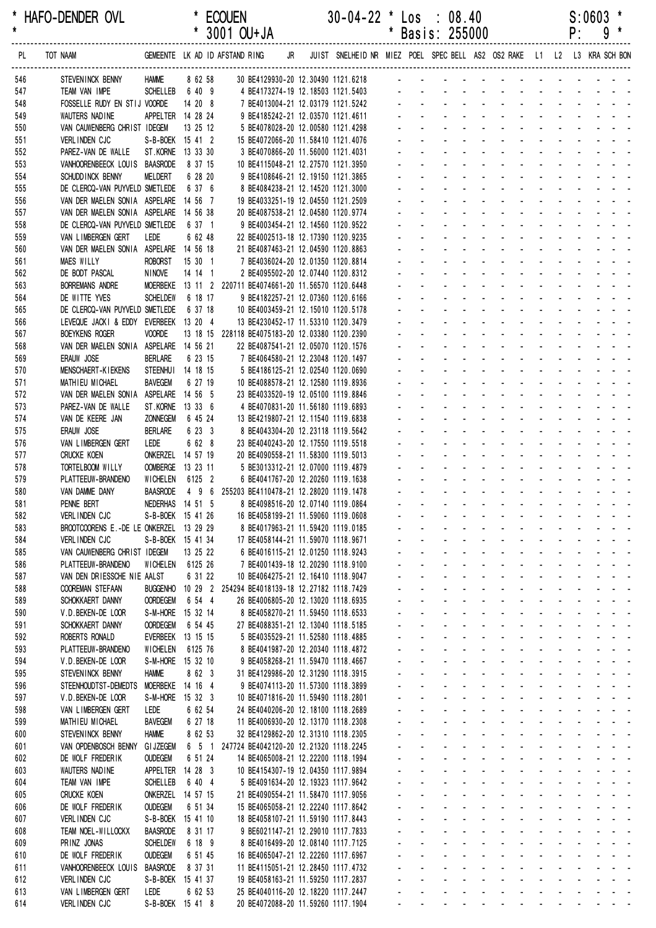| *<br>$\star$ | HAFO-DENDER OVL                                              |                                    |          |                     | <b>ECOUEN</b><br>3001 OU+JA                     |    | $30-04-22$ * Los : 08.40                                                                                 | *              |                             | Basis: 255000                                                   |                                                                 |                                                                                                                                    |                                                   |                                               |                                  | P:           | S:0603<br>9 |                                                             |
|--------------|--------------------------------------------------------------|------------------------------------|----------|---------------------|-------------------------------------------------|----|----------------------------------------------------------------------------------------------------------|----------------|-----------------------------|-----------------------------------------------------------------|-----------------------------------------------------------------|------------------------------------------------------------------------------------------------------------------------------------|---------------------------------------------------|-----------------------------------------------|----------------------------------|--------------|-------------|-------------------------------------------------------------|
| PL.          | TOT NAAM                                                     |                                    |          |                     | GEMEENTE LK AD ID AFSTAND RING                  | JR | JUIST SNELHEID NR MIEZ POEL SPEC BELL AS2 OS2 RAKE L1 L2 L3 KRA SCH BON<br>----------------------------- |                |                             |                                                                 |                                                                 |                                                                                                                                    |                                                   |                                               |                                  |              |             |                                                             |
| 546          | STEVENINCK BENNY                                             | <b>HAMME</b>                       |          | 8 62 58             |                                                 |    | 30 BE4129930-20 12.30490 1121.6218                                                                       |                |                             |                                                                 |                                                                 |                                                                                                                                    |                                                   |                                               |                                  |              |             |                                                             |
| 547          | TEAM VAN IMPE                                                | <b>SCHELLEB</b>                    |          | 6 40 9              |                                                 |    | 4 BE4173274-19 12.18503 1121.5403                                                                        |                |                             |                                                                 |                                                                 |                                                                                                                                    |                                                   |                                               |                                  |              |             |                                                             |
| 548          | FOSSELLE RUDY EN STIJ VOORDE                                 |                                    |          | 14 20 8             |                                                 |    | 7 BE4013004-21 12.03179 1121.5242                                                                        |                |                             |                                                                 |                                                                 |                                                                                                                                    |                                                   |                                               |                                  |              |             |                                                             |
| 549          | WAUTERS NADINE                                               | APPELTER 14 28 24                  |          |                     |                                                 |    | 9 BE4185242-21 12.03570 1121.4611                                                                        |                |                             |                                                                 |                                                                 |                                                                                                                                    |                                                   |                                               |                                  |              |             |                                                             |
| 550          | VAN CAUWENBERG CHRIST IDEGEM                                 |                                    |          | 13 25 12            |                                                 |    | 5 BE4078028-20 12.00580 1121.4298<br>15 BE4072066-20 11.58410 1121.4076                                  |                |                             |                                                                 |                                                                 |                                                                                                                                    |                                                   |                                               |                                  |              |             |                                                             |
| 551<br>552   | <b>VERLINDEN CJC</b><br>PAREZ-VAN DE WALLE                   | S-B-BOEK 15 41 2<br>ST.KORNE       |          | 13 33 30            |                                                 |    | 3 BE4070866-20 11.56000 1121.4031                                                                        |                |                             |                                                                 |                                                                 |                                                                                                                                    |                                                   |                                               |                                  |              |             |                                                             |
| 553          | VANHOORENBEECK LOUIS BAASRODE                                |                                    |          | 8 37 15             |                                                 |    | 10 BE4115048-21 12.27570 1121.3950                                                                       |                |                             |                                                                 |                                                                 |                                                                                                                                    |                                                   |                                               |                                  |              |             |                                                             |
| 554          | SCHUDD INCK BENNY                                            | MELDERT                            |          | 6 28 20             |                                                 |    | 9 BE4108646-21 12.19150 1121.3865                                                                        |                |                             |                                                                 |                                                                 |                                                                                                                                    |                                                   |                                               |                                  |              |             |                                                             |
| 555          | DE CLERCQ-VAN PUYVELD SMETLEDE                               |                                    |          | 6 37 6              |                                                 |    | 8 BE4084238-21 12.14520 1121.3000                                                                        |                |                             |                                                                 |                                                                 |                                                                                                                                    |                                                   |                                               |                                  |              |             |                                                             |
| 556          | VAN DER MAELEN SONIA ASPELARE                                |                                    |          | 14 56 7             |                                                 |    | 19 BE4033251-19 12.04550 1121.2509                                                                       |                |                             |                                                                 |                                                                 |                                                                                                                                    |                                                   |                                               |                                  |              |             |                                                             |
| 557          | VAN DER MAELEN SONIA ASPELARE                                |                                    | 14 56 38 |                     |                                                 |    | 20 BE4087538-21 12.04580 1120.9774                                                                       |                |                             |                                                                 |                                                                 |                                                                                                                                    |                                                   |                                               |                                  |              |             |                                                             |
| 558          | DE CLERCQ-VAN PUYVELD SMETLEDE                               |                                    |          | 6 37 1              |                                                 |    | 9 BE4003454-21 12.14560 1120.9522                                                                        |                |                             |                                                                 |                                                                 |                                                                                                                                    |                                                   |                                               |                                  |              |             |                                                             |
| 559          | VAN LIMBERGEN GERT<br>VAN DER MAELEN SONIA ASPELARE 14 56 18 | LEDE                               |          | 6 62 48             |                                                 |    | 22 BE4002513-18 12.17390 1120.9235<br>21 BE4087463-21 12.04590 1120.8863                                 |                |                             |                                                                 |                                                                 |                                                                                                                                    |                                                   |                                               |                                  |              |             |                                                             |
| 560<br>561   | <b>MAES WILLY</b>                                            | <b>ROBORST</b>                     |          | 15 30 1             |                                                 |    | 7 BE4036024-20 12.01350 1120.8814                                                                        |                |                             |                                                                 |                                                                 |                                                                                                                                    |                                                   |                                               |                                  |              |             |                                                             |
| 562          | DE BODT PASCAL                                               | <b>NINOVE</b>                      |          | 14 14 1             |                                                 |    | 2 BE4095502-20 12.07440 1120.8312                                                                        |                |                             |                                                                 |                                                                 |                                                                                                                                    |                                                   |                                               |                                  |              |             |                                                             |
| 563          | <b>BORREMANS ANDRE</b>                                       | MOERBEKE                           |          |                     | 13 11 2 220711 BE4074661-20 11.56570 1120.6448  |    |                                                                                                          |                |                             |                                                                 |                                                                 |                                                                                                                                    |                                                   |                                               |                                  |              |             |                                                             |
| 564          | DE WITTE YVES                                                | <b>SCHELDEW</b>                    |          | 6 18 17             |                                                 |    | 9 BE4182257-21 12.07360 1120.6166                                                                        |                |                             |                                                                 |                                                                 |                                                                                                                                    |                                                   |                                               |                                  |              |             |                                                             |
| 565          | DE CLERCQ-VAN PUYVELD SMETLEDE                               |                                    |          | 6 37 18             |                                                 |    | 10 BE4003459-21 12.15010 1120.5178                                                                       |                |                             |                                                                 |                                                                 |                                                                                                                                    |                                                   |                                               |                                  |              |             |                                                             |
| 566          | LEVEQUE JACKI & EDDY EVERBEEK 13 20 4                        |                                    |          |                     |                                                 |    | 13 BE4230452-17 11.53310 1120.3479                                                                       |                |                             |                                                                 |                                                                 |                                                                                                                                    |                                                   |                                               |                                  |              |             |                                                             |
| 567          | <b>BOEYKENS ROGER</b>                                        | <b>VOORDE</b>                      |          |                     | 13 18 15 228118 BE4075183-20 12.03380 1120.2390 |    |                                                                                                          |                |                             |                                                                 |                                                                 |                                                                                                                                    |                                                   |                                               |                                  |              |             |                                                             |
| 568          | VAN DER MAELEN SONIA ASPELARE<br>ERAUW JOSE                  | <b>BERLARE</b>                     | 14 56 21 | 6 23 15             |                                                 |    | 22 BE4087541-21 12.05070 1120.1576<br>7 BE4064580-21 12.23048 1120.1497                                  |                |                             |                                                                 |                                                                 |                                                                                                                                    |                                                   |                                               |                                  |              |             |                                                             |
| 569<br>570   | <b>MENSCHAERT-KIEKENS</b>                                    | STEENHUI 14 18 15                  |          |                     |                                                 |    | 5 BE4186125-21 12.02540 1120.0690                                                                        |                |                             |                                                                 |                                                                 |                                                                                                                                    |                                                   |                                               |                                  |              |             |                                                             |
| 571          | MATHIEU MICHAEL                                              | <b>BAVEGEM</b>                     |          | 6 27 19             |                                                 |    | 10 BE4088578-21 12.12580 1119.8936                                                                       |                |                             |                                                                 |                                                                 |                                                                                                                                    |                                                   |                                               |                                  |              |             |                                                             |
| 572          | VAN DER MAELEN SONIA                                         | ASPELARE 14 56 5                   |          |                     |                                                 |    | 23 BE4033520-19 12.05100 1119.8846                                                                       |                |                             |                                                                 |                                                                 |                                                                                                                                    |                                                   |                                               |                                  |              |             |                                                             |
| 573          | PAREZ-VAN DE WALLE                                           | ST.KORNE                           | 13 33 6  |                     |                                                 |    | 4 BE4070831-20 11.56180 1119.6893                                                                        |                |                             |                                                                 |                                                                 |                                                                                                                                    |                                                   |                                               |                                  |              |             |                                                             |
| 574          | VAN DE KEERE JAN                                             | <b>ZONNEGEM</b>                    |          | 6 45 24             |                                                 |    | 13 BE4219807-21 12.11540 1119.6838                                                                       |                |                             |                                                                 |                                                                 |                                                                                                                                    |                                                   |                                               |                                  |              |             |                                                             |
| 575          | ERAUW JOSE                                                   | <b>BERLARE</b>                     |          | 6 23 3              |                                                 |    | 8 BE4043304-20 12.23118 1119.5642                                                                        |                |                             |                                                                 |                                                                 |                                                                                                                                    |                                                   |                                               |                                  |              |             |                                                             |
| 576          | VAN LIMBERGEN GERT<br><b>CRUCKE KOEN</b>                     | LEDE<br>ONKERZEL                   | 14 57 19 | 6 62 8              |                                                 |    | 23 BE4040243-20 12.17550 1119.5518<br>20 BE4090558-21 11.58300 1119.5013                                 |                |                             |                                                                 |                                                                 |                                                                                                                                    |                                                   |                                               |                                  |              |             |                                                             |
| 577<br>578   | TORTELBOOM WILLY                                             | <b>OOMBERGE</b>                    | 13 23 11 |                     |                                                 |    | 5 BE3013312-21 12.07000 1119.4879                                                                        |                |                             |                                                                 |                                                                 |                                                                                                                                    |                                                   |                                               |                                  |              |             |                                                             |
| 579          | PLATTEEUW-BRANDENO                                           | <b>WICHELEN</b>                    |          | 6125 2              |                                                 |    | 6 BE4041767-20 12.20260 1119.1638                                                                        |                |                             |                                                                 |                                                                 |                                                                                                                                    |                                                   |                                               |                                  |              |             |                                                             |
| 580          | VAN DAMME DANY                                               | <b>BAASRODE</b>                    |          | 4 9 6               | 255203 BE4110478-21 12.28020 1119.1478          |    |                                                                                                          |                |                             |                                                                 |                                                                 |                                                                                                                                    |                                                   |                                               |                                  |              |             |                                                             |
| 581          | PENNE BERT                                                   | NEDERHAS 14 51 5                   |          |                     |                                                 |    | 8 BE4098516-20 12.07140 1119.0864                                                                        |                | $\blacksquare$              | $\sim 100$                                                      |                                                                 | and a straight                                                                                                                     |                                                   | $\omega_{\rm{max}}=0.1$                       |                                  |              |             | $\mathbf{z} = \mathbf{z} + \mathbf{z}$                      |
| 582          | VERLINDEN CJC                                                | S-B-BOEK 15 41 26                  |          |                     |                                                 |    | 16 BE4058199-21 11.59060 1119.0608                                                                       |                |                             |                                                                 |                                                                 | and a strategic                                                                                                                    | $\sim 100$                                        |                                               |                                  |              |             | and a state of                                              |
| 583          | BROOTCOORENS E.-DE LE ONKERZEL 13 29 29                      |                                    |          |                     |                                                 |    | 8 BE4017963-21 11.59420 1119.0185                                                                        |                |                             |                                                                 | and a straight and                                              |                                                                                                                                    | $\Delta \sim 10^4$                                |                                               |                                  |              |             |                                                             |
| 584          | <b>VERLINDEN CJC</b>                                         | S-B-BOEK 15 41 34                  |          |                     |                                                 |    | 17 BE4058144-21 11.59070 1118.9671                                                                       |                |                             | $\mathbf{L}^{\text{max}}$                                       |                                                                 | and a straight<br>and a straight                                                                                                   |                                                   | $\sim 100$                                    | ä,                               | $\mathbf{r}$ |             | $\mathbf{u} = \mathbf{u} + \mathbf{u}$ . Then               |
| 585<br>586   | VAN CAUWENBERG CHRIST IDEGEM<br>PLATTEEUW-BRANDENO           | <b>WICHELEN</b>                    |          | 13 25 22<br>6125 26 |                                                 |    | 6 BE4016115-21 12.01250 1118.9243<br>7 BE4001439-18 12.20290 1118.9100                                   |                | ÷.                          | $\Delta \sim 10^4$                                              |                                                                 | and a straight                                                                                                                     | $\mathbf{u}$<br>$\Delta \sim 100$                 | $\sim$                                        | L.                               |              |             |                                                             |
| 587          | VAN DEN DRIESSCHE NIE AALST                                  |                                    |          | 6 31 22             |                                                 |    | 10 BE4064275-21 12.16410 1118.9047                                                                       | $\sim$         |                             | $\mathbf{L}^{\text{max}}$<br>$\omega_{\rm{max}}$                |                                                                 | and the company                                                                                                                    | $\Delta \sim 10^4$                                | $\sim$                                        | $\mathcal{L}^{\text{max}}$       |              |             | $\sim 100$ km s $^{-1}$                                     |
| 588          | <b>COOREMAN STEFAAN</b>                                      | <b>BUGGENHO</b>                    |          |                     | 10 29 2 254294 BE4018139-18 12.27182 1118.7429  |    |                                                                                                          |                | $\blacksquare$              | $\omega_{\rm{max}}$                                             |                                                                 | and a straight                                                                                                                     | $\Delta \sim 100$                                 | $\sim$                                        |                                  |              |             | $\mathcal{L}^{\text{max}}$ , and $\mathcal{L}^{\text{max}}$ |
| 589          | SCHOKKAERT DANNY                                             | <b>OORDEGEM</b>                    |          | 6 54 4              |                                                 |    | 26 BE4006805-20 12.13020 1118.6935                                                                       |                |                             |                                                                 |                                                                 | and a straight                                                                                                                     | $\Delta \sim 100$                                 |                                               |                                  |              |             |                                                             |
| 590          | V.D. BEKEN-DE LOOR                                           | S-M-HORE 15 32 14                  |          |                     |                                                 |    | 8 BE4058270-21 11.59450 1118.6533                                                                        |                |                             | $\Delta \sim 100$                                               | and a state                                                     | $\Delta \sim 10^{-1}$                                                                                                              |                                                   | $\Delta \phi = 0.01$                          | $\omega_{\rm{max}}$              |              |             | and a state of                                              |
| 591          | SCHOKKAERT DANNY                                             | <b>OORDEGEM</b>                    |          | 6 54 45             |                                                 |    | 27 BE4088351-21 12.13040 1118.5185                                                                       |                | $\Delta$                    | $\Delta \sim 100$                                               | $\omega_{\rm{eff}}=0.01$ and $\omega_{\rm{eff}}=0.01$           | $\mathbf{r}$                                                                                                                       | ÷.                                                | <b>Contractor</b>                             |                                  |              |             | and a strain and a                                          |
| 592          | ROBERTS RONALD                                               | EVERBEEK 13 15 15                  |          |                     |                                                 |    | 5 BE4035529-21 11.52580 1118.4885                                                                        |                | $\mathbb{Z}^2$              | $\Delta \sim 100$                                               | $\omega_{\rm{max}}$ and $\omega_{\rm{max}}$                     | $\Delta \sim 10^4$                                                                                                                 |                                                   | and a strip                                   |                                  |              |             | and a strain and a                                          |
| 593          | PLATTEEUW-BRANDENO<br>V.D. BEKEN-DE LOOR                     | WICHELEN<br>S-M-HORE               | 15 32 10 | 6125 76             |                                                 |    | 8 BE4041987-20 12.20340 1118.4872<br>9 BE4058268-21 11.59470 1118.4667                                   | $\mathbf{r}$   | ÷.<br>$\blacksquare$        | $\Delta \sim 100$<br>$\sim 100$                                 | and a state<br><b>All States</b>                                | $\Delta \sim 10^{-1}$<br>$\Delta \sim 100$                                                                                         | $\omega_{\rm{max}}$<br>$\sim$                     | $\sim 100$<br>$\sim$                          |                                  |              |             | المنابي المنابين والمنابذ<br>and a straight and             |
| 594<br>595   | STEVENINCK BENNY                                             | <b>HAMME</b>                       |          | 8 62 3              |                                                 |    | 31 BE4129986-20 12.31290 1118.3915                                                                       |                |                             |                                                                 |                                                                 | and a state                                                                                                                        | $\mathbf{r}$                                      |                                               |                                  |              |             | and the state of the                                        |
| 596          | STEENHOUDTST-DEMEDTS                                         | MOERBEKE 14 16 4                   |          |                     |                                                 |    | 9 BE4074113-20 11.57300 1118.3899                                                                        |                |                             |                                                                 |                                                                 | and the control                                                                                                                    |                                                   | $\sim$                                        |                                  |              |             |                                                             |
| 597          | V.D. BEKEN-DE LOOR                                           | S-M-HORE 15 32 3                   |          |                     |                                                 |    | 10 BE4071816-20 11.59490 1118.2801                                                                       | $\mathbf{r}$   | $\mathcal{L}^{\mathcal{A}}$ | $\Delta \sim 100$                                               |                                                                 | and a straight                                                                                                                     | $\sim$                                            | <b>Contractor</b>                             | ÷.                               |              |             | and the state of the state of                               |
| 598          | VAN LIMBERGEN GERT                                           | LEDE                               |          | 6 62 54             |                                                 |    | 24 BE4040206-20 12.18100 1118.2689                                                                       |                | ÷.                          | $\Delta \sim 10^{-1}$                                           |                                                                 | and a straight                                                                                                                     |                                                   | $\Delta \phi = \Delta \phi$ and $\Delta \phi$ | ä,                               |              |             |                                                             |
| 599          | MATHIEU MICHAEL                                              | <b>BAVEGEM</b>                     |          | 6 27 18             |                                                 |    | 11 BE4006930-20 12.13170 1118.2308                                                                       | $\sim$         |                             | $\mathbf{L}^{\text{max}}$<br>$\Delta \sim 100$                  |                                                                 | and a straight and                                                                                                                 |                                                   | $\sim$                                        |                                  |              |             | $\mathbf{a} = \mathbf{a} + \mathbf{a}$ . Then               |
| 600          | STEVENINCK BENNY                                             | <b>HAMME</b>                       |          | 8 62 53             |                                                 |    | 32 BE4129862-20 12.31310 1118.2305                                                                       |                | $\mathbf{r}$                |                                                                 | and a straightful and state                                     |                                                                                                                                    |                                                   |                                               |                                  |              |             | المناسبة والمتعارض                                          |
| 601          | VAN OPDENBOSCH BENNY                                         | <b>GI JZEGEM</b>                   |          |                     | 6 5 1 247724 BE4042120-20 12.21320 1118.2245    |    |                                                                                                          |                |                             |                                                                 | and a straight and                                              |                                                                                                                                    | $\Delta \sim 10^4$                                |                                               |                                  |              |             |                                                             |
| 602<br>603   | DE WOLF FREDERIK<br>WAUTERS NADINE                           | <b>OUDEGEM</b><br>APPELTER 14 28 3 |          | 6 51 24             |                                                 |    | 14 BE4065008-21 12.22200 1118.1994<br>10 BE4154307-19 12.04350 1117.9894                                 |                | $\mathbf{r}$                | $\Delta \sim 100$<br>$\Delta \sim 100$                          | <b>All Cards</b>                                                | $\Delta \sim 100$<br>and a state of the state of the state of the state of the state of the state of the state of the state of the |                                                   |                                               |                                  |              |             | المنابي المنابين والمنابذ                                   |
| 604          | TEAM VAN IMPE                                                | <b>SCHELLEB</b>                    |          | 6 40 4              |                                                 |    | 5 BE4091634-20 12.19323 1117.9642                                                                        |                | ÷.                          | $\Delta \sim 10^4$                                              | $\omega_{\rm{eff}}=0.01$ and $\omega_{\rm{eff}}=0.01$           | $\Delta \sim 10^4$                                                                                                                 |                                                   | and a state                                   |                                  |              |             | and a strain and a                                          |
| 605          | <b>CRUCKE KOEN</b>                                           | ONKERZEL 14 57 15                  |          |                     |                                                 |    | 21 BE4090554-21 11.58470 1117.9056                                                                       | $\blacksquare$ | $\blacksquare$              | $\omega_{\rm{max}}$                                             | $\omega_{\rm{max}}$ and $\omega_{\rm{max}}$                     | $\omega_{\rm{max}}$                                                                                                                | $\omega_{\rm{max}}$                               | $\Delta \sim 10^4$                            |                                  |              |             | المنابذ المنابذ والمنابذ                                    |
| 606          | DE WOLF FREDERIK                                             | <b>OUDEGEM</b>                     |          | 6 51 34             |                                                 |    | 15 BE4065058-21 12.22240 1117.8642                                                                       |                | $\blacksquare$              | $\Delta \sim 100$                                               | $\Delta \sim 100$                                               | $\sim 100$<br>$\Delta \sim 100$                                                                                                    | $\sim$                                            | $\sim$                                        |                                  |              |             | and a straight and                                          |
| 607          | VERLINDEN CJC                                                | S-B-BOEK 15 41 10                  |          |                     |                                                 |    | 18 BE4058107-21 11.59190 1117.8443                                                                       |                |                             |                                                                 | $\mathcal{L}^{\pm}$<br>$\sim 100$                               | $\mathcal{L}$                                                                                                                      | $\blacksquare$                                    |                                               |                                  |              |             | and a strain and                                            |
| 608          | TEAM NOEL-WILLOCKX                                           | <b>BAASRODE</b>                    |          | 8 31 17             |                                                 |    | 9 BE6021147-21 12.29010 1117.7833                                                                        |                |                             |                                                                 | $\sim$<br>$\omega_{\rm{max}}$                                   | $\mathbf{r}$                                                                                                                       | ÷.                                                | $\sim$                                        |                                  |              |             |                                                             |
| 609          | PRINZ JONAS                                                  | <b>SCHELDEW</b>                    |          | 6 18 9              |                                                 |    | 8 BE4016499-20 12.08140 1117.7125                                                                        |                | $\omega$                    | $\Delta \sim 100$                                               | $\Delta \phi = 0.01$ and                                        | $\mathbf{r}$                                                                                                                       | $\mathcal{L}^{\mathcal{A}}$                       | $\sim$                                        | ÷.                               | ÷.           |             | $\omega_{\rm{max}}$ and $\omega_{\rm{max}}$                 |
| 610          | DE WOLF FREDERIK<br>VANHOORENBEECK LOUIS                     | <b>OUDEGEM</b><br><b>BAASRODE</b>  |          | 6 51 45             |                                                 |    | 16 BE4065047-21 12.22260 1117.6967<br>11 BE4115051-21 12.28450 1117.4732                                 | $\mathbf{r}$   | $\mathbb{Z}^2$              | $\omega_{\rm{max}}$<br>$\omega_{\rm{max}}$<br>$\Delta \sim 100$ | $\omega_{\rm{max}}$ , $\omega_{\rm{max}}$<br><b>All Service</b> | $\Delta \sim 10^4$<br>$\Delta \sim 10^{-1}$                                                                                        | $\mathcal{L}^{\mathcal{L}}$<br>$\Delta \sim 10^4$ | $\sim$<br>$\sim$                              | L.<br>$\mathcal{L}^{\text{max}}$ |              |             |                                                             |
| 611<br>612   | VERLINDEN CJC                                                | S-B-BOEK 15 41 37                  |          | 8 37 31             |                                                 |    | 19 BE4058163-21 11.59250 1117.2837                                                                       |                |                             | $\mathbf{L}^{\text{max}}$                                       | and a series of the contract of the contract of                 |                                                                                                                                    |                                                   |                                               |                                  |              |             |                                                             |
| 613          | VAN LIMBERGEN GERT                                           | LEDE                               |          | 6 62 53             |                                                 |    | 25 BE4040116-20 12.18220 1117.2447                                                                       |                |                             |                                                                 |                                                                 |                                                                                                                                    |                                                   |                                               |                                  |              |             |                                                             |
| 614          | VERLINDEN CJC                                                | S-B-BOEK 15 41 8                   |          |                     |                                                 |    | 20 BE4072088-20 11.59260 1117.1904                                                                       |                |                             | and a strain and a strain and a strain                          |                                                                 |                                                                                                                                    |                                                   |                                               |                                  |              |             |                                                             |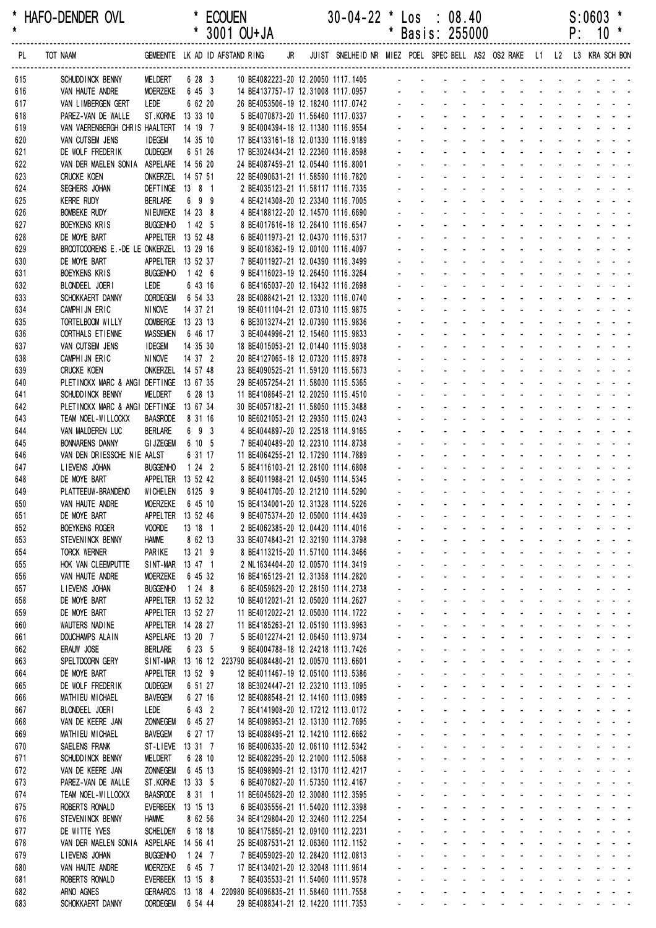| *          | HAFO-DENDER OVL                              |                                      |                     | <b>ECOUEN</b> |                                                                          |    | $30-04-22$ * Los : 08.40                                                |              |                                             |                                                        |                                                                   |               |                                                  |                      |                                                            |                                  | $S:0603$ *                                                                                                                                                                                                                    |                                                                                              |
|------------|----------------------------------------------|--------------------------------------|---------------------|---------------|--------------------------------------------------------------------------|----|-------------------------------------------------------------------------|--------------|---------------------------------------------|--------------------------------------------------------|-------------------------------------------------------------------|---------------|--------------------------------------------------|----------------------|------------------------------------------------------------|----------------------------------|-------------------------------------------------------------------------------------------------------------------------------------------------------------------------------------------------------------------------------|----------------------------------------------------------------------------------------------|
| $\star$    |                                              |                                      |                     |               | * 3001 OU+JA                                                             |    |                                                                         | *            |                                             | Basis: 255000                                          |                                                                   |               |                                                  |                      |                                                            | P:                               | $10*$                                                                                                                                                                                                                         |                                                                                              |
| PL         | TOT NAAM                                     |                                      |                     |               | GEMEENTE LK AD ID AFSTAND RING                                           | JR | JUIST SNELHEID NR MIEZ POEL SPEC BELL AS2 OS2 RAKE L1 L2 L3 KRA SCH BON |              |                                             |                                                        |                                                                   |               |                                                  |                      |                                                            |                                  |                                                                                                                                                                                                                               |                                                                                              |
| 615        | SCHUDD INCK BENNY                            | MELDERT                              | 6 28 3              |               | 10 BE4082223-20 12.20050 1117.1405                                       |    |                                                                         |              |                                             |                                                        |                                                                   |               |                                                  |                      |                                                            |                                  |                                                                                                                                                                                                                               |                                                                                              |
| 616        | VAN HAUTE ANDRE                              | <b>MOERZEKE</b>                      | 6 45 3              |               | 14 BE4137757-17 12.31008 1117.0957                                       |    |                                                                         |              |                                             |                                                        |                                                                   |               |                                                  |                      |                                                            |                                  |                                                                                                                                                                                                                               |                                                                                              |
| 617<br>618 | VAN LIMBERGEN GERT<br>PAREZ-VAN DE WALLE     | LEDE<br>ST.KORNE 13 33 10            | 6 62 20             |               | 26 BE4053506-19 12.18240 1117.0742<br>5 BE4070873-20 11.56460 1117.0337  |    |                                                                         |              |                                             |                                                        |                                                                   |               |                                                  |                      |                                                            |                                  |                                                                                                                                                                                                                               |                                                                                              |
| 619        | VAN VAERENBERGH CHRIS HAALTERT               |                                      | 14 19 7             |               | 9 BE4004394-18 12.11380 1116.9554                                        |    |                                                                         |              |                                             |                                                        |                                                                   |               |                                                  |                      |                                                            |                                  |                                                                                                                                                                                                                               |                                                                                              |
| 620        | VAN CUTSEM JENS                              | <b>IDEGEM</b>                        | 14 35 10            |               | 17 BE4133161-18 12.01330 1116.9189                                       |    |                                                                         |              |                                             |                                                        |                                                                   |               |                                                  |                      |                                                            |                                  |                                                                                                                                                                                                                               |                                                                                              |
| 621        | DE WOLF FREDERIK                             | <b>OUDEGEM</b>                       | 6 51 26             |               | 17 BE3024434-21 12.22360 1116.8598                                       |    |                                                                         |              |                                             |                                                        |                                                                   |               |                                                  |                      |                                                            |                                  |                                                                                                                                                                                                                               |                                                                                              |
| 622        | VAN DER MAELEN SONIA ASPELARE 14 56 20       |                                      |                     |               | 24 BE4087459-21 12.05440 1116.8001                                       |    |                                                                         |              |                                             |                                                        |                                                                   |               |                                                  |                      |                                                            |                                  |                                                                                                                                                                                                                               |                                                                                              |
| 623        | <b>CRUCKE KOEN</b>                           | ONKERZEL 14 57 51                    |                     |               | 22 BE4090631-21 11.58590 1116.7820                                       |    |                                                                         |              |                                             |                                                        |                                                                   |               |                                                  |                      |                                                            |                                  |                                                                                                                                                                                                                               |                                                                                              |
| 624        | SEGHERS JOHAN                                | DEFTINGE 13 8 1                      |                     |               | 2 BE4035123-21 11.58117 1116.7335                                        |    |                                                                         |              |                                             |                                                        |                                                                   |               |                                                  |                      |                                                            |                                  |                                                                                                                                                                                                                               |                                                                                              |
| 625        | <b>KERRE RUDY</b>                            | <b>BERLARE</b>                       | 699                 |               | 4 BE4214308-20 12.23340 1116.7005                                        |    |                                                                         |              |                                             |                                                        |                                                                   |               |                                                  |                      |                                                            |                                  |                                                                                                                                                                                                                               |                                                                                              |
| 626<br>627 | <b>BOMBEKE RUDY</b><br>BOEYKENS KRIS         | NIEUWEKE 14 23 8<br><b>BUGGENHO</b>  | 1 42 5              |               | 4 BE4188122-20 12.14570 1116.6690<br>8 BE4017616-18 12.26410 1116.6547   |    |                                                                         |              |                                             |                                                        |                                                                   |               |                                                  |                      |                                                            |                                  |                                                                                                                                                                                                                               |                                                                                              |
| 628        | DE MOYE BART                                 | APPELTER 13 52 48                    |                     |               | 6 BE4011973-21 12.04370 1116.5317                                        |    |                                                                         |              |                                             |                                                        |                                                                   |               |                                                  |                      |                                                            |                                  |                                                                                                                                                                                                                               |                                                                                              |
| 629        | BROOTCOORENS E.-DE LE ONKERZEL 13 29 16      |                                      |                     |               | 9 BE4018362-19 12.00100 1116.4097                                        |    |                                                                         |              |                                             |                                                        |                                                                   |               |                                                  |                      |                                                            |                                  |                                                                                                                                                                                                                               |                                                                                              |
| 630        | DE MOYE BART                                 | APPELTER 13 52 37                    |                     |               | 7 BE4011927-21 12.04390 1116.3499                                        |    |                                                                         |              |                                             |                                                        |                                                                   |               |                                                  |                      |                                                            |                                  |                                                                                                                                                                                                                               |                                                                                              |
| 631        | <b>BOEYKENS KRIS</b>                         | <b>BUGGENHO</b>                      | 1426                |               | 9 BE4116023-19 12.26450 1116.3264                                        |    |                                                                         |              |                                             |                                                        |                                                                   |               |                                                  |                      |                                                            |                                  |                                                                                                                                                                                                                               |                                                                                              |
| 632        | BLONDEEL JOERI                               | LEDE                                 | 6 43 16             |               | 6 BE4165037-20 12.16432 1116.2698                                        |    |                                                                         |              |                                             |                                                        |                                                                   |               |                                                  |                      |                                                            |                                  |                                                                                                                                                                                                                               |                                                                                              |
| 633        | SCHOKKAERT DANNY                             | <b>OORDEGEM</b>                      | 6 54 33             |               | 28 BE4088421-21 12.13320 1116.0740                                       |    |                                                                         |              |                                             |                                                        |                                                                   |               |                                                  |                      |                                                            |                                  |                                                                                                                                                                                                                               |                                                                                              |
| 634        | CAMPHIJN ERIC                                | <b>NINOVE</b>                        | 14 37 21            |               | 19 BE4011104-21 12.07310 1115.9875                                       |    |                                                                         |              |                                             |                                                        |                                                                   |               |                                                  |                      |                                                            |                                  |                                                                                                                                                                                                                               |                                                                                              |
| 635        | TORTELBOOM WILLY                             | OOMBERGE 13 23 13                    |                     |               | 6 BE3013274-21 12.07390 1115.9836                                        |    |                                                                         |              |                                             |                                                        |                                                                   |               |                                                  |                      |                                                            |                                  |                                                                                                                                                                                                                               |                                                                                              |
| 636        | CORTHALS ET IENNE                            | <b>MASSEMEN</b><br><b>IDEGEM</b>     | 6 46 17<br>14 35 30 |               | 3 BE4044996-21 12.15460 1115.9833<br>18 BE4015053-21 12.01440 1115.9038  |    |                                                                         |              |                                             |                                                        |                                                                   |               |                                                  |                      |                                                            |                                  |                                                                                                                                                                                                                               |                                                                                              |
| 637<br>638 | VAN CUTSEM JENS<br>CAMPHIJN ERIC             | <b>NINOVE</b>                        | 14 37 2             |               | 20 BE4127065-18 12.07320 1115.8978                                       |    |                                                                         |              |                                             |                                                        |                                                                   |               |                                                  |                      |                                                            |                                  |                                                                                                                                                                                                                               |                                                                                              |
| 639        | <b>CRUCKE KOEN</b>                           | ONKERZEL 14 57 48                    |                     |               | 23 BE4090525-21 11.59120 1115.5673                                       |    |                                                                         |              |                                             |                                                        |                                                                   |               |                                                  |                      |                                                            |                                  |                                                                                                                                                                                                                               |                                                                                              |
| 640        | PLETINCKX MARC & ANGI DEFTINGE 13 67 35      |                                      |                     |               | 29 BE4057254-21 11.58030 1115.5365                                       |    |                                                                         |              |                                             |                                                        |                                                                   |               |                                                  |                      |                                                            |                                  |                                                                                                                                                                                                                               |                                                                                              |
| 641        | SCHUDD INCK BENNY                            | <b>MELDERT</b>                       | 6 28 13             |               | 11 BE4108645-21 12.20250 1115.4510                                       |    |                                                                         |              |                                             |                                                        |                                                                   |               |                                                  |                      |                                                            |                                  |                                                                                                                                                                                                                               |                                                                                              |
| 642        | PLETINCKX MARC & ANGI DEFTINGE 13 67 34      |                                      |                     |               | 30 BE4057182-21 11.58050 1115.3488                                       |    |                                                                         |              |                                             |                                                        |                                                                   |               |                                                  |                      |                                                            |                                  |                                                                                                                                                                                                                               |                                                                                              |
| 643        | TEAM NOEL-WILLOCKX                           | <b>BAASRODE</b>                      | 8 31 16             |               | 10 BE6021053-21 12.29350 1115.0243                                       |    |                                                                         |              |                                             |                                                        |                                                                   |               |                                                  |                      |                                                            |                                  |                                                                                                                                                                                                                               |                                                                                              |
| 644        | VAN MALDEREN LUC                             | <b>BERLARE</b>                       | 6 9 3               |               | 4 BE4044897-20 12.22518 1114.9165                                        |    |                                                                         |              |                                             |                                                        |                                                                   |               |                                                  |                      |                                                            |                                  |                                                                                                                                                                                                                               |                                                                                              |
| 645        | <b>BONNARENS DANNY</b>                       | <b>GI JZEGEM</b>                     | 6 10 5              |               | 7 BE4040489-20 12.22310 1114.8738                                        |    |                                                                         |              |                                             |                                                        |                                                                   |               |                                                  |                      |                                                            |                                  |                                                                                                                                                                                                                               |                                                                                              |
| 646<br>647 | VAN DEN DRIESSCHE NIE AALST<br>LIEVENS JOHAN | <b>BUGGENHO</b>                      | 6 31 17<br>1242     |               | 11 BE4064255-21 12.17290 1114.7889<br>5 BE4116103-21 12.28100 1114.6808  |    |                                                                         |              |                                             |                                                        |                                                                   |               |                                                  |                      |                                                            |                                  |                                                                                                                                                                                                                               |                                                                                              |
| 648        | DE MOYE BART                                 | APPELTER 13 52 42                    |                     |               | 8 BE4011988-21 12.04590 1114.5345                                        |    |                                                                         |              |                                             |                                                        |                                                                   |               |                                                  |                      |                                                            |                                  |                                                                                                                                                                                                                               |                                                                                              |
| 649        | PLATTEEUW-BRANDENO                           | WICHELEN 6125 9                      |                     |               | 9 BE4041705-20 12.21210 1114.5290                                        |    |                                                                         |              |                                             |                                                        |                                                                   |               |                                                  |                      |                                                            |                                  |                                                                                                                                                                                                                               |                                                                                              |
| 650        | VAN HAUTE ANDRE                              | MOERZEKE 6 45 10                     |                     |               | 15 BE4134001-20 12.31328 1114.5226                                       |    |                                                                         |              |                                             |                                                        | and the company of the company                                    |               |                                                  |                      | the company of the company                                 |                                  |                                                                                                                                                                                                                               | $\sim$ 100 $\sim$ 100 $\sim$                                                                 |
| 651        | DE MOYE BART                                 | APPELTER 13 52 46                    |                     |               | 9 BE4075374-20 12.05000 1114.4439                                        |    |                                                                         |              |                                             | $\blacksquare$                                         |                                                                   |               |                                                  |                      |                                                            |                                  | a construction of the construction of the construction of the construction of the construction of the construction of the construction of the construction of the construction of the construction of the construction of the |                                                                                              |
| 652        | <b>BOEYKENS ROGER</b>                        | <b>VOORDE</b>                        | 13 18 1             |               | 2 BE4062385-20 12.04420 1114.4016                                        |    |                                                                         |              | ÷.                                          |                                                        | and a straight and a straight                                     |               |                                                  |                      |                                                            |                                  | and a straight and                                                                                                                                                                                                            |                                                                                              |
| 653        | STEVENINCK BENNY                             | <b>HAMME</b>                         | 8 62 13             |               | 33 BE4074843-21 12.32190 1114.3798                                       |    |                                                                         |              |                                             | $\mathcal{L}^{\text{max}}$<br>$\omega_{\rm{max}}$      | and a straight and a straight                                     |               |                                                  |                      |                                                            | and a state                      |                                                                                                                                                                                                                               | $\omega_{\rm{eff}}=0.01$ and $\omega_{\rm{eff}}=0.01$                                        |
| 654        | <b>TORCK WERNER</b>                          | PARIKE                               | 13 21 9             |               | 8 BE4113215-20 11.57100 1114.3466                                        |    |                                                                         |              | $\mathbf{r}$                                | $\mathbf{z} = \mathbf{z}$                              | <b>All Cards</b>                                                  |               | <b>All Cards</b>                                 | $\sim$               |                                                            | <b>Contract Contract</b>         |                                                                                                                                                                                                                               | $\mathbf{z} = \mathbf{z} + \mathbf{z}$                                                       |
| 655<br>656 | HOK VAN CLEEMPUTTE<br>VAN HAUTE ANDRE        | SINT-MAR 13 47 1<br><b>MOERZEKE</b>  | 6 45 32             |               | 2 NL1634404-20 12.00570 1114.3419<br>16 BE4165129-21 12.31358 1114.2820  |    |                                                                         |              | $\mathbf{r}$                                | $\omega_{\rm{max}}$                                    | المتواصل والمستنقذ والمستنقذ والمستنقذ<br>$\Delta \phi = 0.000$ . |               | $\omega_{\rm{max}}$                              | <b>All States</b>    |                                                            |                                  | and a state of the<br>and the state of                                                                                                                                                                                        | $\omega_{\rm{max}}$                                                                          |
| 657        | LIEVENS JOHAN                                | <b>BUGGENHO</b>                      | 1248                |               | 6 BE4059629-20 12.28150 1114.2738                                        |    |                                                                         |              | $\mathbf{r}$                                | $\Delta \sim 100$                                      | and a state                                                       | $\mathcal{L}$ |                                                  |                      |                                                            |                                  | and the second control of the second                                                                                                                                                                                          |                                                                                              |
| 658        | DE MOYE BART                                 | APPELTER 13 52 32                    |                     |               | 10 BE4012021-21 12.05020 1114.2627                                       |    |                                                                         |              | ÷.                                          | $\Delta \sim 10^{-1}$                                  |                                                                   |               |                                                  |                      |                                                            |                                  | and a state of the state of the state of                                                                                                                                                                                      |                                                                                              |
| 659        | DE MOYE BART                                 | APPELTER 13 52 27                    |                     |               | 11 BE4012022-21 12.05030 1114.1722                                       |    |                                                                         | $\mathbf{r}$ | $\mathcal{L}^{\pm}$                         | $\omega_{\rm{max}}$                                    | $\omega_{\rm{max}}$ , $\omega_{\rm{max}}$                         |               | $\Delta \sim 100$<br>$\Delta \sim 100$           | $\Delta \sim 100$    |                                                            |                                  | and a strain and a                                                                                                                                                                                                            |                                                                                              |
| 660        | WAUTERS NADINE                               | APPELTER 14 28 27                    |                     |               | 11 BE4185263-21 12.05190 1113.9963                                       |    |                                                                         |              | $\mathbf{r}$                                | $\mathbf{z} = \mathbf{z}$                              | <b>All Cards</b>                                                  |               | All Card Co                                      | $\Delta \sim 100$    |                                                            |                                  | and a straight and                                                                                                                                                                                                            |                                                                                              |
| 661        | <b>DOUCHAMPS ALAIN</b>                       | ASPELARE 13 20 7                     |                     |               | 5 BE4012274-21 12.06450 1113.9734                                        |    |                                                                         |              |                                             |                                                        | المنابذ والمستنبذ والمستنبذ                                       |               |                                                  | $\Delta \sim 100$    |                                                            |                                  | and a straight and                                                                                                                                                                                                            |                                                                                              |
| 662        | ERAUW JOSE                                   | <b>BERLARE</b>                       | 6 23 5              |               | 9 BE4004788-18 12.24218 1113.7426                                        |    |                                                                         |              | ÷.                                          | $\omega_{\rm{max}}$                                    | and the company's                                                 |               |                                                  | $\Delta \phi = 0.01$ |                                                            |                                  | and a straight and                                                                                                                                                                                                            |                                                                                              |
| 663        | SPELTDOORN GERY                              |                                      |                     |               | SINT-MAR 13 16 12 223790 BE4084480-21 12.00570 1113.6601                 |    |                                                                         |              | $\mathbf{r}$<br>$\mathcal{L}^{\mathcal{A}}$ | $\Delta \sim 100$<br>$\Delta \sim 10^{-1}$             | and a state<br>and a straight and a straight                      |               | and a straight                                   |                      | $\sim$                                                     | and a state<br><b>Contractor</b> |                                                                                                                                                                                                                               | $\omega_{\rm{max}}$ , and $\omega_{\rm{max}}$<br>$\omega_{\rm{max}}$ and $\omega_{\rm{max}}$ |
| 664<br>665 | DE MOYE BART<br>DE WOLF FREDERIK             | APPELTER 13 52 9<br><b>OUDEGEM</b>   | 6 51 27             |               | 12 BE4011467-19 12.05100 1113.5386<br>18 BE3024447-21 12.23210 1113.1095 |    |                                                                         |              | $\mathbf{L}^{\text{max}}$                   | $\mathbf{L}^{\text{max}}$<br>$\Delta \sim 100$         | and a straightful and state                                       |               |                                                  |                      | $\mathbf{L}^{\text{max}}$                                  | $\sim 100$                       |                                                                                                                                                                                                                               | $\omega_{\rm{eff}}=2.0\pm0.02$                                                               |
| 666        | MATHIEU MICHAEL                              | BAVEGEM                              | 6 27 16             |               | 12 BE4088548-21 12.14160 1113.0989                                       |    |                                                                         |              | $\mathcal{L}^{\text{max}}$                  |                                                        | and a straightful and state                                       |               |                                                  | $\sim$               |                                                            |                                  | and a series of the series                                                                                                                                                                                                    |                                                                                              |
| 667        | BLONDEEL JOERI                               | LEDE                                 | 6 43 2              |               | 7 BE4141908-20 12.17212 1113.0172                                        |    |                                                                         |              |                                             |                                                        | المتواصل والمتحال والمتحدث                                        |               |                                                  |                      |                                                            |                                  | and a strong state                                                                                                                                                                                                            |                                                                                              |
| 668        | VAN DE KEERE JAN                             | <b>ZONNEGEM</b>                      | 6 45 27             |               | 14 BE4098953-21 12.13130 1112.7695                                       |    |                                                                         |              |                                             | $\omega_{\rm{max}}$                                    | and a straightful and a straight                                  |               |                                                  |                      |                                                            |                                  | and the company of the company                                                                                                                                                                                                |                                                                                              |
| 669        | MATHIEU MICHAEL                              | <b>BAVEGEM</b>                       | 6 27 17             |               | 13 BE4088495-21 12.14210 1112.6662                                       |    |                                                                         |              | $\sim$                                      | $\Delta \sim 100$                                      | and a state                                                       |               |                                                  |                      |                                                            |                                  | and a strain and a strain and                                                                                                                                                                                                 |                                                                                              |
| 670        | SAELENS FRANK                                | ST-LIEVE 13 31 7                     |                     |               | 16 BE4006335-20 12.06110 1112.5342                                       |    |                                                                         |              | $\mathcal{L}^{\mathcal{A}}$                 | $\Delta \sim 100$                                      |                                                                   |               |                                                  |                      |                                                            |                                  | and a state of the state of the state of                                                                                                                                                                                      |                                                                                              |
| 671        | SCHUDD INCK BENNY                            | MELDERT                              | 6 28 10             |               | 12 BE4082295-20 12.21000 1112.5068                                       |    |                                                                         |              | $\sim 100$                                  | $\mathbf{L}^{\text{max}}$<br>$\Delta \sim 100$         | <b>All States</b>                                                 |               | and a straight                                   |                      |                                                            |                                  | and a straight and                                                                                                                                                                                                            |                                                                                              |
| 672        | VAN DE KEERE JAN                             | <b>ZONNEGEM</b>                      | 6 45 13             |               | 15 BE4098909-21 12.13170 1112.4217                                       |    |                                                                         |              | $\mathcal{L}^{\pm}$                         | $\mathbf{L}^{\text{max}}$                              | <b>All Service</b>                                                |               | $\omega_{\rm{eff}}=0.01$ and $\omega_{\rm{eff}}$ | $\sim$               |                                                            |                                  | and a straight and                                                                                                                                                                                                            |                                                                                              |
| 673        | PAREZ-VAN DE WALLE                           | ST.KORNE 13 33 5                     |                     |               | 6 BE4070827-20 11.57350 1112.4167                                        |    |                                                                         |              |                                             |                                                        | المنابذ والمستنبذ والمستنبذ                                       |               |                                                  |                      |                                                            |                                  | المناسب المناسبات                                                                                                                                                                                                             |                                                                                              |
| 674<br>675 | TEAM NOEL-WILLOCKX<br>ROBERTS RONALD         | <b>BAASRODE</b><br>EVERBEEK 13 15 13 | 8 31 1              |               | 11 BE6045629-20 12.30080 1112.3595<br>6 BE4035556-21 11.54020 1112.3398  |    |                                                                         |              | $\mathcal{L}^{\pm}$<br>$\sim$               | $\omega_{\rm{max}}$<br>$\Delta \sim 100$               | and a straight and a straight<br>and a state                      |               | and a straight and                               |                      | $\mathcal{L}_{\mathcal{A}}$<br>$\mathcal{L}^{\mathcal{A}}$ | <b>Contractor</b>                | and a strong state                                                                                                                                                                                                            | $\omega_{\rm{max}}$ , and $\omega_{\rm{max}}$                                                |
| 676        | STEVENINCK BENNY                             | <b>HAMME</b>                         | 8 62 56             |               | 34 BE4129804-20 12.32460 1112.2254                                       |    |                                                                         |              | $\mathcal{L}^{\mathcal{A}}$                 | $\Delta \sim 10^{-1}$                                  | and a straight and a straight                                     |               |                                                  |                      | $\mathbf{r}$                                               |                                  |                                                                                                                                                                                                                               | $\omega_{\rm{max}}$ and $\omega_{\rm{max}}$                                                  |
| 677        | DE WITTE YVES                                | <b>SCHELDEW</b>                      | 6 18 18             |               | 10 BE4175850-21 12.09100 1112.2231                                       |    |                                                                         |              |                                             | $\mathbf{L}^{\text{max}}$<br>$\mathbf{L}^{\text{max}}$ | $\Delta \phi = 0.000$ and $\Delta \phi = 0.000$                   |               | <b>All States</b>                                | $\sim$               | $\mathbf{r}$                                               |                                  | $\sim 100$                                                                                                                                                                                                                    | $\sim 100$ km s $^{-1}$                                                                      |
| 678        | VAN DER MAELEN SONIA                         | ASPELARE 14 56 41                    |                     |               | 25 BE4087531-21 12.06360 1112.1152                                       |    |                                                                         |              | $\mathcal{L}^{\pm}$                         | $\mathbf{z} = \mathbf{z}$                              | <b>All States</b>                                                 |               | <b>All Cards</b>                                 | $\sim$               | $\blacksquare$                                             | $\sim 100$                       |                                                                                                                                                                                                                               | $\mathbf{z} = \mathbf{z} + \mathbf{z}$                                                       |
| 679        | LIEVENS JOHAN                                | <b>BUGGENHO</b>                      | 1 24 7              |               | 7 BE4059029-20 12.28420 1112.0813                                        |    |                                                                         |              | $\mathbf{r}$                                |                                                        | and a straight                                                    |               | and a straight                                   |                      |                                                            |                                  | and the state of the state                                                                                                                                                                                                    |                                                                                              |
| 680        | VAN HAUTE ANDRE                              | <b>MOERZEKE</b>                      | 6 45 7              |               | 17 BE4134021-20 12.32048 1111.9614                                       |    |                                                                         |              |                                             | $\omega_{\rm{max}}$<br>$\omega_{\rm{max}}$             | $\Delta \phi = 0.01$                                              |               | $\Delta \sim 100$                                | <b>All States</b>    |                                                            |                                  | and a straight and                                                                                                                                                                                                            |                                                                                              |
| 681        | ROBERTS RONALD                               | EVERBEEK 13 15 8                     |                     |               | 7 BE4035533-21 11.54060 1111.9578                                        |    |                                                                         |              | $\omega$ .                                  | $\Delta \sim 100$                                      | and the con-                                                      |               |                                                  |                      |                                                            |                                  | .                                                                                                                                                                                                                             |                                                                                              |
| 682        | ARNO AGNES                                   |                                      |                     |               | GERAARDS 13 18 4 220980 BE4096835-21 11.58460 1111.7558                  |    |                                                                         |              | $\mathbf{r}$                                | $\Delta \sim 100$                                      | and a state                                                       |               | and a straight and a straight                    |                      |                                                            |                                  |                                                                                                                                                                                                                               | $\omega_{\rm{max}}$ and $\omega_{\rm{max}}$                                                  |
| 683        | SCHOKKAERT DANNY                             | <b>OORDEGEM</b>                      | 6 54 44             |               | 29 BE4088341-21 12.14220 1111.7353                                       |    |                                                                         |              | $\omega_{\rm{max}}$                         |                                                        |                                                                   |               |                                                  |                      |                                                            |                                  | and a series of the series of the series of                                                                                                                                                                                   |                                                                                              |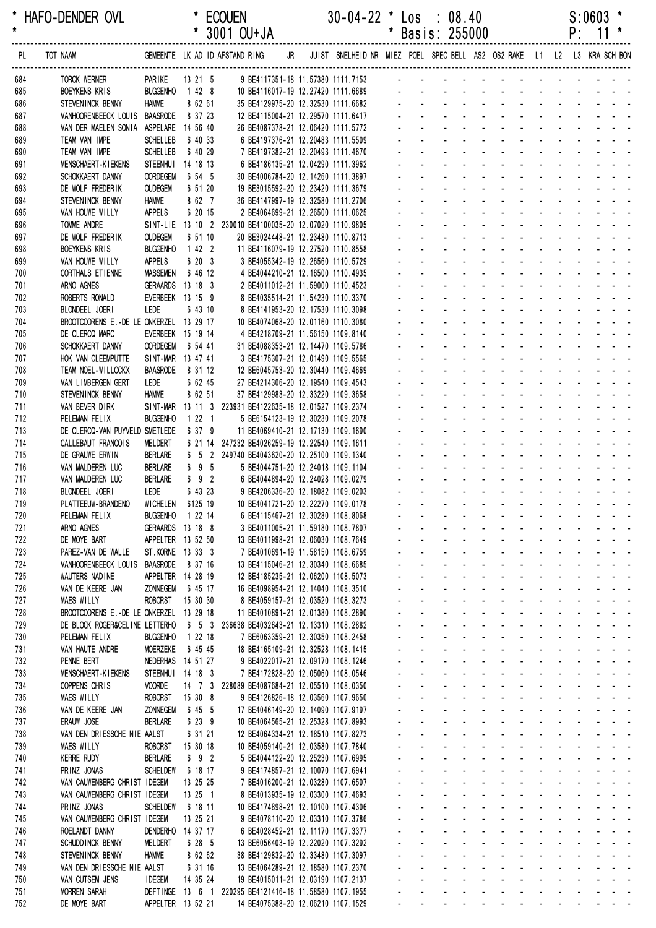| *          | HAFO-DENDER OVL                                           |                                      |                     | <b>ECOUEN</b>                                                                     |  | $30-04-22$ * Los : 08.40                                                   |         |                                          |                                                                    |                                           |                                        |                  |                                          |                                                | S:0603                                                                      |  |
|------------|-----------------------------------------------------------|--------------------------------------|---------------------|-----------------------------------------------------------------------------------|--|----------------------------------------------------------------------------|---------|------------------------------------------|--------------------------------------------------------------------|-------------------------------------------|----------------------------------------|------------------|------------------------------------------|------------------------------------------------|-----------------------------------------------------------------------------|--|
| $\star$    |                                                           |                                      |                     | * 3001 OU+JA                                                                      |  |                                                                            | $\star$ |                                          | Basis: 255000                                                      |                                           |                                        |                  |                                          |                                                | $P: 11*$                                                                    |  |
| PL         | TOT NAAM                                                  |                                      |                     | GEMEENTE LK AD ID AFSTAND RING                                                    |  | JR JUIST SNELHEID NR MIEZ POEL SPEC BELL AS2 OS2 RAKE L1 L2 L3 KRA SCH BON |         |                                          |                                                                    |                                           |                                        |                  |                                          |                                                |                                                                             |  |
|            |                                                           |                                      |                     |                                                                                   |  |                                                                            |         |                                          |                                                                    |                                           |                                        |                  |                                          |                                                |                                                                             |  |
| 684<br>685 | TORCK WERNER<br><b>BOEYKENS KRIS</b>                      | PARIKE<br><b>BUGGENHO</b>            | 13 21 5<br>$1428$   | 9 BE4117351-18 11.57380 1111.7153<br>10 BE4116017-19 12.27420 1111.6689           |  |                                                                            |         |                                          |                                                                    |                                           |                                        |                  |                                          |                                                |                                                                             |  |
| 686        | STEVEN INCK BENNY                                         | <b>HAMME</b>                         | 8 62 61             | 35 BE4129975-20 12.32530 1111.6682                                                |  |                                                                            |         |                                          |                                                                    |                                           |                                        |                  |                                          |                                                |                                                                             |  |
| 687        | VANHOORENBEECK LOUIS BAASRODE                             |                                      | 8 37 23             | 12 BE4115004-21 12.29570 1111.6417                                                |  |                                                                            |         |                                          |                                                                    |                                           |                                        |                  |                                          |                                                |                                                                             |  |
| 688        | VAN DER MAELEN SONIA ASPELARE 14 56 40                    |                                      |                     | 26 BE4087378-21 12.06420 1111.5772                                                |  |                                                                            |         |                                          |                                                                    |                                           | <b>Contract Contract</b>               |                  |                                          |                                                |                                                                             |  |
| 689        | TEAM VAN IMPE                                             | SCHELLEB                             | 6 40 33             | 6 BE4197376-21 12.20483 1111.5509                                                 |  |                                                                            |         |                                          |                                                                    |                                           |                                        |                  |                                          |                                                |                                                                             |  |
| 690        | TEAM VAN IMPE                                             | <b>SCHELLEB</b>                      | 6 40 29             | 7 BE4197382-21 12.20493 1111.4670                                                 |  |                                                                            |         |                                          |                                                                    |                                           | $\mathbf{r}$                           |                  |                                          |                                                |                                                                             |  |
| 691        | <b>MENSCHAERT-KIEKENS</b>                                 | <b>STEENHUI</b>                      | 14 18 13            | 6 BE4186135-21 12.04290 1111.3962                                                 |  |                                                                            |         |                                          |                                                                    |                                           |                                        |                  |                                          |                                                |                                                                             |  |
| 692        | SCHOKKAERT DANNY                                          | <b>OORDEGEM</b>                      | 6 54 5              | 30 BE4006784-20 12.14260 1111.3897                                                |  |                                                                            |         |                                          |                                                                    |                                           |                                        |                  |                                          |                                                |                                                                             |  |
| 693        | DE WOLF FREDERIK                                          | <b>OUDEGEM</b>                       | 6 51 20             | 19 BE3015592-20 12.23420 1111.3679                                                |  |                                                                            |         |                                          |                                                                    |                                           |                                        |                  |                                          | <u>.</u>                                       |                                                                             |  |
| 694<br>695 | STEVEN INCK BENNY<br>VAN HOUWE WILLY                      | <b>HAMME</b><br><b>APPELS</b>        | 8 62 7<br>6 20 15   | 36 BE4147997-19 12.32580 1111.2706<br>2 BE4064699-21 12.26500 1111.0625           |  |                                                                            |         |                                          |                                                                    |                                           |                                        |                  |                                          |                                                |                                                                             |  |
| 696        | TOMME ANDRE                                               |                                      |                     | SINT-LIE 13 10 2 230010 BE4100035-20 12.07020 1110.9805                           |  |                                                                            |         |                                          |                                                                    |                                           |                                        |                  |                                          | <b>All Cards</b>                               |                                                                             |  |
| 697        | DE WOLF FREDERIK                                          | <b>OUDEGEM</b>                       | 6 51 10             | 20 BE3024448-21 12.23480 1110.8713                                                |  |                                                                            |         |                                          |                                                                    |                                           |                                        |                  |                                          |                                                |                                                                             |  |
| 698        | <b>BOEYKENS KRIS</b>                                      | <b>BUGGENHO</b>                      | 1422                | 11 BE4116079-19 12.27520 1110.8558                                                |  |                                                                            |         |                                          |                                                                    |                                           |                                        |                  |                                          |                                                |                                                                             |  |
| 699        | VAN HOUWE WILLY                                           | APPELS                               | 6 20 3              | 3 BE4055342-19 12.26560 1110.5729                                                 |  |                                                                            |         |                                          |                                                                    |                                           |                                        |                  |                                          |                                                |                                                                             |  |
| 700        | CORTHALS ET IENNE                                         | <b>MASSEMEN</b>                      | 6 46 12             | 4 BE4044210-21 12.16500 1110.4935                                                 |  |                                                                            |         |                                          |                                                                    |                                           |                                        |                  |                                          |                                                |                                                                             |  |
| 701        | ARNO AGNES                                                | <b>GERAARDS</b>                      | 13 18 3             | 2 BE4011012-21 11.59000 1110.4523                                                 |  |                                                                            |         |                                          |                                                                    |                                           |                                        |                  |                                          |                                                |                                                                             |  |
| 702        | ROBERTS RONALD                                            | EVERBEEK 13 15 9                     |                     | 8 BE4035514-21 11.54230 1110.3370                                                 |  |                                                                            |         |                                          |                                                                    |                                           |                                        |                  |                                          |                                                |                                                                             |  |
| 703<br>704 | BLONDEEL JOERI<br>BROOTCOORENS E.-DE LE ONKERZEL 13 29 17 | LEDE                                 | 6 43 10             | 8 BE4141953-20 12.17530 1110.3098<br>10 BE4074068-20 12.01160 1110.3080           |  |                                                                            |         |                                          |                                                                    |                                           |                                        |                  |                                          |                                                |                                                                             |  |
| 705        | DE CLERCQ MARC                                            | EVERBEEK 15 19 14                    |                     | 4 BE4218709-21 11.56150 1109.8140                                                 |  |                                                                            |         |                                          |                                                                    |                                           |                                        |                  |                                          |                                                |                                                                             |  |
| 706        | SCHOKKAERT DANNY                                          | <b>OORDEGEM</b>                      | 6 54 41             | 31 BE4088353-21 12.14470 1109.5786                                                |  |                                                                            |         |                                          |                                                                    |                                           |                                        |                  |                                          | the contract of the contract of the            |                                                                             |  |
| 707        | HOK VAN CLEEMPUTTE                                        | SINT-MAR 13 47 41                    |                     | 3 BE4175307-21 12.01490 1109.5565                                                 |  |                                                                            |         |                                          |                                                                    |                                           |                                        |                  |                                          |                                                |                                                                             |  |
| 708        | TEAM NOEL-WILLOCKX                                        | <b>BAASRODE</b>                      | 8 31 12             | 12 BE6045753-20 12.30440 1109.4669                                                |  |                                                                            |         |                                          |                                                                    |                                           |                                        |                  |                                          |                                                |                                                                             |  |
| 709        | VAN LIMBERGEN GERT                                        | LEDE                                 | 6 62 45             | 27 BE4214306-20 12.19540 1109.4543                                                |  |                                                                            |         |                                          |                                                                    |                                           |                                        |                  |                                          |                                                |                                                                             |  |
| 710        | STEVENINCK BENNY                                          | <b>HAMME</b>                         | 8 62 51             | 37 BE4129983-20 12.33220 1109.3658                                                |  |                                                                            |         |                                          |                                                                    |                                           |                                        |                  |                                          |                                                |                                                                             |  |
| 711        | VAN BEVER DIRK                                            |                                      |                     | SINT-MAR 13 11 3 223931 BE4122635-18 12.01527 1109.2374                           |  |                                                                            |         |                                          |                                                                    |                                           |                                        |                  |                                          |                                                |                                                                             |  |
| 712<br>713 | PELEMAN FELIX<br>DE CLERCQ-VAN PUYVELD SMETLEDE           | <b>BUGGENHO</b>                      | 1221<br>6 37 9      | 5 BE6154123-19 12.30230 1109.2078<br>11 BE4069410-21 12.17130 1109.1690           |  |                                                                            |         |                                          |                                                                    |                                           |                                        |                  |                                          |                                                |                                                                             |  |
| 714        | CALLEBAUT FRANCOIS                                        | MELDERT                              |                     | 6 21 14 247232 BE4026259-19 12.22540 1109.1611                                    |  |                                                                            |         |                                          |                                                                    |                                           | $\blacksquare$                         |                  | $\mathbf{r}$                             |                                                |                                                                             |  |
| 715        | DE GRAUWE ERWIN                                           | <b>BERLARE</b>                       |                     | 6 5 2 249740 BE4043620-20 12.25100 1109.1340                                      |  |                                                                            |         |                                          |                                                                    |                                           |                                        |                  |                                          |                                                |                                                                             |  |
| 716        | VAN MALDEREN LUC                                          | <b>BERLARE</b>                       | 6 9 5               | 5 BE4044751-20 12.24018 1109.1104                                                 |  |                                                                            |         |                                          |                                                                    |                                           |                                        |                  |                                          |                                                |                                                                             |  |
| 717        | VAN MALDEREN LUC                                          | <b>BERLARE</b>                       | 6 9 2               | 6 BE4044894-20 12.24028 1109.0279                                                 |  |                                                                            |         |                                          |                                                                    |                                           |                                        |                  |                                          |                                                |                                                                             |  |
| 718        | BLONDEEL JOERI                                            | LEDE                                 | 6 43 23             | 9 BE4206336-20 12.18082 1109.0203                                                 |  |                                                                            |         |                                          |                                                                    |                                           |                                        |                  |                                          |                                                |                                                                             |  |
| 719        | PLATTEEUW-BRANDENO                                        | WICHELEN 6125 19                     |                     | 10 BE4041721-20 12.22270 1109.0178                                                |  |                                                                            |         |                                          |                                                                    |                                           |                                        |                  |                                          |                                                |                                                                             |  |
| 720<br>721 | PELEMAN FELIX<br>ARNO AGNES                               | BUGGENHO 1 22 14<br>GERAARDS 13 18 8 |                     | 6 BE4115467-21 12.30280 1108.8068<br>3 BE4011005-21 11.59180 1108.7807            |  |                                                                            |         | <b>All Contracts</b><br>and a state      |                                                                    |                                           | المتواصل والمستنقذ والمستنقذ والمستنقذ |                  |                                          | and a series of the series of the series of    | $\omega_{\rm{eff}}=0.01$ and $\omega_{\rm{eff}}=0.01$<br>and a straight and |  |
| 722        | DE MOYE BART                                              | APPELTER 13 52 50                    |                     | 13 BE4011998-21 12.06030 1108.7649                                                |  |                                                                            |         |                                          | $\mathbf{z}$ and $\mathbf{z}$                                      |                                           | and a straightful and a straight       |                  |                                          |                                                | and a straight and                                                          |  |
| 723        | PAREZ-VAN DE WALLE                                        | ST.KORNE 13 33 3                     |                     | 7 BE4010691-19 11.58150 1108.6759                                                 |  |                                                                            |         |                                          | $\omega_{\rm{max}}$                                                |                                           |                                        |                  |                                          |                                                | المناصب والمستنقل والمستنقل والمستنقل والمستنقل                             |  |
| 724        | VANHOORENBEECK LOUIS BAASRODE                             |                                      | 8 37 16             | 13 BE4115046-21 12.30340 1108.6685                                                |  |                                                                            |         |                                          | $\Delta \sim 100$<br>$\Delta \sim 100$                             |                                           |                                        |                  |                                          |                                                | and a state of the state of the state of                                    |  |
| 725        | WAUTERS NADINE                                            | APPELTER 14 28 19                    |                     | 12 BE4185235-21 12.06200 1108.5073                                                |  |                                                                            |         | $\mathcal{L}^{\mathcal{A}}$              | $\omega_{\rm{max}}$                                                |                                           |                                        |                  |                                          |                                                | and a state of the state of the state of                                    |  |
| 726        | VAN DE KEERE JAN                                          | <b>ZONNEGEM</b>                      | 6 45 17             | 16 BE4098954-21 12.14040 1108.3510                                                |  |                                                                            |         | $\mathbf{L}^{\text{max}}$                | $\omega_{\rm{max}}$<br>$\omega_{\rm{max}}$                         |                                           | and a straightful and state            |                  |                                          |                                                | and a straight and                                                          |  |
| 727        | <b>MAES WILLY</b>                                         | <b>ROBORST</b>                       | 15 30 30            | 8 BE4059157-21 12.03520 1108.3273                                                 |  |                                                                            |         |                                          | $\omega_{\rm{max}}$<br>and a straight of                           |                                           |                                        | and a straight   |                                          |                                                | and a straight and                                                          |  |
| 728        | BROOTCOORENS E.-DE LE ONKERZEL 13 29 18                   |                                      |                     | 11 BE4010891-21 12.01380 1108.2890                                                |  |                                                                            |         | $\sim$                                   | $\omega_{\rm{max}}$                                                |                                           | and a straightful and state of         |                  |                                          |                                                | and a straight and<br>فالقائق والقاربة القاربة القاربة القاربة              |  |
| 729<br>730 | DE BLOCK ROGER&CELINE LETTERHO<br>PELEMAN FELIX           | <b>BUGGENHO</b>                      | 1 22 18             | 6 5 3 236638 BE4032643-21 12.13310 1108.2882<br>7 BE6063359-21 12.30350 1108.2458 |  |                                                                            |         |                                          | $\Delta \sim 100$<br>$\Delta \sim 100$                             |                                           |                                        |                  |                                          |                                                | and a state of the state of the state of                                    |  |
| 731        | VAN HAUTE ANDRE                                           | MOERZEKE                             | 6 45 45             | 18 BE4165109-21 12.32528 1108.1415                                                |  |                                                                            |         |                                          | $\Delta \sim 10^{-11}$<br>$\omega_{\rm{max}}$                      |                                           | and a straight and a straight          |                  |                                          | and a state                                    | $\omega_{\rm{max}}$ and $\omega_{\rm{max}}$                                 |  |
| 732        | PENNE BERT                                                | NEDERHAS 14 51 27                    |                     | 9 BE4022017-21 12.09170 1108.1246                                                 |  |                                                                            |         | $\omega_{\rm{max}}$                      | $\omega_{\rm{max}}$<br>$\omega_{\rm{max}}$                         |                                           | and a straight and a straight          |                  |                                          | $\Delta \sim 100$                              | $\Delta \sim 100$<br>$\Delta \phi = \Delta \phi = \Delta \phi$              |  |
| 733        | <b>MENSCHAERT-KIEKENS</b>                                 | STEENHUI 14 18 3                     |                     | 7 BE4172828-20 12.05060 1108.0546                                                 |  |                                                                            |         |                                          | $\Delta \sim 100$                                                  |                                           | and a straightful and a straight       |                  |                                          |                                                | and a straight and                                                          |  |
| 734        | COPPENS CHRIS                                             | <b>VOORDE</b>                        |                     | 14 7 3 228089 BE4087684-21 12.05510 1108.0350                                     |  |                                                                            |         |                                          | $\mathbf{L}^{\text{max}}$                                          |                                           | and a straightful and a straight       |                  |                                          |                                                | and a straight and                                                          |  |
| 735        | <b>MAES WILLY</b>                                         | <b>ROBORST</b>                       | 15 30 8             | 9 BE4126826-18 12.03560 1107.9650                                                 |  |                                                                            |         |                                          | $\Delta \sim 100$                                                  |                                           |                                        |                  |                                          |                                                | and a series of the contract of the series                                  |  |
| 736        | VAN DE KEERE JAN                                          | <b>ZONNEGEM</b>                      | 6 45 5              | 17 BE4046149-20 12.14090 1107.9197                                                |  |                                                                            |         |                                          | $\Delta \sim 100$                                                  |                                           |                                        |                  |                                          |                                                | and a strain and a strain and a strain                                      |  |
| 737        | ERAUW JOSE                                                | <b>BERLARE</b>                       | 6 23 9              | 10 BE4064565-21 12.25328 1107.8993                                                |  |                                                                            |         | $\mathcal{L}^{\pm}$<br>$\Delta \sim 100$ | $\Delta \sim 100$<br>$\Delta \sim 10^{-11}$<br>$\omega_{\rm{max}}$ |                                           | and a straight and a straight          |                  |                                          |                                                | and a state of the state of the state of<br>and a strain and a              |  |
| 738<br>739 | VAN DEN DRIESSCHE NIE AALST<br><b>MAES WILLY</b>          | <b>ROBORST</b>                       | 6 31 21<br>15 30 18 | 12 BE4064334-21 12.18510 1107.8273<br>10 BE4059140-21 12.03580 1107.7840          |  |                                                                            |         |                                          | $\omega_{\rm{max}}$<br>and a straight                              |                                           |                                        | All Carolina     | $\mathbf{z} \in \mathbb{R}^{n \times n}$ |                                                | and a straight and                                                          |  |
| 740        | <b>KERRE RUDY</b>                                         | <b>BERLARE</b>                       | 6 9 2               | 5 BE4044122-20 12.25230 1107.6995                                                 |  |                                                                            |         | $\mathcal{L}^{\mathcal{L}}$              |                                                                    |                                           | المناسب والمستنقذ والمستنقذ والمستنقذ  |                  |                                          |                                                | and a straight and                                                          |  |
| 741        | PRINZ JONAS                                               | <b>SCHELDEW</b>                      | 6 18 17             | 9 BE4174857-21 12.10070 1107.6941                                                 |  |                                                                            |         |                                          | $\mathcal{L}^{\text{max}}$                                         |                                           |                                        |                  |                                          |                                                | المناصب والمستنقل والمستنقل والمستنقل والمستنقل                             |  |
| 742        | VAN CAUWENBERG CHRIST IDEGEM                              |                                      | 13 25 25            | 7 BE4016200-21 12.03280 1107.6507                                                 |  |                                                                            |         | $\sim$                                   | $\Delta \sim 100$                                                  |                                           |                                        |                  |                                          | and a strain and a strain and                  | $\omega_{\rm{eff}}=0.01$ and $\omega_{\rm{eff}}$                            |  |
| 743        | VAN CAUWENBERG CHRIST IDEGEM                              |                                      | 13 25 1             | 8 BE4013935-19 12.03300 1107.4693                                                 |  |                                                                            |         | $\mathcal{L}^{\pm}$                      | $\omega_{\rm{max}}$                                                |                                           | and a straight and a straight          |                  |                                          | ÷.<br><b>Contract</b>                          | $\omega_{\rm{max}}$ and $\omega_{\rm{max}}$                                 |  |
| 744        | PRINZ JONAS                                               | <b>SCHELDEW</b>                      | 6 18 11             | 10 BE4174898-21 12.10100 1107.4306                                                |  |                                                                            |         | $\mathcal{L}^{\text{max}}$               | $\Delta \sim 10^{-11}$<br>$\Delta \sim 100$                        |                                           | and a straight and a straight          |                  |                                          | $\Delta \sim 10^4$                             | $\Delta \sim 10^{-1}$<br>$\omega_{\rm{eff}}=2.0\pm0.02$                     |  |
| 745        | VAN CAUWENBERG CHRIST IDEGEM                              |                                      | 13 25 21            | 9 BE4078110-20 12.03310 1107.3786                                                 |  |                                                                            |         |                                          | $\Delta \sim 100$                                                  |                                           | and a straightful and a straight       |                  |                                          |                                                | and a straight and                                                          |  |
| 746        | ROELANDT DANNY                                            | DENDERHO                             | 14 37 17            | 6 BE4028452-21 12.11170 1107.3377                                                 |  |                                                                            |         |                                          | $\omega_{\rm{max}}$<br>$\Delta \sim 100$                           |                                           | and a straightful and a straight       |                  |                                          |                                                | and a straight and<br><u>.</u>                                              |  |
| 747<br>748 | SCHUDD INCK BENNY<br>STEVENINCK BENNY                     | <b>MELDERT</b><br><b>HAMME</b>       | 6 28 5<br>8 62 62   | 13 BE6056403-19 12.22020 1107.3292<br>38 BE4129832-20 12.33480 1107.3097          |  |                                                                            |         |                                          | $\Delta \sim 100$                                                  |                                           |                                        |                  |                                          |                                                | and a strain and a strain and a                                             |  |
| 749        | VAN DEN DRIESSCHE NIE AALST                               |                                      | 6 31 16             | 13 BE4064289-21 12.18580 1107.2370                                                |  |                                                                            |         | $\mathcal{L}^{\mathcal{A}}$              | $\Delta \sim 100$                                                  |                                           |                                        |                  |                                          |                                                | and a state of the state of the state of                                    |  |
| 750        | VAN CUTSEM JENS                                           | <b>IDEGEM</b>                        | 14 35 24            | 19 BE4015011-21 12.03190 1107.2137                                                |  |                                                                            |         |                                          | $\Delta \sim 100$<br>$\omega_{\rm{max}}$                           | $\omega_{\rm{max}}$ , $\omega_{\rm{max}}$ |                                        |                  |                                          |                                                | design and a state of the state of                                          |  |
| 751        | <b>MORREN SARAH</b>                                       |                                      |                     | DEFTINGE 13 6 1 220295 BE4121416-18 11.58580 1107.1955                            |  |                                                                            |         |                                          | $\mathbf{r} = \mathbf{r}$<br>$\mathbf{L}^{\text{max}}$             | $\omega_{\rm{max}}$                       | $\Delta \sim 100$                      | <b>All Cards</b> | $\omega_{\rm{max}}$                      | $\Delta\phi$ and $\Delta\phi$ and $\Delta\phi$ |                                                                             |  |
| 752        | DE MOYE BART                                              | APPELTER 13 52 21                    |                     | 14 BE4075388-20 12.06210 1107.1529                                                |  |                                                                            |         |                                          |                                                                    |                                           | and a straight                         |                  |                                          |                                                | المراجع المنا                                                               |  |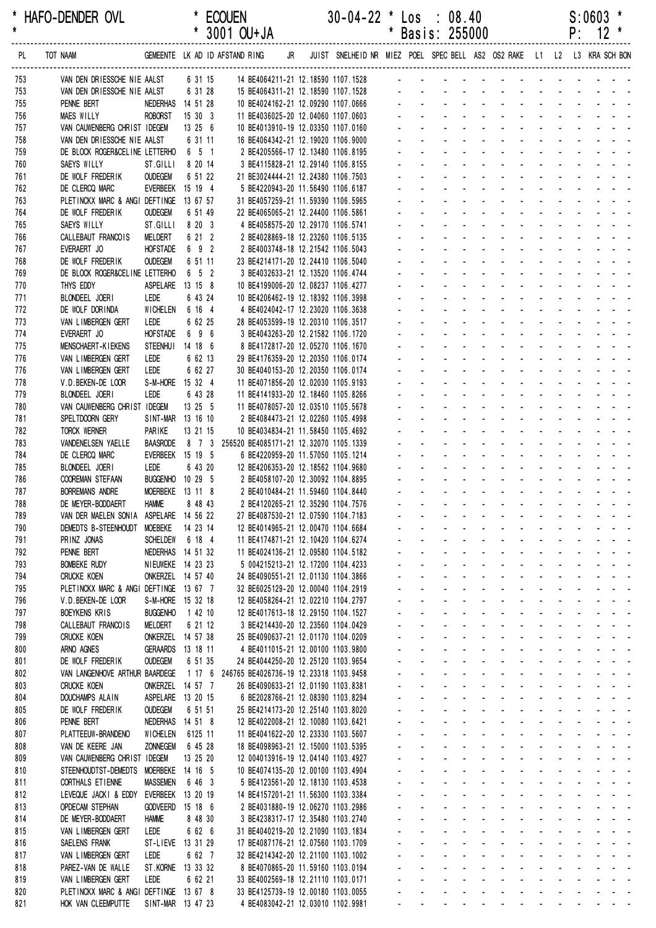|            | * HAFO-DENDER OVL                                              |                                      |                    | <b>ECOUEN</b><br>* 3001 OU+JA                                                      | $30-04-22$ * Los : 08.40                                                   | * Basis: 255000   |                                               |                                            |                       |                       |                                                                                                               |                                           | S:0603<br>$P: 12$ * |  |
|------------|----------------------------------------------------------------|--------------------------------------|--------------------|------------------------------------------------------------------------------------|----------------------------------------------------------------------------|-------------------|-----------------------------------------------|--------------------------------------------|-----------------------|-----------------------|---------------------------------------------------------------------------------------------------------------|-------------------------------------------|---------------------|--|
| PL         | TOT NAAM                                                       |                                      |                    | GEMEENTE LK AD ID AFSTAND RING                                                     | JR JUIST SNELHEID NR MIEZ POEL SPEC BELL AS2 OS2 RAKE L1 L2 L3 KRA SCH BON |                   |                                               |                                            |                       |                       |                                                                                                               |                                           |                     |  |
| 753        | VAN DEN DRIESSCHE NIE AALST                                    |                                      | 6 31 15            | 14 BE4064211-21 12.18590 1107.1528                                                 |                                                                            |                   | <b>All Service</b>                            |                                            |                       |                       |                                                                                                               |                                           |                     |  |
| 753        | VAN DEN DRIESSCHE NIE AALST                                    |                                      | 6 31 28            | 15 BE4064311-21 12.18590 1107.1528                                                 |                                                                            |                   | and a state                                   |                                            | $\Delta \sim 10^{-1}$ | $\Delta \sim 10^{-1}$ |                                                                                                               |                                           | and a straight and  |  |
| 755<br>756 | PENNE BERT<br>MAES WILLY                                       | NEDERHAS 14 51 28<br><b>ROBORST</b>  | 15 30 3            | 10 BE4024162-21 12.09290 1107.0666<br>11 BE4036025-20 12.04060 1107.0603           |                                                                            |                   |                                               |                                            |                       |                       |                                                                                                               |                                           |                     |  |
| 757        | VAN CAUWENBERG CHRIST IDEGEM                                   |                                      | 13 25 6            | 10 BE4013910-19 12.03350 1107.0160                                                 |                                                                            |                   |                                               |                                            |                       |                       |                                                                                                               |                                           |                     |  |
| 758        | VAN DEN DRIESSCHE NIE AALST                                    |                                      | 6 31 11            | 16 BE4064342-21 12.19020 1106.9000                                                 |                                                                            |                   |                                               |                                            |                       |                       |                                                                                                               |                                           |                     |  |
| 759        | DE BLOCK ROGER&CELINE LETTERHO 6 5 1                           |                                      |                    | 2 BE4205566-17 12.13480 1106.8195                                                  |                                                                            |                   |                                               |                                            |                       |                       |                                                                                                               | $\mathbf{L} = \mathbf{L}$                 |                     |  |
| 760        | SAEYS WILLY                                                    | ST.GILLI                             | 8 20 14            | 3 BE4115828-21 12.29140 1106.8155                                                  |                                                                            |                   |                                               |                                            |                       |                       |                                                                                                               |                                           | and a straight      |  |
| 761        | DE WOLF FREDERIK                                               | <b>OUDEGEM</b>                       | 6 51 22            | 21 BE3024444-21 12.24380 1106.7503                                                 |                                                                            |                   |                                               |                                            |                       |                       |                                                                                                               |                                           | and a straight      |  |
| 762<br>763 | DE CLERCQ MARC<br>PLETINCKX MARC & ANGI DEFTINGE               | EVERBEEK 15 19 4                     | 13 67 57           | 5 BE4220943-20 11.56490 1106.6187<br>31 BE4057259-21 11.59390 1106.5965            |                                                                            |                   |                                               |                                            |                       |                       |                                                                                                               |                                           |                     |  |
| 764        | DE WOLF FREDERIK                                               | <b>OUDEGEM</b>                       | 6 51 49            | 22 BE4065065-21 12.24400 1106.5861                                                 |                                                                            |                   |                                               |                                            |                       |                       |                                                                                                               |                                           |                     |  |
| 765        | SAEYS WILLY                                                    | ST.GILLI                             | 8 20 3             | 4 BE4058575-20 12.29170 1106.5741                                                  |                                                                            |                   |                                               |                                            | $\Delta \phi$         |                       |                                                                                                               | $\sim$ $\sim$                             |                     |  |
| 766        | CALLEBAUT FRANCOIS                                             | MELDERT                              | 6 21 2             | 2 BE4028869-18 12.23260 1106.5135                                                  |                                                                            |                   |                                               |                                            |                       |                       |                                                                                                               |                                           |                     |  |
| 767        | EVERAERT JO                                                    | <b>HOFSTADE</b>                      | 6 9 2              | 2 BE4003748-18 12.21542 1106.5043                                                  |                                                                            |                   |                                               |                                            | $\sim$                |                       |                                                                                                               |                                           |                     |  |
| 768<br>769 | DE WOLF FREDERIK<br>DE BLOCK ROGER&CELINE LETTERHO             | <b>OUDEGEM</b>                       | 6 51 11<br>6 5 2   | 23 BE4214171-20 12.24410 1106.5040<br>3 BE4032633-21 12.13520 1106.4744            |                                                                            |                   |                                               |                                            |                       |                       |                                                                                                               |                                           |                     |  |
| 770        | THYS EDDY                                                      | <b>ASPELARE</b>                      | 13 15 8            | 10 BE4199006-20 12.08237 1106.4277                                                 |                                                                            |                   |                                               |                                            |                       |                       |                                                                                                               |                                           |                     |  |
| 771        | BLONDEEL JOERI                                                 | LEDE                                 | 6 43 24            | 10 BE4206462-19 12.18392 1106.3998                                                 |                                                                            |                   |                                               | $\mathbf{L} = \mathbf{L}$                  |                       |                       | $\sim$                                                                                                        | $\sim$ $\sim$                             |                     |  |
| 772        | DE WOLF DORINDA                                                | WICHELEN                             | 6 16 4             | 4 BE4024042-17 12.23020 1106.3638                                                  |                                                                            |                   |                                               |                                            |                       |                       | and a state of the state of the state of the state of the state of the state of the state of the state of the |                                           |                     |  |
| 773        | VAN LIMBERGEN GERT                                             | LEDE                                 | 6 62 25            | 28 BE4053599-19 12.20310 1106.3517                                                 |                                                                            |                   |                                               |                                            |                       |                       |                                                                                                               | $\Delta \sim 100$                         |                     |  |
| 774        | EVERAERT JO                                                    | <b>HOFSTADE</b>                      | 6 9 6              | 3 BE4043263-20 12.21582 1106.1720                                                  |                                                                            |                   |                                               |                                            |                       |                       |                                                                                                               |                                           |                     |  |
| 775        | <b>MENSCHAERT-KIEKENS</b>                                      | <b>STEENHUI</b>                      | 14 18 6            | 8 BE4172817-20 12.05270 1106.1670                                                  |                                                                            |                   |                                               |                                            |                       |                       |                                                                                                               |                                           |                     |  |
| 776<br>776 | VAN LIMBERGEN GERT<br>VAN LIMBERGEN GERT                       | LEDE<br>LEDE                         | 6 62 13<br>6 62 27 | 29 BE4176359-20 12.20350 1106.0174<br>30 BE4040153-20 12.20350 1106.0174           |                                                                            |                   |                                               |                                            | $\Delta \phi$         |                       |                                                                                                               | $\sim$ $\sim$                             |                     |  |
| 778        | V.D. BEKEN-DE LOOR                                             | S-M-HORE 15 32 4                     |                    | 11 BE4071856-20 12.02030 1105.9193                                                 |                                                                            |                   |                                               |                                            |                       |                       |                                                                                                               |                                           |                     |  |
| 779        | BLONDEEL JOERI                                                 | LEDE                                 | 6 43 28            | 11 BE4141933-20 12.18460 1105.8266                                                 |                                                                            |                   |                                               |                                            | $\sim$                |                       |                                                                                                               | $\mathcal{L}^{\text{max}}$                |                     |  |
| 780        | VAN CAUWENBERG CHRIST IDEGEM                                   |                                      | 13 25 5            | 11 BE4078057-20 12.03510 1105.5678                                                 |                                                                            |                   |                                               |                                            |                       |                       |                                                                                                               |                                           |                     |  |
| 781        | SPELTDOORN GERY                                                | SINT-MAR 13 16 10                    |                    | 2 BE4084473-21 12.02260 1105.4998                                                  |                                                                            |                   |                                               |                                            |                       |                       |                                                                                                               |                                           |                     |  |
| 782        | TORCK WERNER<br>VANDENELSEN YAELLE                             | PARIKE<br><b>BAASRODE</b>            | 13 21 15           | 10 BE4034834-21 11.58450 1105.4692<br>8 7 3 256520 BE4085171-21 12.32070 1105.1339 |                                                                            |                   |                                               | $\mathbf{L} = \mathbf{L}$                  | $\sim$                |                       | and a straight and a straight<br>$\sim$                                                                       | $\omega_{\rm{max}}$ , $\omega_{\rm{max}}$ |                     |  |
| 783<br>784 | DE CLERCQ MARC                                                 | EVERBEEK 15 19 5                     |                    | 6 BE4220959-20 11.57050 1105.1214                                                  |                                                                            |                   |                                               |                                            | $\Delta \sim 10^4$    |                       | and a state of the state of the state of the state of the state of the state of the state of the state of the |                                           |                     |  |
| 785        | BLONDEEL JOERI                                                 | LEDE                                 | 6 43 20            | 12 BE4206353-20 12.18562 1104.9680                                                 |                                                                            |                   |                                               |                                            |                       |                       |                                                                                                               | $\Delta \sim 10^4$                        |                     |  |
| 786        | <b>COOREMAN STEFAAN</b>                                        | BUGGENHO 10 29 5                     |                    | 2 BE4058107-20 12.30092 1104.8895                                                  |                                                                            |                   |                                               |                                            |                       |                       |                                                                                                               |                                           |                     |  |
| 787        | <b>BORREMANS ANDRE</b>                                         | MOERBEKE 13 11 8                     |                    | 2 BE4010484-21 11.59460 1104.8440                                                  |                                                                            |                   |                                               |                                            |                       |                       |                                                                                                               |                                           |                     |  |
| 788        | DE MEYER-BODDAERT                                              | <b>HAMME</b>                         | 8 48 43            | 2 BE4120265-21 12.35290 1104.7576                                                  |                                                                            |                   |                                               |                                            |                       |                       |                                                                                                               |                                           |                     |  |
| 789        | VAN DER MAELEN SONIA ASPELARE 14 56 22<br>DEMEDTS B-STEENHOUDT | MOEBEKE                              | 14 23 14           | 27 BE4087530-21 12.07590 1104.7183<br>12 BE4014965-21 12.00470 1104.6684           |                                                                            |                   |                                               | $\mathbf{r}$                               |                       |                       |                                                                                                               |                                           |                     |  |
| 790<br>791 | PRINZ JONAS                                                    | <b>SCHELDEW</b>                      | 6 18 4             | 11 BE4174871-21 12.10420 1104.6274                                                 |                                                                            |                   |                                               | $\blacksquare$<br>$\blacksquare$           |                       |                       |                                                                                                               |                                           |                     |  |
| 792        | PENNE BERT                                                     | NEDERHAS 14 51 32                    |                    | 11 BE4024136-21 12.09580 1104.5182                                                 |                                                                            |                   | $\blacksquare$<br>$\blacksquare$              |                                            |                       |                       |                                                                                                               |                                           |                     |  |
| 793        | <b>BOMBEKE RUDY</b>                                            | NIEUWEKE 14 23 23                    |                    | 5 004215213-21 12.17200 1104.4233                                                  |                                                                            |                   |                                               |                                            |                       |                       |                                                                                                               |                                           |                     |  |
| 794        | <b>CRUCKE KOEN</b>                                             | ONKERZEL 14 57 40                    |                    | 24 BE4090551-21 12.01130 1104.3866                                                 |                                                                            |                   |                                               |                                            |                       |                       |                                                                                                               |                                           |                     |  |
| 795        | PLETINCKX MARC & ANGI DEFTINGE 13 67 7                         |                                      |                    | 32 BE6025129-20 12.00040 1104.2919                                                 |                                                                            |                   |                                               | $\mathbf{r}$                               |                       |                       | $\sim$                                                                                                        | $\overline{\phantom{a}}$                  |                     |  |
| 796<br>797 | V.D. BEKEN-DE LOOR<br><b>BOEYKENS KRIS</b>                     | S-M-HORE 15 32 18<br><b>BUGGENHO</b> | 1 42 10            | 12 BE4058264-21 12.02210 1104.2797<br>12 BE4017613-18 12.29150 1104.1527           |                                                                            |                   |                                               | $\mathbf{r}$<br>$\mathbf{r}$<br>$\sim 100$ | $\omega$              | $\blacksquare$        |                                                                                                               |                                           |                     |  |
| 798        | CALLEBAUT FRANCOIS                                             | MELDERT                              | 6 21 12            | 3 BE4214430-20 12.23560 1104.0429                                                  |                                                                            |                   |                                               | $\blacksquare$                             |                       |                       |                                                                                                               |                                           |                     |  |
| 799        | <b>CRUCKE KOEN</b>                                             | ONKERZEL 14 57 38                    |                    | 25 BE4090637-21 12.01170 1104.0209                                                 |                                                                            |                   |                                               |                                            |                       |                       |                                                                                                               |                                           |                     |  |
| 800        | ARNO AGNES                                                     | GERAARDS 13 18 11                    |                    | 4 BE4011015-21 12.00100 1103.9800                                                  |                                                                            |                   |                                               |                                            |                       |                       |                                                                                                               |                                           |                     |  |
| 801        | DE WOLF FREDERIK                                               | <b>OUDEGEM</b>                       | 6 51 35            | 24 BE4044250-20 12.25120 1103.9654                                                 |                                                                            |                   |                                               |                                            |                       |                       |                                                                                                               |                                           |                     |  |
| 802        | VAN LANGENHOVE ARTHUR BAARDEGE                                 |                                      | 1176               | 246765 BE4026736-19 12.23318 1103.9458                                             |                                                                            |                   |                                               |                                            |                       |                       |                                                                                                               |                                           |                     |  |
| 803        | <b>CRUCKE KOEN</b>                                             | ONKERZEL 14 57 7                     |                    | 26 BE4090633-21 12.01190 1103.8381                                                 |                                                                            |                   |                                               | $\mathbf{r}$<br>$\blacksquare$             | $\blacksquare$        |                       |                                                                                                               |                                           |                     |  |
| 804<br>805 | DOUCHAMPS ALAIN<br>DE WOLF FREDERIK                            | ASPELARE 13 20 15<br><b>OUDEGEM</b>  | 6 51 51            | 6 BE2028766-21 12.08390 1103.8294<br>25 BE4214173-20 12.25140 1103.8020            |                                                                            | $\blacksquare$    | $\blacksquare$                                | $\overline{\phantom{a}}$                   |                       |                       |                                                                                                               |                                           |                     |  |
| 806        | PENNE BERT                                                     | NEDERHAS 14 51 8                     |                    | 12 BE4022008-21 12.10080 1103.6421                                                 |                                                                            |                   |                                               |                                            |                       |                       |                                                                                                               |                                           |                     |  |
| 807        | PLATTEEUW-BRANDENO                                             | <b>WICHELEN</b>                      | 6125 11            | 11 BE4041622-20 12.23330 1103.5607                                                 |                                                                            |                   |                                               |                                            |                       |                       |                                                                                                               |                                           |                     |  |
| 808        | VAN DE KEERE JAN                                               | <b>ZONNEGEM</b>                      | 6 45 28            | 18 BE4098963-21 12.15000 1103.5395                                                 |                                                                            |                   |                                               |                                            |                       |                       |                                                                                                               |                                           |                     |  |
| 809        | VAN CAUWENBERG CHRIST IDEGEM                                   |                                      | 13 25 20           | 12 004013916-19 12.04140 1103.4927                                                 |                                                                            |                   |                                               | $\mathcal{L}^{\mathcal{L}}$                | $\mathbf{r}$          |                       |                                                                                                               |                                           |                     |  |
| 810        | STEENHOUDTST-DEMEDTS MOERBEKE 14 16 5                          |                                      |                    | 10 BE4074135-20 12.00100 1103.4904                                                 |                                                                            |                   |                                               |                                            |                       |                       |                                                                                                               |                                           |                     |  |
| 811<br>812 | CORTHALS ET IENNE<br>LEVEQUE JACKI & EDDY                      | <b>MASSEMEN</b><br>EVERBEEK 13 20 19 | 6 46 3             | 5 BE4123561-20 12.18130 1103.4538<br>14 BE4157201-21 11.56300 1103.3384            |                                                                            |                   |                                               |                                            |                       |                       |                                                                                                               |                                           |                     |  |
| 813        | <b>OPDECAM STEPHAN</b>                                         | <b>GODVEERD</b>                      | 15 18 6            | 2 BE4031880-19 12.06270 1103.2986                                                  |                                                                            |                   |                                               |                                            |                       |                       |                                                                                                               |                                           |                     |  |
| 814        | DE MEYER-BODDAERT                                              | <b>HAMME</b>                         | 8 48 30            | 3 BE4238317-17 12.35480 1103.2740                                                  |                                                                            |                   |                                               |                                            |                       |                       |                                                                                                               |                                           |                     |  |
| 815        | VAN LIMBERGEN GERT                                             | LEDE                                 | 6 62 6             | 31 BE4040219-20 12.21090 1103.1834                                                 |                                                                            |                   |                                               | $\mathbf{r}$<br>$\sim$                     | $\omega$              | ä,                    |                                                                                                               |                                           |                     |  |
| 816        | SAELENS FRANK                                                  | ST-LIEVE 13 31 29                    |                    | 17 BE4087176-21 12.07560 1103.1709                                                 |                                                                            | $\blacksquare$    | $\blacksquare$                                | $\blacksquare$                             | $\blacksquare$        | $\blacksquare$        |                                                                                                               |                                           |                     |  |
| 817        | VAN LIMBERGEN GERT                                             | LEDE                                 | 6 62 7             | 32 BE4214342-20 12.21100 1103.1002                                                 |                                                                            |                   |                                               | $\blacksquare$                             |                       | ä,                    |                                                                                                               |                                           |                     |  |
| 818<br>819 | PAREZ-VAN DE WALLE<br>VAN LIMBERGEN GERT                       | ST.KORNE 13 33 32<br>LEDE            | 6 62 21            | 8 BE4070865-20 11.59160 1103.0194<br>33 BE4002569-18 12.21110 1103.0171            |                                                                            |                   |                                               | $\sim$                                     |                       |                       | $\sim$                                                                                                        | $\sim$                                    |                     |  |
| 820        | PLETINCKX MARC & ANGI DEFTINGE 13 67 8                         |                                      |                    | 33 BE4125739-19 12.00180 1103.0055                                                 |                                                                            | $\Delta \sim 100$ | and a series of the contract of the series of |                                            |                       |                       |                                                                                                               |                                           |                     |  |

821 HOK VAN CLEEMPUTTE SINT-MAR 13 47 23 4 BE4083042-21 12.03010 1102.9981 - - - - - - - - - - - - - - -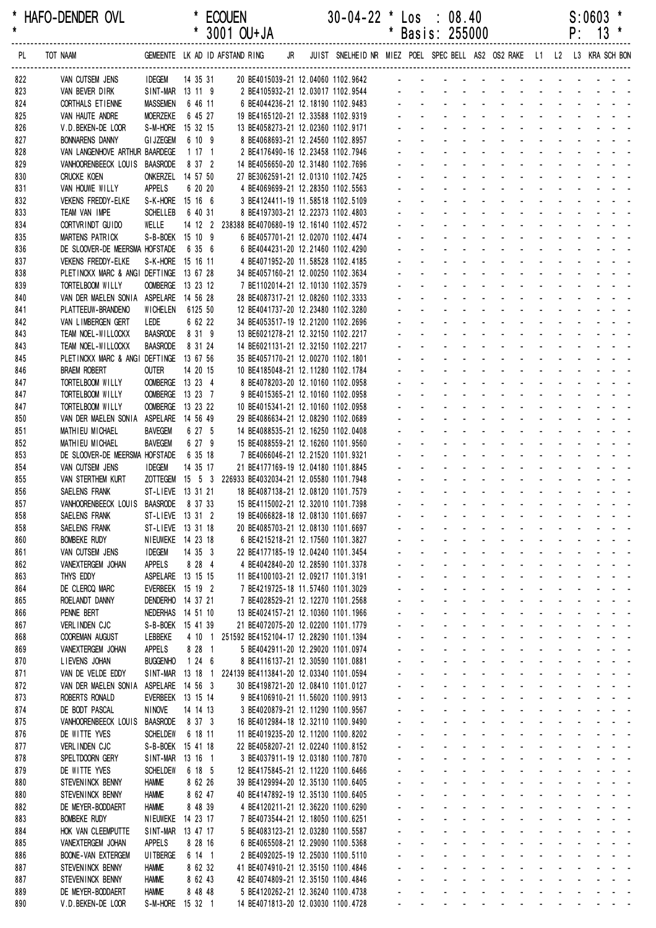| *<br>$\star$ | HAFO-DENDER OVL                                             |                                    |                                        | <b>ECOUEN</b><br>* 3001 OU+JA                                               | $30-04-22$ * Los : 08.40                                                   |              |                             | * Basis: 255000                                                  |                                                                      |                          |                                                           |                                           |                                                           | $S:0603$ *<br>$P: 13 *$                                                                                                                                   |                           |
|--------------|-------------------------------------------------------------|------------------------------------|----------------------------------------|-----------------------------------------------------------------------------|----------------------------------------------------------------------------|--------------|-----------------------------|------------------------------------------------------------------|----------------------------------------------------------------------|--------------------------|-----------------------------------------------------------|-------------------------------------------|-----------------------------------------------------------|-----------------------------------------------------------------------------------------------------------------------------------------------------------|---------------------------|
|              |                                                             |                                    |                                        |                                                                             |                                                                            |              |                             |                                                                  |                                                                      |                          |                                                           |                                           |                                                           |                                                                                                                                                           |                           |
| PL           | TOT NAAM                                                    |                                    |                                        | GEMEENTE LK AD ID AFSTAND RING                                              | JR JUIST SNELHEID NR MIEZ POEL SPEC BELL AS2 OS2 RAKE L1 L2 L3 KRA SCH BON |              |                             |                                                                  |                                                                      |                          |                                                           |                                           |                                                           |                                                                                                                                                           |                           |
| 822          | VAN CUTSEM JENS                                             | <b>IDEGEM</b>                      | 14 35 31                               | 20 BE4015039-21 12.04060 1102.9642                                          |                                                                            |              |                             |                                                                  |                                                                      |                          |                                                           |                                           |                                                           | <u>.</u>                                                                                                                                                  |                           |
| 823<br>824   | VAN BEVER DIRK<br>CORTHALS ET IENNE                         | <b>MASSEMEN</b>                    | SINT-MAR 13 11 9<br>6 46 11            | 2 BE4105932-21 12.03017 1102.9544<br>6 BE4044236-21 12.18190 1102.9483      |                                                                            |              |                             |                                                                  |                                                                      |                          |                                                           |                                           |                                                           |                                                                                                                                                           |                           |
| 825          | VAN HAUTE ANDRE                                             | <b>MOERZEKE</b>                    | 6 45 27                                | 19 BE4165120-21 12.33588 1102.9319                                          |                                                                            |              |                             |                                                                  |                                                                      |                          |                                                           |                                           |                                                           |                                                                                                                                                           |                           |
| 826          | V.D. BEKEN-DE LOOR                                          |                                    | S-M-HORE 15 32 15                      | 13 BE4058273-21 12.02360 1102.9171                                          |                                                                            |              |                             |                                                                  |                                                                      |                          |                                                           |                                           |                                                           | and a strain and a strain and a                                                                                                                           |                           |
| 827          | <b>BONNARENS DANNY</b>                                      | <b>GI JZEGEM</b>                   | 6 10 9                                 | 8 BE4068693-21 12.24560 1102.8957                                           |                                                                            |              |                             |                                                                  |                                                                      |                          |                                                           |                                           |                                                           |                                                                                                                                                           |                           |
| 828          | VAN LANGENHOVE ARTHUR BAARDEGE                              |                                    | 1171                                   | 2 BE4176490-16 12.23458 1102.7946                                           |                                                                            |              |                             |                                                                  | and a straight and a straight                                        |                          |                                                           |                                           |                                                           |                                                                                                                                                           |                           |
| 829          | VANHOORENBEECK LOUIS BAASRODE<br><b>CRUCKE KOEN</b>         |                                    | 8 37 2<br>ONKERZEL 14 57 50            | 14 BE4056650-20 12.31480 1102.7696<br>27 BE3062591-21 12.01310 1102.7425    |                                                                            |              |                             |                                                                  | and a straight and a straight                                        |                          |                                                           |                                           |                                                           |                                                                                                                                                           |                           |
| 830<br>831   | VAN HOUWE WILLY                                             | APPELS                             | 6 20 20                                | 4 BE4069699-21 12.28350 1102.5563                                           |                                                                            |              |                             |                                                                  |                                                                      |                          |                                                           |                                           |                                                           |                                                                                                                                                           |                           |
| 832          | <b>VEKENS FREDDY-ELKE</b>                                   |                                    | S-K-HORE 15 16 6                       | 3 BE4124411-19 11.58518 1102.5109                                           |                                                                            |              |                             |                                                                  |                                                                      |                          |                                                           |                                           |                                                           | .                                                                                                                                                         |                           |
| 833          | TEAM VAN IMPE                                               | <b>SCHELLEB</b>                    | 6 40 31                                | 8 BE4197303-21 12.22373 1102.4803                                           |                                                                            |              |                             |                                                                  |                                                                      |                          |                                                           |                                           |                                                           | <u>.</u>                                                                                                                                                  |                           |
| 834          | CORTVRINDT GUIDO                                            | WELLE                              |                                        | 14 12 2 238388 BE4070680-19 12.16140 1102.4572                              |                                                                            |              |                             |                                                                  |                                                                      |                          |                                                           |                                           |                                                           | <u>.</u>                                                                                                                                                  |                           |
| 835          | MARTENS PATRICK                                             |                                    | S-B-BOEK 15 10 9                       | 6 BE4057701-21 12.02070 1102.4474                                           |                                                                            |              |                             |                                                                  |                                                                      |                          |                                                           | $\omega_{\rm{max}}$                       |                                                           | and a strain and a                                                                                                                                        |                           |
| 836<br>837   | DE SLOOVER-DE MEERSMA HOFSTADE<br><b>VEKENS FREDDY-ELKE</b> |                                    | 6 35 6<br>S-K-HORE 15 16 11            | 6 BE4044231-20 12.21460 1102.4290<br>4 BE4071952-20 11.58528 1102.4185      |                                                                            |              |                             |                                                                  |                                                                      |                          |                                                           |                                           |                                                           |                                                                                                                                                           |                           |
| 838          | PLETINCKX MARC & ANGI DEFTINGE 13 67 28                     |                                    |                                        | 34 BE4057160-21 12.00250 1102.3634                                          |                                                                            |              |                             |                                                                  |                                                                      |                          |                                                           |                                           |                                                           |                                                                                                                                                           |                           |
| 839          | TORTELBOOM WILLY                                            |                                    | OOMBERGE 13 23 12                      | 7 BE1102014-21 12.10130 1102.3579                                           |                                                                            |              |                             |                                                                  | $\mathbf{L} = \mathbf{L} \mathbf{L} + \mathbf{L} \mathbf{L}$         |                          | $\sim 100$                                                | $\omega_{\rm{max}}=0.1$                   |                                                           |                                                                                                                                                           |                           |
| 840          | VAN DER MAELEN SONIA ASPELARE 14 56 28                      |                                    |                                        | 28 BE4087317-21 12.08260 1102.3333                                          |                                                                            |              |                             |                                                                  |                                                                      |                          |                                                           |                                           |                                                           |                                                                                                                                                           |                           |
| 841          | PLATTEEUW-BRANDENO                                          | WICHELEN                           | 6125 50                                | 12 BE4041737-20 12.23480 1102.3280                                          |                                                                            |              |                             |                                                                  |                                                                      |                          |                                                           |                                           |                                                           |                                                                                                                                                           |                           |
| 842          | VAN LIMBERGEN GERT                                          | LEDE<br><b>BAASRODE</b>            | 6 62 22<br>8 31 9                      | 34 BE4053517-19 12.21200 1102.2696<br>13 BE6021278-21 12.32150 1102.2217    |                                                                            |              |                             |                                                                  |                                                                      |                          |                                                           |                                           |                                                           |                                                                                                                                                           |                           |
| 843<br>843   | TEAM NOEL-WILLOCKX<br>TEAM NOEL-WILLOCKX                    | <b>BAASRODE</b>                    | 8 31 24                                | 14 BE6021131-21 12.32150 1102.2217                                          |                                                                            |              |                             |                                                                  |                                                                      |                          |                                                           |                                           |                                                           | design and a state of the state of                                                                                                                        |                           |
| 845          | PLETINCKX MARC & ANGI DEFTINGE 13 67 56                     |                                    |                                        | 35 BE4057170-21 12.00270 1102.1801                                          |                                                                            |              |                             |                                                                  | $\mathbf{r} = \mathbf{r} \cdot \mathbf{r}$ . The set of $\mathbf{r}$ |                          |                                                           |                                           |                                                           | and the state of the state of the                                                                                                                         |                           |
| 846          | <b>BRAEM ROBERT</b>                                         | <b>OUTER</b>                       | 14 20 15                               | 10 BE4185048-21 12.11280 1102.1784                                          |                                                                            |              |                             |                                                                  |                                                                      |                          | $\Delta \phi = \Delta \phi$ . The $\phi$                  | $\Delta \sim 10^{-11}$                    |                                                           | $\omega_{\rm{max}}$ , and $\omega_{\rm{max}}$                                                                                                             |                           |
| 847          | TORTELBOOM WILLY                                            |                                    | OOMBERGE 13 23 4                       | 8 BE4078203-20 12.10160 1102.0958                                           |                                                                            |              |                             |                                                                  |                                                                      |                          |                                                           |                                           |                                                           | and a straight                                                                                                                                            |                           |
| 847          | TORTELBOOM WILLY                                            |                                    | OOMBERGE 13 23 7                       | 9 BE4015365-21 12.10160 1102.0958                                           |                                                                            |              |                             |                                                                  |                                                                      |                          |                                                           |                                           |                                                           |                                                                                                                                                           |                           |
| 847<br>850   | TORTELBOOM WILLY<br>VAN DER MAELEN SONIA                    |                                    | OOMBERGE 13 23 22<br>ASPELARE 14 56 49 | 10 BE4015341-21 12.10160 1102.0958<br>29 BE4086634-21 12.08290 1102.0689    |                                                                            |              |                             |                                                                  |                                                                      |                          |                                                           |                                           |                                                           | and a straight and a                                                                                                                                      |                           |
| 851          | MATHIEU MICHAEL                                             | <b>BAVEGEM</b>                     | 6 27 5                                 | 14 BE4088535-21 12.16250 1102.0408                                          |                                                                            |              |                             |                                                                  |                                                                      | <b>Contract Contract</b> | $\sim 100$                                                | $\omega_{\rm{max}}$ , $\omega_{\rm{max}}$ |                                                           | <b>Contract Contract</b>                                                                                                                                  |                           |
| 852          | MATHIEU MICHAEL                                             | <b>BAVEGEM</b>                     | 6 27 9                                 | 15 BE4088559-21 12.16260 1101.9560                                          |                                                                            |              |                             |                                                                  |                                                                      |                          | $\mathbf{L}^{\text{max}}$ , and $\mathbf{L}^{\text{max}}$ | $\Delta \sim 10^4$                        | $\mathbf{L}^{\text{max}}$ , and $\mathbf{L}^{\text{max}}$ |                                                                                                                                                           |                           |
| 853          | DE SLOOVER-DE MEERSMA HOFSTADE                              |                                    | 6 35 18                                | 7 BE4066046-21 12.21520 1101.9321                                           |                                                                            |              |                             |                                                                  | and a straight                                                       |                          | <b>Service</b> State                                      | $\Delta \sim 100$                         |                                                           | and a strain and a                                                                                                                                        |                           |
| 854          | VAN CUTSEM JENS                                             | <b>IDEGEM</b>                      | 14 35 17                               | 21 BE4177169-19 12.04180 1101.8845                                          |                                                                            |              |                             |                                                                  |                                                                      |                          |                                                           |                                           |                                                           | design and a state of the state of the state                                                                                                              |                           |
| 855          | VAN STERTHEM KURT                                           |                                    |                                        | ZOTTEGEM  15  5  3  226933 BE4032034-21  12.05580  1101.7948                |                                                                            |              |                             |                                                                  |                                                                      |                          |                                                           |                                           |                                                           |                                                                                                                                                           |                           |
| 856<br>857   | SAELENS FRANK<br>VANHOORENBEECK LOUIS BAASRODE 8 37 33      |                                    | ST-LIEVE 13 31 21                      | 18 BE4087138-21 12.08120 1101.7579<br>15 BE4115002-21 12.32010 1101.7398    |                                                                            |              |                             |                                                                  |                                                                      |                          |                                                           |                                           |                                                           |                                                                                                                                                           |                           |
| 858          | SAELENS FRANK                                               |                                    | ST-LIEVE 13 31 2                       | 19 BE4066828-18 12.08130 1101.6697                                          |                                                                            |              | <b>All College</b>          |                                                                  | and the company of the company of the                                |                          |                                                           |                                           |                                                           |                                                                                                                                                           |                           |
| 858          | SAELENS FRANK                                               |                                    | ST-LIEVE 13 31 18                      | 20 BE4085703-21 12.08130 1101.6697                                          |                                                                            |              |                             |                                                                  |                                                                      |                          |                                                           |                                           |                                                           | <u>.</u>                                                                                                                                                  |                           |
| 860          | <b>BOMBEKE RUDY</b>                                         |                                    | NIEUWEKE 14 23 18                      | 6 BE4215218-21 12.17560 1101.3827                                           |                                                                            |              |                             | $\sim 100$                                                       | and a straightful and a straight                                     |                          |                                                           |                                           |                                                           | and a straight and a                                                                                                                                      |                           |
| 861          | VAN CUTSEM JENS                                             | <b>IDEGEM</b>                      | 14 35 3                                | 22 BE4177185-19 12.04240 1101.3454                                          |                                                                            |              |                             |                                                                  | and a straightful and state                                          |                          |                                                           |                                           |                                                           |                                                                                                                                                           |                           |
| 862<br>863   | VANEXTERGEM JOHAN<br>THYS EDDY                              | APPELS                             | 8 28 4<br>ASPELARE 13 15 15            | 4 BE4042840-20 12.28590 1101.3378<br>11 BE4100103-21 12.09217 1101.3191     |                                                                            |              | $\sim$                      | $\mathcal{L}^{\text{max}}$<br>$\Delta \sim 100$                  | and a straight and a straight<br>$\sim$                              | <b>Contract Contract</b> | and the state of the state of                             |                                           |                                                           | المناسب المناسبات<br>and the state of the state of                                                                                                        |                           |
| 864          | DE CLERCQ MARC                                              |                                    | EVERBEEK 15 19 2                       | 7 BE4219725-18 11.57460 1101.3029                                           |                                                                            |              |                             | $\Delta \sim 10^{-1}$<br>$\mathbf{L}^{\text{max}}$               |                                                                      |                          |                                                           |                                           |                                                           | and a state of the state of the state of                                                                                                                  |                           |
| 865          | ROELANDT DANNY                                              |                                    | DENDERHO 14 37 21                      | 7 BE4028529-21 12.12270 1101.2568                                           |                                                                            |              | $\mathbf{r} = \mathbf{r}$   | $\mathcal{L}^{\text{max}}$                                       | and a straightful control of the                                     |                          |                                                           |                                           |                                                           | and a straight and                                                                                                                                        |                           |
| 866          | PENNE BERT                                                  |                                    | NEDERHAS 14 51 10                      | 13 BE4024157-21 12.10360 1101.1966                                          |                                                                            |              |                             | $\mathbf{z} = \mathbf{z}$                                        | and a straight                                                       |                          | and a straight                                            |                                           |                                                           | and a straight and                                                                                                                                        |                           |
| 867          | VERLINDEN CJC                                               |                                    | S-B-BOEK 15 41 39                      | 21 BE4072075-20 12.02200 1101.1779                                          |                                                                            |              |                             |                                                                  | and a state                                                          |                          |                                                           | <b>Contract</b>                           |                                                           | and a straight and                                                                                                                                        |                           |
| 868<br>869   | COOREMAN AUGUST<br>VANEXTERGEM JOHAN                        | LEBBEKE<br>APPELS                  | 4 10 1<br>8 28 1                       | 251592 BE4152104-17 12.28290 1101.1394<br>5 BE4042911-20 12.29020 1101.0974 |                                                                            | $\mathbf{r}$ | $\sim$                      | $\Delta \sim 100$<br>$\omega_{\rm{max}}$<br>$\Delta \sim 100$    | and a strategies<br>and a strategies                                 |                          | <b>Contract Contract Contract</b><br>and a strain and     |                                           |                                                           | and a straight<br>and the state of the state of                                                                                                           | $\omega_{\rm{max}}$       |
| 870          | LIEVENS JOHAN                                               | <b>BUGGENHO</b>                    | 1246                                   | 8 BE4116137-21 12.30590 1101.0881                                           |                                                                            |              |                             | $\Delta \sim 10^{-1}$<br>$\Delta \sim 100$                       | and a straight and a straight                                        |                          |                                                           |                                           |                                                           | and a strain and a                                                                                                                                        |                           |
| 871          | VAN DE VELDE EDDY                                           |                                    |                                        | SINT-MAR 13 18 1 224139 BE4113841-20 12.03340 1101.0594                     |                                                                            |              | $\mathbf{L}^{\text{max}}$   | $\Delta \sim 100$<br>$\omega_{\rm{max}}$                         | and a straight and                                                   |                          |                                                           | $\Delta \sim 100$                         | $\omega_{\rm{max}}$                                       | $\sim 100$<br>$\sim 100$                                                                                                                                  | $\mathbf{z} = \mathbf{z}$ |
| 872          | VAN DER MAELEN SONIA                                        |                                    | ASPELARE 14 56 3                       | 30 BE4198721-20 12.08410 1101.0127                                          |                                                                            |              |                             | $\Delta \sim 100$                                                | and a straightful and state                                          |                          |                                                           | $\mathbf{u} = \mathbf{u}$                 |                                                           | and a straight and                                                                                                                                        |                           |
| 873          | ROBERTS RONALD                                              |                                    | EVERBEEK 13 15 14                      | 9 BE4106910-21 11.56020 1100.9913                                           |                                                                            |              |                             | $\mathcal{L}^{\text{max}}$                                       | and a straightful and state the                                      |                          |                                                           |                                           |                                                           | and a straight and                                                                                                                                        |                           |
| 874          | DE BODT PASCAL                                              | <b>NINOVE</b>                      | 14 14 13                               | 3 BE4020879-21 12.11290 1100.9567                                           |                                                                            |              | $\mathcal{L}^{\pm}$         | $\omega_{\rm{max}}$<br>$\omega_{\rm{max}}$<br>$\Delta \sim 100$  | and a straightful and state<br>and a strategies                      |                          |                                                           |                                           |                                                           | and a straight<br>and the state of the state of the                                                                                                       | $\omega_{\rm{max}}$       |
| 875<br>876   | VANHOORENBEECK LOUIS<br>DE WITTE YVES                       | <b>BAASRODE</b><br><b>SCHELDEW</b> | 8 37 3<br>6 18 11                      | 16 BE4012984-18 12.32110 1100.9490<br>11 BE4019235-20 12.11200 1100.8202    |                                                                            |              |                             | $\mathbf{L}^{\text{max}}$<br>$\Delta \sim 10^{-1}$               |                                                                      |                          |                                                           |                                           |                                                           | and a state of the state of the state of                                                                                                                  |                           |
| 877          | VERLINDEN CJC                                               |                                    | S-B-BOEK 15 41 18                      | 22 BE4058207-21 12.02240 1100.8152                                          |                                                                            |              | $\mathbf{L}^{\text{max}}$   | $\mathcal{L}^{\text{max}}$<br>$\omega_{\rm{max}}$                | and a state                                                          | $\Delta \sim 100$        | $\Delta \sim 100$                                         | $\Delta \sim 100$                         |                                                           | and a straight and                                                                                                                                        |                           |
| 878          | SPELTDOORN GERY                                             |                                    | SINT-MAR 13 16 1                       | 3 BE4037911-19 12.03180 1100.7870                                           |                                                                            |              | $\sim$                      |                                                                  | and a straight                                                       |                          | $\Delta \phi = 0.000$ .                                   | $\mathbf{z} \in \mathbb{R}^{n \times n}$  |                                                           | and a straight and                                                                                                                                        |                           |
| 879          | DE WITTE YVES                                               | <b>SCHELDEW</b>                    | 6 18 5                                 | 12 BE4175845-21 12.11220 1100.6466                                          |                                                                            |              |                             |                                                                  |                                                                      |                          |                                                           |                                           |                                                           | المنافذ والمستنقذ والمستنقذ والمستنقذ والمستنقذ والمستنقذ                                                                                                 |                           |
| 880          | STEVENINCK BENNY                                            | <b>HAMME</b>                       | 8 62 26                                | 39 BE4129994-20 12.35130 1100.6405                                          |                                                                            |              |                             | $\Delta \sim 100$<br>$\omega_{\rm{max}}$                         | and a straightful and state                                          |                          |                                                           |                                           |                                                           | and the company                                                                                                                                           | $\omega_{\rm{max}}$       |
| 880          | STEVENINCK BENNY<br>DE MEYER-BODDAERT                       | <b>HAMME</b><br><b>HAMME</b>       | 8 62 47<br>8 48 39                     | 40 BE4147892-19 12.35130 1100.6405<br>4 BE4120211-21 12.36220 1100.6290     |                                                                            | ÷.           | $\sim$<br>$\Delta \sim 100$ | $\Delta \sim 100$<br>$\Delta \sim 100$<br>$\Delta \sim 10^{-1}$  |                                                                      |                          |                                                           |                                           |                                                           | and a series of the series of the series<br>and a state of the state of the state of the state of the state of the state of the state of the state of the |                           |
| 882<br>883   | <b>BOMBEKE RUDY</b>                                         |                                    | NIEUWEKE 14 23 17                      | 7 BE4073544-21 12.18050 1100.6251                                           |                                                                            |              | $\omega_{\rm{max}}$         | $\Delta \sim 100$<br>$\omega_{\rm{max}}$                         | and a straightful and state                                          |                          |                                                           |                                           | $\omega_{\rm{max}}$                                       | $\Delta \sim 100$<br>$\omega_{\rm{eff}}=2.00$ km s $^{-1}$                                                                                                |                           |
| 884          | HOK VAN CLEEMPUTTE                                          |                                    | SINT-MAR 13 47 17                      | 5 BE4083123-21 12.03280 1100.5587                                           |                                                                            |              |                             | $\Delta \sim 100$                                                | and a straightful and a straight                                     |                          |                                                           |                                           |                                                           | and the state of the state                                                                                                                                |                           |
| 885          | VANEXTERGEM JOHAN                                           | <b>APPELS</b>                      | 8 28 16                                | 6 BE4065508-21 12.29090 1100.5368                                           |                                                                            |              |                             |                                                                  | and a straightful control of the                                     |                          |                                                           |                                           |                                                           | and the state of the                                                                                                                                      |                           |
| 886          | <b>BOONE-VAN EXTERGEM</b>                                   | UI TBERGE                          | 6 14 1                                 | 2 BE4092025-19 12.25030 1100.5110                                           |                                                                            |              |                             | $\mathcal{L}^{\text{max}}$                                       | and a straightful and a straight                                     |                          |                                                           |                                           |                                                           | and a straight and                                                                                                                                        |                           |
| 887          | STEVENINCK BENNY                                            | <b>HAMME</b>                       | 8 62 32                                | 41 BE4074910-21 12.35150 1100.4846                                          |                                                                            | ÷.           |                             | $\Delta \sim 100$<br>$\Delta \sim 100$<br>$\Delta \sim 10^{-11}$ | and the control                                                      |                          | and the control of the con-                               |                                           |                                                           | and the state of the state of<br>and a straightful and a straight and                                                                                     |                           |
| 887<br>889   | STEVENINCK BENNY<br>DE MEYER-BODDAERT                       | <b>HAMME</b><br><b>HAMME</b>       | 8 62 43<br>8 48 48                     | 42 BE4074809-21 12.35150 1100.4846<br>5 BE4120262-21 12.36240 1100.4738     |                                                                            |              | $\mathbf{r} = \mathbf{r}$   | $\mathbf{L}^{\text{max}}$<br>$\omega_{\rm{max}}$                 | $\Delta \phi = 0.000$ and $\Delta \phi = 0.000$                      |                          | $\Delta \phi = \Delta \phi$ and $\Delta \phi$             | $\omega_{\rm{max}}$                       | $\Delta \phi = \Delta \phi = 0.01$                        | $\omega_{\rm{eff}}=2.0\pm0.02$                                                                                                                            |                           |
| 890          | V.D.BEKEN-DE LOOR                                           |                                    | S-M-HORE 15 32 1                       | 14 BE4071813-20 12.03030 1100.4728                                          |                                                                            |              | $\sim 100$                  | $\sim 100$                                                       | and a straightful control of the                                     |                          |                                                           |                                           | and a state                                               | $\omega_{\rm{eff}}$ , $\omega_{\rm{eff}}$ , $\omega_{\rm{eff}}$                                                                                           |                           |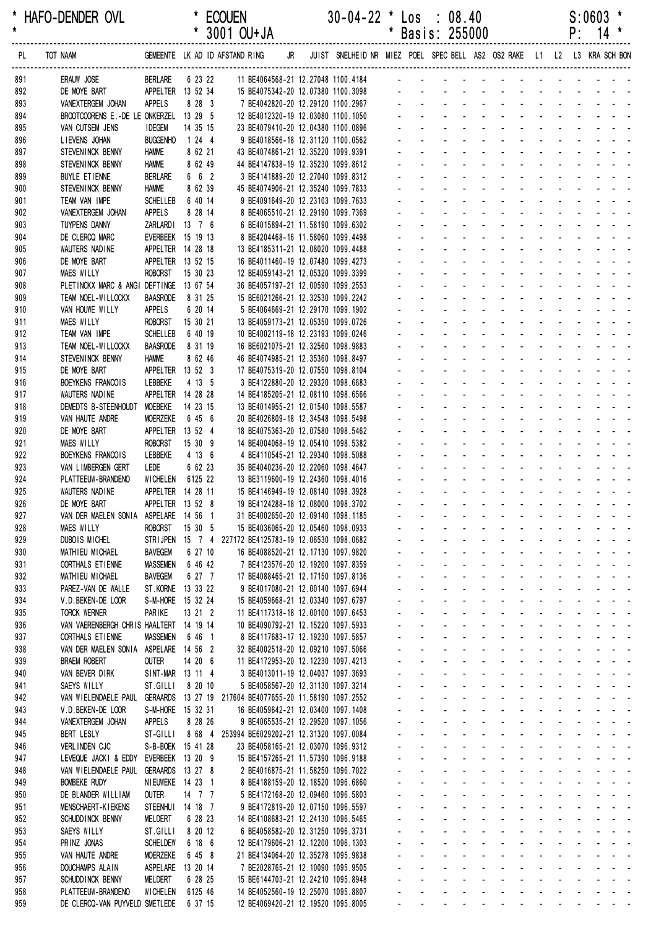| *<br>$\star$ | HAFO-DENDER OVL                                           |                                     |                     | <b>ECOUEN</b><br>* 3001 OU+JA                                                                             |  | $30-04-22$ * Los : 08.40           |                             |                                                              | * Basis: 255000                                                                                                                                                                                                                |                                                                |                                                                      |                                                                                                 |                                                           |                                                 |                             | S:0603<br>$P: 14$ *                                                                                                                                                                                                                                                                                                                                                                                                               | $\star$             |
|--------------|-----------------------------------------------------------|-------------------------------------|---------------------|-----------------------------------------------------------------------------------------------------------|--|------------------------------------|-----------------------------|--------------------------------------------------------------|--------------------------------------------------------------------------------------------------------------------------------------------------------------------------------------------------------------------------------|----------------------------------------------------------------|----------------------------------------------------------------------|-------------------------------------------------------------------------------------------------|-----------------------------------------------------------|-------------------------------------------------|-----------------------------|-----------------------------------------------------------------------------------------------------------------------------------------------------------------------------------------------------------------------------------------------------------------------------------------------------------------------------------------------------------------------------------------------------------------------------------|---------------------|
| PL           | TOT NAAM                                                  |                                     |                     | GEMEENTE LK AD ID AFSTAND RING JR JUIST SNELHEID NR MIEZ POEL SPEC BELL AS2 OS2 RAKE L1 L2 L3 KRA SCH BON |  |                                    |                             |                                                              |                                                                                                                                                                                                                                |                                                                |                                                                      |                                                                                                 |                                                           |                                                 |                             |                                                                                                                                                                                                                                                                                                                                                                                                                                   |                     |
| 891          | ERAUW JOSE                                                | <b>BERLARE</b>                      | 6 23 22             | 11 BE4064568-21 12.27048 1100.4184                                                                        |  |                                    |                             |                                                              |                                                                                                                                                                                                                                |                                                                |                                                                      |                                                                                                 |                                                           |                                                 |                             |                                                                                                                                                                                                                                                                                                                                                                                                                                   |                     |
| 892          | DE MOYE BART                                              | APPELTER 13 52 34                   |                     |                                                                                                           |  | 15 BE4075342-20 12.07380 1100.3098 |                             |                                                              |                                                                                                                                                                                                                                |                                                                |                                                                      |                                                                                                 |                                                           |                                                 |                             |                                                                                                                                                                                                                                                                                                                                                                                                                                   |                     |
| 893          | VANEXTERGEM JOHAN                                         | <b>APPELS</b>                       | 8 28 3              | 7 BE4042820-20 12.29120 1100.2967                                                                         |  |                                    |                             |                                                              |                                                                                                                                                                                                                                |                                                                |                                                                      |                                                                                                 |                                                           |                                                 |                             |                                                                                                                                                                                                                                                                                                                                                                                                                                   |                     |
| 894<br>895   | BROOTCOORENS E.-DE LE ONKERZEL 13 29 5<br>VAN CUTSEM JENS | <b>IDEGEM</b>                       | 14 35 15            | 12 BE4012320-19 12.03080 1100.1050<br>23 BE4079410-20 12.04380 1100.0896                                  |  |                                    |                             |                                                              |                                                                                                                                                                                                                                |                                                                |                                                                      |                                                                                                 |                                                           |                                                 |                             |                                                                                                                                                                                                                                                                                                                                                                                                                                   |                     |
| 896          | LIEVENS JOHAN                                             | <b>BUGGENHO</b>                     | 1244                |                                                                                                           |  | 9 BE4018566-18 12.31120 1100.0562  |                             |                                                              |                                                                                                                                                                                                                                | $\omega_{\rm{max}}$                                            |                                                                      |                                                                                                 | $\sim$                                                    |                                                 | $\mathbf{L} = \mathbf{L}$   |                                                                                                                                                                                                                                                                                                                                                                                                                                   |                     |
| 897          | STEVENINCK BENNY                                          | <b>HAMME</b>                        | 8 62 21             | 43 BE4074861-21 12.35220 1099.9391                                                                        |  |                                    |                             |                                                              |                                                                                                                                                                                                                                |                                                                |                                                                      |                                                                                                 |                                                           |                                                 |                             |                                                                                                                                                                                                                                                                                                                                                                                                                                   |                     |
| 898          | STEVENINCK BENNY                                          | <b>HAMME</b>                        | 8 62 49             | 44 BE4147838-19 12.35230 1099.8612                                                                        |  |                                    |                             |                                                              |                                                                                                                                                                                                                                |                                                                |                                                                      |                                                                                                 |                                                           |                                                 |                             |                                                                                                                                                                                                                                                                                                                                                                                                                                   |                     |
| 899          | <b>BUYLE ETIENNE</b>                                      | <b>BERLARE</b>                      | 6 6 2               |                                                                                                           |  | 3 BE4141889-20 12.27040 1099.8312  |                             |                                                              |                                                                                                                                                                                                                                |                                                                |                                                                      |                                                                                                 |                                                           |                                                 |                             |                                                                                                                                                                                                                                                                                                                                                                                                                                   |                     |
| 900          | STEVENINCK BENNY                                          | <b>HAMME</b>                        | 8 62 39             | 45 BE4074906-21 12.35240 1099.7833                                                                        |  |                                    |                             |                                                              | and the second contract of the second second second second second second second second second second second second second second second second second second second second second second second second second second second se |                                                                |                                                                      |                                                                                                 |                                                           |                                                 |                             |                                                                                                                                                                                                                                                                                                                                                                                                                                   |                     |
| 901<br>902   | TEAM VAN IMPE<br>VANEXTERGEM JOHAN                        | <b>SCHELLEB</b><br><b>APPELS</b>    | 6 40 14<br>8 28 14  | 9 BE4091649-20 12.23103 1099.7633<br>8 BE4065510-21 12.29190 1099.7369                                    |  |                                    |                             |                                                              |                                                                                                                                                                                                                                |                                                                |                                                                      |                                                                                                 |                                                           |                                                 |                             | $\mathbf{r} = \mathbf{r} + \mathbf{r} + \mathbf{r} + \mathbf{r} + \mathbf{r} + \mathbf{r}$                                                                                                                                                                                                                                                                                                                                        |                     |
| 903          | TUYPENS DANNY                                             | ZARLARDI 13 7 6                     |                     | 6 BE4015894-21 11.58190 1099.6302                                                                         |  |                                    |                             |                                                              |                                                                                                                                                                                                                                |                                                                |                                                                      |                                                                                                 |                                                           |                                                 |                             | <u>.</u>                                                                                                                                                                                                                                                                                                                                                                                                                          |                     |
| 904          | DE CLERCQ MARC                                            | EVERBEEK 15 19 13                   |                     | 8 BE4204468-16 11.58060 1099.4498                                                                         |  |                                    |                             |                                                              |                                                                                                                                                                                                                                |                                                                |                                                                      |                                                                                                 |                                                           |                                                 |                             | and a straight and a straight                                                                                                                                                                                                                                                                                                                                                                                                     |                     |
| 905          | WAUTERS NADINE                                            | APPELTER 14 28 18                   |                     | 13 BE4185311-21 12.08020 1099.4488                                                                        |  |                                    |                             |                                                              |                                                                                                                                                                                                                                |                                                                |                                                                      |                                                                                                 |                                                           |                                                 |                             |                                                                                                                                                                                                                                                                                                                                                                                                                                   |                     |
| 906          | DE MOYE BART                                              | APPELTER 13 52 15                   |                     | 16 BE4011460-19 12.07480 1099.4273                                                                        |  |                                    |                             |                                                              |                                                                                                                                                                                                                                |                                                                |                                                                      |                                                                                                 |                                                           |                                                 |                             |                                                                                                                                                                                                                                                                                                                                                                                                                                   |                     |
| 907          | MAES WILLY                                                | <b>ROBORST</b>                      | 15 30 23            | 12 BE4059143-21 12.05320 1099.3399                                                                        |  |                                    |                             |                                                              |                                                                                                                                                                                                                                |                                                                |                                                                      |                                                                                                 |                                                           |                                                 |                             |                                                                                                                                                                                                                                                                                                                                                                                                                                   |                     |
| 908          | PLETINCKX MARC & ANGI DEFTINGE 13 67 54                   |                                     |                     | 36 BE4057197-21 12.00590 1099.2553                                                                        |  |                                    |                             |                                                              |                                                                                                                                                                                                                                |                                                                |                                                                      |                                                                                                 |                                                           | $\mathbf{r}$ and $\mathbf{r}$                   |                             |                                                                                                                                                                                                                                                                                                                                                                                                                                   |                     |
| 909<br>910   | TEAM NOEL-WILLOCKX<br>VAN HOUWE WILLY                     | <b>BAASRODE</b><br><b>APPELS</b>    | 8 31 25<br>6 20 14  | 15 BE6021266-21 12.32530 1099.2242                                                                        |  | 5 BE4064669-21 12.29170 1099.1902  |                             |                                                              |                                                                                                                                                                                                                                |                                                                |                                                                      |                                                                                                 |                                                           |                                                 |                             |                                                                                                                                                                                                                                                                                                                                                                                                                                   |                     |
| 911          | MAES WILLY                                                | <b>ROBORST</b>                      | 15 30 21            | 13 BE4059173-21 12.05350 1099.0726                                                                        |  |                                    |                             |                                                              |                                                                                                                                                                                                                                |                                                                |                                                                      |                                                                                                 |                                                           |                                                 |                             |                                                                                                                                                                                                                                                                                                                                                                                                                                   |                     |
| 912          | TEAM VAN IMPE                                             | <b>SCHELLEB</b>                     | 6 40 19             | 10 BE4002119-18 12.23193 1099.0246                                                                        |  |                                    |                             |                                                              |                                                                                                                                                                                                                                |                                                                |                                                                      |                                                                                                 |                                                           |                                                 |                             |                                                                                                                                                                                                                                                                                                                                                                                                                                   |                     |
| 913          | TEAM NOEL-WILLOCKX                                        | <b>BAASRODE</b>                     | 8 31 19             | 16 BE6021075-21 12.32560 1098.9883                                                                        |  |                                    |                             |                                                              |                                                                                                                                                                                                                                |                                                                |                                                                      |                                                                                                 |                                                           |                                                 |                             | and a state of the state of the state of the state of the state of the state of the state of the state of the                                                                                                                                                                                                                                                                                                                     |                     |
| 914          | STEVENINCK BENNY                                          | <b>HAMME</b>                        | 8 62 46             | 46 BE4074985-21 12.35360 1098.8497                                                                        |  |                                    |                             |                                                              |                                                                                                                                                                                                                                |                                                                |                                                                      |                                                                                                 |                                                           |                                                 |                             | $\mathbf{r} = \mathbf{r} + \mathbf{r} + \mathbf{r} + \mathbf{r} + \mathbf{r} + \mathbf{r}$                                                                                                                                                                                                                                                                                                                                        |                     |
| 915          | DE MOYE BART                                              | APPELTER 13 52 3                    |                     | 17 BE4075319-20 12.07550 1098.8104                                                                        |  |                                    |                             |                                                              |                                                                                                                                                                                                                                |                                                                |                                                                      |                                                                                                 |                                                           |                                                 |                             | and a straight and a straight                                                                                                                                                                                                                                                                                                                                                                                                     |                     |
| 916          | BOEYKENS FRANCOIS                                         | LEBBEKE                             | 4 13 5              | 3 BE4122880-20 12.29320 1098.6683                                                                         |  |                                    |                             |                                                              |                                                                                                                                                                                                                                |                                                                |                                                                      |                                                                                                 |                                                           |                                                 |                             | and a straight                                                                                                                                                                                                                                                                                                                                                                                                                    |                     |
| 917          | WAUTERS NAD INE                                           | APPELTER 14 28 28<br><b>MOEBEKE</b> | 14 23 15            | 14 BE4185205-21 12.08110 1098.6566<br>13 BE4014955-21 12.01540 1098.5587                                  |  |                                    |                             |                                                              |                                                                                                                                                                                                                                |                                                                |                                                                      |                                                                                                 |                                                           |                                                 |                             |                                                                                                                                                                                                                                                                                                                                                                                                                                   |                     |
| 918<br>919   | DEMEDTS B-STEENHOUDT<br>VAN HAUTE ANDRE                   | MOERZEKE                            | 6 45 6              | 20 BE4026809-18 12.34548 1098.5498                                                                        |  |                                    |                             |                                                              |                                                                                                                                                                                                                                |                                                                |                                                                      |                                                                                                 |                                                           |                                                 |                             |                                                                                                                                                                                                                                                                                                                                                                                                                                   |                     |
| 920          | DE MOYE BART                                              | APPELTER 13 52 4                    |                     | 18 BE4075363-20 12.07580 1098.5462                                                                        |  |                                    |                             |                                                              |                                                                                                                                                                                                                                | $\sim$                                                         |                                                                      |                                                                                                 |                                                           | ÷.                                              |                             |                                                                                                                                                                                                                                                                                                                                                                                                                                   |                     |
| 921          | <b>MAES WILLY</b>                                         | <b>ROBORST</b>                      | 15 30 9             | 14 BE4004068-19 12.05410 1098.5382                                                                        |  |                                    |                             |                                                              |                                                                                                                                                                                                                                |                                                                |                                                                      |                                                                                                 |                                                           | $\Delta \sim 10^{-1}$                           |                             |                                                                                                                                                                                                                                                                                                                                                                                                                                   |                     |
| 922          | BOEYKENS FRANCOIS                                         | LEBBEKE                             | 4 13 6              |                                                                                                           |  | 4 BE4110545-21 12.29340 1098.5088  |                             |                                                              |                                                                                                                                                                                                                                |                                                                | $\mathbf{r}$                                                         | $\mathbf{r}$                                                                                    |                                                           | $\omega_{\rm{max}}$                             |                             |                                                                                                                                                                                                                                                                                                                                                                                                                                   |                     |
| 923          | VAN LIMBERGEN GERT                                        | LEDE                                | 6 62 23             | 35 BE4040236-20 12.22060 1098.4647                                                                        |  |                                    |                             |                                                              |                                                                                                                                                                                                                                |                                                                | $\Delta \sim 100$                                                    |                                                                                                 | $\mathcal{L}^{\text{max}}$ and $\mathcal{L}^{\text{max}}$ |                                                 |                             | and the contract of the contract of                                                                                                                                                                                                                                                                                                                                                                                               |                     |
| 924          | PLATTEEUW-BRANDENO                                        | <b>WICHELEN</b>                     | 6125 22             | 13 BE3119600-19 12.24360 1098.4016                                                                        |  |                                    |                             |                                                              |                                                                                                                                                                                                                                |                                                                |                                                                      |                                                                                                 |                                                           |                                                 |                             |                                                                                                                                                                                                                                                                                                                                                                                                                                   |                     |
| 925          | WAUTERS NADINE                                            | APPELTER 14 28 11                   |                     | 15 BE4146949-19 12.08140 1098.3928                                                                        |  |                                    |                             |                                                              |                                                                                                                                                                                                                                |                                                                |                                                                      |                                                                                                 |                                                           |                                                 |                             |                                                                                                                                                                                                                                                                                                                                                                                                                                   |                     |
| 926<br>927   | DE MOYE BART<br>VAN DER MAELEN SONIA ASPELARE 14 56 1     | APPELTER 13 52 8                    |                     | 19 BE4124288-18 12.08000 1098.3702<br>31 BE4002650-20 12.09140 1098.1185                                  |  |                                    |                             |                                                              |                                                                                                                                                                                                                                |                                                                | and the company of the company of                                    |                                                                                                 |                                                           |                                                 |                             |                                                                                                                                                                                                                                                                                                                                                                                                                                   |                     |
| 928          | <b>MAES WILLY</b>                                         | <b>ROBORST</b>                      | 15 30 5             | 15 BE4036065-20 12.05460 1098.0933                                                                        |  |                                    |                             |                                                              | $\mathbf{L}^{\text{max}}$<br>$\Delta \sim 100$                                                                                                                                                                                 |                                                                | and a straight and a straight                                        |                                                                                                 |                                                           |                                                 |                             |                                                                                                                                                                                                                                                                                                                                                                                                                                   |                     |
| 929          | <b>DUBOIS MICHEL</b>                                      |                                     |                     | STRIJPEN 15 7 4 227172 BE4125783-19 12.06530 1098.0682                                                    |  |                                    |                             |                                                              | $\mathbf{u} = \mathbf{u}$ , $\mathbf{u} = \mathbf{u}$<br>$\sim 100$                                                                                                                                                            | <b>Service Control</b>                                         |                                                                      | $\mathbf{a}^{\prime}$ , $\mathbf{a}^{\prime}$ , $\mathbf{a}^{\prime}$ , $\mathbf{a}^{\prime}$ , |                                                           |                                                 |                             |                                                                                                                                                                                                                                                                                                                                                                                                                                   |                     |
| 930          | MATHIEU MICHAEL                                           | <b>BAVEGEM</b>                      | 6 27 10             | 16 BE4088520-21 12.17130 1097.9820                                                                        |  |                                    |                             |                                                              |                                                                                                                                                                                                                                |                                                                |                                                                      |                                                                                                 |                                                           |                                                 |                             |                                                                                                                                                                                                                                                                                                                                                                                                                                   |                     |
| 931          | CORTHALS ET IENNE                                         | <b>MASSEMEN</b>                     | 6 46 42             | 7 BE4123576-20 12.19200 1097.8359                                                                         |  |                                    |                             |                                                              |                                                                                                                                                                                                                                | $\mathbf{r}$<br>$\mathbf{r}$                                   | $\omega$                                                             | $\mathbf{L}^{\text{max}}$                                                                       |                                                           | $\mathbf{r}$                                    |                             | $\label{eq:2.1} \begin{array}{cccccccccc} \mathbf{1} & \mathbf{1} & \mathbf{1} & \mathbf{1} & \mathbf{1} & \mathbf{1} & \mathbf{1} & \mathbf{1} & \mathbf{1} & \mathbf{1} & \mathbf{1} & \mathbf{1} & \mathbf{1} & \mathbf{1} & \mathbf{1} & \mathbf{1} & \mathbf{1} & \mathbf{1} & \mathbf{1} & \mathbf{1} & \mathbf{1} & \mathbf{1} & \mathbf{1} & \mathbf{1} & \mathbf{1} & \mathbf{1} & \mathbf{1} & \mathbf{1} & \mathbf{1}$ |                     |
| 932          | MATHIEU MICHAEL                                           | <b>BAVEGEM</b>                      | 6 27 7              | 17 BE4088465-21 12.17150 1097.8136                                                                        |  |                                    |                             | $\mathbf{r}$                                                 | $\sim$                                                                                                                                                                                                                         | $\mathcal{L}^{\mathcal{A}}$<br>$\mathbf{L}^{\text{max}}$       | $\mathcal{L}^{\mathcal{A}}$                                          |                                                                                                 | $\mathbf{L} = \mathbf{L}$                                 | $\mathbf{r}$ and $\mathbf{r}$                   |                             | $\begin{array}{cccccccccccccc} \bullet & \bullet & \bullet & \bullet & \bullet & \bullet & \bullet \end{array}$                                                                                                                                                                                                                                                                                                                   |                     |
| 933          | PAREZ-VAN DE WALLE                                        | ST.KORNE                            | 13 33 22            | 9 BE4017080-21 12.00140 1097.6944                                                                         |  |                                    | a.                          | L.<br>$\mathcal{L}^{\mathcal{L}}$                            | $\Delta \sim 10^{-1}$<br>$\Delta \sim 10^{-11}$                                                                                                                                                                                | $\Delta \sim 100$<br>$\Delta \sim 10^4$<br>$\omega_{\rm{max}}$ | $\Delta \sim 10^4$<br>$\Delta \sim 10^{-1}$<br>$\Delta \sim 10^{-1}$ |                                                                                                 | and a state<br>and a state                                |                                                 |                             | and a straight and<br>and a strain and a                                                                                                                                                                                                                                                                                                                                                                                          |                     |
| 934<br>935   | V.D. BEKEN-DE LOOR<br><b>TORCK WERNER</b>                 | S-M-HORE<br>PARIKE                  | 15 32 24<br>13 21 2 | 15 BE4059668-21 12.03340 1097.6797<br>11 BE4117318-18 12.00100 1097.6453                                  |  |                                    |                             | $\mathbf{r}$                                                 | $\sim 100$                                                                                                                                                                                                                     | $\omega_{\rm{max}}$<br>$\mathbf{r}$                            | $\sim$                                                               | $\mathbf{r}$                                                                                    |                                                           |                                                 |                             | and a strain and a                                                                                                                                                                                                                                                                                                                                                                                                                |                     |
| 936          | VAN VAERENBERGH CHRIS HAALTERT 14 19 14                   |                                     |                     | 10 BE4090792-21 12.15220 1097.5933                                                                        |  |                                    |                             |                                                              |                                                                                                                                                                                                                                | $\omega_{\rm{max}}$                                            |                                                                      |                                                                                                 |                                                           |                                                 |                             |                                                                                                                                                                                                                                                                                                                                                                                                                                   |                     |
| 937          | CORTHALS ETIENNE                                          | <b>MASSEMEN</b>                     | 6 46 1              | 8 BE4117683-17 12.19230 1097.5857                                                                         |  |                                    |                             | ÷.                                                           |                                                                                                                                                                                                                                | $\Delta \phi = 0.01$ and                                       | $\sim$                                                               | $\sim$                                                                                          |                                                           | $\mathbf{r}$                                    |                             | $\mathcal{L} = \mathcal{L} \times \mathcal{L}$                                                                                                                                                                                                                                                                                                                                                                                    |                     |
| 938          | VAN DER MAELEN SONIA ASPELARE 14 56 2                     |                                     |                     | 32 BE4002518-20 12.09210 1097.5066                                                                        |  |                                    | $\mathbf{r}$                | $\mathbf{r}$                                                 | $\Delta \sim 100$                                                                                                                                                                                                              | $\Delta \phi = 0.01$ and                                       | $\Delta \sim 100$                                                    |                                                                                                 | $\Delta \phi = \Delta \phi$                               | $\sim$                                          | $\mathcal{L}^{\mathcal{A}}$ | and the state of the                                                                                                                                                                                                                                                                                                                                                                                                              |                     |
| 939          | <b>BRAEM ROBERT</b>                                       | <b>OUTER</b>                        | 14 20 6             | 11 BE4172953-20 12.12230 1097.4213                                                                        |  |                                    | $\mathcal{L}^{\pm}$         | ÷.                                                           | $\Delta \sim 100$                                                                                                                                                                                                              |                                                                | and a straight and a straight                                        |                                                                                                 |                                                           | ä,                                              |                             |                                                                                                                                                                                                                                                                                                                                                                                                                                   |                     |
| 940          | VAN BEVER DIRK                                            | SINT-MAR 13 11 4                    |                     | 3 BE4013011-19 12.04037 1097.3693                                                                         |  |                                    |                             | $\omega_{\rm{max}}$                                          | $\mathbf{L}^{\text{max}}$<br>$\Delta \sim 10^{-1}$                                                                                                                                                                             |                                                                | and a straight                                                       | $\sim 100$                                                                                      | $\sim$                                                    | $\mathcal{L}^{\text{max}}$                      |                             | $\Delta \phi = \Delta \phi = 0.1$                                                                                                                                                                                                                                                                                                                                                                                                 |                     |
| 941          | SAEYS WILLY                                               | ST.GILLI                            | 8 20 10             | 5 BE4058567-20 12.31130 1097.3214                                                                         |  |                                    |                             |                                                              | $\Delta \sim 100$<br>$\sim 100$                                                                                                                                                                                                | <b>All Cards</b>                                               |                                                                      | <b>All States</b>                                                                               |                                                           |                                                 |                             |                                                                                                                                                                                                                                                                                                                                                                                                                                   |                     |
| 942<br>943   | VAN WIELENDAELE PAUL<br>V.D.BEKEN-DE LOOR                 | S-M-HORE 15 32 31                   |                     | GERAARDS 13 27 19 217604 BE4077655-20 11.58190 1097.2552<br>16 BE4059642-21 12.03400 1097.1408            |  |                                    |                             | ÷.<br>a.                                                     |                                                                                                                                                                                                                                | $\Delta \phi = 0.01$<br>$\sim$<br>$\omega_{\rm{max}}$          | $\sim$ $-$                                                           | $\Delta \phi = 0.000$ .                                                                         | $\omega_{\rm{max}}$ and $\omega_{\rm{max}}$               | $\omega_{\rm{max}}$                             |                             | $\mathbf{1}^{\prime}$ , $\mathbf{1}^{\prime}$ , $\mathbf{1}^{\prime}$ , $\mathbf{1}^{\prime}$ , $\mathbf{1}^{\prime}$                                                                                                                                                                                                                                                                                                             |                     |
| 944          | VANEXTERGEM JOHAN                                         | APPELS                              | 8 28 26             | 9 BE4065535-21 12.29520 1097.1056                                                                         |  |                                    |                             | $\mathbf{r}$                                                 | $\Delta \sim 100$                                                                                                                                                                                                              | $\omega_{\rm{max}}$ and $\omega_{\rm{max}}$                    | $\Delta \sim 100$                                                    |                                                                                                 | and a state                                               |                                                 |                             | $\mathbf{L} = \mathbf{L} \mathbf{L} + \mathbf{L} \mathbf{L} + \mathbf{L} \mathbf{L}$                                                                                                                                                                                                                                                                                                                                              |                     |
| 945          | <b>BERT LESLY</b>                                         | ST-GILLI                            | 8 68 4              | 253994 BE6029202-21 12.31320 1097.0084                                                                    |  |                                    | $\mathcal{L}_{\mathcal{A}}$ | L.                                                           | $\Delta \sim 100$                                                                                                                                                                                                              | and a state                                                    |                                                                      | $\omega_{\rm{eff}}=2.00\pm0.001$                                                                |                                                           |                                                 |                             | and a state of                                                                                                                                                                                                                                                                                                                                                                                                                    |                     |
| 946          | VERLINDEN CJC                                             | S-B-BOEK 15 41 28                   |                     | 23 BE4058165-21 12.03070 1096.9312                                                                        |  |                                    |                             | $\omega_{\rm{max}}$                                          | $\omega_{\rm{max}}$<br>$\Delta \sim 10^{-11}$                                                                                                                                                                                  | $\Delta \sim 10^{-1}$<br>$\omega_{\rm{max}}$                   | $\Delta \sim 10^4$                                                   |                                                                                                 | and a state                                               | $\omega_{\rm{max}}$                             |                             | $\omega_{\rm{max}}$ , and $\omega_{\rm{max}}$                                                                                                                                                                                                                                                                                                                                                                                     |                     |
| 947          | LEVEQUE JACKI & EDDY                                      | EVERBEEK 13 20 9                    |                     | 15 BE4157265-21 11.57390 1096.9188                                                                        |  |                                    |                             | $\mathbf{r}$                                                 | $\sim$                                                                                                                                                                                                                         | $\mathbf{a} = \mathbf{0}$<br>$\mathbf{r}$                      | $\omega$                                                             | $\mathbf{r}$                                                                                    |                                                           | $\omega_{\rm{max}}$                             |                             | $\mathbf{u} = \mathbf{u} + \mathbf{u} + \mathbf{u} + \mathbf{u}$                                                                                                                                                                                                                                                                                                                                                                  |                     |
| 948          | VAN WIELENDAELE PAUL                                      | GERAARDS 13 27 8                    |                     | 2 BE4016875-21 11.58250 1096.7022                                                                         |  |                                    |                             |                                                              |                                                                                                                                                                                                                                | $\mathcal{L}^{\text{max}}$ and $\mathcal{L}^{\text{max}}$      |                                                                      |                                                                                                 | and a state                                               |                                                 |                             | and a strain and                                                                                                                                                                                                                                                                                                                                                                                                                  |                     |
| 949          | <b>BOMBEKE RUDY</b>                                       | NIEUWEKE 14 23 1                    |                     | 8 BE4188159-20 12.18520 1096.6860                                                                         |  |                                    |                             | $\blacksquare$                                               |                                                                                                                                                                                                                                | $\omega_{\rm{max}}$ and                                        | $\omega$                                                             | $\sim 100$                                                                                      |                                                           | $\mathcal{L}^{\mathcal{L}}$                     |                             | $\mathcal{L}^{\text{max}}$ , and $\mathcal{L}^{\text{max}}$                                                                                                                                                                                                                                                                                                                                                                       |                     |
| 950          | DE BLANDER WILLIAM<br><b>MENSCHAERT-KIEKENS</b>           | <b>OUTER</b><br>STEENHUI 14 18 7    | 14 7 7              | 5 BE4172168-20 12.09460 1096.5803<br>9 BE4172819-20 12.07150 1096.5597                                    |  |                                    | $\sim$                      | $\mathbf{r}$<br>÷.<br>$\Delta \sim 100$                      | $\Delta \sim 100$<br>$\Delta \sim 100$                                                                                                                                                                                         | $\Delta \phi = 0.01$ and                                       | $\Delta \sim 100$<br>and a straight and a straight and               |                                                                                                 | $\Delta \phi = \Delta \phi$                               | $\mathcal{L}^{\mathcal{A}}$<br>ä,               | $\mathcal{L}^{\mathcal{A}}$ | and the state of the                                                                                                                                                                                                                                                                                                                                                                                                              |                     |
| 951<br>952   | SCHUDD INCK BENNY                                         | MELDERT                             | 6 28 23             | 14 BE4108683-21 12.24130 1096.5465                                                                        |  |                                    |                             | $\omega_{\rm{max}}$                                          | $\Delta \sim 100$<br>$\Delta \sim 100$                                                                                                                                                                                         | $\omega_{\rm{eff}}=0.01$ and $\omega_{\rm{eff}}=0.01$          | $\Delta \sim 10^4$                                                   | $\Delta \sim 10^4$                                                                              |                                                           | $\mathcal{L}^{\text{max}}$                      |                             | $\mathbf{a} = \mathbf{a} + \mathbf{a}$ . Then                                                                                                                                                                                                                                                                                                                                                                                     |                     |
| 953          | SAEYS WILLY                                               | ST.GILLI                            | 8 20 12             | 6 BE4058582-20 12.31250 1096.3731                                                                         |  |                                    |                             |                                                              | $\sim 100$<br>$\sim 100$                                                                                                                                                                                                       | <b>All States</b>                                              | $\Delta \sim 100$                                                    | $\Delta \sim 10^4$                                                                              |                                                           |                                                 |                             |                                                                                                                                                                                                                                                                                                                                                                                                                                   |                     |
| 954          | PRINZ JONAS                                               | <b>SCHELDEW</b>                     | 6 18 6              | 12 BE4179606-21 12.12200 1096.1303                                                                        |  |                                    |                             | ÷.                                                           |                                                                                                                                                                                                                                | $\omega_{\rm{max}}$<br>$\mathbf{u}$                            | $\Delta \sim 100$                                                    | $\Delta \sim 10^4$                                                                              |                                                           |                                                 |                             |                                                                                                                                                                                                                                                                                                                                                                                                                                   |                     |
| 955          | VAN HAUTE ANDRE                                           | <b>MOERZEKE</b>                     | 6 45 8              | 21 BE4134064-20 12.35278 1095.9838                                                                        |  |                                    |                             | ÷.                                                           |                                                                                                                                                                                                                                | $\mathbf{r}$<br>$\mathcal{L}_{\rm{max}}$                       | $\omega$                                                             | $\mathbf{L}^{\text{max}}$                                                                       |                                                           | $\mathcal{L}^{\text{max}}$                      |                             | $\label{eq:2.1} \begin{array}{cccccccccc} \mathbf{1} & \mathbf{1} & \mathbf{1} & \mathbf{1} & \mathbf{1} & \mathbf{1} & \mathbf{1} & \mathbf{1} & \mathbf{1} & \mathbf{1} & \mathbf{1} & \mathbf{1} & \mathbf{1} & \mathbf{1} & \mathbf{1} & \mathbf{1} & \mathbf{1} & \mathbf{1} & \mathbf{1} & \mathbf{1} & \mathbf{1} & \mathbf{1} & \mathbf{1} & \mathbf{1} & \mathbf{1} & \mathbf{1} & \mathbf{1} & \mathbf{1} & \mathbf{1}$ |                     |
| 956          | DOUCHAMPS ALAIN                                           | ASPELARE                            | 13 20 14            | 7 BE2028765-21 12.10090 1095.9505                                                                         |  |                                    |                             | $\mathbf{r}$                                                 | $\Delta \sim 100$                                                                                                                                                                                                              | $\Delta \sim 100$<br>$\sim$                                    | $\mathcal{L}^{\mathcal{A}}$                                          |                                                                                                 | $\mathbf{L} = \mathbf{L}$                                 | $\Delta \sim 100$                               |                             | $\omega_{\rm{max}}$ , and $\omega_{\rm{max}}$                                                                                                                                                                                                                                                                                                                                                                                     |                     |
| 957          | SCHUDD INCK BENNY                                         | MELDERT                             | 6 28 25             | 15 BE6144703-21 12.24210 1095.8948                                                                        |  |                                    | $\mathcal{L}_{\mathcal{A}}$ | ä,                                                           | $\omega_{\rm{max}}$                                                                                                                                                                                                            | $\mathbf{L}^{\text{max}}$<br>$\mathcal{L}^{\mathcal{A}}$       | ÷.                                                                   |                                                                                                 | and a strip                                               | $\Delta \sim 10^{-1}$                           |                             | $\omega_{\rm{eff}}=2.0\pm0.02$                                                                                                                                                                                                                                                                                                                                                                                                    |                     |
| 958<br>959   | PLATTEEUW-BRANDENO<br>DE CLERCQ-VAN PUYVELD SMETLEDE      | <b>WICHELEN</b>                     | 6125 46<br>6 37 15  | 14 BE4052560-19 12.25070 1095.8807<br>12 BE4069420-21 12.19520 1095.8005                                  |  |                                    |                             | $\omega_{\rm{max}}$<br>$\blacksquare$<br>$\omega_{\rm{max}}$ | $\sim$<br>$\sim 100$<br>$\sim 100$                                                                                                                                                                                             | ä,<br>$\mathcal{L}_{\mathcal{A}}$<br>$\mathbf{a} = \mathbf{0}$ | $\mathbf{u}$<br>$\Delta \sim 100$<br>$\Delta \sim 100$               | $\mathbf{L}^{\text{max}}$<br>$\Delta \sim 100$                                                  | $\Delta \sim 100$<br>$\Delta \sim 100$                    | $\mathcal{L}^{\text{max}}$<br>$\Delta \sim 100$ | $\sim 100$                  | $\omega_{\rm{max}}$ and $\omega_{\rm{max}}$                                                                                                                                                                                                                                                                                                                                                                                       | $\omega_{\rm{max}}$ |
|              |                                                           |                                     |                     |                                                                                                           |  |                                    |                             |                                                              |                                                                                                                                                                                                                                |                                                                |                                                                      |                                                                                                 |                                                           |                                                 |                             |                                                                                                                                                                                                                                                                                                                                                                                                                                   |                     |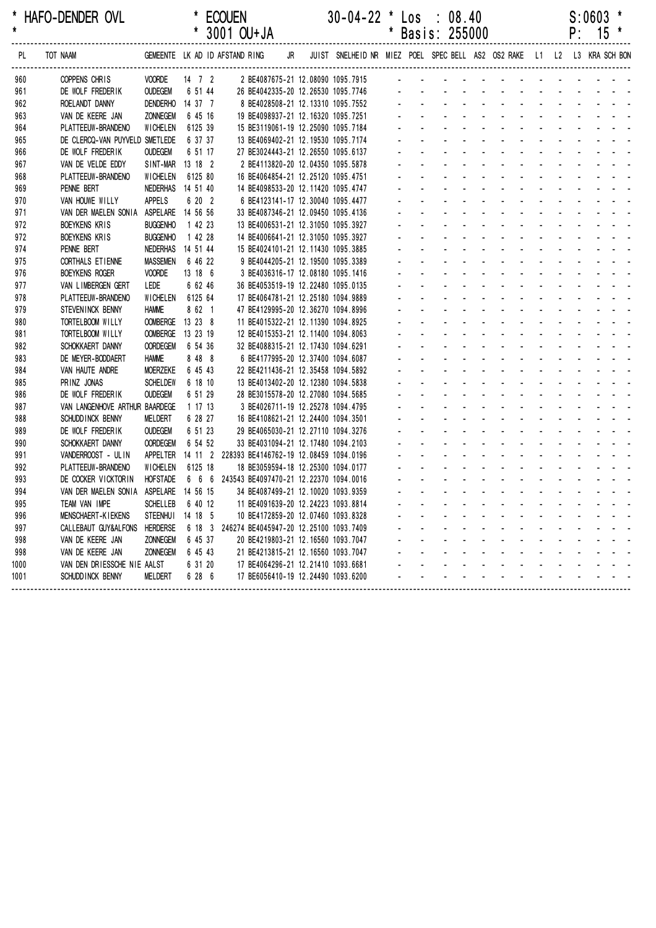| *<br>$\star$ | HAFO-DENDER OVL                        |                   |                      | <b>ECOUEN</b><br>* 3001 OU+JA                 |    |  | $30-04-22$ * Los : 08.40                                                | $^\ast$ | Basis: 255000 |  |  |  | S:0603<br>$P: 15$ * |  |
|--------------|----------------------------------------|-------------------|----------------------|-----------------------------------------------|----|--|-------------------------------------------------------------------------|---------|---------------|--|--|--|---------------------|--|
| PL           | TOT NAAM                               |                   |                      | GEMEENTE LK AD ID AFSTAND RING                | JR |  | JUIST SNELHEID NR MIEZ POEL SPEC BELL AS2 OS2 RAKE L1 L2 L3 KRA SCH BON |         |               |  |  |  |                     |  |
| 960          | COPPENS CHRIS                          | <b>VOORDE</b>     | $14 \quad 7 \quad 2$ |                                               |    |  | 2 BE4087675-21 12.08090 1095.7915                                       |         |               |  |  |  |                     |  |
| 961          | DE WOLF FREDERIK                       | <b>OUDEGEM</b>    | 6 51 44              | 26 BE4042335-20 12.26530 1095.7746            |    |  |                                                                         |         |               |  |  |  |                     |  |
| 962          | ROELANDT DANNY                         | <b>DENDERHO</b>   | 14 37 7              |                                               |    |  | 8 BE4028508-21 12.13310 1095.7552                                       |         |               |  |  |  |                     |  |
| 963          | VAN DE KEERE JAN                       | <b>ZONNEGEM</b>   | 6 45 16              | 19 BE4098937-21 12.16320 1095.7251            |    |  |                                                                         |         |               |  |  |  |                     |  |
| 964          | PLATTEEUW-BRANDENO                     | <b>WICHELEN</b>   | 6125 39              | 15 BE3119061-19 12.25090 1095.7184            |    |  |                                                                         |         |               |  |  |  |                     |  |
| 965          | DE CLERCQ-VAN PUYVELD SMETLEDE         |                   | 6 37 37              | 13 BE4069402-21 12.19530 1095.7174            |    |  |                                                                         |         |               |  |  |  |                     |  |
| 966          | DE WOLF FREDERIK                       | <b>OUDEGEM</b>    | 6 51 17              | 27 BE3024443-21 12.26550 1095.6137            |    |  |                                                                         |         |               |  |  |  |                     |  |
| 967          | VAN DE VELDE EDDY                      | SINT-MAR          | 13 18 2              |                                               |    |  | 2 BE4113820-20 12.04350 1095.5878                                       |         |               |  |  |  |                     |  |
| 968          | PLATTEEUW-BRANDENO                     | <b>WICHELEN</b>   | 6125 80              | 16 BE4064854-21 12.25120 1095.4751            |    |  |                                                                         |         |               |  |  |  |                     |  |
| 969          | PENNE BERT                             | NEDERHAS 14 51 40 |                      | 14 BE4098533-20 12.11420 1095.4747            |    |  |                                                                         |         |               |  |  |  |                     |  |
| 970          | VAN HOUWE WILLY                        | <b>APPELS</b>     | 6 20 2               |                                               |    |  | 6 BE4123141-17 12.30040 1095.4477                                       |         |               |  |  |  |                     |  |
| 971          | VAN DER MAELEN SONIA                   | ASPELARE 14 56 56 |                      | 33 BE4087346-21 12.09450 1095.4136            |    |  |                                                                         |         |               |  |  |  |                     |  |
| 972          | <b>BOEYKENS KRIS</b>                   | <b>BUGGENHO</b>   | 1 42 23              | 13 BE4006531-21 12.31050 1095.3927            |    |  |                                                                         |         |               |  |  |  |                     |  |
| 972          | <b>BOEYKENS KRIS</b>                   | <b>BUGGENHO</b>   | 1 42 28              | 14 BE4006641-21 12.31050 1095.3927            |    |  |                                                                         |         |               |  |  |  |                     |  |
| 974          | PENNE BERT                             | NEDERHAS          | 14 51 44             | 15 BE4024101-21 12.11430 1095.3885            |    |  |                                                                         |         |               |  |  |  |                     |  |
| 975          | CORTHALS ET IENNE                      | <b>MASSEMEN</b>   | 6 46 22              | 9 BE4044205-21 12.19500 1095.3389             |    |  |                                                                         |         |               |  |  |  |                     |  |
| 976          | <b>BOEYKENS ROGER</b>                  | <b>VOORDE</b>     | 13 18 6              |                                               |    |  | 3 BE4036316-17 12.08180 1095.1416                                       |         |               |  |  |  |                     |  |
| 977          | VAN LIMBERGEN GERT                     | LEDE              | 6 62 46              | 36 BE4053519-19 12.22480 1095.0135            |    |  |                                                                         |         |               |  |  |  |                     |  |
| 978          | PLATTEEUW-BRANDENO                     | <b>WICHELEN</b>   | 6125 64              | 17 BE4064781-21 12.25180 1094.9889            |    |  |                                                                         |         |               |  |  |  |                     |  |
| 979          | STEVENINCK BENNY                       | <b>HAMME</b>      | 8 62 1               | 47 BE4129995-20 12.36270 1094.8996            |    |  |                                                                         |         |               |  |  |  |                     |  |
| 980          | TORTELBOOM WILLY                       | <b>OOMBERGE</b>   | 13 23 8              | 11 BE4015322-21 12.11390 1094.8925            |    |  |                                                                         |         |               |  |  |  |                     |  |
| 981          | TORTELBOOM WILLY                       | <b>OOMBERGE</b>   | 13 23 19             | 12 BE4015353-21 12.11400 1094.8063            |    |  |                                                                         |         |               |  |  |  |                     |  |
| 982          | SCHOKKAERT DANNY                       | <b>OORDEGEM</b>   | 6 54 36              | 32 BE4088315-21 12.17430 1094.6291            |    |  |                                                                         |         |               |  |  |  |                     |  |
| 983          | DE MEYER-BODDAERT                      | <b>HAMME</b>      | 8 48 8               | 6 BE4177995-20 12.37400 1094.6087             |    |  |                                                                         |         |               |  |  |  |                     |  |
| 984          | VAN HAUTE ANDRE                        | <b>MOERZEKE</b>   | 6 45 43              | 22 BE4211436-21 12.35458 1094.5892            |    |  |                                                                         |         |               |  |  |  |                     |  |
| 985          | PRINZ JONAS                            | <b>SCHELDEW</b>   | 6 18 10              | 13 BE4013402-20 12.12380 1094.5838            |    |  |                                                                         |         |               |  |  |  |                     |  |
| 986          | DE WOLF FREDERIK                       | <b>OUDEGEM</b>    | 6 51 29              | 28 BE3015578-20 12.27080 1094.5685            |    |  |                                                                         |         |               |  |  |  |                     |  |
| 987          | VAN LANGENHOVE ARTHUR BAARDEGE         |                   | 1 17 13              | 3 BE4026711-19 12.25278 1094.4795             |    |  |                                                                         |         |               |  |  |  |                     |  |
| 988          | SCHUDD INCK BENNY                      | MELDERT           | 6 28 27              | 16 BE4108621-21 12.24400 1094.3501            |    |  |                                                                         |         |               |  |  |  |                     |  |
| 989          | DE WOLF FREDERIK                       | <b>OUDEGEM</b>    | 6 51 23              | 29 BE4065030-21 12.27110 1094.3276            |    |  |                                                                         |         |               |  |  |  |                     |  |
| 990          | SCHOKKAERT DANNY                       | <b>OORDEGEM</b>   | 6 54 52              | 33 BE4031094-21 12.17480 1094.2103            |    |  |                                                                         |         |               |  |  |  |                     |  |
| 991          | VANDERROOST - ULIN                     | <b>APPELTER</b>   | $14$ 11 2            | 228393 BE4146762-19 12.08459 1094.0196        |    |  |                                                                         |         |               |  |  |  |                     |  |
| 992          | PLATTEEUW-BRANDENO                     | <b>WICHELEN</b>   | 6125 18              | 18 BE3059594-18 12.25300 1094.0177            |    |  |                                                                         |         |               |  |  |  |                     |  |
| 993          | DE COCKER VICKTORIN                    | <b>HOFSTADE</b>   |                      | 6 6 6 243543 BE4097470-21 12.22370 1094.0016  |    |  |                                                                         |         |               |  |  |  |                     |  |
| 994          | VAN DER MAELEN SONIA ASPELARE 14 56 15 |                   |                      | 34 BE4087499-21 12.10020 1093.9359            |    |  |                                                                         |         |               |  |  |  |                     |  |
| 995          | TEAM VAN IMPE                          | <b>SCHELLEB</b>   | 6 40 12              | 11 BE4091639-20 12.24223 1093.8814            |    |  |                                                                         |         |               |  |  |  |                     |  |
| 996          | <b>MENSCHAERT-KIEKENS</b>              | STEENHUI 14 18 5  |                      | 10 BE4172859-20 12.07460 1093.8328            |    |  |                                                                         |         |               |  |  |  |                     |  |
| 997          | CALLEBAUT GUY&ALFONS                   | HERDERSE          |                      | 6 18 3 246274 BE4045947-20 12.25100 1093.7409 |    |  |                                                                         |         |               |  |  |  |                     |  |
| 998          | VAN DE KEERE JAN                       | <b>ZONNEGEM</b>   | 6 45 37              | 20 BE4219803-21 12.16560 1093.7047            |    |  |                                                                         |         |               |  |  |  |                     |  |
| 998          | VAN DE KEERE JAN                       | <b>ZONNEGEM</b>   | 6 45 43              | 21 BE4213815-21 12.16560 1093.7047            |    |  |                                                                         |         |               |  |  |  |                     |  |
| 1000         | VAN DEN DRIESSCHE NIE AALST            |                   | 6 31 20              | 17 BE4064296-21 12.21410 1093.6681            |    |  |                                                                         |         |               |  |  |  |                     |  |
| 1001         | SCHUDD INCK BENNY                      | <b>MELDERT</b>    | 6 28 6               | 17 BE6056410-19 12.24490 1093.6200            |    |  |                                                                         |         |               |  |  |  |                     |  |
|              |                                        |                   |                      |                                               |    |  |                                                                         |         |               |  |  |  |                     |  |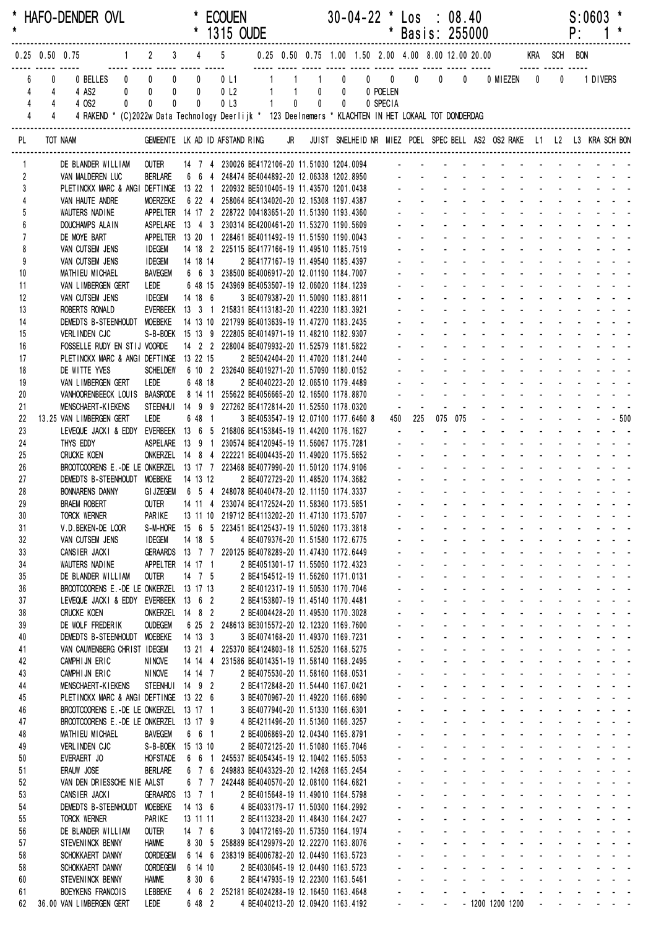| $\star$             |                                  |                                  | HAFO-DENDER OVL                                                                                         |                                                                                                           |             |                      |                | * ECOUEN                                                                                                  |              |                                                                             |  | $30-04-22$ * Los : 08.40 | * Basis: 255000                                                                                                                                                                                                               |                                                             |                                                 |                                    |              |                   |                     |                   | $S:0603$ *<br>$P: 1*$ |                                                                                                                                                                                                                                                     |
|---------------------|----------------------------------|----------------------------------|---------------------------------------------------------------------------------------------------------|-----------------------------------------------------------------------------------------------------------|-------------|----------------------|----------------|-----------------------------------------------------------------------------------------------------------|--------------|-----------------------------------------------------------------------------|--|--------------------------|-------------------------------------------------------------------------------------------------------------------------------------------------------------------------------------------------------------------------------|-------------------------------------------------------------|-------------------------------------------------|------------------------------------|--------------|-------------------|---------------------|-------------------|-----------------------|-----------------------------------------------------------------------------------------------------------------------------------------------------------------------------------------------------------------------------------------------------|
|                     |                                  |                                  | 1 2 3 4 5 0.25 0.50 0.75 1.00 1.50 2.00 4.00 8.00 12.00 20.00 KRA SCH BON<br>$0.25$ 0.50 0.75           |                                                                                                           |             |                      |                |                                                                                                           |              |                                                                             |  |                          |                                                                                                                                                                                                                               |                                                             |                                                 |                                    |              |                   |                     |                   |                       |                                                                                                                                                                                                                                                     |
|                     |                                  | 0                                |                                                                                                         |                                                                                                           |             |                      |                |                                                                                                           |              |                                                                             |  |                          |                                                                                                                                                                                                                               |                                                             |                                                 |                                    |              |                   |                     | $\mathbf 0$       | 1 DIVERS              |                                                                                                                                                                                                                                                     |
|                     | 4                                | $\overline{4}$                   | 4 AS2                                                                                                   | $\begin{matrix} 0 & 0 & 0 \end{matrix}$                                                                   |             |                      | $\overline{0}$ | 0 <sub>l</sub>                                                                                            |              | 1 1 0 0 0 POELEN                                                            |  |                          |                                                                                                                                                                                                                               |                                                             |                                                 |                                    |              |                   |                     |                   |                       |                                                                                                                                                                                                                                                     |
|                     | $\overline{4}$<br>$\overline{4}$ | $\overline{4}$<br>$\overline{4}$ | 4 OS2                                                                                                   | $\mathbf{0}$<br>$\mathbf{0}$                                                                              | $\mathbf 0$ |                      | $\mathbf{0}$   | 0 <sub>l</sub> 3                                                                                          | $\sim$ 1.000 | $\begin{matrix} 0 & 0 & 0 \end{matrix}$                                     |  | 0 SPECIA                 |                                                                                                                                                                                                                               |                                                             |                                                 |                                    |              |                   |                     |                   |                       |                                                                                                                                                                                                                                                     |
|                     |                                  |                                  | 4 RAKEND * (C)2022w Data Technology Deerlijk * 123 Deelnemers * KLACHTEN IN HET LOKAAL TOT DONDERDAG    |                                                                                                           |             |                      |                |                                                                                                           |              |                                                                             |  |                          |                                                                                                                                                                                                                               |                                                             |                                                 |                                    |              |                   |                     |                   |                       |                                                                                                                                                                                                                                                     |
| PL                  |                                  | TOT NAAM                         |                                                                                                         | GEMEENTE LK AD ID AFSTAND RING JR JUIST SNELHEID NR MIEZ POEL SPEC BELL AS2 OS2 RAKE L1 L2 L3 KRA SCH BON |             |                      |                |                                                                                                           |              |                                                                             |  |                          |                                                                                                                                                                                                                               |                                                             |                                                 |                                    |              |                   |                     |                   |                       |                                                                                                                                                                                                                                                     |
| 1                   |                                  |                                  | DE BLANDER WILLIAM                                                                                      | outer                                                                                                     |             |                      |                |                                                                                                           |              |                                                                             |  |                          |                                                                                                                                                                                                                               |                                                             |                                                 |                                    |              |                   |                     |                   |                       |                                                                                                                                                                                                                                                     |
| $\overline{2}$<br>3 |                                  |                                  | VAN MALDEREN LUC<br>PLETINCKX MARC & ANGI DEFTINGE 13 22 1 220932 BE5010405-19 11.43570 1201.0438       |                                                                                                           |             |                      |                | BERLARE 6 6 4 248474 BE4044892-20 12.06338 1202.8950 - - - - - - - - - - - - - - - - -                    |              |                                                                             |  |                          |                                                                                                                                                                                                                               |                                                             |                                                 |                                    |              |                   |                     |                   |                       |                                                                                                                                                                                                                                                     |
|                     |                                  |                                  | VAN HAUTE ANDRE                                                                                         | <b>MOERZEKE</b>                                                                                           |             |                      |                | 6 22 4 258064 BE4134020-20 12.15308 1197.4387                                                             |              |                                                                             |  |                          |                                                                                                                                                                                                                               |                                                             |                                                 |                                    |              |                   |                     |                   |                       |                                                                                                                                                                                                                                                     |
|                     |                                  |                                  | WAUTERS NADINE                                                                                          |                                                                                                           |             |                      |                | APPELTER 14 17 2 228722 004183651-20 11.51390 1193.4360                                                   |              |                                                                             |  |                          |                                                                                                                                                                                                                               |                                                             |                                                 |                                    |              |                   |                     |                   |                       |                                                                                                                                                                                                                                                     |
|                     |                                  |                                  | DOUCHAMPS ALAIN                                                                                         |                                                                                                           |             |                      |                | ASPELARE  13  4  3  230314 BE4200461-20  11.53270  1190.5609                                              |              |                                                                             |  |                          | de la provincia de la provincia de la provincia de                                                                                                                                                                            |                                                             |                                                 |                                    |              |                   |                     |                   |                       |                                                                                                                                                                                                                                                     |
| 8                   |                                  |                                  | DE MOYE BART<br>VAN CUTSEM JENS                                                                         | <b>IDEGEM</b>                                                                                             |             |                      |                | APPELTER 13 20 1 228461 BE4011492-19 11.51590 1190.0043<br>14 18 2 225115 BE4177166-19 11.49510 1185.7519 |              |                                                                             |  |                          | and a series of the series of the series of the                                                                                                                                                                               |                                                             |                                                 |                                    |              |                   |                     |                   |                       |                                                                                                                                                                                                                                                     |
| 9                   |                                  |                                  | VAN CUTSEM JENS                                                                                         | <b>IDEGEM</b>                                                                                             |             |                      | 14 18 14       |                                                                                                           |              | 2 BE4177167-19 11.49540 1185.4397                                           |  |                          |                                                                                                                                                                                                                               |                                                             |                                                 |                                    |              |                   |                     |                   |                       |                                                                                                                                                                                                                                                     |
| 10                  |                                  |                                  | MATHIEU MICHAEL                                                                                         | <b>BAVEGEM</b>                                                                                            |             |                      |                | 6 6 3 238500 BE4006917-20 12.01190 1184.7007                                                              |              |                                                                             |  |                          | <u>.</u>                                                                                                                                                                                                                      |                                                             |                                                 |                                    |              |                   |                     |                   |                       |                                                                                                                                                                                                                                                     |
| 11                  |                                  |                                  | VAN LIMBERGEN GERT                                                                                      | LEDE                                                                                                      |             |                      |                | 6 48 15 243969 BE4053507-19 12.06020 1184.1239                                                            |              |                                                                             |  |                          | <u>.</u>                                                                                                                                                                                                                      |                                                             |                                                 |                                    |              |                   |                     |                   |                       | .                                                                                                                                                                                                                                                   |
| 12<br>13            |                                  |                                  | VAN CUTSEM JENS<br>ROBERTS RONALD                                                                       | <b>IDEGEM</b>                                                                                             |             |                      |                | 14 18 6<br>EVERBEEK 13 3 1 215831 BE4113183-20 11.42230 1183.3921                                         |              | 3 BE4079387-20 11.50090 1183.8811                                           |  |                          |                                                                                                                                                                                                                               |                                                             |                                                 |                                    |              |                   |                     |                   |                       |                                                                                                                                                                                                                                                     |
| 14                  |                                  |                                  | DEMEDTS B-STEENHOUDT MOEBEKE                                                                            |                                                                                                           |             |                      |                | 14 13 10 221799 BE4013639-19 11.47270 1183.2435                                                           |              |                                                                             |  |                          |                                                                                                                                                                                                                               |                                                             |                                                 |                                    |              |                   |                     |                   |                       |                                                                                                                                                                                                                                                     |
| 15                  |                                  |                                  | VERLINDEN CJC                                                                                           |                                                                                                           |             |                      |                | S-B-BOEK 15 13 9 222805 BE4014971-19 11.48210 1182.9307                                                   |              |                                                                             |  |                          |                                                                                                                                                                                                                               |                                                             |                                                 |                                    |              |                   |                     |                   |                       |                                                                                                                                                                                                                                                     |
| 16                  |                                  |                                  | FOSSELLE RUDY EN STIJ VOORDE                                                                            |                                                                                                           |             |                      |                | 14 2 2 228004 BE4079932-20 11.52579 1181.5822                                                             |              |                                                                             |  |                          |                                                                                                                                                                                                                               |                                                             |                                                 |                                    |              |                   |                     |                   |                       |                                                                                                                                                                                                                                                     |
| 17<br>18            |                                  |                                  | PLETINCKX MARC & ANGI DEFTINGE 13 22 15<br>DE WITTE YVES                                                |                                                                                                           |             |                      |                | SCHELDEW   6  10  2  232640 BE4019271-20  11.57090  1180.0152                                             |              | 2 BE5042404-20 11.47020 1181.2440                                           |  |                          | <u>.</u>                                                                                                                                                                                                                      |                                                             |                                                 |                                    |              |                   |                     |                   |                       | .                                                                                                                                                                                                                                                   |
| 19                  |                                  |                                  | VAN LIMBERGEN GERT                                                                                      | LEDE                                                                                                      |             |                      | 6 48 18        |                                                                                                           |              | 2 BE4040223-20 12.06510 1179.4489                                           |  |                          | <u>.</u>                                                                                                                                                                                                                      |                                                             |                                                 |                                    |              |                   |                     |                   |                       |                                                                                                                                                                                                                                                     |
| 20                  |                                  |                                  | VANHOORENBEECK LOUIS BAASRODE 8 14 11 255622 BE4056665-20 12.16500 1178.8870                            |                                                                                                           |             |                      |                |                                                                                                           |              |                                                                             |  |                          | a construction of the construction of the construction of the construction of the construction of the construction of the construction of the construction of the construction of the construction of the construction of the |                                                             |                                                 |                                    |              |                   |                     |                   |                       |                                                                                                                                                                                                                                                     |
| 21                  |                                  |                                  | <b>MENSCHAERT-KIEKENS</b>                                                                               |                                                                                                           |             |                      |                | STEENHUI 14 9 9 227262 BE4172814-20 11.52550 1178.0320                                                    |              |                                                                             |  |                          |                                                                                                                                                                                                                               |                                                             |                                                 |                                    |              |                   |                     |                   |                       |                                                                                                                                                                                                                                                     |
| 22<br>23            |                                  |                                  | 13.25 VAN LIMBERGEN GERT<br>LEVEQUE JACKI & EDDY EVERBEEK 13 6 5 216806 BE4153845-19 11.44200 1176.1627 | LEDE                                                                                                      |             |                      | 6 48 1         |                                                                                                           |              | 3 BE4053547-19 12.07100 1177.6460 8                                         |  |                          | 450 225                                                                                                                                                                                                                       |                                                             | 075 075<br>$\mathbf{L} = \mathbf{L} \mathbf{L}$ |                                    |              |                   |                     |                   |                       | $        -$ 500<br>and the company of the second service                                                                                                                                                                                            |
| 24                  |                                  |                                  | THYS EDDY                                                                                               |                                                                                                           |             |                      |                | ASPELARE 13 9 1 230574 BE4120945-19 11.56067 1175.7281 -                                                  |              |                                                                             |  |                          |                                                                                                                                                                                                                               |                                                             |                                                 |                                    |              |                   |                     |                   |                       | in the state of the state of the state of the state of the state of the state of the state of the state of the                                                                                                                                      |
| 25                  |                                  |                                  | <b>CRUCKE KOEN</b>                                                                                      | ONKERZEL 14 8 4 222221 BE4004435-20 11.49020 1175.5652 - - - - - - - - - - - - - - - - - -                |             |                      |                |                                                                                                           |              |                                                                             |  |                          |                                                                                                                                                                                                                               |                                                             |                                                 |                                    |              |                   |                     |                   |                       |                                                                                                                                                                                                                                                     |
| 26                  |                                  |                                  |                                                                                                         |                                                                                                           |             |                      |                |                                                                                                           |              |                                                                             |  |                          |                                                                                                                                                                                                                               |                                                             |                                                 |                                    |              |                   |                     |                   |                       |                                                                                                                                                                                                                                                     |
| 27                  |                                  |                                  | DEMEDTS B-STEENHOUDT MOEBEKE 14 13 12                                                                   |                                                                                                           |             |                      |                |                                                                                                           |              | 2 BE4072729-20 11.48520 1174.3682                                           |  |                          |                                                                                                                                                                                                                               |                                                             |                                                 |                                    |              |                   |                     |                   |                       |                                                                                                                                                                                                                                                     |
| 28<br>29            |                                  |                                  | <b>BONNARENS DANNY</b><br>BRAEM ROBERT OUTER 14 11 4 233074 BE4172524-20 11.58360 1173.5851             | GIJZEGEM 6 5 4 248078 BE4040478-20 12.11150 1174.3337                                                     |             |                      |                |                                                                                                           |              |                                                                             |  |                          |                                                                                                                                                                                                                               |                                                             |                                                 |                                    |              |                   |                     |                   |                       |                                                                                                                                                                                                                                                     |
| 30                  |                                  |                                  | <b>TORCK WERNER</b>                                                                                     | PARIKE                                                                                                    |             |                      |                | 13 11 10 219712 BE4113202-20 11.47130 1173.5707                                                           |              |                                                                             |  |                          | والمتعاون والمتعاون والمتعاون والمتعاون والمتعاون والمتعاون                                                                                                                                                                   |                                                             |                                                 |                                    |              |                   |                     |                   |                       |                                                                                                                                                                                                                                                     |
| 31                  |                                  |                                  | V.D. BEKEN-DE LOOR                                                                                      |                                                                                                           |             |                      |                | S-M-HORE 15 6 5 223451 BE4125437-19 11.50260 1173.3818                                                    |              |                                                                             |  |                          | a construction of the construction of the construction of the construction of the construction of the construction of the construction of the construction of the construction of the construction of the construction of the |                                                             |                                                 |                                    |              |                   |                     |                   |                       |                                                                                                                                                                                                                                                     |
| 32                  |                                  |                                  | VAN CUTSEM JENS                                                                                         | <b>IDEGEM</b>                                                                                             |             |                      | 14 18 5        |                                                                                                           |              | 4 BE4079376-20 11.51580 1172.6775                                           |  |                          | والمتعاون والمتعاون والمتعاون والمتعاون والمتعاون والمتعاون                                                                                                                                                                   |                                                             |                                                 |                                    |              |                   |                     |                   |                       |                                                                                                                                                                                                                                                     |
| 33<br>34            |                                  |                                  | CANSIER JACKI<br>WAUTERS NADINE                                                                         | APPELTER 14 17 1                                                                                          |             |                      |                | GERAARDS 13 7 7 220125 BE4078289-20 11.47430 1172.6449                                                    |              | 2 BE4051301-17 11.55050 1172.4323                                           |  |                          |                                                                                                                                                                                                                               | and the company of the company of                           |                                                 | and a straight and                 |              |                   |                     |                   |                       | and the state of the state of the                                                                                                                                                                                                                   |
| 35                  |                                  |                                  | DE BLANDER WILLIAM                                                                                      | <b>OUTER</b>                                                                                              |             |                      | 14 7 5         |                                                                                                           |              | 2 BE4154512-19 11.56260 1171.0131                                           |  |                          |                                                                                                                                                                                                                               | $\Delta \sim 100$                                           |                                                 |                                    |              |                   |                     |                   |                       | and a state of the state of the state of                                                                                                                                                                                                            |
| 36                  |                                  |                                  | BROOTCOORENS E.-DE LE ONKERZEL 13 17 13                                                                 |                                                                                                           |             |                      |                |                                                                                                           |              | 2 BE4012317-19 11.50530 1170.7046                                           |  |                          |                                                                                                                                                                                                                               | $\mathbf{L}^{\text{max}}$                                   |                                                 |                                    |              |                   |                     |                   |                       | a construction of the construction of the construction of the construction of the construction of the construction of the construction of the construction of the construction of the construction of the construction of the                       |
| 37                  |                                  |                                  | LEVEQUE JACKI & EDDY EVERBEEK 13 6 2                                                                    |                                                                                                           |             |                      |                |                                                                                                           |              | 2 BE4153807-19 11.45140 1170.4481                                           |  |                          |                                                                                                                                                                                                                               | $\mathbf{L}^{\text{max}}$                                   |                                                 |                                    |              |                   |                     |                   |                       | والمناور والمناور والمناور والمناور والمناور                                                                                                                                                                                                        |
| 38<br>39            |                                  |                                  | <b>CRUCKE KOEN</b><br>DE WOLF FREDERIK                                                                  | ONKERZEL 14 8 2<br><b>OUDEGEM</b>                                                                         |             |                      |                | 6 25 2 248613 BE3015572-20 12.12320 1169.7600                                                             |              | 2 BE4004428-20 11.49530 1170.3028                                           |  |                          |                                                                                                                                                                                                                               | $\mathbf{L}^{\text{max}}$<br>$\mathbf{L}^{\text{max}}$      | <b>Service</b> State<br><b>Service</b> State    | $\omega$                           | All Carolina |                   | $\omega_{\rm{max}}$ |                   |                       | and a straight and<br>and the contract of                                                                                                                                                                                                           |
| 40                  |                                  |                                  | DEMEDTS B-STEENHOUDT MOEBEKE                                                                            |                                                                                                           |             | 14 13 3              |                |                                                                                                           |              | 3 BE4074168-20 11.49370 1169.7231                                           |  |                          |                                                                                                                                                                                                                               | $\Delta \sim 100$                                           |                                                 | and a straight and                 |              | <b>Contractor</b> |                     |                   |                       | and the state of                                                                                                                                                                                                                                    |
| 41                  |                                  |                                  | VAN CAUWENBERG CHRIST IDEGEM                                                                            |                                                                                                           |             |                      |                | 13 21 4 225370 BE4124803-18 11.52520 1168.5275                                                            |              |                                                                             |  |                          |                                                                                                                                                                                                                               | $\Delta \sim 100$                                           |                                                 | design and a state of the state of |              |                   |                     |                   |                       | and a strain and a                                                                                                                                                                                                                                  |
| 42                  |                                  |                                  | CAMPHIJN ERIC                                                                                           | <b>NINOVE</b>                                                                                             |             |                      |                | 14 14 4 231586 BE4014351-19 11.58140 1168.2495                                                            |              |                                                                             |  |                          | $\mathbf{L}^{\text{max}}$                                                                                                                                                                                                     |                                                             |                                                 |                                    |              |                   |                     |                   |                       | a construction of the construction of the construction of the construction of the construction of the construction of the construction of the construction of the construction of the construction of the construction of the                       |
| 43<br>44            |                                  |                                  | CAMPHIJN ERIC<br><b>MENSCHAERT-KIEKENS</b>                                                              | <b>NINOVE</b><br>STEENHUI 14 9 2                                                                          |             |                      | 14 14 7        |                                                                                                           |              | 2 BE4075530-20 11.58160 1168.0531<br>2 BE4172848-20 11.54440 1167.0421      |  |                          | $\mathcal{L}^{\text{max}}$                                                                                                                                                                                                    | and the company of the company                              |                                                 |                                    |              |                   |                     |                   |                       | a construction of the construction of the construction of the construction of the construction of the construction of the construction of the construction of the construction of the construction of the construction of the<br>and a straight and |
| 45                  |                                  |                                  | PLETINCKX MARC & ANGI DEFTINGE 13 22 6                                                                  |                                                                                                           |             |                      |                |                                                                                                           |              | 3 BE4070967-20 11.49220 1166.6890                                           |  |                          |                                                                                                                                                                                                                               | and the company of the company of                           |                                                 |                                    |              |                   |                     |                   |                       | فالمستحدث والمستنقص                                                                                                                                                                                                                                 |
| 46                  |                                  |                                  | BROOTCOORENS E.-DE LE ONKERZEL 13 17 1                                                                  |                                                                                                           |             |                      |                |                                                                                                           |              | 3 BE4077940-20 11.51330 1166.6301                                           |  |                          |                                                                                                                                                                                                                               |                                                             |                                                 |                                    |              |                   |                     |                   |                       | a construction of the construction of the construction of the construction of the construction of the construction of the construction of the construction of the construction of the construction of the construction of the                       |
| 47                  |                                  |                                  | BROOTCOORENS E.-DE LE ONKERZEL 13 17 9                                                                  |                                                                                                           |             |                      |                |                                                                                                           |              | 4 BE4211496-20 11.51360 1166.3257                                           |  |                          |                                                                                                                                                                                                                               | $\Delta \sim 100$                                           |                                                 |                                    |              |                   |                     |                   |                       | design and a state of the state of the                                                                                                                                                                                                              |
| 48                  |                                  |                                  | MATHIEU MICHAEL                                                                                         | <b>BAVEGEM</b><br>S-B-BOEK 15 13 10                                                                       |             |                      | 6 6 1          |                                                                                                           |              | 2 BE4006869-20 12.04340 1165.8791                                           |  |                          | $\mathcal{L}^{\pm}$<br>and the                                                                                                                                                                                                | $\mathbf{L}^{\text{max}}$                                   | $\omega_{\rm{max}}$ and $\omega_{\rm{max}}$     |                                    |              |                   |                     |                   |                       | .<br>and a state of the state of the                                                                                                                                                                                                                |
| 49<br>50            |                                  |                                  | VERLINDEN CJC<br>EVERAERT JO                                                                            | <b>HOFSTADE</b>                                                                                           |             |                      | 6 6 1          |                                                                                                           |              | 2 BE4072125-20 11.51080 1165.7046<br>245537 BE4054345-19 12.10402 1165.5053 |  |                          |                                                                                                                                                                                                                               | $\mathbf{L}^{\text{max}}$                                   | <b>Service</b> State                            |                                    | All Carolina |                   | $\Delta \sim 100$   |                   |                       | والوالو الواردون والوالي                                                                                                                                                                                                                            |
| 51                  |                                  |                                  | ERAUW JOSE                                                                                              | <b>BERLARE</b>                                                                                            |             |                      | 676            |                                                                                                           |              | 249883 BE4043329-20 12.14268 1165.2454                                      |  |                          |                                                                                                                                                                                                                               | and the state of                                            |                                                 |                                    |              |                   |                     |                   |                       | والوالو الوالو الوالو الوالو والمراج                                                                                                                                                                                                                |
| 52                  |                                  |                                  | VAN DEN DRIESSCHE NIE AALST                                                                             |                                                                                                           |             |                      |                | 6 7 7 242448 BE4040570-20 12.08100 1164.6821                                                              |              |                                                                             |  |                          |                                                                                                                                                                                                                               | $\Delta \sim 100$                                           |                                                 |                                    |              |                   |                     |                   |                       | a construction of the construction of the construction of the construction of the construction of the construction of the construction of the construction of the construction of the construction of the construction of the                       |
| 53                  |                                  |                                  | CANSIER JACKI                                                                                           | GERAARDS 13 7 1                                                                                           |             |                      |                |                                                                                                           |              | 2 BE4015648-19 11.49010 1164.5798                                           |  |                          |                                                                                                                                                                                                                               | $\mathcal{L}^{\text{max}}$<br>and a straight and a straight |                                                 |                                    |              |                   |                     |                   |                       | design and a state of the state of the<br>and a strain and                                                                                                                                                                                          |
| 54<br>55            |                                  |                                  | DEMEDTS B-STEENHOUDT MOEBEKE<br>TORCK WERNER                                                            | PARIKE                                                                                                    |             | 14 13 6              | 13 11 11       |                                                                                                           |              | 4 BE4033179-17 11.50300 1164.2992<br>2 BE4113238-20 11.48430 1164.2427      |  |                          | $\mathbf{L}^{\text{max}}$<br>$\mathcal{L}^{\text{max}}$                                                                                                                                                                       | and a straightful control of the straight                   |                                                 |                                    |              |                   |                     | $\Delta \sim 100$ |                       |                                                                                                                                                                                                                                                     |
| 56                  |                                  |                                  | DE BLANDER WILLIAM                                                                                      | <b>OUTER</b>                                                                                              |             | $14 \quad 7 \quad 6$ |                |                                                                                                           |              | 3 004172169-20 11.57350 1164.1974                                           |  |                          |                                                                                                                                                                                                                               | and the company of the company                              |                                                 |                                    |              | $\sim 100$        |                     |                   |                       | and a straight and                                                                                                                                                                                                                                  |
| 57                  |                                  |                                  | STEVENINCK BENNY                                                                                        | <b>HAMME</b>                                                                                              |             |                      |                | 8 30 5 258889 BE4129979-20 12.22270 1163.8076                                                             |              |                                                                             |  |                          |                                                                                                                                                                                                                               | and the company of the company of                           |                                                 |                                    |              |                   |                     |                   |                       | and a straightful and a                                                                                                                                                                                                                             |
| 58                  |                                  |                                  | SCHOKKAERT DANNY                                                                                        | <b>OORDEGEM</b>                                                                                           |             |                      | 6 14 6         |                                                                                                           |              | 238319 BE4006782-20 12.04490 1163.5723                                      |  |                          |                                                                                                                                                                                                                               | $\Delta \sim 100$                                           |                                                 |                                    |              |                   |                     |                   |                       | and a series of the contract of the                                                                                                                                                                                                                 |
| 58<br>60            |                                  |                                  | SCHOKKAERT DANNY<br>STEVENINCK BENNY                                                                    | <b>OORDEGEM</b><br><b>HAMME</b>                                                                           |             | 6 14 10<br>8 30 6    |                |                                                                                                           |              | 2 BE4030645-19 12.04490 1163.5723<br>2 BE4147935-19 12.22300 1163.5461      |  |                          | $\mathcal{L}^{\pm}$                                                                                                                                                                                                           | $\Delta \sim 100$<br>$\Delta \sim 100$                      | $\mathbf{r}$                                    | $\Delta \sim 100$                  |              |                   |                     |                   |                       | and a state of the state of the state of<br>design and a state of the state                                                                                                                                                                         |
| 61                  |                                  |                                  | <b>BOEYKENS FRANCOIS</b>                                                                                | LEBBEKE                                                                                                   |             |                      |                | 4 6 2 252181 BE4024288-19 12.16450 1163.4648                                                              |              |                                                                             |  |                          | $\omega_{\rm{max}}$<br>÷.                                                                                                                                                                                                     |                                                             |                                                 | $\mathcal{L}^{\text{max}}$         |              |                   |                     |                   |                       | a na manana na manana                                                                                                                                                                                                                               |
| 62                  |                                  |                                  | 36.00 VAN LIMBERGEN GERT                                                                                | LEDE                                                                                                      |             |                      | 6 48 2         |                                                                                                           |              | 4 BE4040213-20 12.09420 1163.4192                                           |  |                          | $\omega_{\rm{max}}$                                                                                                                                                                                                           | $\mathbf{z} = \mathbf{z}$                                   | $\mathbf{r}$                                    | - 1200 1200 1200                   |              |                   |                     |                   |                       | والوالو الوارثون والوار                                                                                                                                                                                                                             |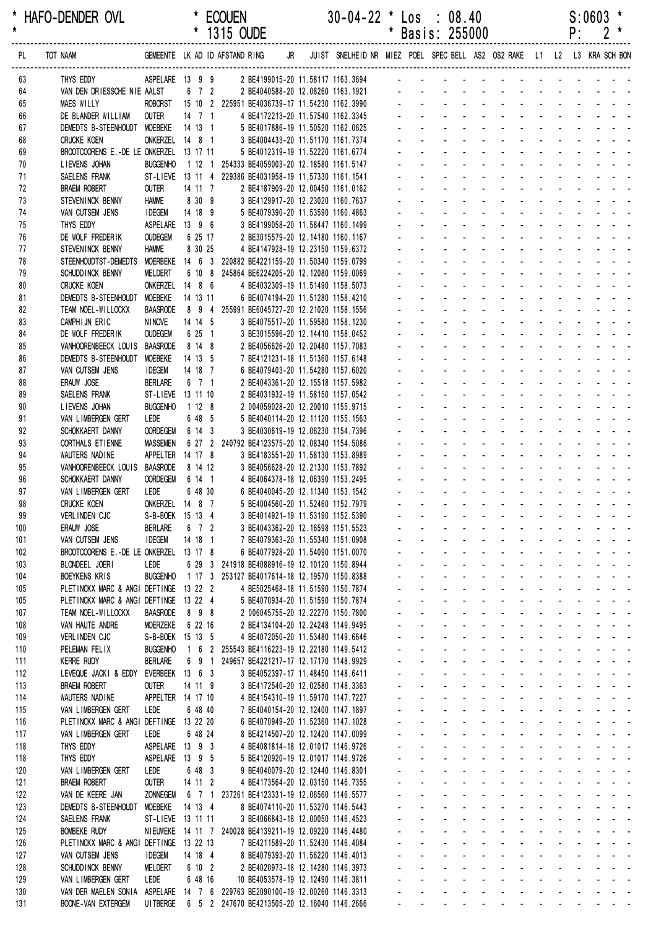|            |                                                                                  |                                     |                     | 1315 OUDE |                                                                                                               |  |                                                                                                   |                     |                             | Basis: 255000                                     |                              |                                                                      |                                                  |                                                                                                                |                          | ۲.                            |                        |                                |  |
|------------|----------------------------------------------------------------------------------|-------------------------------------|---------------------|-----------|---------------------------------------------------------------------------------------------------------------|--|---------------------------------------------------------------------------------------------------|---------------------|-----------------------------|---------------------------------------------------|------------------------------|----------------------------------------------------------------------|--------------------------------------------------|----------------------------------------------------------------------------------------------------------------|--------------------------|-------------------------------|------------------------|--------------------------------|--|
| PL         | TOT NAAM                                                                         |                                     |                     |           |                                                                                                               |  | GEMEENTE LKAD IDAFSTANDRING JR JUIST SNELHEIDNR MIEZ POEL SPECBELL AS2 OS2RAKE L1 L2 L3 KRASCHBON |                     |                             |                                                   |                              |                                                                      |                                                  |                                                                                                                |                          |                               |                        |                                |  |
| 63         | THYS EDDY                                                                        |                                     |                     |           |                                                                                                               |  | ASPELARE 13 9 9 2 BE4199015-20 11.58117 1163.3694 - - - - - - -                                   |                     |                             |                                                   |                              |                                                                      |                                                  |                                                                                                                |                          |                               |                        |                                |  |
| 64         | VAN DEN DRIESSCHE NIE AALST                                                      |                                     | 6 7 2               |           | 2 BE4040588-20 12.08260 1163.1921                                                                             |  |                                                                                                   |                     |                             |                                                   |                              |                                                                      |                                                  |                                                                                                                |                          |                               |                        |                                |  |
| 65         | <b>MAES WILLY</b>                                                                |                                     |                     |           | ROBORST 15 10 2 225951 BE4036739-17 11.54230 1162.3990                                                        |  |                                                                                                   |                     |                             |                                                   |                              |                                                                      |                                                  |                                                                                                                |                          |                               |                        |                                |  |
| 66<br>67   | DE BLANDER WILLIAM<br>DEMEDTS B-STEENHOUDT MOEBEKE                               | OUTER                               | $14$ 7 1<br>14 13 1 |           | 4 BE4172213-20 11.57540 1162.3345<br>5 BE4017886-19 11.50520 1162.0625                                        |  |                                                                                                   |                     |                             |                                                   |                              |                                                                      |                                                  |                                                                                                                |                          |                               |                        |                                |  |
| 68         | <b>CRUCKE KOEN</b>                                                               | ONKERZEL 14 8 1                     |                     |           | 3 BE4004433-20 11.51170 1161.7374                                                                             |  |                                                                                                   |                     |                             |                                                   |                              |                                                                      |                                                  |                                                                                                                |                          |                               |                        |                                |  |
| 69         | BROOTCOORENS E.-DE LE ONKERZEL 13 17 11                                          |                                     |                     |           | 5 BE4012319-19 11.52220 1161.6774                                                                             |  |                                                                                                   |                     |                             |                                                   |                              |                                                                      |                                                  |                                                                                                                |                          |                               |                        |                                |  |
| 70         | LIEVENS JOHAN                                                                    | <b>BUGGENHO</b>                     |                     |           | 1 12 1 254333 BE4059003-20 12.18580 1161.5147                                                                 |  |                                                                                                   |                     |                             |                                                   |                              |                                                                      |                                                  |                                                                                                                |                          |                               |                        |                                |  |
| 71         | SAELENS FRANK                                                                    |                                     |                     |           | ST-LIEVE 13 11 4 229386 BE4031958-19 11.57330 1161.1541                                                       |  |                                                                                                   |                     |                             |                                                   |                              |                                                                      |                                                  |                                                                                                                |                          |                               |                        |                                |  |
| 72         | <b>BRAEM ROBERT</b>                                                              | <b>OUTER</b>                        | 14 11 7             |           | 2 BE4187909-20 12.00450 1161.0162                                                                             |  |                                                                                                   |                     |                             |                                                   |                              |                                                                      |                                                  |                                                                                                                |                          |                               |                        |                                |  |
| 73<br>74   | STEVENINCK BENNY<br>VAN CUTSEM JENS                                              | <b>HAMME</b><br><b>IDEGEM</b>       | 8 30 9<br>14 18 9   |           | 3 BE4129917-20 12.23020 1160.7637<br>5 BE4079390-20 11.53590 1160.4863                                        |  |                                                                                                   |                     |                             |                                                   |                              |                                                                      |                                                  |                                                                                                                |                          |                               |                        |                                |  |
| 75         | THYS EDDY                                                                        | ASPELARE 13 9 6                     |                     |           | 3 BE4199058-20 11.58447 1160.1499                                                                             |  |                                                                                                   |                     |                             |                                                   |                              |                                                                      |                                                  |                                                                                                                |                          |                               |                        |                                |  |
| 76         | DE WOLF FREDERIK                                                                 | <b>OUDEGEM</b>                      | 6 25 17             |           | 2 BE3015579-20 12.14180 1160.1167                                                                             |  |                                                                                                   |                     |                             |                                                   |                              |                                                                      |                                                  |                                                                                                                |                          |                               |                        |                                |  |
| 77         | STEVENINCK BENNY                                                                 | <b>HAMME</b>                        | 8 30 25             |           | 4 BE4147928-19 12.23150 1159.6372                                                                             |  |                                                                                                   |                     |                             |                                                   |                              |                                                                      |                                                  |                                                                                                                |                          |                               |                        |                                |  |
| 78         | STEENHOUDTST-DEMEDTS                                                             |                                     |                     |           | MOERBEKE  14  6  3  220882 BE4221159-20  11.50340  1159.0799                                                  |  |                                                                                                   |                     |                             |                                                   |                              |                                                                      |                                                  |                                                                                                                |                          |                               |                        |                                |  |
| 79         | SCHUDD INCK BENNY                                                                | MELDERT                             |                     |           | 6 10 8 245864 BE6224205-20 12.12080 1159.0069                                                                 |  |                                                                                                   |                     |                             |                                                   |                              |                                                                      |                                                  |                                                                                                                |                          |                               |                        |                                |  |
| 80<br>81   | <b>CRUCKE KOEN</b><br>DEMEDTS B-STEENHOUDT                                       | ONKERZEL 14 8 6<br><b>MOEBEKE</b>   | 14 13 11            |           | 4 BE4032309-19 11.51490 1158.5073<br>6 BE4074194-20 11.51280 1158.4210                                        |  |                                                                                                   |                     |                             |                                                   |                              |                                                                      |                                                  |                                                                                                                |                          |                               |                        |                                |  |
| 82         | TEAM NOEL-WILLOCKX                                                               | <b>BAASRODE</b>                     | 894                 |           | 255991 BE6045727-20 12.21020 1158.1556                                                                        |  |                                                                                                   |                     |                             |                                                   |                              |                                                                      |                                                  |                                                                                                                |                          |                               |                        |                                |  |
| 83         | CAMPHIJN ERIC                                                                    | <b>NINOVE</b>                       | 14 14 5             |           | 3 BE4075517-20 11.59580 1158.1230                                                                             |  |                                                                                                   |                     |                             |                                                   |                              |                                                                      |                                                  |                                                                                                                |                          |                               |                        |                                |  |
| 84         | DE WOLF FREDERIK                                                                 | <b>OUDEGEM</b>                      | 6 25 1              |           | 3 BE3015596-20 12.14410 1158.0452                                                                             |  |                                                                                                   |                     |                             |                                                   |                              |                                                                      |                                                  |                                                                                                                |                          |                               |                        |                                |  |
| 85         | VANHOORENBEECK LOUIS                                                             | <b>BAASRODE</b>                     | 8 14 8              |           | 2 BE4056626-20 12.20480 1157.7083                                                                             |  |                                                                                                   |                     |                             |                                                   |                              |                                                                      |                                                  |                                                                                                                |                          |                               |                        |                                |  |
| 86         | DEMEDTS B-STEENHOUDT                                                             | MOEBEKE                             | 14 13 5             |           | 7 BE4121231-18 11.51360 1157.6148                                                                             |  |                                                                                                   |                     |                             |                                                   |                              |                                                                      |                                                  |                                                                                                                |                          |                               |                        |                                |  |
| 87<br>88   | VAN CUTSEM JENS<br>ERAUW JOSE                                                    | <b>IDEGEM</b><br><b>BERLARE</b>     | 14 18 7<br>6 7 1    |           | 6 BE4079403-20 11.54280 1157.6020<br>2 BE4043361-20 12.15518 1157.5982                                        |  |                                                                                                   |                     |                             |                                                   |                              |                                                                      |                                                  |                                                                                                                |                          |                               |                        |                                |  |
| 89         | SAELENS FRANK                                                                    | ST-LIEVE 13 11 10                   |                     |           | 2 BE4031932-19 11.58150 1157.0542                                                                             |  |                                                                                                   |                     |                             |                                                   |                              |                                                                      |                                                  |                                                                                                                |                          |                               |                        |                                |  |
| 90         | LIEVENS JOHAN                                                                    | <b>BUGGENHO</b>                     | 1128                |           | 2 004059028-20 12.20010 1155.9715                                                                             |  |                                                                                                   |                     |                             |                                                   |                              |                                                                      |                                                  |                                                                                                                |                          |                               |                        |                                |  |
| 91         | VAN LIMBERGEN GERT                                                               | LEDE                                | 6 48 5              |           | 5 BE4040114-20 12.11120 1155.1563                                                                             |  |                                                                                                   |                     |                             |                                                   |                              |                                                                      |                                                  |                                                                                                                |                          |                               |                        |                                |  |
| 92         | SCHOKKAERT DANNY                                                                 | <b>OORDEGEM</b>                     | 6 14 3              |           | 3 BE4030619-19 12.06230 1154.7396                                                                             |  |                                                                                                   |                     |                             |                                                   |                              |                                                                      |                                                  |                                                                                                                |                          |                               |                        |                                |  |
| 93<br>94   | CORTHALS ET IENNE<br>WAUTERS NADINE                                              | <b>MASSEMEN</b><br>APPELTER 14 17 8 |                     |           | 6 27 2 240792 BE4123575-20 12.08340 1154.5086<br>3 BE4183551-20 11.58130 1153.8989                            |  |                                                                                                   |                     |                             |                                                   |                              |                                                                      |                                                  |                                                                                                                |                          |                               |                        |                                |  |
| 95         | VANHOORENBEECK LOUIS                                                             | <b>BAASRODE</b>                     | 8 14 12             |           | 3 BE4056628-20 12.21330 1153.7892                                                                             |  |                                                                                                   |                     |                             |                                                   |                              |                                                                      |                                                  |                                                                                                                |                          |                               |                        |                                |  |
| 96         | SCHOKKAERT DANNY                                                                 | <b>OORDEGEM</b>                     | 6 14 1              |           | 4 BE4064378-18 12.06390 1153.2495                                                                             |  |                                                                                                   |                     |                             |                                                   |                              | $\sim$                                                               | $\mathbf{r}$                                     | $\sim$                                                                                                         | <b>Contract Contract</b> |                               |                        |                                |  |
| 97         | VAN LIMBERGEN GERT                                                               | LEDE                                | 6 48 30             |           | 6 BE4040045-20 12.11340 1153.1542                                                                             |  |                                                                                                   |                     |                             |                                                   |                              |                                                                      |                                                  |                                                                                                                |                          |                               |                        |                                |  |
| 98         | <b>CRUCKE KOEN</b>                                                               | ONKERZEL 14 8 7                     |                     |           | 5 BE4004560-20 11.52460 1152.7979                                                                             |  |                                                                                                   |                     |                             |                                                   |                              |                                                                      |                                                  |                                                                                                                | $\Delta \sim 10^4$       |                               |                        |                                |  |
| 99         | VERLINDEN CJC                                                                    | S-B-BOEK 15 13 4                    |                     |           | 3 BE4014921-19 11.53190 1152.5390                                                                             |  |                                                                                                   | $\blacksquare$      |                             |                                                   |                              |                                                                      |                                                  |                                                                                                                |                          | $\omega_{\rm{max}}$           |                        |                                |  |
| 100<br>101 | ERAUW JOSE<br>VAN CUTSEM JENS                                                    | <b>BERLARE</b><br><b>IDEGEM</b>     | 6 7 2<br>14 18 1    |           | 3 BE4043362-20 12.16598 1151.5523<br>7 BE4079363-20 11.55340 1151.0908                                        |  |                                                                                                   |                     |                             |                                                   |                              | $\mathcal{L}_{\text{max}}$ , and $\mathcal{L}_{\text{max}}$          |                                                  | <b>Service</b> State                                                                                           |                          |                               |                        |                                |  |
| 102        | BROOTCOORENS E.-DE LE ONKERZEL 13 17 8                                           |                                     |                     |           | 6 BE4077928-20 11.54090 1151.0070                                                                             |  |                                                                                                   |                     | $\overline{\phantom{a}}$    | $\mathbf{r}$                                      | $\mathbf{r}$                 | $\mathbf{r}$                                                         | <b>Contract Contract</b>                         | in the second control of the second second the second second the second second the second second second second |                          |                               |                        |                                |  |
| 103        | BLONDEEL JOERI                                                                   | LEDE                                |                     |           | 6 29 3 241918 BE4088916-19 12.10120 1150.8944                                                                 |  |                                                                                                   | ÷.                  | ä,                          | ÷.                                                | ÷.                           | and a strain and a strain and a                                      |                                                  |                                                                                                                |                          |                               |                        |                                |  |
| 104        | <b>BOEYKENS KRIS</b>                                                             | <b>BUGGENHO</b>                     |                     |           | 1 17 3 253127 BE4017614-18 12.19570 1150.8388                                                                 |  |                                                                                                   |                     |                             | $\omega_{\rm{max}}$<br>$\mathcal{L}^{\text{max}}$ | $\sim 100$                   | $\omega_{\rm{max}}$                                                  | $\Delta \sim 100$                                | <b>All Cards</b>                                                                                               | $\Delta \sim 100$        |                               | $\Delta \phi = 0.0000$ |                                |  |
| 105<br>105 | PLETINCKX MARC & ANGI DEFTINGE 13 22 2<br>PLETINCKX MARC & ANGI DEFTINGE 13 22 4 |                                     |                     |           | 4 BE5025468-18 11.51590 1150.7874<br>5 BE4070934-20 11.51590 1150.7874                                        |  |                                                                                                   | $\mathbf{r}$        | $\mathbf{r}$                | ¥.                                                | $\sim$<br>$\sim$<br>$\omega$ | $\sim$                                                               |                                                  | <b>All States</b>                                                                                              | $\Delta \sim 100$        |                               |                        |                                |  |
| 107        | TEAM NOEL-WILLOCKX                                                               | <b>BAASRODE</b>                     | 898                 |           | 2 006045755-20 12.22270 1150.7800                                                                             |  |                                                                                                   |                     | ¥.                          | $\sim$                                            | $\sim$                       | $\sim$                                                               | $\omega$                                         |                                                                                                                |                          | and a straight and a straight |                        |                                |  |
| 108        | VAN HAUTE ANDRE                                                                  | <b>MOERZEKE</b>                     | 6 22 16             |           | 2 BE4134104-20 12.24248 1149.9495                                                                             |  |                                                                                                   | $\sim$              | $\mathbf{r}$                | $\mathbf{r}$                                      | $\sim$<br>$\mathbf{r}$       | $\sim 100$                                                           | $\mathcal{L}$                                    | and the contract of the contract of                                                                            |                          |                               |                        |                                |  |
| 109        | VERLINDEN CJC                                                                    | S-B-BOEK 15 13 5                    |                     |           | 4 BE4072050-20 11.53480 1149.6646                                                                             |  |                                                                                                   | ÷.                  | ÷.                          | $\Delta \sim 10^{-1}$                             |                              | and a strain and a strain and a                                      |                                                  |                                                                                                                |                          |                               |                        |                                |  |
| 110        | PELEMAN FELIX                                                                    | <b>BUGGENHO</b>                     | 1 6 2               |           | 255543 BE4116223-19 12.22180 1149.5412                                                                        |  |                                                                                                   | $\omega_{\rm{max}}$ |                             | $\omega_{\rm{max}}$<br>$\mathbf{L}^{\text{max}}$  | $\Delta \sim 100$            | $\Delta \phi = \Delta \phi = 0.01$                                   |                                                  | and a straight and a straight                                                                                  |                          |                               |                        |                                |  |
| 111<br>112 | <b>KERRE RUDY</b><br>LEVEQUE JACKI & EDDY                                        | <b>BERLARE</b><br>EVERBEEK 13 6 3   | 6 9 1               |           | 249657 BE4221217-17 12.17170 1148.9929<br>3 BE4052397-17 11.48450 1148.6411                                   |  |                                                                                                   | ¥.                  | $\mathcal{L}^{\mathcal{A}}$ | $\mathcal{L}^{\text{max}}$                        | $\sim 100$<br>$\omega$       | $\sim$<br>$\Delta \sim 10^4$<br>$\sim$                               |                                                  | المنابذ المنابذ المنابذ المنابذ                                                                                |                          |                               |                        |                                |  |
| 113        | <b>BRAEM ROBERT</b>                                                              | <b>OUTER</b>                        | 14 11 9             |           | 3 BE4172540-20 12.02580 1148.3363                                                                             |  |                                                                                                   |                     | $\mathbf{r}$                |                                                   |                              | $\sim$<br>$\mathcal{L}_{\mathcal{A}}$                                | $\mathbf{u}$                                     |                                                                                                                |                          | and the state of the state of |                        |                                |  |
| 114        | WAUTERS NADINE                                                                   | APPELTER 14 17 10                   |                     |           | 4 BE4154310-19 11.59170 1147.7227                                                                             |  |                                                                                                   |                     | $\omega$                    | ÷.                                                | $\mathcal{L}^{\mathcal{A}}$  | $\mathcal{L}^{\mathcal{A}}$                                          | $\Delta \sim 100$<br>$\mathcal{L}^{\mathcal{A}}$ | $\mathbb{Z}^2$                                                                                                 |                          | and a strain and a            |                        |                                |  |
| 115        | VAN LIMBERGEN GERT                                                               | LEDE                                | 6 48 40             |           | 7 BE4040154-20 12.12400 1147.1897                                                                             |  |                                                                                                   | $\mathbf{r}$        | $\omega$                    | ÷.                                                | ÷.                           | $\mathcal{L}^{\mathcal{L}}$<br><b>Contractor</b>                     | ÷.                                               | <b>Contract Contract</b>                                                                                       | $\Delta \sim 100$        |                               |                        |                                |  |
| 116        | PLETINCKX MARC & ANGI DEFTINGE 13 22 20                                          |                                     |                     |           | 6 BE4070949-20 11.52360 1147.1028                                                                             |  |                                                                                                   |                     | $\omega_{\rm{max}}$         | $\omega_{\rm{max}}$<br>$\mathbf{L}^{\text{max}}$  | $\mathcal{L}^{\text{max}}$   | $\Delta \phi = 0.000$ and $\Delta \phi = 0.000$                      |                                                  | <b>All Cards</b>                                                                                               | $\Delta \sim 100$        |                               |                        | and a strain and               |  |
| 117        | VAN LIMBERGEN GERT                                                               | LEDE                                | 6 48 24             |           | 8 BE4214507-20 12.12420 1147.0099                                                                             |  |                                                                                                   | $\mathcal{L}^{\pm}$ |                             | $\omega_{\rm{max}}$<br>$\mathbf{L}^{\text{max}}$  | $\sim 100$                   | $\sim$<br>$\Delta \sim 100$                                          | $\mathbf{z} = \mathbf{z}$                        |                                                                                                                |                          |                               |                        |                                |  |
| 118<br>118 | THYS EDDY<br>THYS EDDY                                                           | ASPELARE 13 9 3<br>ASPELARE 13 9 5  |                     |           | 4 BE4081814-18 12.01017 1146.9726<br>5 BE4120920-19 12.01017 1146.9726                                        |  |                                                                                                   |                     | $\mathcal{L}^{\mathcal{A}}$ | $\omega_{\rm{max}}$                               | $\sim$                       | $\Delta \sim 100$<br>$\sim$<br>$\mathcal{L}_{\mathcal{A}}$<br>$\sim$ | $\mathbf{r}$                                     |                                                                                                                |                          | and a straight and a straight |                        |                                |  |
| 120        | VAN LIMBERGEN GERT                                                               | LEDE                                | 6 48 3              |           | 9 BE4040079-20 12.12440 1146.8301                                                                             |  |                                                                                                   |                     |                             | $\mathcal{L}^{\pm}$<br>$\Delta \sim 100$          | $\sim$                       | and a state                                                          | ÷.                                               | and the state of the state of the state of                                                                     |                          |                               |                        |                                |  |
| 121        | <b>BRAEM ROBERT</b>                                                              | <b>OUTER</b>                        | 14 11 2             |           | 4 BE4173564-20 12.03150 1146.7355                                                                             |  |                                                                                                   | $\mathbf{r}$        | ÷.                          | ÷.                                                | $\mathcal{L}^{\mathcal{A}}$  | and a state                                                          | ÷.                                               | and the state of the state of the state of                                                                     |                          |                               |                        |                                |  |
| 122        | VAN DE KEERE JAN                                                                 | <b>ZONNEGEM</b>                     | 6 7 1               |           | 237261 BE4123331-19 12.06560 1146.5577                                                                        |  |                                                                                                   | $\omega_{\rm{max}}$ |                             | $\omega_{\rm{max}}$<br>$\mathbf{L}^{\text{max}}$  | $\mathcal{L}^{\text{max}}$   | <b>All Cards</b>                                                     |                                                  | and a strain and a strain and                                                                                  |                          |                               |                        |                                |  |
| 123        | DEMEDTS B-STEENHOUDT                                                             | <b>MOEBEKE</b>                      | 14 13 4             |           | 8 BE4074110-20 11.53270 1146.5443                                                                             |  |                                                                                                   | $\mathcal{L}^{\pm}$ | $\mathcal{L}^{\mathcal{A}}$ | $\mathcal{L}^{\text{max}}$                        | $\sim$                       | $\sim$<br>$\Delta \sim 100$                                          |                                                  | <b>All Service</b>                                                                                             |                          | and a straight and            |                        |                                |  |
| 124<br>125 | SAELENS FRANK<br><b>BOMBEKE RUDY</b>                                             | ST-LIEVE 13 11 11                   |                     |           | 3 BE4066843-18 12.00050 1146.4523<br>NIEUWEKE 14 11 7 240028 BE4139211-19 12.09220 1146.4480                  |  |                                                                                                   |                     | $\mathbf{r}$                |                                                   | $\mathcal{L}$                | $\mathbf{u}$<br>$\sim$<br>$\sim$                                     | $\omega$<br>$\omega$                             |                                                                                                                |                          | and a strain and a            |                        |                                |  |
| 126        | PLETINCKX MARC & ANGI DEFTINGE 13 22 13                                          |                                     |                     |           | 7 BE4211589-20 11.52430 1146.4084                                                                             |  |                                                                                                   |                     | $\omega$                    | ÷.                                                | $\mathbf{r}$                 | $\sim$                                                               | $\mathcal{L}$                                    | $\mathbf{r}$                                                                                                   | $\Delta \sim 100$        |                               |                        | $\omega_{\rm{eff}}=2.5\pm0.02$ |  |
| 127        | VAN CUTSEM JENS                                                                  | <b>IDEGEM</b>                       | 14 18 4             |           | 8 BE4079393-20 11.56220 1146.4013                                                                             |  |                                                                                                   | $\mathbf{r}$        | $\omega$                    | ÷.                                                | $\mathbf{r}$                 | $\mathbf{r}$<br><b>Contractor</b>                                    | $\mathcal{L}$                                    | $\mathcal{L}^{\mathcal{A}}$                                                                                    | $\Delta \sim 10^4$       |                               |                        |                                |  |
| 128        | SCHUDD INCK BENNY                                                                | MELDERT                             | 6 10 2              |           | 2 BE4020973-18 12.14280 1146.3973                                                                             |  |                                                                                                   |                     | $\omega_{\rm{max}}$         | $\omega_{\rm{max}}$<br>$\omega_{\rm{max}}$        | $\mathcal{L}^{\text{max}}$   | All Card                                                             |                                                  | <b>All Cards</b>                                                                                               | $\Delta \sim 100$        |                               |                        | and a strain and               |  |
| 129        | VAN LIMBERGEN GERT                                                               | LEDE                                | 6 48 16             |           | 10 BE4053578-19 12.12490 1146.3811                                                                            |  |                                                                                                   |                     | $\mathbf{L}^{\text{max}}$   | $\mathbf{L}^{\text{max}}$<br>$\omega_{\rm{max}}$  | $\Delta \sim 100$            | <b>All Cards</b>                                                     |                                                  | <b>All States</b>                                                                                              | $\Delta \sim 100$        |                               |                        |                                |  |
| 130<br>131 | VAN DER MAELEN SONIA<br><b>BOONE-VAN EXTERGEM</b>                                | UI TBERGE                           |                     |           | ASPELARE  14  7  6  229763  BE2090100-19  12.00260  1146.3313<br>6 5 2 247670 BE4213505-20 12.16040 1146.2666 |  |                                                                                                   |                     |                             | $\omega_{\rm{max}}$                               |                              | and a series of the contract of the series                           |                                                  |                                                                                                                |                          |                               |                        |                                |  |
|            |                                                                                  |                                     |                     |           |                                                                                                               |  |                                                                                                   |                     |                             |                                                   |                              |                                                                      |                                                  |                                                                                                                |                          |                               |                        |                                |  |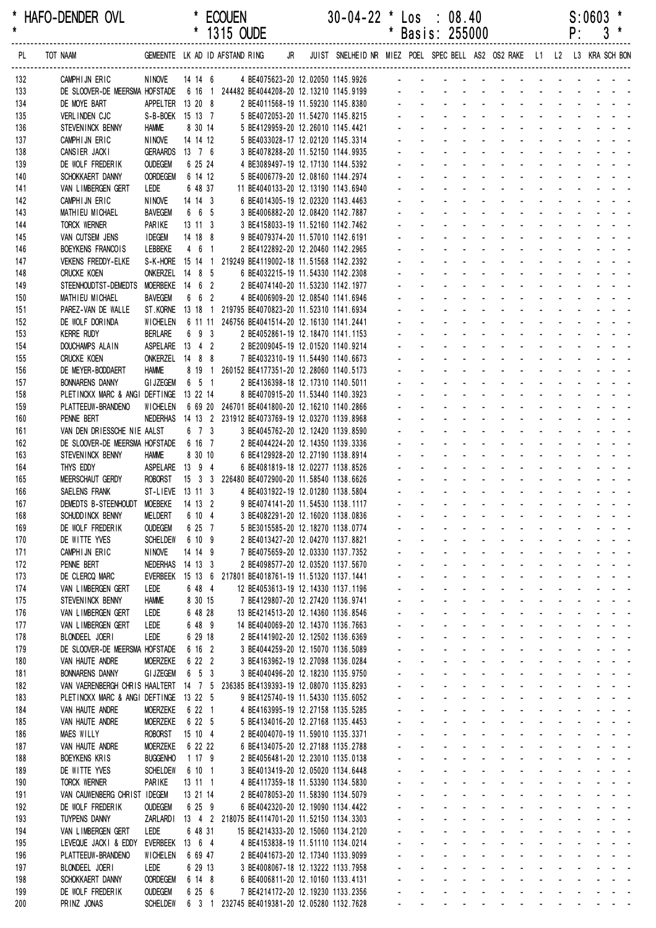|            |                                                                                 |                                    |                        | 1315 OUDE                                                                                    |    |                                                                         |              |                              | Basis: 255000                                          |                              |                                                                           |                                                      |                                       | ۲:                                                                                                             | 3                                                                |  |
|------------|---------------------------------------------------------------------------------|------------------------------------|------------------------|----------------------------------------------------------------------------------------------|----|-------------------------------------------------------------------------|--------------|------------------------------|--------------------------------------------------------|------------------------------|---------------------------------------------------------------------------|------------------------------------------------------|---------------------------------------|----------------------------------------------------------------------------------------------------------------|------------------------------------------------------------------|--|
| PL.        | TOT NAAM                                                                        |                                    |                        | GEMEENTE LK AD ID AFSTAND RING                                                               | JR | JUIST SNELHEID NR MIEZ POEL SPEC BELL AS2 OS2 RAKE L1 L2 L3 KRA SCH BON |              |                              |                                                        |                              |                                                                           |                                                      |                                       |                                                                                                                |                                                                  |  |
| 132        | CAMPHIJN ERIC                                                                   | NINOVE                             | 14 14 6                |                                                                                              |    | 4 BE4075623-20 12.02050 1145.9926 -                                     |              |                              |                                                        |                              |                                                                           |                                                      |                                       |                                                                                                                |                                                                  |  |
| 133        | DE SLOOVER-DE MEERSMA HOFSTADE                                                  |                                    |                        | 6 16 1 244482 BE4044208-20 12.13210 1145.9199                                                |    |                                                                         |              |                              |                                                        |                              |                                                                           |                                                      |                                       |                                                                                                                |                                                                  |  |
| 134        | DE MOYE BART                                                                    | APPELTER 13 20 8                   |                        | 2 BE4011568-19 11.59230 1145.8380                                                            |    |                                                                         |              |                              |                                                        |                              |                                                                           |                                                      |                                       |                                                                                                                |                                                                  |  |
| 135        | VERLINDEN CJC                                                                   | S-B-BOEK 15 13 7                   |                        | 5 BE4072053-20 11.54270 1145.8215                                                            |    |                                                                         |              |                              |                                                        |                              |                                                                           |                                                      |                                       |                                                                                                                |                                                                  |  |
| 136<br>137 | STEVENINCK BENNY<br>CAMPHIJN ERIC                                               | <b>HAMME</b><br><b>NINOVE</b>      | 8 30 14<br>14 14 12    | 5 BE4129959-20 12.26010 1145.4421<br>5 BE4033028-17 12.02120 1145.3314                       |    |                                                                         |              |                              |                                                        |                              |                                                                           |                                                      |                                       |                                                                                                                |                                                                  |  |
| 138        | CANSIER JACKI                                                                   | <b>GERAARDS</b>                    | $13$ 7 6               | 3 BE4078288-20 11.52150 1144.9935                                                            |    |                                                                         |              |                              |                                                        |                              |                                                                           |                                                      |                                       |                                                                                                                |                                                                  |  |
| 139        | DE WOLF FREDERIK                                                                | <b>OUDEGEM</b>                     | 6 25 24                | 4 BE3089497-19 12.17130 1144.5392                                                            |    |                                                                         |              |                              |                                                        |                              |                                                                           |                                                      |                                       |                                                                                                                |                                                                  |  |
| 140        | SCHOKKAERT DANNY                                                                | <b>OORDEGEM</b>                    | 6 14 12                | 5 BE4006779-20 12.08160 1144.2974                                                            |    |                                                                         |              |                              |                                                        |                              |                                                                           |                                                      |                                       |                                                                                                                |                                                                  |  |
| 141        | VAN LIMBERGEN GERT                                                              | LEDE                               | 6 48 37                | 11 BE4040133-20 12.13190 1143.6940                                                           |    |                                                                         |              |                              |                                                        |                              |                                                                           |                                                      |                                       |                                                                                                                |                                                                  |  |
| 142        | CAMPHIJN ERIC                                                                   | <b>NINOVE</b>                      | 14 14 3                | 6 BE4014305-19 12.02320 1143.4463                                                            |    |                                                                         |              |                              |                                                        |                              |                                                                           |                                                      |                                       |                                                                                                                |                                                                  |  |
| 143<br>144 | MATHIEU MICHAEL<br><b>TORCK WERNER</b>                                          | <b>BAVEGEM</b><br>PARIKE           | 6 6 5<br>$13 \t11 \t3$ | 3 BE4006882-20 12.08420 1142.7887<br>3 BE4158033-19 11.52160 1142.7462                       |    |                                                                         |              |                              |                                                        |                              |                                                                           |                                                      |                                       |                                                                                                                |                                                                  |  |
| 145        | VAN CUTSEM JENS                                                                 | <b>IDEGEM</b>                      | 14 18 8                | 9 BE4079374-20 11.57010 1142.6191                                                            |    |                                                                         |              |                              |                                                        |                              |                                                                           |                                                      |                                       |                                                                                                                |                                                                  |  |
| 146        | BOEYKENS FRANCOIS                                                               | LEBBEKE                            | 461                    | 2 BE4122892-20 12.20460 1142.2965                                                            |    |                                                                         |              |                              |                                                        |                              |                                                                           |                                                      |                                       |                                                                                                                |                                                                  |  |
| 147        | <b>VEKENS FREDDY-ELKE</b>                                                       |                                    |                        | S-K-HORE 15 14 1 219249 BE4119002-18 11.51568 1142.2392                                      |    |                                                                         |              |                              |                                                        |                              |                                                                           |                                                      |                                       |                                                                                                                |                                                                  |  |
| 148        | <b>CRUCKE KOEN</b>                                                              | ONKERZEL 14 8 5                    |                        | 6 BE4032215-19 11.54330 1142.2308                                                            |    |                                                                         |              |                              |                                                        |                              |                                                                           |                                                      |                                       |                                                                                                                |                                                                  |  |
| 149        | STEENHOUDTST-DEMEDTS                                                            | MOERBEKE 14 6 2<br><b>BAVEGEM</b>  | 6 6 2                  | 2 BE4074140-20 11.53230 1142.1977                                                            |    |                                                                         |              |                              |                                                        |                              |                                                                           |                                                      |                                       |                                                                                                                |                                                                  |  |
| 150<br>151 | MATHIEU MICHAEL<br>PAREZ-VAN DE WALLE                                           |                                    |                        | 4 BE4006909-20 12.08540 1141.6946<br>ST.KORNE 13 18 1 219795 BE4070823-20 11.52310 1141.6934 |    |                                                                         |              |                              |                                                        |                              |                                                                           |                                                      |                                       |                                                                                                                |                                                                  |  |
| 152        | DE WOLF DORINDA                                                                 | <b>WICHELEN</b>                    |                        | 6 11 11 246756 BE4041514-20 12.16130 1141.2441                                               |    |                                                                         |              |                              |                                                        |                              |                                                                           |                                                      |                                       |                                                                                                                |                                                                  |  |
| 153        | <b>KERRE RUDY</b>                                                               | <b>BERLARE</b>                     | 6 9 3                  | 2 BE4052861-19 12.18470 1141.1153                                                            |    |                                                                         |              |                              |                                                        |                              |                                                                           |                                                      |                                       |                                                                                                                |                                                                  |  |
| 154        | DOUCHAMPS ALAIN                                                                 | ASPELARE 13 4 2                    |                        | 2 BE2009045-19 12.01520 1140.9214                                                            |    |                                                                         |              |                              |                                                        |                              |                                                                           |                                                      |                                       |                                                                                                                |                                                                  |  |
| 155        | <b>CRUCKE KOEN</b>                                                              | ONKERZEL 14 8 8                    |                        | 7 BE4032310-19 11.54490 1140.6673                                                            |    |                                                                         |              |                              |                                                        |                              |                                                                           |                                                      |                                       |                                                                                                                |                                                                  |  |
| 156<br>157 | DE MEYER-BODDAERT<br><b>BONNARENS DANNY</b>                                     | <b>HAMME</b><br><b>GI JZEGEM</b>   | 6 5 1                  | 8 19 1 260152 BE4177351-20 12.28060 1140.5173<br>2 BE4136398-18 12.17310 1140.5011           |    |                                                                         |              |                              |                                                        |                              |                                                                           |                                                      |                                       |                                                                                                                |                                                                  |  |
| 158        | PLETINCKX MARC & ANGI DEFTINGE 13 22 14                                         |                                    |                        | 8 BE4070915-20 11.53440 1140.3923                                                            |    |                                                                         |              |                              |                                                        |                              |                                                                           |                                                      |                                       |                                                                                                                |                                                                  |  |
| 159        | PLATTEEUW-BRANDENO                                                              | <b>WICHELEN</b>                    |                        | 6 69 20 246701 BE4041800-20 12.16210 1140.2866                                               |    |                                                                         |              |                              |                                                        |                              |                                                                           |                                                      |                                       |                                                                                                                |                                                                  |  |
| 160        | PENNE BERT                                                                      |                                    |                        | NEDERHAS  14  13  2  231912  BE4073769-19  12.03270  1139.8968                               |    |                                                                         |              |                              |                                                        |                              |                                                                           |                                                      |                                       |                                                                                                                |                                                                  |  |
| 161        | VAN DEN DRIESSCHE NIE AALST                                                     |                                    | $6$ 7 3                | 3 BE4045762-20 12.12420 1139.8590                                                            |    |                                                                         |              |                              |                                                        |                              |                                                                           |                                                      |                                       |                                                                                                                |                                                                  |  |
| 162        | DE SLOOVER-DE MEERSMA HOFSTADE                                                  |                                    | 6 16 7                 | 2 BE4044224-20 12.14350 1139.3336                                                            |    |                                                                         |              |                              |                                                        |                              |                                                                           |                                                      |                                       |                                                                                                                |                                                                  |  |
| 163<br>164 | STEVENINCK BENNY<br>THYS EDDY                                                   | <b>HAMME</b><br>ASPELARE 13 9 4    | 8 30 10                | 6 BE4129928-20 12.27190 1138.8914<br>6 BE4081819-18 12.02277 1138.8526                       |    |                                                                         |              |                              |                                                        |                              |                                                                           |                                                      |                                       |                                                                                                                |                                                                  |  |
| 165        | MEERSCHAUT GERDY                                                                | <b>ROBORST</b>                     |                        | 15 3 3 226480 BE4072900-20 11.58540 1138.6626                                                |    |                                                                         |              |                              |                                                        |                              |                                                                           |                                                      | $\omega$ .                            |                                                                                                                |                                                                  |  |
| 166        | SAELENS FRANK                                                                   | ST-LIEVE 13 11 3                   |                        | 4 BE4031922-19 12.01280 1138.5804                                                            |    |                                                                         |              |                              |                                                        |                              |                                                                           |                                                      |                                       |                                                                                                                |                                                                  |  |
| 167        | DEMEDTS B-STEENHOUDT                                                            | <b>MOEBEKE</b>                     | $14 \t13 \t2$          | 9 BE4074141-20 11.54530 1138.1117                                                            |    |                                                                         |              |                              |                                                        |                              |                                                                           |                                                      |                                       |                                                                                                                |                                                                  |  |
| 168        | SCHUDD INCK BENNY                                                               | <b>MELDERT</b>                     | 6 10 4                 | 3 BE4082291-20 12.16020 1138.0836                                                            |    |                                                                         |              |                              |                                                        |                              |                                                                           |                                                      |                                       |                                                                                                                |                                                                  |  |
| 169<br>170 | DE WOLF FREDERIK<br>DE WITTE YVES                                               | <b>OUDEGEM</b><br><b>SCHELDEW</b>  | 6 25 7<br>6 10 9       | 5 BE3015585-20 12.18270 1138.0774<br>2 BE4013427-20 12.04270 1137.8821                       |    |                                                                         |              |                              |                                                        |                              | $\mathcal{L}_{\text{max}}$ , and $\mathcal{L}_{\text{max}}$<br>$\sim$ $-$ | <b>Contract Contract</b>                             |                                       |                                                                                                                |                                                                  |  |
| 171        | CAMPHIJN ERIC                                                                   | <b>NINOVE</b>                      | 14 14 9                | 7 BE4075659-20 12.03330 1137.7352                                                            |    |                                                                         |              |                              |                                                        | $\mathbf{r}$                 | <b>Contract</b>                                                           | $\mathbf{r}$<br>$\sim 100$                           |                                       | $\mathbf{L} = \mathbf{L}$                                                                                      |                                                                  |  |
| 172        | PENNE BERT                                                                      | NEDERHAS                           | 14 13 3                | 2 BE4098577-20 12.03520 1137.5670                                                            |    |                                                                         |              |                              |                                                        | $\mathbf{r}$                 | <b>Contact Contact</b>                                                    | $\mathbf{r}$<br>$\mathcal{L}^{\text{max}}$           |                                       | $\Delta \sim 100$<br>$\sim$                                                                                    |                                                                  |  |
| 173        | DE CLERCQ MARC                                                                  | <b>EVERBEEK</b>                    |                        | 15 13 6 217801 BE4018761-19 11.51320 1137.1441                                               |    |                                                                         |              | $\mathbf{r}$                 | $\mathbf{r}$<br>$\mathbf{r}$                           | $\mathcal{L}_{\mathcal{A}}$  | $\sim 100$                                                                | $\omega_{\rm{max}}$<br>$\mathbf{L}^{\text{max}}$     | $\mathcal{L}^{\text{max}}$            | $\mathbf{r}$                                                                                                   |                                                                  |  |
| 174        | VAN LIMBERGEN GERT                                                              | LEDE                               | 6 48 4                 | 12 BE4053613-19 12.14330 1137.1196                                                           |    |                                                                         |              | $\blacksquare$               | $\mathbf{r}$                                           | $\blacksquare$               | $\sim$                                                                    | $\blacksquare$<br>$\sim$                             |                                       |                                                                                                                |                                                                  |  |
| 175        | STEVENINCK BENNY<br>VAN LIMBERGEN GERT                                          | <b>HAMME</b><br>LEDE               | 8 30 15<br>6 48 28     | 7 BE4129807-20 12.27420 1136.9741                                                            |    |                                                                         |              | $\Delta$                     |                                                        | $\mathcal{L}$                |                                                                           |                                                      | $\sim$                                |                                                                                                                |                                                                  |  |
| 176<br>177 | VAN LIMBERGEN GERT                                                              | LEDE                               | 6 48 9                 | 13 BE4214513-20 12.14360 1136.8546<br>14 BE4040069-20 12.14370 1136.7663                     |    |                                                                         |              | $\overline{\phantom{a}}$     | $\mathbf{r}$<br>$\mathbf{r}$                           |                              | $\sim$                                                                    | $\mathbf{r}$<br>$\mathbf{r}$                         |                                       | $\Delta \phi = 0.025$                                                                                          |                                                                  |  |
| 178        | BLONDEEL JOERI                                                                  | LEDE                               | 6 29 18                | 2 BE4141902-20 12.12502 1136.6369                                                            |    |                                                                         |              |                              | ÷.                                                     | $\mathcal{L}^{\mathcal{A}}$  | <b>Contractor</b>                                                         | ÷.                                                   |                                       | in the state of the state of the state of the state of the state of the state of the state of the state of the |                                                                  |  |
| 179        | DE SLOOVER-DE MEERSMA HOFSTADE                                                  |                                    | 6 16 2                 | 3 BE4044259-20 12.15070 1136.5089                                                            |    |                                                                         | ÷.           | $\mathbf{r}$                 | $\mathcal{L}^{\text{max}}$                             | $\Delta \sim 10^{-1}$        | $\Delta \sim 100$<br>$\Delta \sim 10^4$                                   | $\omega_{\rm{max}}$<br>$\mathbf{z}$ and $\mathbf{z}$ |                                       | $\omega_{\rm{max}}$                                                                                            | and a strain and                                                 |  |
| 180        | VAN HAUTE ANDRE                                                                 | <b>MOERZEKE</b>                    | 6 22 2                 | 3 BE4163962-19 12.27098 1136.0284                                                            |    |                                                                         | $\mathbf{r}$ | $\omega$                     | $\mathbf{r}$<br>$\sim$                                 | $\mathcal{L}$                | $\sim$                                                                    | $\omega$                                             | $\Delta \sim 100$                     |                                                                                                                | and a state of the                                               |  |
| 181        | <b>BONNARENS DANNY</b>                                                          | <b>GI JZEGEM</b>                   | $6\quad 5\quad 3$      | 3 BE4040496-20 12.18230 1135.9750                                                            |    |                                                                         |              |                              |                                                        | $\mathcal{L}$                |                                                                           |                                                      |                                       |                                                                                                                |                                                                  |  |
| 182<br>183 | VAN VAERENBERGH CHRIS HAALTERT 14 7 5<br>PLETINCKX MARC & ANGI DEFTINGE 13 22 5 |                                    |                        | 236385 BE4139393-19 12.08070 1135.8293<br>9 BE4125740-19 11.54330 1135.6052                  |    |                                                                         |              |                              |                                                        |                              | $\sim$                                                                    | $\blacksquare$<br>$\mathbf{r}$                       | $\sim$                                | $\Delta \sim 100$<br>$\sim$                                                                                    |                                                                  |  |
| 184        | VAN HAUTE ANDRE                                                                 | <b>MOERZEKE</b>                    | 6 22 1                 | 4 BE4163995-19 12.27158 1135.5285                                                            |    |                                                                         |              |                              | $\mathbf{r}$                                           | $\omega$                     | $\sim$ $-$                                                                | $\mathcal{L}$                                        |                                       | $\Delta \sim 100$                                                                                              |                                                                  |  |
| 185        | VAN HAUTE ANDRE                                                                 | <b>MOERZEKE</b>                    | 6 22 5                 | 5 BE4134016-20 12.27168 1135.4453                                                            |    |                                                                         |              | $\mathbf{r}$                 | $\mathcal{L}^{\text{max}}$<br>$\mathbf{r}$             |                              | $\omega_{\rm{max}}$<br>$\sim 100$                                         | $\omega_{\rm{max}}$<br>$\mathbf{L}^{\text{max}}$     | $\Delta \sim 10^{-1}$                 | $\sim$                                                                                                         |                                                                  |  |
| 186        | <b>MAES WILLY</b>                                                               | <b>ROBORST</b>                     | 15 10 4                | 2 BE4004070-19 11.59010 1135.3371                                                            |    |                                                                         |              | $\mathbf{r}$                 | $\sim$                                                 | $\blacksquare$               | $\sim$                                                                    | $\blacksquare$                                       |                                       |                                                                                                                |                                                                  |  |
| 187        | VAN HAUTE ANDRE                                                                 | <b>MOERZEKE</b>                    | 6 22 22                | 6 BE4134075-20 12.27188 1135.2788                                                            |    |                                                                         |              |                              |                                                        | $\mathcal{L}$                |                                                                           |                                                      |                                       |                                                                                                                |                                                                  |  |
| 188<br>189 | BOEYKENS KRIS<br>DE WITTE YVES                                                  | <b>BUGGENHO</b><br><b>SCHELDEW</b> | 1 17 9<br>6 10 1       | 2 BE4056481-20 12.23010 1135.0138<br>3 BE4013419-20 12.05020 1134.6448                       |    |                                                                         |              | $\mathbf{r}$<br>$\mathbf{r}$ | ÷.                                                     |                              | $\sim$                                                                    | $\overline{a}$                                       | $\sim$                                | and a strain and a strain and                                                                                  |                                                                  |  |
| 190        | <b>TORCK WERNER</b>                                                             | PARIKE                             | $13$ 11 1              | 4 BE4117359-18 11.53390 1134.5830                                                            |    |                                                                         |              |                              |                                                        |                              | $\sim$                                                                    | $\mathcal{L}$                                        |                                       |                                                                                                                |                                                                  |  |
| 191        | VAN CAUWENBERG CHRIST IDEGEM                                                    |                                    | 13 21 14               | 2 BE4078053-20 11.58390 1134.5079                                                            |    |                                                                         |              | ¥.                           | $\mathcal{L}^{\text{max}}$                             | $\Delta \sim 10^{-1}$        | $\Delta \sim 10^4$<br>$\Delta \sim 100$                                   | $\omega_{\rm{max}}$<br>$\mathbf{z}$ and $\mathbf{z}$ |                                       | $\omega_{\rm{max}}$                                                                                            | and a strain and                                                 |  |
| 192        | DE WOLF FREDERIK                                                                | <b>OUDEGEM</b>                     | 6 25 9                 | 6 BE4042320-20 12.19090 1134.4422                                                            |    |                                                                         | $\mathbf{r}$ | $\omega$                     | $\mathbf{r}$<br>$\mathbf{r}$                           | $\blacksquare$               | $\sim$                                                                    | $\omega$                                             | $\Delta \sim 100$                     |                                                                                                                | $\mathbf{z} = \mathbf{z} + \mathbf{z} + \mathbf{z} + \mathbf{z}$ |  |
| 193        | <b>TUYPENS DANNY</b>                                                            | <b>ZARLARDI</b>                    |                        | 13 4 2 218075 BE4114701-20 11.52150 1134.3303                                                |    |                                                                         |              |                              |                                                        | $\mathcal{L}$                |                                                                           |                                                      |                                       |                                                                                                                |                                                                  |  |
| 194        | VAN LIMBERGEN GERT                                                              | LEDE                               | 6 48 31                | 15 BE4214333-20 12.15060 1134.2120                                                           |    |                                                                         |              |                              |                                                        |                              |                                                                           | $\blacksquare$                                       | $\sim$                                | $\mathbf{r}$                                                                                                   |                                                                  |  |
| 195<br>196 | LEVEQUE JACKI & EDDY<br>PLATTEEUW-BRANDENO                                      | EVERBEEK<br><b>WICHELEN</b>        | 13 6 4<br>6 69 47      | 4 BE4153838-19 11.51110 1134.0214<br>2 BE4041673-20 12.17340 1133.9099                       |    |                                                                         |              |                              | $\mathbf{r}$                                           | $\blacksquare$               | $\sim$<br>$\sim$                                                          | $\mathbf{r}$<br>$\omega$                             | $\sim$<br>$\mathcal{L}^{\mathcal{A}}$ |                                                                                                                |                                                                  |  |
| 197        | BLONDEEL JOERI                                                                  | LEDE                               | 6 29 13                | 3 BE4008067-18 12.13222 1133.7958                                                            |    |                                                                         |              | ÷.                           | $\mathcal{L}^{\pm}$<br>$\mathbf{r}$                    | $\mathcal{L}_{\mathcal{A}}$  | $\sim 100$                                                                | $\blacksquare$<br>$\mathbf{L}^{\text{max}}$          | $\mathcal{L}^{\text{max}}$            | $\mathbf{L}^{\text{max}}$                                                                                      |                                                                  |  |
| 198        | SCHOKKAERT DANNY                                                                | <b>OORDEGEM</b>                    | 6 14 8                 | 6 BE4006811-20 12.10160 1133.4131                                                            |    |                                                                         |              |                              | $\mathbf{L}^{\text{max}}$<br>$\mathbf{L}^{\text{max}}$ | $\sim 100$<br>$\blacksquare$ | $\sim$                                                                    | $\omega_{\rm{max}}$<br>$\sim 100$                    |                                       |                                                                                                                |                                                                  |  |
| 199        | DE WOLF FREDERIK                                                                | <b>OUDEGEM</b>                     | 6 25 6                 | 7 BE4214172-20 12.19230 1133.2356                                                            |    |                                                                         |              |                              |                                                        |                              |                                                                           |                                                      |                                       |                                                                                                                |                                                                  |  |
| 200        | PRINZ JONAS                                                                     | <b>SCHELDEW</b>                    |                        | 6 3 1 232745 BE4019381-20 12.05280 1132.7628                                                 |    |                                                                         |              |                              |                                                        |                              | design and a state of the state of                                        |                                                      |                                       |                                                                                                                |                                                                  |  |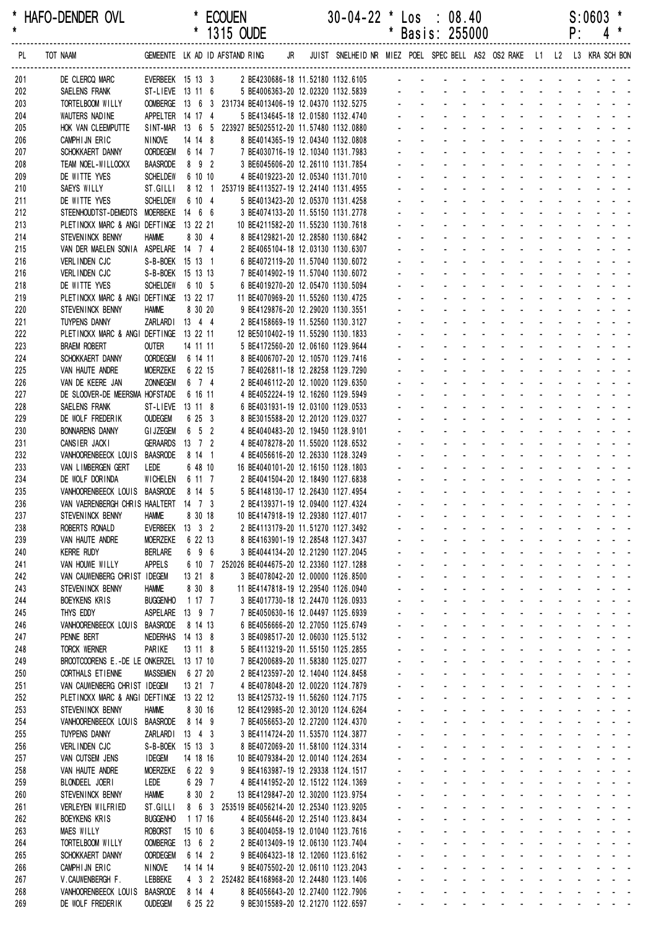\* HAFO-DENDER OVL \* ECOUEN 30-04-22 \* Los : 08.40 S:0603 \*

|            |                                                                                 |                                    |                   | 1315 OUDE |                                                                                             |  |                                                                                                     |                    |                                                  | Basis: 255000                                                         |                                 |                                                              |                                                                                                                                                                                                                                |                                                |                   | ۲:                                                                                   |                                                          |  |
|------------|---------------------------------------------------------------------------------|------------------------------------|-------------------|-----------|---------------------------------------------------------------------------------------------|--|-----------------------------------------------------------------------------------------------------|--------------------|--------------------------------------------------|-----------------------------------------------------------------------|---------------------------------|--------------------------------------------------------------|--------------------------------------------------------------------------------------------------------------------------------------------------------------------------------------------------------------------------------|------------------------------------------------|-------------------|--------------------------------------------------------------------------------------|----------------------------------------------------------|--|
| PL         | TOT NAAM                                                                        |                                    |                   |           |                                                                                             |  | GEMEENTE LKAD IDAFSTANDRING JR JUIST SNELHEIDNR MIEZ POEL SPECBELL AS2 OS2 RAKE L1 L2 L3 KRA SCHBON |                    |                                                  |                                                                       |                                 |                                                              |                                                                                                                                                                                                                                |                                                |                   |                                                                                      |                                                          |  |
| 201        | DE CLERCQ MARC                                                                  |                                    |                   |           |                                                                                             |  | EVERBEEK 15 13 3 2 BE4230686-18 11.52180 1132.6105 -                                                |                    |                                                  |                                                                       |                                 |                                                              |                                                                                                                                                                                                                                |                                                |                   |                                                                                      |                                                          |  |
| 202        | SAELENS FRANK                                                                   | ST-LIEVE 13 11 6                   |                   |           | 5 BE4006363-20 12.02320 1132.5839                                                           |  |                                                                                                     |                    |                                                  |                                                                       |                                 |                                                              |                                                                                                                                                                                                                                |                                                |                   |                                                                                      |                                                          |  |
| 203        | TORTELBOOM WILLY                                                                |                                    |                   |           | OOMBERGE 13 6 3 231734 BE4013406-19 12.04370 1132.5275                                      |  |                                                                                                     |                    |                                                  |                                                                       |                                 |                                                              | design and a state of the state of the state of the state of the state of the state of the state of the state of the state of the state of the state of the state of the state of the state of the state of the state of the s |                                                |                   |                                                                                      |                                                          |  |
| 204<br>205 | WAUTERS NADINE                                                                  | APPELTER 14 17 4                   |                   |           | 5 BE4134645-18 12.01580 1132.4740<br>SINT-MAR 13 6 5 223927 BE5025512-20 11.57480 1132.0880 |  |                                                                                                     |                    |                                                  |                                                                       |                                 |                                                              |                                                                                                                                                                                                                                | $\Delta \sim 10^{-11}$                         |                   | $\mathbf{L} = \mathbf{L} \mathbf{L} + \mathbf{L} \mathbf{L} + \mathbf{L} \mathbf{L}$ |                                                          |  |
| 206        | HOK VAN CLEEMPUTTE<br>CAMPHIJN ERIC                                             | <b>NINOVE</b>                      | 14 14 8           |           | 8 BE4014365-19 12.04340 1132.0808                                                           |  |                                                                                                     |                    |                                                  |                                                                       |                                 |                                                              |                                                                                                                                                                                                                                |                                                |                   |                                                                                      |                                                          |  |
| 207        | SCHOKKAERT DANNY                                                                | <b>OORDEGEM</b>                    | 6 14 7            |           | 7 BE4030716-19 12.10340 1131.7983                                                           |  |                                                                                                     |                    |                                                  |                                                                       |                                 |                                                              |                                                                                                                                                                                                                                |                                                |                   |                                                                                      |                                                          |  |
| 208        | TEAM NOEL-WILLOCKX                                                              | <b>BAASRODE</b>                    | 8 9 2             |           | 3 BE6045606-20 12.26110 1131.7854                                                           |  |                                                                                                     |                    |                                                  |                                                                       |                                 |                                                              |                                                                                                                                                                                                                                |                                                |                   |                                                                                      |                                                          |  |
| 209        | DE WITTE YVES                                                                   | <b>SCHELDEW</b>                    | 6 10 10           |           | 4 BE4019223-20 12.05340 1131.7010                                                           |  |                                                                                                     |                    |                                                  |                                                                       |                                 |                                                              |                                                                                                                                                                                                                                |                                                |                   |                                                                                      |                                                          |  |
| 210        | SAEYS WILLY                                                                     | ST.GILLI                           |                   |           | 8 12 1 253719 BE4113527-19 12.24140 1131.4955                                               |  |                                                                                                     |                    |                                                  |                                                                       |                                 |                                                              |                                                                                                                                                                                                                                |                                                |                   |                                                                                      |                                                          |  |
| 211        | DE WITTE YVES                                                                   | <b>SCHELDEW</b>                    | 6 10 4            |           | 5 BE4013423-20 12.05370 1131.4258                                                           |  |                                                                                                     |                    |                                                  |                                                                       |                                 |                                                              |                                                                                                                                                                                                                                |                                                |                   |                                                                                      |                                                          |  |
| 212<br>213 | STEENHOUDTST-DEMEDTS MOERBEKE 14 6 6<br>PLETINCKX MARC & ANGI DEFTINGE 13 22 21 |                                    |                   |           | 3 BE4074133-20 11.55150 1131.2778<br>10 BE4211582-20 11.55230 1130.7618                     |  |                                                                                                     |                    |                                                  |                                                                       |                                 |                                                              |                                                                                                                                                                                                                                |                                                |                   |                                                                                      |                                                          |  |
| 214        | STEVEN INCK BENNY                                                               | <b>HAMME</b>                       | 8 30 4            |           | 8 BE4129821-20 12.28580 1130.6842                                                           |  |                                                                                                     |                    |                                                  |                                                                       |                                 |                                                              |                                                                                                                                                                                                                                |                                                |                   |                                                                                      |                                                          |  |
| 215        | VAN DER MAELEN SONIA ASPELARE 14 7 4                                            |                                    |                   |           | 2 BE4065104-18 12.03130 1130.6307                                                           |  |                                                                                                     |                    |                                                  |                                                                       |                                 |                                                              |                                                                                                                                                                                                                                |                                                |                   |                                                                                      |                                                          |  |
| 216        | VERLINDEN CJC                                                                   | S-B-BOEK 15 13 1                   |                   |           | 6 BE4072119-20 11.57040 1130.6072                                                           |  |                                                                                                     |                    |                                                  |                                                                       |                                 |                                                              | $\mathbf{r}$                                                                                                                                                                                                                   |                                                |                   | and the state of the state                                                           |                                                          |  |
| 216        | VERLINDEN CJC                                                                   | S-B-BOEK 15 13 13                  |                   |           | 7 BE4014902-19 11.57040 1130.6072                                                           |  |                                                                                                     |                    |                                                  |                                                                       |                                 |                                                              |                                                                                                                                                                                                                                |                                                |                   |                                                                                      |                                                          |  |
| 218<br>219 | DE WITTE YVES<br>PLETINCKX MARC & ANGI DEFTINGE 13 22 17                        | <b>SCHELDEW</b>                    | 6 10 5            |           | 6 BE4019270-20 12.05470 1130.5094<br>11 BE4070969-20 11.55260 1130.4725                     |  |                                                                                                     |                    |                                                  |                                                                       |                                 |                                                              |                                                                                                                                                                                                                                |                                                |                   |                                                                                      |                                                          |  |
| 220        | STEVENINCK BENNY                                                                | <b>HAMME</b>                       | 8 30 20           |           | 9 BE4129876-20 12.29020 1130.3551                                                           |  |                                                                                                     |                    |                                                  |                                                                       |                                 |                                                              |                                                                                                                                                                                                                                |                                                |                   |                                                                                      |                                                          |  |
| 221        | TUYPENS DANNY                                                                   | ZARLARDI 13 4 4                    |                   |           | 2 BE4158669-19 11.52560 1130.3127                                                           |  |                                                                                                     |                    |                                                  |                                                                       |                                 |                                                              |                                                                                                                                                                                                                                |                                                |                   |                                                                                      |                                                          |  |
| 222        | PLETINCKX MARC & ANGI DEFTINGE 13 22 11                                         |                                    |                   |           | 12 BE5010402-19 11.55290 1130.1833                                                          |  |                                                                                                     |                    |                                                  |                                                                       |                                 |                                                              | $\overline{a}$                                                                                                                                                                                                                 |                                                |                   |                                                                                      |                                                          |  |
| 223        | <b>BRAEM ROBERT</b>                                                             | OUTER                              | 14 11 11          |           | 5 BE4172560-20 12.06160 1129.9644                                                           |  |                                                                                                     |                    |                                                  |                                                                       |                                 |                                                              |                                                                                                                                                                                                                                |                                                |                   |                                                                                      |                                                          |  |
| 224        | SCHOKKAERT DANNY                                                                | <b>OORDEGEM</b>                    | 6 14 11           |           | 8 BE4006707-20 12.10570 1129.7416                                                           |  |                                                                                                     |                    |                                                  |                                                                       |                                 |                                                              |                                                                                                                                                                                                                                |                                                |                   |                                                                                      |                                                          |  |
| 225        | VAN HAUTE ANDRE                                                                 | <b>MOERZEKE</b><br><b>ZONNEGEM</b> | 6 22 15<br>6 7 4  |           | 7 BE4026811-18 12.28258 1129.7290<br>2 BE4046112-20 12.10020 1129.6350                      |  |                                                                                                     |                    |                                                  |                                                                       |                                 |                                                              |                                                                                                                                                                                                                                |                                                |                   |                                                                                      |                                                          |  |
| 226<br>227 | VAN DE KEERE JAN<br>DE SLOOVER-DE MEERSMA HOFSTADE                              |                                    | 6 16 11           |           | 4 BE4052224-19 12.16260 1129.5949                                                           |  |                                                                                                     |                    |                                                  |                                                                       |                                 |                                                              |                                                                                                                                                                                                                                |                                                |                   |                                                                                      |                                                          |  |
| 228        | SAELENS FRANK                                                                   | ST-LIEVE 13 11 8                   |                   |           | 6 BE4031931-19 12.03100 1129.0533                                                           |  |                                                                                                     |                    |                                                  |                                                                       |                                 |                                                              |                                                                                                                                                                                                                                |                                                |                   |                                                                                      |                                                          |  |
| 229        | DE WOLF FREDERIK                                                                | <b>OUDEGEM</b>                     | 6 25 3            |           | 8 BE3015588-20 12.20120 1129.0327                                                           |  |                                                                                                     |                    |                                                  |                                                                       |                                 |                                                              |                                                                                                                                                                                                                                |                                                |                   |                                                                                      |                                                          |  |
| 230        | <b>BONNARENS DANNY</b>                                                          | <b>GI JZEGEM</b>                   | $6\quad 5\quad 2$ |           | 4 BE4040483-20 12.19450 1128.9101                                                           |  |                                                                                                     |                    |                                                  |                                                                       |                                 |                                                              |                                                                                                                                                                                                                                |                                                |                   |                                                                                      |                                                          |  |
| 231        | CANSIER JACKI                                                                   | <b>GERAARDS</b>                    | $13 \t7 \t2$      |           | 4 BE4078278-20 11.55020 1128.6532                                                           |  |                                                                                                     |                    |                                                  |                                                                       |                                 |                                                              |                                                                                                                                                                                                                                |                                                |                   |                                                                                      |                                                          |  |
| 232<br>233 | VANHOORENBEECK LOUIS<br>VAN LIMBERGEN GERT                                      | <b>BAASRODE</b><br>LEDE            | 8 14 1<br>6 48 10 |           | 4 BE4056616-20 12.26330 1128.3249<br>16 BE4040101-20 12.16150 1128.1803                     |  |                                                                                                     |                    |                                                  |                                                                       |                                 |                                                              |                                                                                                                                                                                                                                |                                                |                   |                                                                                      |                                                          |  |
| 234        | DE WOLF DORINDA                                                                 | WICHELEN 6 11 7                    |                   |           | 2 BE4041504-20 12.18490 1127.6838                                                           |  |                                                                                                     |                    |                                                  |                                                                       |                                 | $\sim$                                                       | $\overline{a}$                                                                                                                                                                                                                 | $\sim$                                         |                   | <b>Carl Carl Carl</b>                                                                |                                                          |  |
| 235        | VANHOORENBEECK LOUIS BAASRODE                                                   |                                    | 8 14 5            |           | 5 BE4148130-17 12.26430 1127.4954                                                           |  |                                                                                                     |                    |                                                  |                                                                       |                                 |                                                              |                                                                                                                                                                                                                                |                                                |                   |                                                                                      |                                                          |  |
| 236        | VAN VAERENBERGH CHRIS HAALTERT 14 7 3                                           |                                    |                   |           | 2 BE4139371-19 12.09400 1127.4324                                                           |  |                                                                                                     |                    |                                                  |                                                                       |                                 |                                                              | $\Delta \sim 100$                                                                                                                                                                                                              |                                                |                   |                                                                                      |                                                          |  |
| 237        | STEVENINCK BENNY                                                                | <b>HAMME</b>                       | 8 30 18           |           | 10 BE4147918-19 12.29380 1127.4017                                                          |  |                                                                                                     |                    |                                                  |                                                                       |                                 | $\mathbf{z}$ and                                             |                                                                                                                                                                                                                                | and the state of the state of the state of     |                   |                                                                                      |                                                          |  |
| 238        | ROBERTS RONALD                                                                  | EVERBEEK 13 3 2                    |                   |           | 2 BE4113179-20 11.51270 1127.3492                                                           |  |                                                                                                     |                    |                                                  |                                                                       |                                 |                                                              | and a series of the series of the series                                                                                                                                                                                       |                                                |                   |                                                                                      |                                                          |  |
| 239<br>240 | VAN HAUTE ANDRE<br><b>KERRE RUDY</b>                                            | <b>MOERZEKE</b><br><b>BERLARE</b>  | 6 22 13<br>6 9 6  |           | 8 BE4163901-19 12.28548 1127.3437<br>3 BE4044134-20 12.21290 1127.2045                      |  |                                                                                                     |                    |                                                  |                                                                       | $\Delta \sim 100$               |                                                              | and the company's<br>and a series of the series of the                                                                                                                                                                         |                                                |                   |                                                                                      | and a straightful and a straight                         |  |
| 241        | VAN HOUWE WILLY                                                                 | APPELS                             | 6 10 7            |           | 252026 BE4044675-20 12.23360 1127.1288                                                      |  |                                                                                                     |                    |                                                  | $\omega_{\rm{max}}$<br>$\omega_{\rm{max}}$                            |                                 |                                                              | and a state of the state of the state                                                                                                                                                                                          |                                                |                   |                                                                                      |                                                          |  |
| 242        | VAN CAUWENBERG CHRIST IDEGEM                                                    |                                    | 13 21 8           |           | 3 BE4078042-20 12.00000 1126.8500                                                           |  |                                                                                                     |                    |                                                  | $\omega_{\rm{max}}$<br>$\omega_{\rm{max}}$                            | $\sim 100$                      |                                                              | and a straight                                                                                                                                                                                                                 |                                                | <b>All States</b> |                                                                                      | and a state of                                           |  |
| 243        | STEVENINCK BENNY                                                                | <b>HAMME</b>                       | 8 30 8            |           | 11 BE4147818-19 12.29540 1126.0940                                                          |  |                                                                                                     |                    | $\sim$                                           | $\mathbf{L}^{\text{max}}$                                             | $\sim 100$                      |                                                              | and the company of the company of                                                                                                                                                                                              |                                                |                   |                                                                                      | $\mathbf{z} = \mathbf{z} + \mathbf{z} + \mathbf{z}$      |  |
| 244        | <b>BOEYKENS KRIS</b>                                                            | <b>BUGGENHO</b>                    | 1 17 7            |           | 3 BE4017730-18 12.24470 1126.0933                                                           |  |                                                                                                     |                    |                                                  |                                                                       |                                 |                                                              | المنافذ والمستنقذ والمستنقذ والمستنقذ والمستنقذ والمستنقذ                                                                                                                                                                      |                                                |                   |                                                                                      |                                                          |  |
| 245        | THYS EDDY<br>VANHOORENBEECK LOUIS BAASRODE                                      | ASPELARE 13 9 7                    | 8 14 13           |           | 7 BE4050630-16 12.04497 1125.6939<br>6 BE4056666-20 12.27050 1125.6749                      |  |                                                                                                     |                    | $\sim$                                           | $\mathbf{r}$                                                          | <b>Contract Contract</b>        | $\Delta \phi = \Delta \phi$ and $\Delta \phi$<br>and a state | $\mathcal{L}_{\mathrm{max}}$                                                                                                                                                                                                   | $\Delta \sim 100$                              |                   |                                                                                      | and a straightful and a<br>and a straight and a straight |  |
| 246<br>247 | PENNE BERT                                                                      | NEDERHAS 14 13 8                   |                   |           | 3 BE4098517-20 12.06030 1125.5132                                                           |  |                                                                                                     | ÷.                 |                                                  | $\omega_{\rm{max}}$                                                   |                                 |                                                              | and a state of the state of the state of                                                                                                                                                                                       |                                                |                   |                                                                                      |                                                          |  |
| 248        | TORCK WERNER                                                                    | PARIKE                             | 13 11 8           |           | 5 BE4113219-20 11.55150 1125.2855                                                           |  |                                                                                                     | $\omega$           |                                                  | $\omega_{\rm{max}}$<br>and a state                                    |                                 |                                                              | design and a state of the state of                                                                                                                                                                                             |                                                |                   |                                                                                      |                                                          |  |
| 249        | BROOTCOORENS E.-DE LE ONKERZEL 13 17 10                                         |                                    |                   |           | 7 BE4200689-20 11.58380 1125.0277                                                           |  |                                                                                                     | $\blacksquare$     |                                                  | $\mathcal{L}^{\text{max}}$<br>and a state                             |                                 |                                                              | and a series of the series of the series                                                                                                                                                                                       |                                                |                   |                                                                                      |                                                          |  |
| 250        | CORTHALS ET IENNE                                                               | <b>MASSEMEN</b>                    | 6 27 20           |           | 2 BE4123597-20 12.14040 1124.8458                                                           |  |                                                                                                     |                    |                                                  |                                                                       |                                 |                                                              | and a straightful contract and a straight                                                                                                                                                                                      |                                                |                   |                                                                                      |                                                          |  |
| 251        | VAN CAUWENBERG CHRIST IDEGEM                                                    |                                    | 13 21 7           |           | 4 BE4078048-20 12.00220 1124.7879                                                           |  |                                                                                                     |                    |                                                  |                                                                       |                                 |                                                              | design and a state of the state of                                                                                                                                                                                             |                                                |                   |                                                                                      |                                                          |  |
| 252        | PLETINCKX MARC & ANGI DEFTINGE 13 22 12                                         | <b>HAMME</b>                       | 8 30 16           |           | 13 BE4125732-19 11.56260 1124.7175                                                          |  |                                                                                                     |                    | $\sim$                                           | $\Delta \sim 10^4$<br>$\Delta \sim 10^{-1}$<br>$\Delta \sim 10^{-1}$  | $\Delta \sim 100$               |                                                              | and a strain and a strain and<br>and a state of the state of the state of the state of the state of the state of the state of the state of the                                                                                 |                                                |                   |                                                                                      |                                                          |  |
| 253<br>254 | STEVENINCK BENNY<br>VANHOORENBEECK LOUIS BAASRODE                               |                                    | 8 14 9            |           | 12 BE4129985-20 12.30120 1124.6264<br>7 BE4056653-20 12.27200 1124.4370                     |  |                                                                                                     |                    | $\omega_{\rm{max}}$                              | $\omega_{\rm{max}}$<br>$\omega_{\rm{max}}$                            |                                 |                                                              | and a series of the series of the series                                                                                                                                                                                       |                                                |                   |                                                                                      |                                                          |  |
| 255        | TUYPENS DANNY                                                                   | ZARLARDI 13 4 3                    |                   |           | 3 BE4114724-20 11.53570 1124.3877                                                           |  |                                                                                                     | $\sim$             |                                                  | $\mathbf{L}^{\text{max}}$<br><b>All Service</b>                       |                                 |                                                              | and a series of the series of the series                                                                                                                                                                                       |                                                |                   |                                                                                      |                                                          |  |
| 256        | VERLINDEN CJC                                                                   | S-B-BOEK 15 13 3                   |                   |           | 8 BE4072069-20 11.58100 1124.3314                                                           |  |                                                                                                     |                    |                                                  | $\omega_{\rm{max}}$<br>$\omega_{\rm{max}}$                            | <b>All Carl Carl</b>            |                                                              |                                                                                                                                                                                                                                | المنابعة والمستنقذ والمستنقذ والمستنقذ         |                   |                                                                                      |                                                          |  |
| 257        | VAN CUTSEM JENS                                                                 | <b>IDEGEM</b>                      | 14 18 16          |           | 10 BE4079384-20 12.00140 1124.2634                                                          |  |                                                                                                     |                    |                                                  |                                                                       |                                 | $\Delta \phi = \Delta \phi$ and $\Delta \phi$                | $\mathcal{L}_{\mathrm{max}}$                                                                                                                                                                                                   |                                                |                   |                                                                                      | and a straight and a                                     |  |
| 258        | VAN HAUTE ANDRE                                                                 | <b>MOERZEKE</b>                    | 6 22 9            |           | 9 BE4163987-19 12.29338 1124.1517                                                           |  |                                                                                                     | $\mathbf{r}$       | $\sim$                                           | $\Delta \sim 10^{-1}$<br>$\Delta \sim 10^{-1}$                        | $\sim 100$<br>$\Delta \sim 100$ | and a state<br>$\omega_{\rm{max}}$ and $\omega_{\rm{max}}$   |                                                                                                                                                                                                                                | $\Delta \sim 10^{-1}$<br>$\Delta \sim 10^{-1}$ |                   |                                                                                      | and a straight and a straight<br>and a strain and a      |  |
| 259<br>260 | BLONDEEL JOERI<br>STEVENINCK BENNY                                              | LEDE<br><b>HAMME</b>               | 6 29 7<br>8 30 2  |           | 4 BE4141952-20 12.15122 1124.1369<br>13 BE4129847-20 12.30200 1123.9754                     |  |                                                                                                     | $\mathbf{r}$<br>÷. | $\mathbf{r}$ .                                   | $\omega_{\rm{max}}$<br>and a state                                    |                                 |                                                              | and a state of                                                                                                                                                                                                                 |                                                |                   |                                                                                      | and a straight and a                                     |  |
| 261        | VERLEYEN WILFRIED                                                               | ST.GILLI                           |                   |           | 8 6 3 253519 BE4056214-20 12.25340 1123.9205                                                |  |                                                                                                     | $\blacksquare$     | $\mathcal{L}^{\pm}$                              | $\omega_{\rm{max}}$                                                   | $\sim 100$                      | $\Delta \sim 100$                                            | $\sim 100$                                                                                                                                                                                                                     | $\Delta \sim 100$                              |                   |                                                                                      | and a straightful and a straight                         |  |
| 262        | <b>BOEYKENS KRIS</b>                                                            | <b>BUGGENHO</b>                    | 1 17 16           |           | 4 BE4056446-20 12.25140 1123.8434                                                           |  |                                                                                                     |                    |                                                  |                                                                       |                                 | <b>All States</b>                                            |                                                                                                                                                                                                                                | and a straightful and a straight               |                   |                                                                                      |                                                          |  |
| 263        | <b>MAES WILLY</b>                                                               | ROBORST                            | 15106             |           | 3 BE4004058-19 12.01040 1123.7616                                                           |  |                                                                                                     |                    |                                                  |                                                                       |                                 |                                                              | design and a state of the state of                                                                                                                                                                                             |                                                |                   |                                                                                      |                                                          |  |
| 264        | TORTELBOOM WILLY                                                                | OOMBERGE 13 6 2                    |                   |           | 2 BE4013409-19 12.06130 1123.7404                                                           |  |                                                                                                     |                    | $\sim$                                           | $\Delta \sim 10^4$                                                    | $\Delta \sim 100$               |                                                              | and a straight                                                                                                                                                                                                                 |                                                |                   |                                                                                      | and a straight and a straight                            |  |
| 265        | SCHOKKAERT DANNY                                                                | <b>OORDEGEM</b>                    | 6 14 2            |           | 9 BE4064323-18 12.12060 1123.6162                                                           |  |                                                                                                     |                    |                                                  | $\Delta \sim 10^{-1}$<br>$\Delta \sim 10^{-1}$<br>$\omega_{\rm{max}}$ | $\sim 100$                      |                                                              | and a strain and a strain and a                                                                                                                                                                                                |                                                |                   |                                                                                      |                                                          |  |
| 266<br>267 | CAMPHIJN ERIC<br>V.CAUWENBERGH F.                                               | NINOVE<br>LEBBEKE                  | 14 14 14          |           | 9 BE4075502-20 12.06110 1123.2043<br>4 3 2 252482 BE4168968-20 12.24480 1123.1406           |  |                                                                                                     |                    | $\omega_{\rm{max}}$<br>$\mathbf{r} = \mathbf{r}$ | $\mathbf{L}^{\text{max}}$                                             |                                 |                                                              | and a series of the series of the series of<br>and a series of the series of the series of                                                                                                                                     |                                                |                   |                                                                                      |                                                          |  |
| 268        | VANHOORENBEECK LOUIS                                                            | <b>BAASRODE</b>                    | 8 14 4            |           | 8 BE4056643-20 12.27400 1122.7906                                                           |  |                                                                                                     |                    |                                                  |                                                                       |                                 |                                                              |                                                                                                                                                                                                                                |                                                |                   |                                                                                      |                                                          |  |
| 269        | DE WOLF FREDERIK                                                                | <b>OUDEGEM</b>                     | 6 25 22           |           | 9 BE3015589-20 12.21270 1122.6597                                                           |  |                                                                                                     |                    |                                                  | and the contract of the contract of the contract of                   |                                 |                                                              |                                                                                                                                                                                                                                |                                                |                   |                                                                                      |                                                          |  |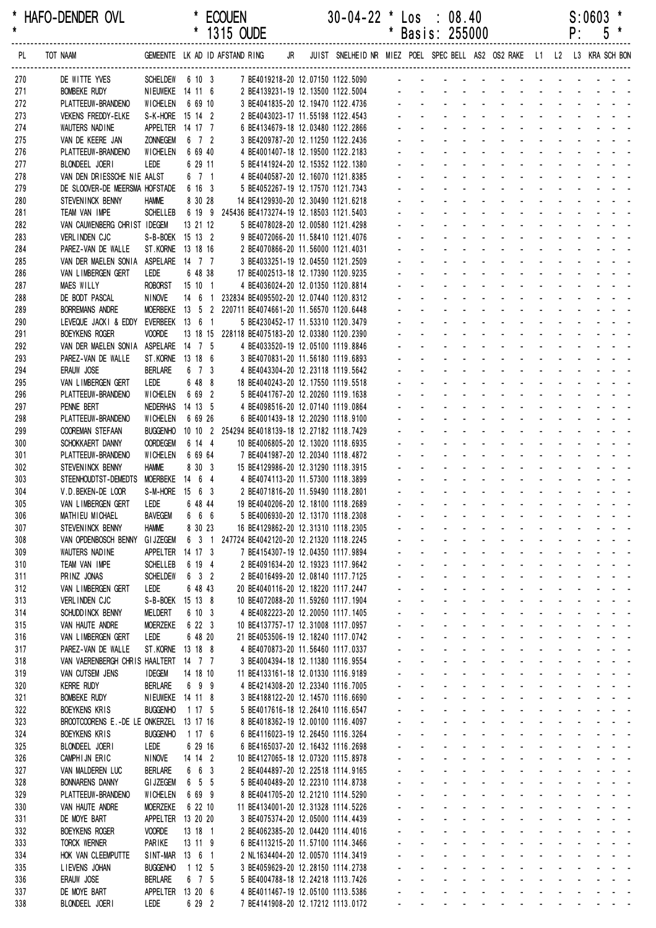|            |                                            |                                      |                     |                   | 1315 OUDE                                                               |    |                                                                         |              |                          | Basis: 255000                                                     |                                                  |                                                                                                                                                                                                                               |                                           |                                                         | ۲:                                                                          |                               | C |                                               |
|------------|--------------------------------------------|--------------------------------------|---------------------|-------------------|-------------------------------------------------------------------------|----|-------------------------------------------------------------------------|--------------|--------------------------|-------------------------------------------------------------------|--------------------------------------------------|-------------------------------------------------------------------------------------------------------------------------------------------------------------------------------------------------------------------------------|-------------------------------------------|---------------------------------------------------------|-----------------------------------------------------------------------------|-------------------------------|---|-----------------------------------------------|
| PL         | TOT NAAM                                   |                                      |                     |                   | GEMEENTE LK AD ID AFSTAND RING                                          | JR | JUIST SNELHEID NR MIEZ POEL SPEC BELL AS2 OS2 RAKE L1 L2 L3 KRA SCH BON |              |                          |                                                                   |                                                  |                                                                                                                                                                                                                               |                                           |                                                         |                                                                             |                               |   |                                               |
| 270        | DE WITTE YVES                              | SCHELDEW 6 10 3                      |                     |                   | 7 BE4019218-20 12.07150 1122.5090                                       |    |                                                                         |              |                          |                                                                   |                                                  |                                                                                                                                                                                                                               |                                           |                                                         |                                                                             |                               |   |                                               |
| 271        | <b>BOMBEKE RUDY</b>                        | NIEUWEKE 14 11 6                     |                     |                   | 2 BE4139231-19 12.13500 1122.5004                                       |    |                                                                         |              |                          |                                                                   |                                                  |                                                                                                                                                                                                                               |                                           |                                                         |                                                                             |                               |   |                                               |
| 272        | PLATTEEUW-BRANDENO                         | WICHELEN                             | 6 69 10             |                   | 3 BE4041835-20 12.19470 1122.4736                                       |    |                                                                         |              |                          |                                                                   |                                                  |                                                                                                                                                                                                                               |                                           |                                                         |                                                                             |                               |   |                                               |
| 273        | <b>VEKENS FREDDY-ELKE</b>                  | S-K-HORE 15 14 2                     |                     |                   | 2 BE4043023-17 11.55198 1122.4543                                       |    |                                                                         |              |                          |                                                                   |                                                  |                                                                                                                                                                                                                               |                                           |                                                         |                                                                             |                               |   |                                               |
| 274        | WAUTERS NADINE                             | APPELTER 14 17 7                     |                     |                   | 6 BE4134679-18 12.03480 1122.2866                                       |    |                                                                         |              |                          |                                                                   |                                                  |                                                                                                                                                                                                                               |                                           |                                                         |                                                                             |                               |   |                                               |
| 275        | VAN DE KEERE JAN<br>PLATTEEUW-BRANDENO     | <b>ZONNEGEM</b><br><b>WICHELEN</b>   |                     | 6 7 2<br>6 69 40  | 3 BE4209787-20 12.11250 1122.2436<br>4 BE4001407-18 12.19500 1122.2183  |    |                                                                         |              |                          |                                                                   |                                                  |                                                                                                                                                                                                                               |                                           |                                                         |                                                                             |                               |   |                                               |
| 276<br>277 | BLONDEEL JOERI                             | LEDE                                 |                     | 6 29 11           | 5 BE4141924-20 12.15352 1122.1380                                       |    |                                                                         |              |                          |                                                                   |                                                  |                                                                                                                                                                                                                               |                                           |                                                         |                                                                             |                               |   |                                               |
| 278        | VAN DEN DRIESSCHE NIE AALST                |                                      |                     | 6 7 1             | 4 BE4040587-20 12.16070 1121.8385                                       |    |                                                                         |              |                          |                                                                   |                                                  |                                                                                                                                                                                                                               |                                           |                                                         |                                                                             |                               |   |                                               |
| 279        | DE SLOOVER-DE MEERSMA HOFSTADE 6 16 3      |                                      |                     |                   | 5 BE4052267-19 12.17570 1121.7343                                       |    |                                                                         |              |                          |                                                                   |                                                  |                                                                                                                                                                                                                               |                                           |                                                         |                                                                             |                               |   |                                               |
| 280        | STEVENINCK BENNY                           | <b>HAMME</b>                         |                     | 8 30 28           | 14 BE4129930-20 12.30490 1121.6218                                      |    |                                                                         |              |                          |                                                                   |                                                  |                                                                                                                                                                                                                               |                                           |                                                         |                                                                             |                               |   |                                               |
| 281        | TEAM VAN IMPE                              | <b>SCHELLEB</b>                      |                     |                   | 6 19 9 245436 BE4173274-19 12.18503 1121.5403                           |    |                                                                         |              |                          |                                                                   |                                                  |                                                                                                                                                                                                                               |                                           |                                                         |                                                                             |                               |   |                                               |
| 282        | VAN CAUWENBERG CHRIST IDEGEM               |                                      |                     | 13 21 12          | 5 BE4078028-20 12.00580 1121.4298                                       |    |                                                                         |              |                          |                                                                   |                                                  |                                                                                                                                                                                                                               |                                           |                                                         |                                                                             |                               |   |                                               |
| 283        | VERLINDEN CJC                              | S-B-BOEK 15 13 2                     |                     |                   | 9 BE4072066-20 11.58410 1121.4076                                       |    |                                                                         |              |                          |                                                                   |                                                  |                                                                                                                                                                                                                               |                                           |                                                         |                                                                             |                               |   |                                               |
| 284<br>285 | PAREZ-VAN DE WALLE<br>VAN DER MAELEN SONIA | ST.KORNE 13 18 16<br>ASPELARE 14 7 7 |                     |                   | 2 BE4070866-20 11.56000 1121.4031<br>3 BE4033251-19 12.04550 1121.2509  |    |                                                                         |              |                          |                                                                   |                                                  |                                                                                                                                                                                                                               |                                           |                                                         |                                                                             |                               |   |                                               |
| 286        | VAN LIMBERGEN GERT                         | <b>LEDE</b>                          |                     | 6 48 38           | 17 BE4002513-18 12.17390 1120.9235                                      |    |                                                                         |              |                          |                                                                   |                                                  |                                                                                                                                                                                                                               |                                           |                                                         |                                                                             |                               |   |                                               |
| 287        | <b>MAES WILLY</b>                          | ROBORST 15 10 1                      |                     |                   | 4 BE4036024-20 12.01350 1120.8814                                       |    |                                                                         |              |                          |                                                                   |                                                  |                                                                                                                                                                                                                               |                                           |                                                         |                                                                             |                               |   |                                               |
| 288        | DE BODT PASCAL                             | <b>NINOVE</b>                        |                     | $14 \t6 \t1$      | 232834 BE4095502-20 12.07440 1120.8312                                  |    |                                                                         |              |                          |                                                                   |                                                  |                                                                                                                                                                                                                               |                                           |                                                         |                                                                             |                               |   |                                               |
| 289        | <b>BORREMANS ANDRE</b>                     |                                      |                     |                   | MOERBEKE 13 5 2 220711 BE4074661-20 11.56570 1120.6448                  |    |                                                                         |              |                          |                                                                   |                                                  |                                                                                                                                                                                                                               |                                           |                                                         |                                                                             |                               |   |                                               |
| 290        | LEVEQUE JACKI & EDDY EVERBEEK 13 6 1       |                                      |                     |                   | 5 BE4230452-17 11.53310 1120.3479                                       |    |                                                                         |              |                          |                                                                   |                                                  |                                                                                                                                                                                                                               |                                           |                                                         |                                                                             |                               |   |                                               |
| 291        | <b>BOEYKENS ROGER</b>                      | <b>VOORDE</b>                        |                     |                   | 13 18 15 228118 BE4075183-20 12.03380 1120.2390                         |    |                                                                         |              |                          |                                                                   |                                                  |                                                                                                                                                                                                                               |                                           |                                                         |                                                                             |                               |   |                                               |
| 292        | VAN DER MAELEN SONIA ASPELARE 14 7 5       |                                      |                     |                   | 4 BE4033520-19 12.05100 1119.8846                                       |    |                                                                         |              |                          |                                                                   |                                                  |                                                                                                                                                                                                                               |                                           |                                                         |                                                                             |                               |   |                                               |
| 293<br>294 | PAREZ-VAN DE WALLE<br>ERAUW JOSE           | ST.KORNE 13 18 6<br><b>BERLARE</b>   |                     | $6$ 7 3           | 3 BE4070831-20 11.56180 1119.6893<br>4 BE4043304-20 12.23118 1119.5642  |    |                                                                         |              |                          |                                                                   |                                                  |                                                                                                                                                                                                                               |                                           |                                                         |                                                                             |                               |   |                                               |
| 295        | VAN LIMBERGEN GERT                         | LEDE                                 |                     | 6 48 8            | 18 BE4040243-20 12.17550 1119.5518                                      |    |                                                                         |              |                          |                                                                   |                                                  |                                                                                                                                                                                                                               |                                           |                                                         |                                                                             |                               |   |                                               |
| 296        | PLATTEEUW-BRANDENO                         | <b>WICHELEN</b>                      |                     | 6 69 2            | 5 BE4041767-20 12.20260 1119.1638                                       |    |                                                                         |              |                          |                                                                   |                                                  |                                                                                                                                                                                                                               |                                           |                                                         |                                                                             |                               |   |                                               |
| 297        | PENNE BERT                                 | NEDERHAS 14 13 5                     |                     |                   | 4 BE4098516-20 12.07140 1119.0864                                       |    |                                                                         |              |                          |                                                                   |                                                  |                                                                                                                                                                                                                               |                                           |                                                         |                                                                             |                               |   |                                               |
| 298        | PLATTEEUW-BRANDENO                         | WICHELEN                             |                     | 6 69 26           | 6 BE4001439-18 12.20290 1118.9100                                       |    |                                                                         |              |                          |                                                                   |                                                  |                                                                                                                                                                                                                               |                                           |                                                         |                                                                             |                               |   |                                               |
| 299        | COOREMAN STEFAAN                           | <b>BUGGENHO</b>                      |                     |                   | 10 10 2 254294 BE4018139-18 12.27182 1118.7429                          |    |                                                                         |              |                          |                                                                   |                                                  |                                                                                                                                                                                                                               |                                           |                                                         |                                                                             |                               |   |                                               |
| 300        | SCHOKKAERT DANNY                           | <b>OORDEGEM</b>                      |                     | 6 14 4            | 10 BE4006805-20 12.13020 1118.6935                                      |    |                                                                         |              |                          |                                                                   |                                                  |                                                                                                                                                                                                                               |                                           |                                                         |                                                                             |                               |   |                                               |
| 301<br>302 | PLATTEEUW-BRANDENO<br>STEVENINCK BENNY     | <b>WICHELEN</b><br><b>HAMME</b>      |                     | 6 69 64<br>8 30 3 | 7 BE4041987-20 12.20340 1118.4872<br>15 BE4129986-20 12.31290 1118.3915 |    |                                                                         |              |                          |                                                                   |                                                  |                                                                                                                                                                                                                               |                                           |                                                         |                                                                             |                               |   |                                               |
| 303        | STEENHOUDTST-DEMEDTS                       | MOERBEKE 14 6 4                      |                     |                   | 4 BE4074113-20 11.57300 1118.3899                                       |    |                                                                         |              |                          |                                                                   |                                                  |                                                                                                                                                                                                                               | $\mathbf{r}$<br>$\sim$                    |                                                         | and the state of the state                                                  |                               |   |                                               |
| 304        | V.D. BEKEN-DE LOOR                         | S-M-HORE 15 6 3                      |                     |                   | 2 BE4071816-20 11.59490 1118.2801                                       |    |                                                                         |              |                          |                                                                   |                                                  |                                                                                                                                                                                                                               |                                           |                                                         |                                                                             |                               |   |                                               |
| 305        | VAN LIMBERGEN GERT                         | LEDE                                 |                     | 6 48 44           | 19 BE4040206-20 12.18100 1118.2689                                      |    |                                                                         |              |                          |                                                                   |                                                  |                                                                                                                                                                                                                               | $\mathcal{L}^{\mathcal{A}}$               | $\Delta \sim 10^4$                                      |                                                                             |                               |   |                                               |
| 306        | MATHIEU MICHAEL                            | <b>BAVEGEM</b>                       |                     | 6 6 6             | 5 BE4006930-20 12.13170 1118.2308                                       |    |                                                                         |              |                          |                                                                   | $\sim$                                           |                                                                                                                                                                                                                               | $\mathbf{u}$<br><b>Contractor</b>         |                                                         | and a strain and                                                            |                               |   |                                               |
| 307        | STEVENINCK BENNY                           | <b>HAMME</b>                         |                     | 8 30 23           | 16 BE4129862-20 12.31310 1118.2305                                      |    |                                                                         |              |                          |                                                                   |                                                  | $\mathcal{L}_{\text{max}}$ , and $\mathcal{L}_{\text{max}}$                                                                                                                                                                   | $\sim$ $\sim$<br><b>Contract Contract</b> |                                                         |                                                                             |                               |   |                                               |
| 308<br>309 | VAN OPDENBOSCH BENNY<br>WAUTERS NADINE     | <b>GI JZEGEM</b><br>APPELTER         | 14 17 3             | 6 3 1             | 247724 BE4042120-20 12.21320 1118.2245                                  |    |                                                                         |              |                          | $\sim$                                                            | $\blacksquare$                                   | <b>Contractor</b>                                                                                                                                                                                                             | $\sim$<br><b>Contract Contract</b>        |                                                         | $\Delta \phi = 0.025$                                                       |                               |   |                                               |
| 310        | TEAM VAN IMPE                              | <b>SCHELLEB</b>                      |                     | 6 19 4            | 7 BE4154307-19 12.04350 1117.9894<br>2 BE4091634-20 12.19323 1117.9642  |    |                                                                         |              |                          | ÷.<br>$\mathbf{r}$                                                | ÷.                                               | <b>Contact Contact</b>                                                                                                                                                                                                        | $\mathbf{r}$<br><b>Contractor</b>         |                                                         | $\Delta \sim 100$                                                           | <b>Service</b>                |   |                                               |
| 311        | PRINZ JONAS                                | <b>SCHELDEW</b>                      |                     | 6 3 2             | 2 BE4016499-20 12.08140 1117.7125                                       |    |                                                                         |              | $\mathbf{r}$             | ä.<br>$\mathbf{r}$                                                | $\mathcal{L}_{\mathcal{A}}$                      | $\sim 100$                                                                                                                                                                                                                    | $\mathcal{L}^{\text{max}}$                | $\omega_{\rm{max}}$<br>$\mathbf{L}^{\text{max}}$        | $\omega_{\rm{max}}$                                                         |                               |   |                                               |
| 312        | VAN LIMBERGEN GERT                         | LEDE                                 |                     | 6 48 43           | 20 BE4040116-20 12.18220 1117.2447                                      |    |                                                                         |              | $\Delta$                 | $\blacksquare$                                                    | $\blacksquare$                                   | $\sim$                                                                                                                                                                                                                        | $\blacksquare$<br>$\sim 100$              |                                                         |                                                                             |                               |   |                                               |
| 313        | VERLINDEN CJC                              | S-B-BOEK                             | 15 13 8             |                   | 10 BE4072088-20 11.59260 1117.1904                                      |    |                                                                         |              |                          |                                                                   | $\mathcal{L}_{\mathcal{A}}$                      |                                                                                                                                                                                                                               |                                           |                                                         |                                                                             |                               |   |                                               |
| 314        | SCHUDD INCK BENNY                          | <b>MELDERT</b>                       |                     | 6 10 3            | 4 BE4082223-20 12.20050 1117.1405                                       |    |                                                                         |              | $\mathbf{r}$             |                                                                   |                                                  |                                                                                                                                                                                                                               | $\blacksquare$                            | $\sim 10$                                               |                                                                             |                               |   |                                               |
| 315        | VAN HAUTE ANDRE                            | <b>MOERZEKE</b>                      |                     | 6 22 3            | 10 BE4137757-17 12.31008 1117.0957                                      |    |                                                                         |              | $\overline{\phantom{a}}$ | $\mathbf{r}$<br>$\mathbf{r}$                                      |                                                  | $\sim$                                                                                                                                                                                                                        | $\mathcal{L}$<br>$\sim$                   |                                                         | and the state of the state of<br>and the state of the state of the state of |                               |   |                                               |
| 316<br>317 | VAN LIMBERGEN GERT<br>PAREZ-VAN DE WALLE   | LEDE<br>ST.KORNE                     | 13 18 8             | 6 48 20           | 21 BE4053506-19 12.18240 1117.0742<br>4 BE4070873-20 11.56460 1117.0337 |    |                                                                         | ÷.           | ä,                       | ÷.<br>$\sim$<br>$\omega_{\rm{max}}$<br>$\mathcal{L}^{\text{max}}$ | $\Delta \sim 100$<br>$\Delta \sim 100$           | and the con-<br>$\Delta \sim 10^{-1}$                                                                                                                                                                                         | ÷.<br>$\omega_{\rm{max}}$                 | $\sim 100$                                              | $\Delta \sim 100$                                                           |                               |   | and a state of                                |
| 318        | VAN VAERENBERGH CHRIS HAALTERT             |                                      | 14 7 7              |                   | 3 BE4004394-18 12.11380 1116.9554                                       |    |                                                                         | $\mathbf{r}$ | $\mathbf{r}$             | ¥.<br>$\sim$                                                      | $\mathcal{L}_{\mathcal{A}}$                      | $\sim$                                                                                                                                                                                                                        | $\blacksquare$                            | $\omega_{\rm{max}}$                                     | $\omega_{\rm{max}}$                                                         |                               |   | $\omega_{\rm{eff}}=2.0\pm0.00$ km $^{-1}$ and |
| 319        | VAN CUTSEM JENS                            | <b>IDEGEM</b>                        |                     | 14 18 10          | 11 BE4133161-18 12.01330 1116.9189                                      |    |                                                                         |              |                          |                                                                   | $\mathcal{L}$                                    | $\sim$                                                                                                                                                                                                                        |                                           |                                                         |                                                                             |                               |   |                                               |
| 320        | <b>KERRE RUDY</b>                          | <b>BERLARE</b>                       |                     | 6 9 9             | 4 BE4214308-20 12.23340 1116.7005                                       |    |                                                                         |              |                          |                                                                   |                                                  | $\sim$                                                                                                                                                                                                                        | $\blacksquare$                            | $\sim$                                                  |                                                                             |                               |   |                                               |
| 321        | <b>BOMBEKE RUDY</b>                        | NIEUWEKE 14 11 8                     |                     |                   | 3 BE4188122-20 12.14570 1116.6690                                       |    |                                                                         |              | $\overline{\phantom{a}}$ | ÷.<br>$\sim$                                                      |                                                  | $\sim$                                                                                                                                                                                                                        | $\mathcal{L}$                             |                                                         | $\Delta \sim 100$                                                           | $\Delta \phi = \Delta \phi$ . |   |                                               |
| 322        | <b>BOEYKENS KRIS</b>                       | <b>BUGGENHO</b>                      |                     | 1 17 5            | 5 BE4017616-18 12.26410 1116.6547                                       |    |                                                                         |              | L.                       | ÷.<br>$\mathbf{r}$                                                | $\mathbf{r}$                                     | $\Delta \sim 100$                                                                                                                                                                                                             | $\mathbf{r}$<br>÷.                        |                                                         | $\Delta \sim 10^4$<br>$\sim$                                                |                               |   |                                               |
| 323        | BROOTCOORENS E.-DE LE ONKERZEL             |                                      | 13 17 16            |                   | 8 BE4018362-19 12.00100 1116.4097                                       |    |                                                                         |              |                          | $\omega_{\rm{max}}$<br>$\mathcal{L}^{\text{max}}$                 | $\Delta \sim 10^{-1}$<br>$\Delta \sim 100$       | $\Delta \sim 10^{-1}$                                                                                                                                                                                                         | $\omega_{\rm{max}}$                       | $\mathbf{z}$ and $\mathbf{z}$                           | $\omega_{\rm{max}}$<br>$\mathcal{L}^{\text{max}}$                           |                               |   |                                               |
| 324<br>325 | <b>BOEYKENS KRIS</b><br>BLONDEEL JOERI     | <b>BUGGENHO</b><br>LEDE              |                     | 1176<br>6 29 16   | 6 BE4116023-19 12.26450 1116.3264<br>6 BE4165037-20 12.16432 1116.2698  |    |                                                                         |              | $\sim$                   | $\mathcal{L}^{\text{max}}$<br>$\sim$                              | $\Delta \sim 100$<br>$\sim$                      | $\sim$                                                                                                                                                                                                                        | $\blacksquare$                            |                                                         |                                                                             |                               |   |                                               |
| 326        | CAMPHIJN ERIC                              | <b>NINOVE</b>                        |                     | 14 14 2           | 10 BE4127065-18 12.07320 1115.8978                                      |    |                                                                         |              | $\mathbf{r}$             |                                                                   |                                                  |                                                                                                                                                                                                                               | $\blacksquare$                            | $\sim 100$                                              |                                                                             |                               |   |                                               |
| 327        | VAN MALDEREN LUC                           | <b>BERLARE</b>                       |                     | 6 6 3             | 2 BE4044897-20 12.22518 1114.9165                                       |    |                                                                         |              | $\omega$                 | $\mathbf{r}$<br>$\sim$                                            |                                                  | $\sim$                                                                                                                                                                                                                        | $\mathcal{L}$                             |                                                         | and a straight and                                                          |                               |   |                                               |
| 328        | <b>BONNARENS DANNY</b>                     | <b>GI JZEGEM</b>                     |                     | $6\quad 5\quad 5$ | 5 BE4040489-20 12.22310 1114.8738                                       |    |                                                                         |              |                          | ÷.                                                                | $\mathcal{L}^{\mathcal{A}}$                      | <b>Contract Contract</b>                                                                                                                                                                                                      | ÷.                                        |                                                         |                                                                             |                               |   |                                               |
| 329        | PLATTEEUW-BRANDENO                         | <b>WICHELEN</b>                      |                     | 6 69 9            | 8 BE4041705-20 12.21210 1114.5290                                       |    |                                                                         | ÷.           |                          | $\omega_{\rm{max}}$<br>$\mathcal{L}^{\text{max}}$                 | $\Delta \sim 100$                                | $\omega_{\rm{max}}$<br>$\Delta \sim 10^{-1}$                                                                                                                                                                                  | $\omega_{\rm{max}}$                       | $\mathbf{L}^{\text{max}}$                               | $\Delta \sim 100$                                                           |                               |   | and a strain and                              |
| 330        | VAN HAUTE ANDRE                            | <b>MOERZEKE</b>                      |                     | 6 22 10           | 11 BE4134001-20 12.31328 1114.5226                                      |    |                                                                         | $\mathbf{r}$ | $\mathbf{r}$             | $\mathbf{r}$<br>$\sim$                                            | $\mathcal{L}_{\mathcal{A}}$                      | $\sim$                                                                                                                                                                                                                        | $\blacksquare$                            | $\omega_{\rm{max}}$                                     | $\omega_{\rm{max}}$                                                         |                               |   | $\omega_{\rm{eff}}=2.0\pm0.00$ km $^{-1}$     |
| 331<br>332 | DE MOYE BART<br><b>BOEYKENS ROGER</b>      | APPELTER<br><b>VOORDE</b>            | 13 20 20<br>13 18 1 |                   | 3 BE4075374-20 12.05000 1114.4439<br>2 BE4062385-20 12.04420 1114.4016  |    |                                                                         |              | L.                       |                                                                   | $\blacksquare$<br>$\mathbf{r}$                   | $\sim$<br>$\sim$                                                                                                                                                                                                              | $\blacksquare$<br>$\blacksquare$          | $\sim$                                                  |                                                                             |                               |   |                                               |
| 333        | <b>TORCK WERNER</b>                        | PARIKE                               | 13 11 9             |                   | 6 BE4113215-20 11.57100 1114.3466                                       |    |                                                                         |              |                          | ÷.                                                                |                                                  | $\sim$                                                                                                                                                                                                                        | $\mathbf{r}$                              |                                                         | $\Delta \sim 100$<br>$\sim$                                                 |                               |   |                                               |
| 334        | HOK VAN CLEEMPUTTE                         | SINT-MAR 13 6 1                      |                     |                   | 2 NL1634404-20 12.00570 1114.3419                                       |    |                                                                         |              | L.                       | ÷.                                                                | ÷.                                               | $\sim$                                                                                                                                                                                                                        | ä,<br>$\mathbf{r}$                        |                                                         | $\Delta \sim 10^4$<br>÷.                                                    |                               |   |                                               |
| 335        | LIEVENS JOHAN                              | <b>BUGGENHO</b>                      |                     | 1 12 5            | 3 BE4059629-20 12.28150 1114.2738                                       |    |                                                                         |              |                          | $\omega_{\rm{max}}$<br>$\mathcal{L}^{\text{max}}$<br>$\mathbf{r}$ | $\omega_{\rm{max}}$                              | $\sim 100$                                                                                                                                                                                                                    | $\mathbf{u}$                              | $\mathcal{L}^{\text{max}}$<br>$\mathbf{L}^{\text{max}}$ |                                                                             | $\omega_{\rm{max}}$           |   |                                               |
| 336        | ERAUW JOSE                                 | <b>BERLARE</b>                       |                     | 6 7 5             | 5 BE4004788-18 12.24218 1113.7426                                       |    |                                                                         |              |                          | $\mathbf{L}^{\text{max}}$<br>$\omega_{\rm{max}}$                  | $\mathcal{L}^{\text{max}}$<br>$\Delta \sim 10^4$ | $\sim$                                                                                                                                                                                                                        | <b>All Service</b>                        | $\sim 10$                                               |                                                                             |                               |   |                                               |
| 337        | DE MOYE BART                               | APPELTER                             | 13 20 6             |                   | 4 BE4011467-19 12.05100 1113.5386                                       |    |                                                                         |              |                          |                                                                   |                                                  |                                                                                                                                                                                                                               |                                           |                                                         |                                                                             |                               |   |                                               |
| 338        | BLONDEEL JOERI                             | LEDE                                 |                     | 6 29 2            | 7 BE4141908-20 12.17212 1113.0172                                       |    |                                                                         |              |                          | $\omega_{\rm{max}}$                                               |                                                  | a construction of the construction of the construction of the construction of the construction of the construction of the construction of the construction of the construction of the construction of the construction of the |                                           |                                                         |                                                                             |                               |   |                                               |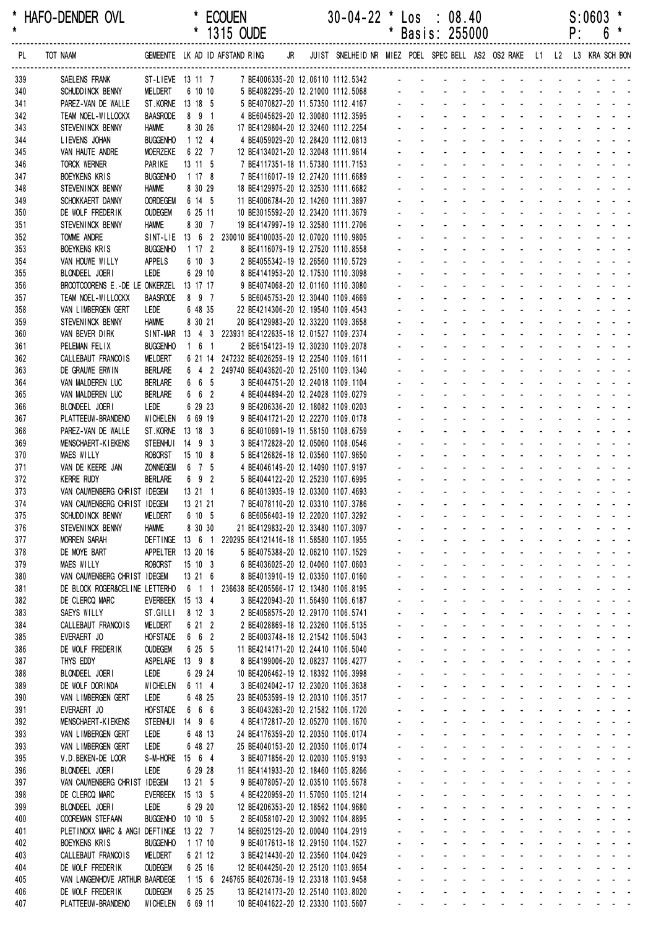|            |                                                      |                                   |                        | 1315 OUDE                                                                         |                                                                            |              |                               | Basis: 255000                                       |                                              |                                                              |                                                  |                                         | ۲.                       | 0                                                     |  |
|------------|------------------------------------------------------|-----------------------------------|------------------------|-----------------------------------------------------------------------------------|----------------------------------------------------------------------------|--------------|-------------------------------|-----------------------------------------------------|----------------------------------------------|--------------------------------------------------------------|--------------------------------------------------|-----------------------------------------|--------------------------|-------------------------------------------------------|--|
| PL         | TOT NAAM                                             |                                   |                        | GEMEENTE LK AD ID AFSTAND RING                                                    | JR JUIST SNELHEID NR MIEZ POEL SPEC BELL AS2 OS2 RAKE L1 L2 L3 KRA SCH BON |              |                               |                                                     |                                              |                                                              |                                                  |                                         |                          |                                                       |  |
| 339        | SAELENS FRANK                                        |                                   |                        | ST-LIEVE 13 11 7 7 BE4006335-20 12.06110 1112.5342 - - - - - - - -                |                                                                            |              |                               |                                                     |                                              |                                                              |                                                  |                                         |                          |                                                       |  |
| 340        | SCHUDD INCK BENNY                                    | MELDERT                           | 6 10 10                | 5 BE4082295-20 12.21000 1112.5068                                                 |                                                                            |              |                               |                                                     |                                              |                                                              |                                                  |                                         |                          |                                                       |  |
| 341        | PAREZ-VAN DE WALLE                                   | ST. KORNE 13 18 5                 |                        | 5 BE4070827-20 11.57350 1112.4167                                                 |                                                                            |              |                               |                                                     |                                              |                                                              |                                                  |                                         |                          |                                                       |  |
| 342<br>343 | TEAM NOEL-WILLOCKX<br>STEVENINCK BENNY               | <b>BAASRODE</b><br><b>HAMME</b>   | 891<br>8 30 26         | 4 BE6045629-20 12.30080 1112.3595                                                 |                                                                            |              |                               |                                                     |                                              |                                                              |                                                  |                                         |                          |                                                       |  |
| 344        | LIEVENS JOHAN                                        | <b>BUGGENHO</b>                   | 1124                   | 17 BE4129804-20 12.32460 1112.2254<br>4 BE4059029-20 12.28420 1112.0813           |                                                                            |              |                               |                                                     |                                              |                                                              |                                                  |                                         |                          |                                                       |  |
| 345        | VAN HAUTE ANDRE                                      | <b>MOERZEKE</b>                   | 6 22 7                 | 12 BE4134021-20 12.32048 1111.9614                                                |                                                                            |              |                               |                                                     |                                              |                                                              |                                                  |                                         |                          |                                                       |  |
| 346        | TORCK WERNER                                         | PARIKE                            | 13 11 5                | 7 BE4117351-18 11.57380 1111.7153                                                 |                                                                            |              |                               |                                                     |                                              |                                                              |                                                  |                                         |                          |                                                       |  |
| 347        | BOEYKENS KRIS                                        | <b>BUGGENHO</b>                   | 1178                   | 7 BE4116017-19 12.27420 1111.6689                                                 |                                                                            |              |                               |                                                     |                                              |                                                              |                                                  |                                         |                          |                                                       |  |
| 348        | STEVENINCK BENNY                                     | <b>HAMME</b>                      | 8 30 29                | 18 BE4129975-20 12.32530 1111.6682                                                |                                                                            |              |                               |                                                     |                                              |                                                              |                                                  |                                         |                          |                                                       |  |
| 349        | SCHOKKAERT DANNY<br>DE WOLF FREDERIK                 | <b>OORDEGEM</b><br><b>OUDEGEM</b> | 6 14 5<br>6 25 11      | 11 BE4006784-20 12.14260 1111.3897<br>10 BE3015592-20 12.23420 1111.3679          |                                                                            |              |                               |                                                     |                                              | $\mathbf{r}$                                                 |                                                  |                                         |                          |                                                       |  |
| 350<br>351 | STEVENINCK BENNY                                     | <b>HAMME</b>                      | 8 30 7                 | 19 BE4147997-19 12.32580 1111.2706                                                |                                                                            |              |                               |                                                     |                                              |                                                              |                                                  |                                         |                          |                                                       |  |
| 352        | <b>TOMME ANDRE</b>                                   |                                   |                        | SINT-LIE 13 6 2 230010 BE4100035-20 12.07020 1110.9805                            |                                                                            |              |                               |                                                     |                                              |                                                              |                                                  |                                         |                          |                                                       |  |
| 353        | BOEYKENS KRIS                                        | <b>BUGGENHO</b>                   | 1172                   | 8 BE4116079-19 12.27520 1110.8558                                                 |                                                                            |              |                               |                                                     |                                              |                                                              |                                                  |                                         |                          |                                                       |  |
| 354        | VAN HOUWE WILLY                                      | <b>APPELS</b>                     | 6 10 3                 | 2 BE4055342-19 12.26560 1110.5729                                                 |                                                                            |              |                               |                                                     |                                              |                                                              |                                                  |                                         |                          |                                                       |  |
| 355        | BLONDEEL JOERI                                       | <b>LEDE</b>                       | 6 29 10                | 8 BE4141953-20 12.17530 1110.3098                                                 |                                                                            |              |                               |                                                     |                                              |                                                              |                                                  |                                         |                          |                                                       |  |
| 356<br>357 | BROOTCOORENS E.-DE LE ONKERZEL<br>TEAM NOEL-WILLOCKX | <b>BAASRODE</b>                   | 13 17 17<br>8 9 7      | 9 BE4074068-20 12.01160 1110.3080<br>5 BE6045753-20 12.30440 1109.4669            |                                                                            |              |                               |                                                     |                                              |                                                              |                                                  |                                         |                          |                                                       |  |
| 358        | VAN LIMBERGEN GERT                                   | LEDE                              | 6 48 35                | 22 BE4214306-20 12.19540 1109.4543                                                |                                                                            |              |                               |                                                     |                                              |                                                              |                                                  |                                         |                          |                                                       |  |
| 359        | STEVENINCK BENNY                                     | <b>HAMME</b>                      | 8 30 21                | 20 BE4129983-20 12.33220 1109.3658                                                |                                                                            |              |                               |                                                     |                                              |                                                              |                                                  |                                         |                          |                                                       |  |
| 360        | VAN BEVER DIRK                                       | SINT-MAR                          |                        | 13 4 3 223931 BE4122635-18 12.01527 1109.2374                                     |                                                                            |              |                               |                                                     |                                              |                                                              |                                                  |                                         |                          |                                                       |  |
| 361        | PELEMAN FELIX                                        | <b>BUGGENHO</b>                   | $1\quad 6\quad 1$      | 2 BE6154123-19 12.30230 1109.2078                                                 |                                                                            |              |                               |                                                     |                                              |                                                              |                                                  |                                         |                          |                                                       |  |
| 362        | CALLEBAUT FRANCOIS                                   | <b>MELDERT</b>                    |                        | 6 21 14 247232 BE4026259-19 12.22540 1109.1611                                    |                                                                            |              |                               |                                                     |                                              |                                                              |                                                  |                                         |                          |                                                       |  |
| 363<br>364 | DE GRAUWE ERWIN<br>VAN MALDEREN LUC                  | <b>BERLARE</b><br><b>BERLARE</b>  | 6 6 5                  | 6 4 2 249740 BE4043620-20 12.25100 1109.1340<br>3 BE4044751-20 12.24018 1109.1104 |                                                                            |              |                               |                                                     |                                              |                                                              |                                                  |                                         |                          |                                                       |  |
| 365        | VAN MALDEREN LUC                                     | <b>BERLARE</b>                    | $6\quad 6\quad 2$      | 4 BE4044894-20 12.24028 1109.0279                                                 |                                                                            |              |                               |                                                     |                                              |                                                              |                                                  |                                         |                          |                                                       |  |
| 366        | BLONDEEL JOERI                                       | LEDE                              | 6 29 23                | 9 BE4206336-20 12.18082 1109.0203                                                 |                                                                            |              |                               |                                                     |                                              |                                                              |                                                  |                                         |                          |                                                       |  |
| 367        | PLATTEEUW-BRANDENO                                   | WICHELEN                          | 6 69 19                | 9 BE4041721-20 12.22270 1109.0178                                                 |                                                                            |              |                               |                                                     |                                              |                                                              |                                                  |                                         |                          |                                                       |  |
| 368        | PAREZ-VAN DE WALLE                                   | ST.KORNE                          | 13 18 3                | 6 BE4010691-19 11.58150 1108.6759                                                 |                                                                            |              |                               |                                                     |                                              |                                                              |                                                  |                                         |                          |                                                       |  |
| 369        | MENSCHAERT-KIEKENS                                   | STEENHUI 14 9 3                   |                        | 3 BE4172828-20 12.05060 1108.0546                                                 |                                                                            |              |                               |                                                     |                                              |                                                              |                                                  |                                         |                          |                                                       |  |
| 370<br>371 | MAES WILLY<br>VAN DE KEERE JAN                       | <b>ROBORST</b><br><b>ZONNEGEM</b> | $15 \t10 \t8$<br>6 7 5 | 5 BE4126826-18 12.03560 1107.9650<br>4 BE4046149-20 12.14090 1107.9197            |                                                                            |              |                               |                                                     |                                              |                                                              |                                                  |                                         |                          |                                                       |  |
| 372        | <b>KERRE RUDY</b>                                    | <b>BERLARE</b>                    | 6 9 2                  | 5 BE4044122-20 12.25230 1107.6995                                                 |                                                                            |              |                               |                                                     |                                              | $\mathcal{L}$                                                | $\sim 100$                                       |                                         | <b>Contract Contract</b> |                                                       |  |
| 373        | VAN CAUWENBERG CHRIST IDEGEM                         |                                   | 13 21 1                | 6 BE4013935-19 12.03300 1107.4693                                                 |                                                                            |              |                               |                                                     |                                              |                                                              |                                                  |                                         |                          |                                                       |  |
| 374        | VAN CAUWENBERG CHRIST IDEGEM                         |                                   | 13 21 21               | 7 BE4078110-20 12.03310 1107.3786                                                 |                                                                            |              |                               |                                                     |                                              | $\mathcal{L}^{\mathcal{A}}$                                  |                                                  | $\Delta \sim 10^4$                      |                          |                                                       |  |
| 375        | SCHUDD INCK BENNY                                    | <b>MELDERT</b>                    | 6 10 5                 | 6 BE6056403-19 12.22020 1107.3292                                                 |                                                                            | $\mathbf{r}$ |                               |                                                     | $\sim$                                       | $\sim$<br>$\sim$                                             | and the state of the state of the                |                                         |                          |                                                       |  |
| 376<br>377 | STEVENINCK BENNY<br><b>MORREN SARAH</b>              | <b>HAMME</b><br><b>DEFTINGE</b>   | 8 30 30<br>13 6 1      | 21 BE4129832-20 12.33480 1107.3097<br>220295 BE4121416-18 11.58580 1107.1955      |                                                                            |              |                               |                                                     |                                              | the company of the company of                                |                                                  |                                         |                          |                                                       |  |
| 378        | DE MOYE BART                                         | APPELTER 13 20 16                 |                        | 5 BE4075388-20 12.06210 1107.1529                                                 |                                                                            |              |                               | $\mathbf{r}$                                        | $\mathbf{r}$                                 | <b>Contract Contract</b>                                     |                                                  |                                         |                          | and the state of the state of the state of            |  |
| 379        | <b>MAES WILLY</b>                                    | <b>ROBORST</b>                    | 15 10 3                | 6 BE4036025-20 12.04060 1107.0603                                                 |                                                                            |              |                               | $\mathbf{r}$<br>÷.                                  |                                              | and a strain and a strain and                                |                                                  |                                         |                          |                                                       |  |
| 380        | VAN CAUWENBERG CHRIST IDEGEM                         |                                   | 13 21 6                | 8 BE4013910-19 12.03350 1107.0160                                                 |                                                                            |              | $\mathcal{L}^{\pm}$           | $\mathcal{L}^{\text{max}}$                          | $\omega_{\rm{max}}$                          | $\omega_{\rm{max}}$<br>$\Delta \sim 100$                     | and a state                                      | $\Delta \sim 10^{-1}$                   |                          |                                                       |  |
| 381        | DE BLOCK ROGER&CELINE LETTERHO                       |                                   | 6 1 1                  | 236638 BE4205566-17 12.13480 1106.8195                                            |                                                                            |              | $\mathbf{r}$                  | $\sim$                                              |                                              | $\sim 100$<br>$\blacksquare$<br>$\sim 100$                   | <b>Contract Contract</b>                         |                                         |                          |                                                       |  |
| 382<br>383 | DE CLERCQ MARC<br>SAEYS WILLY                        | EVERBEEK 15 13 4                  | 8 12 3                 | 3 BE4220943-20 11.56490 1106.6187                                                 |                                                                            |              | ÷.                            |                                                     | $\omega$                                     | $\blacksquare$                                               |                                                  |                                         |                          |                                                       |  |
| 384        | CALLEBAUT FRANCOIS                                   | ST.GILLI<br>MELDERT               | 6 21 2                 | 2 BE4058575-20 12.29170 1106.5741<br>2 BE4028869-18 12.23260 1106.5135            |                                                                            |              | $\mathbf{r}$                  | $\sim$<br>$\sim$                                    |                                              | <b>College</b><br>$\mathcal{L}$                              | $\sim$                                           |                                         |                          | and the contract of the contract of                   |  |
| 385        | EVERAERT JO                                          | <b>HOFSTADE</b>                   | 6 6 2                  | 2 BE4003748-18 12.21542 1106.5043                                                 |                                                                            |              |                               | a.                                                  | $\Delta \sim 100$                            | design and a state of the state of                           |                                                  |                                         |                          |                                                       |  |
| 386        | DE WOLF FREDERIK                                     | <b>OUDEGEM</b>                    | 6 25 5                 | 11 BE4214171-20 12.24410 1106.5040                                                |                                                                            |              | $\omega_{\rm{max}}$           | $\omega_{\rm{max}}$<br>$\mathbf{L}^{\text{max}}$    | $\mathcal{L}^{\text{max}}$                   | <b>All Cards</b>                                             | and a state                                      | $\Delta \sim 100$                       |                          | and a state of                                        |  |
| 387        | THYS EDDY                                            | ASPELARE                          | 13 9 8                 | 8 BE4199006-20 12.08237 1106.4277                                                 |                                                                            | $\mathbf{r}$ | ¥.                            | $\mathcal{L}^{\text{max}}$                          | $\sim 100$                                   | $\sim$<br>$\Delta \sim 100$                                  | and a state                                      | $\Delta \sim 100$                       |                          |                                                       |  |
| 388        | BLONDEEL JOERI                                       | LEDE<br><b>WICHELEN</b>           | 6 29 24<br>6 11 4      | 10 BE4206462-19 12.18392 1106.3998                                                |                                                                            |              | $\mathbf{r}$                  |                                                     | $\mathcal{L}_{\mathcal{A}}$<br>$\mathcal{L}$ | $\sim$<br>$\sim$<br>$\blacksquare$                           |                                                  |                                         | and the company          |                                                       |  |
| 389<br>390 | DE WOLF DORINDA<br>VAN LIMBERGEN GERT                | LEDE                              | 6 48 25                | 3 BE4024042-17 12.23020 1106.3638<br>23 BE4053599-19 12.20310 1106.3517           |                                                                            |              | $\omega$                      | ÷.<br>$\mathbf{r}$                                  |                                              | $\Delta \sim 100$<br>$\mathcal{L}^{\mathcal{A}}$             | $\sim$                                           |                                         | and a straight           |                                                       |  |
| 391        | EVERAERT JO                                          | <b>HOFSTADE</b>                   | 6 6 6                  | 3 BE4043263-20 12.21582 1106.1720                                                 |                                                                            |              | $\omega$                      | ÷.<br>$\mathcal{L}^{\mathcal{A}}$                   | $\mathbf{r}$                                 | $\mathcal{L}$<br><b>Contact Contact</b>                      | <b>Contract Contract</b>                         | $\Delta \sim 100$                       |                          |                                                       |  |
| 392        | <b>MENSCHAERT-KIEKENS</b>                            | <b>STEENHUI</b>                   | 14 9 6                 | 4 BE4172817-20 12.05270 1106.1670                                                 |                                                                            |              |                               | $\omega_{\rm{max}}$<br>$\mathcal{L}^{\text{max}}$   | $\mathcal{L}^{\text{max}}$                   | All Card                                                     | $\omega_{\rm{max}}$<br>$\sim 100$                | $\omega_{\rm{max}}$                     | $\sim 100$               |                                                       |  |
| 393        | VAN LIMBERGEN GERT                                   | LEDE                              | 6 48 13                | 24 BE4176359-20 12.20350 1106.0174                                                |                                                                            |              |                               | $\omega_{\rm{max}}$<br>$\mathbf{L}^{\text{max}}$    | $\mathcal{L}^{\text{max}}$                   | $\Delta \sim 100$<br>$\Delta \sim 10^4$                      | $\omega_{\rm{max}}$                              |                                         |                          |                                                       |  |
| 393        | VAN LIMBERGEN GERT                                   | LEDE                              | 6 48 27                | 25 BE4040153-20 12.20350 1106.0174                                                |                                                                            |              |                               |                                                     |                                              | $\Delta \sim 100$<br>$\sim$                                  |                                                  |                                         |                          |                                                       |  |
| 395<br>396 | V.D. BEKEN-DE LOOR<br>BLONDEEL JOERI                 | S-M-HORE<br>LEDE                  | 15 6 4<br>6 29 28      | 3 BE4071856-20 12.02030 1105.9193<br>11 BE4141933-20 12.18460 1105.8266           |                                                                            |              | $\mathcal{L}^{\pm}$<br>$\sim$ | $\mathbf{r}$<br>$\sim$                              |                                              | $\blacksquare$<br>and a state<br>$\mathcal{L}$               |                                                  |                                         |                          | and the state of the state of the                     |  |
| 397        | VAN CAUWENBERG CHRIST IDEGEM                         |                                   | 13 21 5                | 9 BE4078057-20 12.03510 1105.5678                                                 |                                                                            | $\mathbf{r}$ |                               | ÷.                                                  |                                              | and the con-<br>÷.                                           |                                                  |                                         |                          |                                                       |  |
| 398        | DE CLERCQ MARC                                       | <b>EVERBEEK</b>                   | 15 13 5                | 4 BE4220959-20 11.57050 1105.1214                                                 |                                                                            |              | $\omega_{\rm{max}}$           | $\omega_{\rm{max}}$<br>$\mathbf{L}^{\text{max}}$    | $\mathcal{L}^{\text{max}}$                   | <b>All Cards</b>                                             | and a state                                      | $\Delta \sim 100$                       |                          | and a state of                                        |  |
| 399        | BLONDEEL JOERI                                       | LEDE                              | 6 29 20                | 12 BE4206353-20 12.18562 1104.9680                                                |                                                                            | $\mathbf{r}$ | ¥.                            | $\mathcal{L}^{\text{max}}$<br>$\sim 10$             |                                              | $\Delta \sim 100$<br>$\sim$ $-$                              | $\omega_{\rm{max}}$<br>$\sim 100$                | $\Delta \sim 100$                       |                          | $\omega_{\rm{eff}}=2.0\pm0.00$ km $^{-1}$ and         |  |
| 400        | <b>COOREMAN STEFAAN</b>                              | <b>BUGGENHO</b>                   | 10105                  | 2 BE4058107-20 12.30092 1104.8895                                                 |                                                                            |              |                               |                                                     | $\blacksquare$                               | $\omega$<br>$\sim$                                           |                                                  |                                         |                          |                                                       |  |
| 401        | PLETINCKX MARC & ANGI DEFTINGE                       |                                   | 13 22 7                | 14 BE6025129-20 12.00040 1104.2919                                                |                                                                            |              | $\mathbf{r}$                  |                                                     | $\mathcal{L}$                                | $\sim$<br>$\blacksquare$                                     |                                                  | $\mathcal{L}^{\text{max}}$              |                          |                                                       |  |
| 402<br>403 | <b>BOEYKENS KRIS</b><br>CALLEBAUT FRANCOIS           | <b>BUGGENHO</b><br>MELDERT        | 1 17 10<br>6 21 12     | 9 BE4017613-18 12.29150 1104.1527<br>3 BE4214430-20 12.23560 1104.0429            |                                                                            |              | L.<br>$\omega$                | ÷.<br>$\mathbf{r}$<br>÷.<br>$\mathbf{r}$            | $\mathbf{r}$                                 | $\sim$<br>$\mathcal{L}$<br><b>Contractor</b><br>$\mathbf{r}$ | $\sim$                                           | $\Delta \sim 100$<br>$\Delta \sim 10^4$ | $\sim$                   |                                                       |  |
| 404        | DE WOLF FREDERIK                                     | <b>OUDEGEM</b>                    | 6 25 16                | 12 BE4044250-20 12.25120 1103.9654                                                |                                                                            |              |                               | $\omega_{\rm{max}}$<br>$\omega_{\rm{max}}$          | $\Delta \sim 100$                            | $\Delta \phi = 0.000$ .                                      | $\omega_{\rm{max}}$<br>$\mathbf{L}^{\text{max}}$ | $\Delta \sim 10^4$                      |                          | $\mathbf{z} = \mathbf{z} + \mathbf{z} + \mathbf{z}$ . |  |
| 405        | VAN LANGENHOVE ARTHUR BAARDEGE                       |                                   |                        | 1 15 6 246765 BE4026736-19 12.23318 1103.9458                                     |                                                                            |              |                               | $\mathbf{z}$ and $\mathbf{z}$<br><b>All Service</b> |                                              | $\Delta \sim 100$<br>$\sim$                                  | $\omega_{\rm{max}}$                              |                                         |                          |                                                       |  |
| 406        | DE WOLF FREDERIK                                     | <b>OUDEGEM</b>                    | 6 25 25                | 13 BE4214173-20 12.25140 1103.8020                                                |                                                                            |              |                               |                                                     |                                              |                                                              |                                                  |                                         |                          |                                                       |  |
| 407        | PLATTEEUW-BRANDENO                                   | WICHELEN                          | 6 69 11                | 10 BE4041622-20 12.23330 1103.5607                                                |                                                                            |              |                               | and the company of the company of the company of    |                                              |                                                              |                                                  |                                         |                          |                                                       |  |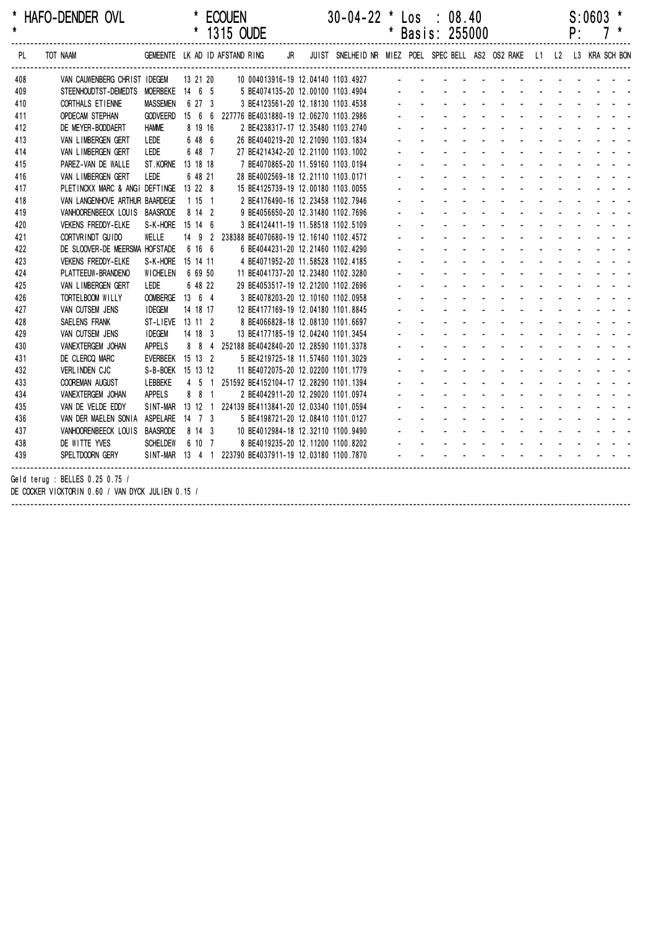| HAFO-DENDER OVL | <b>ECOUEN</b>     | $30-04-22$ * Los : 08.40 | $S:0603$ * |
|-----------------|-------------------|--------------------------|------------|
|                 | $101E$ $\cap$ IDF | * DAA!A, OEEAAA          |            |

|     |                                                                                                                    |                   |           |         | * 1315 OUDE |  |  |                                                                   |  | * Basis: 255000                                                                                                                                                                                                                |  |                                    |  | P: | 7 * |  |
|-----|--------------------------------------------------------------------------------------------------------------------|-------------------|-----------|---------|-------------|--|--|-------------------------------------------------------------------|--|--------------------------------------------------------------------------------------------------------------------------------------------------------------------------------------------------------------------------------|--|------------------------------------|--|----|-----|--|
| PL  | TOT NAAM GEMEENTE LK AD ID AFSTAND RING JR JUIST SNELHEID NR MIEZ POEL SPEC BELL AS2 OS2 RAKE L1 L2 L3 KRA SCH BON |                   |           |         |             |  |  |                                                                   |  |                                                                                                                                                                                                                                |  |                                    |  |    |     |  |
| 408 | VAN CAUWENBERG CHRIST IDEGEM 13 21 20                                                                              |                   |           |         |             |  |  | 10 004013916-19 12.04140 1103.4927                                |  |                                                                                                                                                                                                                                |  |                                    |  |    |     |  |
| 409 | STEENHOUDTST-DEMEDTS MOERBEKE 14 6 5                                                                               |                   |           |         |             |  |  | 5 BE4074135-20 12.00100 1103.4904 - - - - - - - - - - - - - - - - |  |                                                                                                                                                                                                                                |  |                                    |  |    |     |  |
| 410 | CORTHALS ET IENNE                                                                                                  | <b>MASSEMEN</b>   |           | 6 27 3  |             |  |  | 3 BE4123561-20 12.18130 1103.4538                                 |  | and the state of the state of the state                                                                                                                                                                                        |  |                                    |  |    |     |  |
| 411 | <b>OPDECAM STEPHAN</b>                                                                                             |                   |           |         |             |  |  | GODVEERD 15 6 6 227776 BE4031880-19 12.06270 1103.2986            |  | and a straightful and a straight and                                                                                                                                                                                           |  |                                    |  |    |     |  |
| 412 | DE MEYER-BODDAERT                                                                                                  | <b>HAMME</b>      |           | 8 19 16 |             |  |  | 2 BE4238317-17 12.35480 1103.2740                                 |  | design and a state of the state of the                                                                                                                                                                                         |  |                                    |  |    |     |  |
| 413 | VAN LIMBERGEN GERT                                                                                                 | LEDE              |           | 6 48 6  |             |  |  | 26 BE4040219-20 12.21090 1103.1834                                |  | design and a state of the state of the                                                                                                                                                                                         |  |                                    |  |    |     |  |
| 414 | VAN LIMBERGEN GERT                                                                                                 | LEDE              |           | 6 48 7  |             |  |  | 27 BE4214342-20 12.21100 1103.1002                                |  | and a straightful and a straight and                                                                                                                                                                                           |  |                                    |  |    |     |  |
| 415 | PAREZ-VAN DE WALLE                                                                                                 | ST.KORNE 13 18 18 |           |         |             |  |  | 7 BE4070865-20 11.59160 1103.0194                                 |  | design and a state of the state of the state                                                                                                                                                                                   |  |                                    |  |    |     |  |
| 416 | VAN LIMBERGEN GERT                                                                                                 | LEDE              |           | 6 48 21 |             |  |  | 28 BE4002569-18 12.21110 1103.0171                                |  | design and the state of the state of the state of the state of the state of the state of the state of the state of the state of the state of the state of the state of the state of the state of the state of the state of the |  |                                    |  |    |     |  |
| 417 | PLETINCKX MARC & ANGI DEFTINGE 13 22 8                                                                             |                   |           |         |             |  |  | 15 BE4125739-19 12.00180 1103.0055                                |  | and a series of the series of the series of                                                                                                                                                                                    |  |                                    |  |    |     |  |
| 418 | VAN LANGENHOVE ARTHUR BAARDEGE                                                                                     |                   |           | 1 15 1  |             |  |  | 2 BE4176490-16 12.23458 1102.7946                                 |  | and a series of the contract of the series of                                                                                                                                                                                  |  |                                    |  |    |     |  |
| 419 | VANHOORENBEECK LOUIS BAASRODE                                                                                      |                   | 8 14 2    |         |             |  |  | 9 BE4056650-20 12.31480 1102.7696                                 |  | and a series of the contract of the series of                                                                                                                                                                                  |  |                                    |  |    |     |  |
| 420 | <b>VEKENS FREDDY-ELKE</b>                                                                                          | S-K-HORE 15 14 6  |           |         |             |  |  | 3 BE4124411-19 11.58518 1102.5109                                 |  | and a series of the contract of the series of                                                                                                                                                                                  |  |                                    |  |    |     |  |
| 421 | CORTVRINDT GUIDO                                                                                                   | WELLE             |           |         |             |  |  | 14 9 2 238388 BE4070680-19 12.16140 1102.4572                     |  | design and a state of the state of the state                                                                                                                                                                                   |  |                                    |  |    |     |  |
| 422 | DE SLOOVER-DE MEERSMA HOFSTADE                                                                                     |                   | 6 16 6    |         |             |  |  | 6 BE4044231-20 12.21460 1102.4290                                 |  | and a series of the contract of the contract of                                                                                                                                                                                |  |                                    |  |    |     |  |
| 423 | <b>VEKENS FREDDY-ELKE</b>                                                                                          | S-K-HORE 15 14 11 |           |         |             |  |  | 4 BE4071952-20 11.58528 1102.4185                                 |  | and a series of the contract of the series of                                                                                                                                                                                  |  |                                    |  |    |     |  |
| 424 | PLATTEEUW-BRANDENO                                                                                                 | WICHELEN 6 69 50  |           |         |             |  |  | 11 BE4041737-20 12.23480 1102.3280                                |  | and a series of the contract of the series of                                                                                                                                                                                  |  |                                    |  |    |     |  |
| 425 | VAN LIMBERGEN GERT                                                                                                 | LEDE              |           | 6 48 22 |             |  |  | 29 BE4053517-19 12.21200 1102.2696                                |  |                                                                                                                                                                                                                                |  | design and a state of the state of |  |    |     |  |
| 426 | TORTELBOOM WILLY                                                                                                   | OOMBERGE 13 6 4   |           |         |             |  |  | 3 BE4078203-20 12.10160 1102.0958                                 |  | and a series of the contract of the series of                                                                                                                                                                                  |  |                                    |  |    |     |  |
| 427 | VAN CUTSEM JENS                                                                                                    | <b>IDEGEM</b>     | 14 18 17  |         |             |  |  | 12 BE4177169-19 12.04180 1101.8845                                |  | design and a state of the state of the                                                                                                                                                                                         |  |                                    |  |    |     |  |
| 428 | SAELENS FRANK                                                                                                      | ST-LIEVE 13 11 2  |           |         |             |  |  | 8 BE4066828-18 12.08130 1101.6697                                 |  | design and a state of the state of the state                                                                                                                                                                                   |  |                                    |  |    |     |  |
| 429 | VAN CUTSEM JENS                                                                                                    | <b>IDEGEM</b>     | $14$ 18 3 |         |             |  |  | 13 BE4177185-19 12.04240 1101.3454                                |  | and a straightful and a straight and                                                                                                                                                                                           |  |                                    |  |    |     |  |
| 430 | VANEXTERGEM JOHAN                                                                                                  | APPELS            |           | 8 8 4   |             |  |  | 252188 BE4042840-20 12.28590 1101.3378                            |  | design and a state of the state of the state                                                                                                                                                                                   |  |                                    |  |    |     |  |
| 431 | DE CLERCQ MARC                                                                                                     | EVERBEEK 15 13 2  |           |         |             |  |  | 5 BE4219725-18 11.57460 1101.3029                                 |  | a construction of the construction of the construction of the construction of the construction of the construction of the construction of the construction of the construction of the construction of the construction of the  |  |                                    |  |    |     |  |
| 432 | VERLINDEN CJC                                                                                                      | S-B-BOEK 15 13 12 |           |         |             |  |  | 11 BE4072075-20 12.02200 1101.1779                                |  | die staat die kanaal van die kanaal van die kanaal van die kanaal van die kanaal van die kanaal van die kanaal                                                                                                                 |  |                                    |  |    |     |  |
| 433 | <b>COOREMAN AUGUST</b>                                                                                             | LEBBEKE           |           |         |             |  |  | 4 5 1 251592 BE4152104-17 12.28290 1101.1394                      |  | de la provincia de la provincia de la provincia de                                                                                                                                                                             |  |                                    |  |    |     |  |
| 434 | VANEXTERGEM JOHAN                                                                                                  | APPELS            |           | 8 8 1   |             |  |  | 2 BE4042911-20 12.29020 1101.0974                                 |  | and a series of the series of the series of the                                                                                                                                                                                |  |                                    |  |    |     |  |
| 435 | VAN DE VELDE EDDY                                                                                                  |                   |           |         |             |  |  | SINT-MAR 13 12 1 224139 BE4113841-20 12.03340 1101.0594           |  | and a series of the contract of the contract of                                                                                                                                                                                |  |                                    |  |    |     |  |
| 436 | VAN DER MAELEN SONIA ASPELARE 14 7 3                                                                               |                   |           |         |             |  |  | 5 BE4198721-20 12.08410 1101.0127                                 |  | design and a state of the state of the state                                                                                                                                                                                   |  |                                    |  |    |     |  |
| 437 | VANHOORENBEECK LOUIS BAASRODE                                                                                      |                   | 8 14 3    |         |             |  |  | 10 BE4012984-18 12.32110 1100.9490                                |  | and a series of the contract of the series of                                                                                                                                                                                  |  |                                    |  |    |     |  |
| 438 | DE WITTE YVES                                                                                                      | SCHELDEW 6 10 7   |           |         |             |  |  |                                                                   |  |                                                                                                                                                                                                                                |  |                                    |  |    |     |  |
| 439 | SPELTDOORN GERY                                                                                                    |                   |           |         |             |  |  | SINT-MAR 13 4 1 223790 BE4037911-19 12.03180 1100.7870            |  | والمتعاط والمتعاط والمتعاط والمتاريخ                                                                                                                                                                                           |  |                                    |  |    |     |  |
|     | Geld terug : BELLES 0.25 0.75 /<br>DE COCKER VICKTORIN 0.60 / VAN DYCK JULIEN 0.15 /                               |                   |           |         |             |  |  |                                                                   |  |                                                                                                                                                                                                                                |  |                                    |  |    |     |  |

------------------------------------------------------------------------------------------------------------------------------------------------------------------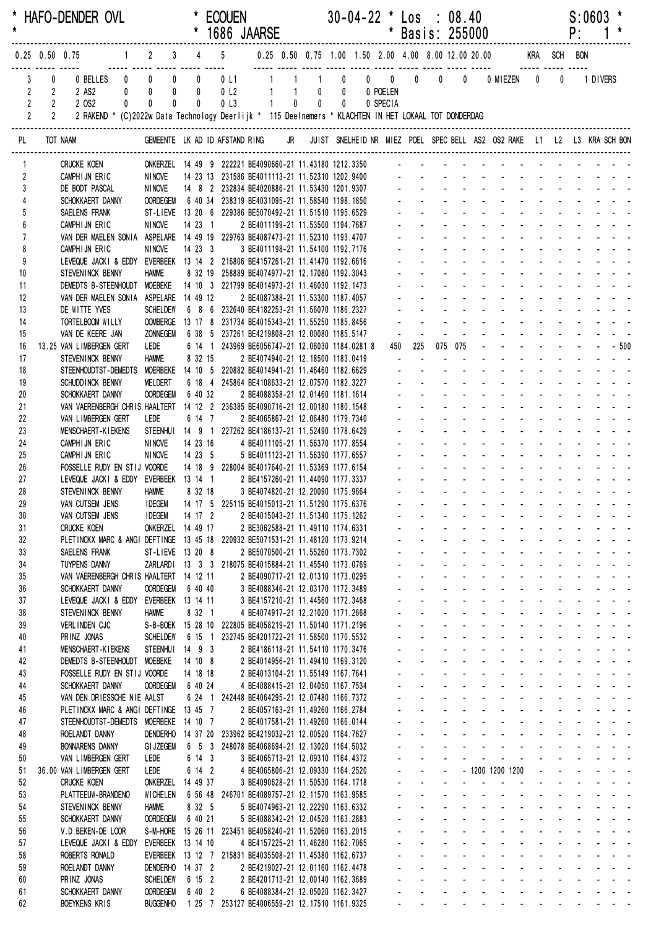| $\star$  |                                  |                            | * HAFO-DENDER OVL                                                                                                             |                                                                              |           |                               | <b>ECOUEN</b><br>* 1686 JAARSE                                                                         |                                                                        |       |                |       | $30-04-22$ * Los : 08.40                                    | * Basis: 255000                                  |                                                   |                      |                                                                                                                                                                                                                                                                         |                   | P: | S:0603                                                           |           |  |
|----------|----------------------------------|----------------------------|-------------------------------------------------------------------------------------------------------------------------------|------------------------------------------------------------------------------|-----------|-------------------------------|--------------------------------------------------------------------------------------------------------|------------------------------------------------------------------------|-------|----------------|-------|-------------------------------------------------------------|--------------------------------------------------|---------------------------------------------------|----------------------|-------------------------------------------------------------------------------------------------------------------------------------------------------------------------------------------------------------------------------------------------------------------------|-------------------|----|------------------------------------------------------------------|-----------|--|
|          |                                  |                            | $0.25$ 0.50 0.75                                                                                                              |                                                                              |           |                               |                                                                                                        |                                                                        |       |                |       |                                                             |                                                  |                                                   |                      | 1 2 3 4 5 0.25 0.50 0.75 1.00 1.50 2.00 4.00 8.00 12.00 20.00 KRA SCH BON                                                                                                                                                                                               |                   |    |                                                                  |           |  |
|          | 3<br>$\overline{2}$              | 0<br>$\overline{2}$        | 0 BELLES 0 0 0<br>2 AS2                                                                                                       | $0$ 0                                                                        | $\pmb{0}$ | $\overline{0}$<br>$\mathbf 0$ | 0 <sub>l</sub>                                                                                         | 0 L1 1 1                                                               |       | $\sim$ 1       |       | $\begin{matrix} 0 & 0 & 0 & 0 & 0 \end{matrix}$<br>0 POELEN |                                                  |                                                   | $\mathbf{0}$         | 0 MIEZEN 0                                                                                                                                                                                                                                                              | $\bm{0}$          |    | 1 DIVERS                                                         |           |  |
|          | $\overline{2}$<br>$\overline{2}$ | $2^{\circ}$<br>$2^{\circ}$ | 2 OS2<br>$\mathbf{0}$<br>2 RAKEND * (C)2022w Data Technology Deerlijk * 115 Deelnemers * KLACHTEN IN HET LOKAAL TOT DONDERDAG | 0<br>$\mathbf{0}$                                                            |           | $\mathbf{0}$                  | 0 <sub>l</sub>                                                                                         |                                                                        | $1 -$ | $\overline{0}$ | $0$ 0 | 0 SPECIA                                                    |                                                  |                                                   |                      |                                                                                                                                                                                                                                                                         |                   |    |                                                                  |           |  |
| PL       |                                  |                            | TOT NAAM                                                                                                                      |                                                                              |           |                               |                                                                                                        |                                                                        |       |                |       |                                                             |                                                  |                                                   |                      | GEMEENTE LK AD ID AFSTAND RING JR JUIST SNELHEID NR MIEZ POEL SPEC BELL AS2 OS2 RAKE L1 L2 L3 KRA SCH BON                                                                                                                                                               |                   |    |                                                                  |           |  |
| 1        |                                  |                            | <b>CRUCKE KOEN</b>                                                                                                            | ONKERZEL  14 49  9  222221 BE4090660-21 11.43180 1212.3350                   |           |                               |                                                                                                        |                                                                        |       |                |       |                                                             |                                                  |                                                   |                      |                                                                                                                                                                                                                                                                         |                   |    |                                                                  |           |  |
| 2<br>3   |                                  |                            | CAMPHIJN ERIC<br>DE BODT PASCAL                                                                                               | NINOVE<br><b>NINOVE</b>                                                      |           |                               | 14 23 13 231586 BE4011113-21 11.52310 1202.9400<br>14 8 2 232834 BE4020886-21 11.53430 1201.9307 - - - |                                                                        |       |                |       |                                                             |                                                  |                                                   |                      |                                                                                                                                                                                                                                                                         |                   |    |                                                                  |           |  |
|          |                                  |                            | SCHOKKAERT DANNY                                                                                                              | <b>OORDEGEM</b>                                                              |           |                               | 6 40 34 238319 BE4031095-21 11.58540 1198.1850                                                         |                                                                        |       |                |       |                                                             |                                                  |                                                   |                      |                                                                                                                                                                                                                                                                         |                   |    |                                                                  |           |  |
| 5        |                                  |                            | SAELENS FRANK                                                                                                                 | ST-LIEVE 13 20 6 229386 BE5070492-21 11.51510 1195.6529                      |           |                               |                                                                                                        |                                                                        |       |                |       |                                                             |                                                  |                                                   |                      |                                                                                                                                                                                                                                                                         |                   |    |                                                                  |           |  |
| 6<br>7   |                                  |                            | CAMPHIJN ERIC<br>VAN DER MAELEN SONIA ASPELARE 14 49 19 229763 BE4087473-21 11.52310 1193.4707                                | NINOVE                                                                       |           |                               | 14 23 1                                                                                                | 2 BE4011199-21 11.53500 1194.7687                                      |       |                |       |                                                             |                                                  |                                                   |                      |                                                                                                                                                                                                                                                                         |                   |    |                                                                  |           |  |
| 8        |                                  |                            | CAMPHIJN ERIC                                                                                                                 | <b>NINOVE</b>                                                                |           | 14233                         |                                                                                                        | 3 BE4011198-21 11.54100 1192.7176                                      |       |                |       |                                                             |                                                  |                                                   |                      |                                                                                                                                                                                                                                                                         |                   |    |                                                                  |           |  |
| 9<br>10  |                                  |                            | LEVEQUE JACKI & EDDY EVERBEEK 13 14 2 216806 BE4157261-21 11.41470 1192.6616<br>STEVENINCK BENNY                              | <b>HAMME</b>                                                                 |           |                               | 8 32 19 258889 BE4074977-21 12.17080 1192.3043                                                         |                                                                        |       |                |       |                                                             |                                                  |                                                   |                      |                                                                                                                                                                                                                                                                         |                   |    |                                                                  |           |  |
| 11       |                                  |                            | DEMEDTS B-STEENHOUDT MOEBEKE                                                                                                  |                                                                              |           |                               | 14 10 3 221799 BE4014973-21 11.46030 1192.1473                                                         |                                                                        |       |                |       |                                                             |                                                  |                                                   |                      |                                                                                                                                                                                                                                                                         |                   |    |                                                                  |           |  |
| 12       |                                  |                            | VAN DER MAELEN SONIA ASPELARE 14 49 12                                                                                        |                                                                              |           |                               |                                                                                                        | 2 BE4087388-21 11.53300 1187.4057                                      |       |                |       |                                                             |                                                  |                                                   |                      |                                                                                                                                                                                                                                                                         |                   |    |                                                                  |           |  |
| 13<br>14 |                                  |                            | DE WITTE YVES<br>TORTELBOOM WILLY                                                                                             | <b>SCHELDEW</b><br>OOMBERGE 13 17 8 231734 BE4015343-21 11.55250 1185.8456   |           |                               | 6 8 6 232640 BE4182253-21 11.56070 1186.2327                                                           |                                                                        |       |                |       |                                                             |                                                  |                                                   |                      |                                                                                                                                                                                                                                                                         |                   |    |                                                                  |           |  |
| 15       |                                  |                            | VAN DE KEERE JAN                                                                                                              | <b>ZONNEGEM</b>                                                              |           |                               | 6 38 5 237261 BE4219808-21 12.00080 1185.5147                                                          |                                                                        |       |                |       |                                                             |                                                  |                                                   |                      |                                                                                                                                                                                                                                                                         |                   |    |                                                                  |           |  |
| 16       |                                  |                            | 13.25 VAN LIMBERGEN GERT                                                                                                      | LEDE                                                                         |           |                               | 6 14 1 243969 BE6056747-21 12.06030 1184.0281 8                                                        |                                                                        |       |                |       |                                                             | 225<br>450                                       |                                                   | 075 075              |                                                                                                                                                                                                                                                                         |                   |    |                                                                  | $- - 500$ |  |
| 17<br>18 |                                  |                            | STEVENINCK BENNY<br>STEENHOUDTST-DEMEDTS MOERBEKE 14 10 5 220882 BE4014941-21 11.46460 1182.6629                              | <b>HAMME</b>                                                                 |           | 8 32 15                       |                                                                                                        | 2 BE4074940-21 12.18500 1183.0419                                      |       |                |       |                                                             |                                                  |                                                   |                      |                                                                                                                                                                                                                                                                         |                   |    |                                                                  |           |  |
| 19       |                                  |                            | SCHUDD INCK BENNY                                                                                                             | <b>MELDERT</b>                                                               |           |                               | 6 18 4 245864 BE4108633-21 12.07570 1182.3227                                                          |                                                                        |       |                |       |                                                             |                                                  |                                                   |                      |                                                                                                                                                                                                                                                                         |                   |    |                                                                  |           |  |
| 20       |                                  |                            | SCHOKKAERT DANNY                                                                                                              | <b>OORDEGEM</b>                                                              |           | 6 40 32                       |                                                                                                        | 2 BE4088358-21 12.01460 1181.1614                                      |       |                |       |                                                             |                                                  |                                                   |                      |                                                                                                                                                                                                                                                                         |                   |    |                                                                  |           |  |
| 21<br>22 |                                  |                            | VAN VAERENBERGH CHRIS HAALTERT<br>VAN LIMBERGEN GERT                                                                          | LEDE                                                                         |           | 6 14 7                        | 14 12 2 236385 BE4090716-21 12.00180 1180.1548                                                         | 2 BE4065867-21 12.06480 1179.7340                                      |       |                |       |                                                             |                                                  |                                                   |                      |                                                                                                                                                                                                                                                                         |                   |    |                                                                  |           |  |
| 23       |                                  |                            | <b>MENSCHAERT-KIEKENS</b>                                                                                                     | STEENHUI 14 9 1 227262 BE4186137-21 11.52490 1178.6429                       |           |                               |                                                                                                        |                                                                        |       |                |       |                                                             |                                                  |                                                   |                      |                                                                                                                                                                                                                                                                         |                   |    |                                                                  |           |  |
| 24       |                                  |                            | CAMPHIJN ERIC                                                                                                                 | <b>NINOVE</b>                                                                |           | 14 23 16                      |                                                                                                        | 4 BE4011105-21 11.56370 1177.8554                                      |       |                |       |                                                             |                                                  |                                                   |                      |                                                                                                                                                                                                                                                                         |                   |    |                                                                  |           |  |
| 25<br>26 |                                  |                            | CAMPHIJN ERIC<br>FOSSELLE RUDY EN STIJ VOORDE                                                                                 | NINOVE                                                                       |           | 14 23 5                       | 14 18 9 228004 BE4017640-21 11.53369 1177.6154                                                         | 5 BE4011123-21 11.56390 1177.6557                                      |       |                |       |                                                             |                                                  |                                                   |                      |                                                                                                                                                                                                                                                                         |                   |    |                                                                  |           |  |
| 27       |                                  |                            | LEVEQUE JACKI & EDDY EVERBEEK 13 14 1 2 BE4157260-21 11.44090 1177.3337                                                       |                                                                              |           |                               |                                                                                                        |                                                                        |       |                |       |                                                             |                                                  |                                                   |                      |                                                                                                                                                                                                                                                                         |                   |    |                                                                  |           |  |
| 28       |                                  |                            | STEVENINCK BENNY                                                                                                              | Hamme                                                                        |           | 8 32 18                       |                                                                                                        | 3 BE4074820-21 12.20090 1175.9664                                      |       |                |       |                                                             |                                                  |                                                   |                      |                                                                                                                                                                                                                                                                         |                   |    |                                                                  |           |  |
| 29<br>30 |                                  |                            | VAN CUTSEM JENS   IDEGEM   14 17 5 225115 BE4015013-21 11.51290 1175.6376<br>VAN CUTSEM JENS                                  | <b>IDEGEM</b>                                                                |           | 14 17 2                       |                                                                                                        | 2 BE4015043-21 11.51340 1175.1262                                      |       |                |       |                                                             |                                                  |                                                   |                      | and the company of the company<br>design and a state of the state of the state of the state of the state of the state of the state of the state of the state of the state of the state of the state of the state of the state of the state of the state of the s        |                   |    | .                                                                |           |  |
| 31       |                                  |                            | <b>CRUCKE KOEN</b>                                                                                                            | ONKERZEL 14 49 17                                                            |           |                               |                                                                                                        | 2 BE3062588-21 11.49110 1174.6331                                      |       |                |       |                                                             |                                                  | $\mathbf{L}^{\text{max}}$                         |                      | design and a state of the state of                                                                                                                                                                                                                                      |                   |    | and a strain and a                                               |           |  |
| 32       |                                  |                            | PLETINCKX MARC & ANGI DEFTINGE 13 45 18 220932 BE5071531-21 11.48120 1173.9214                                                |                                                                              |           |                               |                                                                                                        | 2 BE5070500-21 11.55260 1173.7302                                      |       |                |       |                                                             |                                                  |                                                   |                      | and the company of the company of<br>designed the state of the state of                                                                                                                                                                                                 |                   |    | and a strain and a                                               |           |  |
| 33<br>34 |                                  |                            | SAELENS FRANK<br><b>TUYPENS DANNY</b>                                                                                         | ST-LIEVE 13 20 8                                                             |           |                               | ZARLARDI 13 3 3 218075 BE4015884-21 11.45540 1173.0769                                                 |                                                                        |       |                |       |                                                             |                                                  | $\mathbf{r} = \mathbf{r}$                         |                      | and a straightful and state                                                                                                                                                                                                                                             |                   |    | and a strain and                                                 |           |  |
| 35       |                                  |                            | VAN VAERENBERGH CHRIS HAALTERT 14 12 11                                                                                       |                                                                              |           |                               |                                                                                                        | 2 BE4090717-21 12.01310 1173.0295                                      |       |                |       |                                                             |                                                  | $\mathbf{L}^{\text{max}}$                         |                      | and a state of the state of the state of                                                                                                                                                                                                                                |                   |    |                                                                  |           |  |
| 36       |                                  |                            | SCHOKKAERT DANNY<br>LEVEQUE JACKI & EDDY EVERBEEK 13 14 11                                                                    | <b>OORDEGEM</b>                                                              |           | 6 40 40                       |                                                                                                        | 3 BE4088346-21 12.03170 1172.3489<br>3 BE4157210-21 11.44560 1172.3468 |       |                |       |                                                             | ÷.<br>ä.                                         | $\Delta \sim 100$<br>$\mathbf{L}^{\text{max}}$    |                      | design and a state of the state of the<br>and a state of the state of the state                                                                                                                                                                                         |                   |    |                                                                  |           |  |
| 37<br>38 |                                  |                            | STEVENINCK BENNY                                                                                                              | <b>HAMME</b>                                                                 |           | 8 32 1                        |                                                                                                        | 4 BE4074917-21 12.21020 1171.2668                                      |       |                |       |                                                             | a.                                               | $\mathcal{L}^{\text{max}}$                        |                      | design and a state of the state of the                                                                                                                                                                                                                                  |                   |    |                                                                  |           |  |
| 39       |                                  |                            | VERLINDEN CJC                                                                                                                 | S-B-BOEK 15 28 10 222805 BE4058219-21 11.50140 1171.2196                     |           |                               |                                                                                                        |                                                                        |       |                |       |                                                             |                                                  | $\mathbf{L}^{\text{max}}$                         |                      | design and a state of the state of the                                                                                                                                                                                                                                  |                   |    |                                                                  |           |  |
| 40       |                                  |                            | PRINZ JONAS<br>MENSCHAERT-KIEKENS                                                                                             | <b>SCHELDEW</b><br>STEENHUI 14 9 3                                           |           |                               | 6 15 1 232745 BE4201722-21 11.58500 1170.5532                                                          |                                                                        |       |                |       |                                                             |                                                  | $\mathcal{L}^{\text{max}}$<br>$\omega_{\rm{max}}$ |                      | and a state of the state of the state of<br>and a series of the contract of the                                                                                                                                                                                         |                   |    |                                                                  |           |  |
| 41<br>42 |                                  |                            | DEMEDTS B-STEENHOUDT MOEBEKE                                                                                                  |                                                                              | 14 10 8   |                               |                                                                                                        | 2 BE4186118-21 11.54110 1170.3476<br>2 BE4014956-21 11.49410 1169.3120 |       |                |       |                                                             |                                                  | $\Delta \sim 100$                                 |                      | design and a state of the state of the                                                                                                                                                                                                                                  |                   |    |                                                                  |           |  |
| 43       |                                  |                            | FOSSELLE RUDY EN STIJ VOORDE                                                                                                  |                                                                              |           | 14 18 18                      |                                                                                                        | 2 BE4013104-21 11.55149 1167.7641                                      |       |                |       |                                                             | $\mathbf{L}^{\text{max}}$                        | $\mathbf{L}^{\text{max}}$                         |                      | designed to the control of the state of                                                                                                                                                                                                                                 |                   |    |                                                                  |           |  |
| 44<br>45 |                                  |                            | SCHOKKAERT DANNY<br>VAN DEN DRIESSCHE NIE AALST                                                                               | <b>OORDEGEM</b>                                                              | 6 40 24   |                               | 6 24 1 242448 BE4064295-21 12.07480 1166.7372                                                          | 4 BE4088415-21 12.04050 1167.7534                                      |       |                |       |                                                             | $\mathbf{L}^{\text{max}}$<br>$\omega_{\rm{max}}$ |                                                   |                      | and the company of the company of<br>and a straightful control of the state of                                                                                                                                                                                          |                   |    | and a strain and a                                               |           |  |
| 46       |                                  |                            | PLETINCKX MARC & ANGI DEFTINGE 13 45 7                                                                                        |                                                                              |           |                               |                                                                                                        | 2 BE4057163-21 11.49260 1166.2784                                      |       |                |       |                                                             |                                                  |                                                   |                      | and a series of the contract of the series of                                                                                                                                                                                                                           |                   |    |                                                                  |           |  |
| 47       |                                  |                            | STEENHOUDTST-DEMEDTS MOERBEKE 14 10 7                                                                                         |                                                                              |           |                               |                                                                                                        | 2 BE4017581-21 11.49260 1166.0144                                      |       |                |       |                                                             |                                                  | $\Delta \sim 100$                                 |                      | design and a state of the state of the                                                                                                                                                                                                                                  |                   |    |                                                                  |           |  |
| 48<br>49 |                                  |                            | ROELANDT DANNY<br><b>BONNARENS DANNY</b>                                                                                      | DENDERHO 14 37 20 233962 BE4219032-21 12.00520 1164.7627<br><b>GI JZEGEM</b> |           |                               | 6 5 3 248078 BE4068694-21 12.13020 1164.5032                                                           |                                                                        |       |                |       |                                                             | $\Delta \sim 100$<br>$\Delta \sim 100$           | $\Delta \sim 100$<br>$\mathbf{L}^{\text{max}}$    | $\Delta \sim 100$    | design and a state of the state of the state of the state of the state of the state of the state of the state of the state of the state of the state of the state of the state of the state of the state of the state of the s<br>and a series and a series and         |                   |    |                                                                  |           |  |
| 50       |                                  |                            | VAN LIMBERGEN GERT                                                                                                            | LEDE                                                                         |           | 6 14 3                        |                                                                                                        | 3 BE4065713-21 12.09310 1164.4372                                      |       |                |       |                                                             | $\omega_{\rm{max}}$                              | $\omega_{\rm{max}}$                               | $\Delta \sim 10^4$   | and a state of the state of the state                                                                                                                                                                                                                                   |                   |    |                                                                  |           |  |
| 51       |                                  |                            | 36.00 VAN LIMBERGEN GERT                                                                                                      | LEDE                                                                         |           | 6 14 2                        |                                                                                                        | 4 BE4065806-21 12.09330 1164.2520                                      |       |                |       |                                                             | $\mathcal{L}_{\mathcal{A}}$                      | $\Delta \sim 100$<br>$\sim$                       |                      | - 1200 1200 1200                                                                                                                                                                                                                                                        |                   |    | فالقارب والقارب والمتارين                                        |           |  |
| 52<br>53 |                                  |                            | <b>CRUCKE KOEN</b><br>PLATTEEUW-BRANDENO                                                                                      | ONKERZEL 14 49 37<br><b>WICHELEN</b>                                         |           |                               | 6 56 48 246701 BE4089757-21 12.11570 1163.9585                                                         | 3 BE4090628-21 11.50530 1164.1718                                      |       |                |       |                                                             |                                                  | $\Delta \sim 100$                                 | <b>Service</b> State | and a series of the contract of the series                                                                                                                                                                                                                              |                   |    | and the company of the company                                   |           |  |
| 54       |                                  |                            | STEVENINCK BENNY                                                                                                              | <b>HAMME</b>                                                                 |           | 8 32 5                        |                                                                                                        | 5 BE4074963-21 12.22290 1163.6332                                      |       |                |       |                                                             |                                                  | $\Delta \sim 100$                                 |                      | design and a state of the state of the                                                                                                                                                                                                                                  |                   |    |                                                                  |           |  |
| 55       |                                  |                            | SCHOKKAERT DANNY                                                                                                              | <b>OORDEGEM</b>                                                              |           | 6 40 21                       |                                                                                                        | 5 BE4088342-21 12.04520 1163.2883                                      |       |                |       |                                                             | $\mathbf{L}^{\text{max}}$                        | $\Delta \sim 100$                                 |                      | design and a state of the state                                                                                                                                                                                                                                         |                   |    | and a strain and a                                               |           |  |
| 56<br>57 |                                  |                            | V.D. BEKEN-DE LOOR<br>LEVEQUE JACKI & EDDY                                                                                    | EVERBEEK 13 14 10                                                            |           |                               | S-M-HORE 15 26 11 223451 BE4058240-21 11.52060 1163.2015                                               | 4 BE4157225-21 11.46280 1162.7065                                      |       |                |       |                                                             | $\mathbf{L}^{\text{max}}$<br>$\omega_{\rm{max}}$ | $\mathbf{L}^{\text{max}}$                         |                      | and a straightful contract and<br>designed to the control of the state                                                                                                                                                                                                  | $\Delta \sim 100$ |    | $\mathbf{u} = \mathbf{u} + \mathbf{u} + \mathbf{u} + \mathbf{u}$ |           |  |
| 58       |                                  |                            | ROBERTS RONALD                                                                                                                |                                                                              |           |                               | EVERBEEK 13 12 7 215831 BE4035508-21 11.45380 1162.6737                                                |                                                                        |       |                |       |                                                             |                                                  |                                                   |                      | and a series of the contract of the series of                                                                                                                                                                                                                           |                   |    |                                                                  |           |  |
| 59       |                                  |                            | ROELANDT DANNY                                                                                                                | DENDERHO 14 37 2                                                             |           |                               |                                                                                                        | 2 BE4219027-21 12.01160 1162.4478                                      |       |                |       |                                                             |                                                  | $\mathbf{L}^{\text{max}}$                         |                      | design and a state of the state of the                                                                                                                                                                                                                                  |                   |    |                                                                  |           |  |
| 60<br>61 |                                  |                            | PRINZ JONAS<br>SCHOKKAERT DANNY                                                                                               | <b>SCHELDEW</b><br><b>OORDEGEM</b>                                           |           | 6 15 2<br>6 40 2              |                                                                                                        | 2 BE4201713-21 12.00140 1162.3689<br>6 BE4088384-21 12.05020 1162.3427 |       |                |       |                                                             | $\Delta \sim 10^{-11}$                           |                                                   |                      | a construction of the construction of the construction of the construction of the construction of the construction of the construction of the construction of the construction of the construction of the construction of the<br>and a series and a series and a series |                   |    |                                                                  |           |  |
| 62       |                                  |                            | BOEYKENS KRIS                                                                                                                 | BUGGENHO 1 25 7 253127 BE4006559-21 12.17510 1161.9325                       |           |                               |                                                                                                        |                                                                        |       |                |       |                                                             |                                                  |                                                   |                      | and a series of the series of the series of the                                                                                                                                                                                                                         |                   |    |                                                                  |           |  |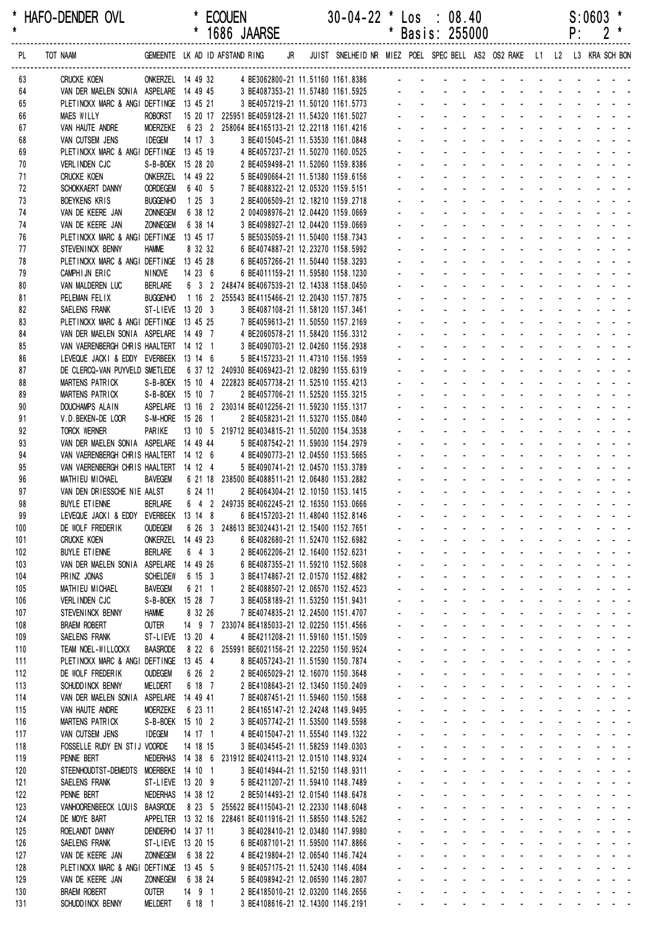\* HAFO-DENDER OVL \* ECOUEN 30-04-22 \* Los : 08.40 S:0603 \*

|            |                                                                                 |                                      |                   |  | 1686 JAARSE                                                                                       |  |                                                                                                           |                |                | Basis: 255000  |                                  |                |                               |                           |                       | ۲.                        |                        |                |  |
|------------|---------------------------------------------------------------------------------|--------------------------------------|-------------------|--|---------------------------------------------------------------------------------------------------|--|-----------------------------------------------------------------------------------------------------------|----------------|----------------|----------------|----------------------------------|----------------|-------------------------------|---------------------------|-----------------------|---------------------------|------------------------|----------------|--|
| PL         | TOT NAAM                                                                        |                                      |                   |  |                                                                                                   |  | GEMEENTE LK AD ID AFSTAND RING JR JUIST SNELHEID NR MIEZ POEL SPEC BELL AS2 OS2 RAKE L1 L2 L3 KRA SCH BON |                |                |                |                                  |                |                               |                           |                       |                           |                        |                |  |
| 63         | <b>CRUCKE KOEN</b>                                                              |                                      |                   |  |                                                                                                   |  | ONKERZEL 14 49 32 4 BE3062800-21 11.51160 1161.8386 - - - - - - - - - - - - - -                           |                |                |                |                                  |                |                               |                           |                       |                           |                        |                |  |
| 64         | VAN DER MAELEN SONIA ASPELARE 14 49 45 3 BE4087353-21 11.57480 1161.5925        |                                      |                   |  |                                                                                                   |  |                                                                                                           |                |                |                |                                  |                |                               |                           |                       |                           |                        |                |  |
| 65         | PLETINCKX MARC & ANGI DEFTINGE 13 45 21                                         |                                      |                   |  | 3 BE4057219-21 11.50120 1161.5773                                                                 |  |                                                                                                           |                |                |                |                                  |                |                               |                           |                       |                           |                        |                |  |
| 66         | <b>MAES WILLY</b>                                                               | ROBORST                              |                   |  | 15 20 17 225951 BE4059128-21 11.54320 1161.5027                                                   |  |                                                                                                           |                |                |                |                                  |                |                               |                           |                       |                           |                        |                |  |
| 67         | VAN HAUTE ANDRE                                                                 | <b>MOERZEKE</b>                      |                   |  | 6 23 2 258064 BE4165133-21 12.22118 1161.4216                                                     |  |                                                                                                           |                |                |                |                                  |                |                               |                           |                       |                           |                        |                |  |
| 68         | VAN CUTSEM JENS                                                                 | <b>IDEGEM</b>                        | 14 17 3           |  | 3 BE4015045-21 11.53530 1161.0848                                                                 |  |                                                                                                           |                |                |                |                                  |                |                               |                           |                       |                           |                        |                |  |
| 69         | PLETINCKX MARC & ANGI DEFTINGE 13 45 19                                         |                                      |                   |  | 4 BE4057237-21 11.50270 1160.0525                                                                 |  |                                                                                                           |                |                |                |                                  |                |                               |                           |                       |                           |                        |                |  |
| 70         | VERLINDEN CJC                                                                   | S-B-BOEK 15 28 20                    |                   |  | 2 BE4059498-21 11.52060 1159.8386                                                                 |  |                                                                                                           |                |                |                |                                  |                |                               |                           |                       |                           |                        |                |  |
| 71<br>72   | <b>CRUCKE KOEN</b><br>SCHOKKAERT DANNY                                          | ONKERZEL 14 49 22<br><b>OORDEGEM</b> | 6 40 5            |  | 5 BE4090664-21 11.51380 1159.6156                                                                 |  |                                                                                                           |                |                |                |                                  |                | $\mathbf{r}$                  |                           |                       |                           |                        |                |  |
| 73         | <b>BOEYKENS KRIS</b>                                                            | <b>BUGGENHO</b>                      | 1253              |  | 7 BE4088322-21 12.05320 1159.5151<br>2 BE4006509-21 12.18210 1159.2718                            |  |                                                                                                           |                |                |                |                                  |                |                               |                           |                       |                           |                        |                |  |
| 74         | VAN DE KEERE JAN                                                                | <b>ZONNEGEM</b>                      | 6 38 12           |  | 2 004098976-21 12.04420 1159.0669                                                                 |  |                                                                                                           |                |                |                |                                  |                |                               |                           |                       |                           |                        |                |  |
| 74         | VAN DE KEERE JAN                                                                | <b>ZONNEGEM</b>                      | 6 38 14           |  | 3 BE4098927-21 12.04420 1159.0669                                                                 |  |                                                                                                           |                |                |                |                                  |                |                               |                           |                       |                           |                        |                |  |
| 76         | PLETINCKX MARC & ANGI DEFTINGE 13 45 17                                         |                                      |                   |  | 5 BE5035059-21 11.50400 1158.7343                                                                 |  |                                                                                                           |                |                |                |                                  |                |                               |                           |                       |                           |                        |                |  |
| 77         | STEVENINCK BENNY                                                                | <b>HAMME</b>                         | 8 32 32           |  | 6 BE4074887-21 12.23270 1158.5992                                                                 |  |                                                                                                           |                |                |                |                                  |                |                               |                           |                       |                           |                        |                |  |
| 78         | PLETINCKX MARC & ANGI DEFTINGE 13 45 28                                         |                                      |                   |  | 6 BE4057266-21 11.50440 1158.3293                                                                 |  |                                                                                                           |                |                |                |                                  |                | $\overline{a}$                |                           |                       |                           |                        |                |  |
| 79         | CAMPHIJN ERIC                                                                   | NINOVE                               | 14236             |  | 6 BE4011159-21 11.59580 1158.1230                                                                 |  |                                                                                                           |                |                |                |                                  |                |                               |                           |                       |                           |                        |                |  |
| 80         | VAN MALDEREN LUC                                                                | <b>BERLARE</b>                       |                   |  | 6 3 2 248474 BE4067539-21 12.14338 1158.0450                                                      |  |                                                                                                           |                |                |                |                                  |                |                               |                           |                       |                           |                        |                |  |
| 81         | PELEMAN FELIX                                                                   | <b>BUGGENHO</b>                      |                   |  | 1 16 2 255543 BE4115466-21 12.20430 1157.7875                                                     |  |                                                                                                           |                |                |                |                                  |                |                               |                           |                       |                           |                        |                |  |
| 82         | SAELENS FRANK                                                                   | ST-LIEVE 13 20 3                     |                   |  | 3 BE4087108-21 11.58120 1157.3461                                                                 |  |                                                                                                           |                |                |                |                                  |                |                               |                           |                       |                           |                        |                |  |
| 83         | PLETINCKX MARC & ANGI DEFTINGE 13 45 25                                         |                                      |                   |  | 7 BE4059613-21 11.50550 1157.2169                                                                 |  |                                                                                                           |                |                |                |                                  |                |                               |                           |                       |                           |                        |                |  |
| 84<br>85   | VAN DER MAELEN SONIA ASPELARE 14 49 7<br>VAN VAERENBERGH CHRIS HAALTERT 14 12 1 |                                      |                   |  | 4 BE2060578-21 11.58420 1156.3312<br>3 BE4090703-21 12.04260 1156.2938                            |  |                                                                                                           |                |                |                |                                  |                |                               |                           |                       |                           |                        |                |  |
| 86         | LEVEQUE JACKI & EDDY EVERBEEK 13 14 6                                           |                                      |                   |  | 5 BE4157233-21 11.47310 1156.1959                                                                 |  |                                                                                                           |                |                |                |                                  |                |                               |                           |                       |                           |                        |                |  |
| 87         | DE CLERCQ-VAN PUYVELD SMETLEDE 6 37 12 240930 BE4069423-21 12.08290 1155.6319   |                                      |                   |  |                                                                                                   |  |                                                                                                           |                |                |                |                                  |                |                               |                           |                       |                           |                        |                |  |
| 88         | MARTENS PATRICK                                                                 |                                      |                   |  | S-B-BOEK 15 10 4 222823 BE4057738-21 11.52510 1155.4213                                           |  |                                                                                                           |                |                |                |                                  |                |                               |                           |                       |                           |                        |                |  |
| 89         | MARTENS PATRICK                                                                 | S-B-BOEK 15 10 7                     |                   |  | 2 BE4057706-21 11.52520 1155.3215                                                                 |  |                                                                                                           |                |                |                |                                  |                |                               |                           |                       |                           |                        |                |  |
| 90         | DOUCHAMPS ALAIN                                                                 |                                      |                   |  | ASPELARE 13 16 2 230314 BE4012256-21 11.59230 1155.1317                                           |  |                                                                                                           |                |                |                |                                  |                | $\mathbf{r}$                  |                           |                       |                           |                        |                |  |
| 91         | V.D. BEKEN-DE LOOR                                                              | S-M-HORE 15 26 1                     |                   |  | 2 BE4058231-21 11.53270 1155.0840                                                                 |  |                                                                                                           |                |                |                |                                  |                |                               |                           |                       |                           |                        |                |  |
| 92         | <b>TORCK WERNER</b>                                                             | PARIKE                               |                   |  | 13 10 5 219712 BE4034815-21 11.50200 1154.3538                                                    |  |                                                                                                           |                |                |                |                                  |                |                               |                           |                       |                           |                        |                |  |
| 93         | VAN DER MAELEN SONIA ASPELARE 14 49 44                                          |                                      |                   |  | 5 BE4087542-21 11.59030 1154.2979                                                                 |  |                                                                                                           |                |                |                |                                  |                |                               |                           |                       |                           |                        |                |  |
| 94         | VAN VAERENBERGH CHRIS HAALTERT 14 12 6                                          |                                      |                   |  | 4 BE4090773-21 12.04550 1153.5665                                                                 |  |                                                                                                           |                |                |                |                                  |                |                               |                           |                       |                           |                        |                |  |
| 95<br>96   | VAN VAERENBERGH CHRIS HAALTERT 14 12 4<br>MATHIEU MICHAEL                       | BAVEGEM                              |                   |  | 5 BE4090741-21 12.04570 1153.3789<br>6 21 18 238500 BE4088511-21 12.06480 1153.2882               |  |                                                                                                           |                |                |                |                                  | $\sim 100$     | $\mathbf{r}$                  | $\sim$                    | and the state of the  |                           |                        |                |  |
| 97         | VAN DEN DRIESSCHE NIE AALST                                                     |                                      | 6 24 11           |  | 2 BE4064304-21 12.10150 1153.1415                                                                 |  |                                                                                                           |                |                |                |                                  |                |                               |                           |                       |                           |                        |                |  |
| 98         | BUYLE ETIENNE                                                                   | Berlare                              |                   |  | 6 4 2 249735 BE4062245-21 12.16350 1153.0666                                                      |  |                                                                                                           |                |                |                |                                  |                | $\Delta \sim 100$             |                           | $\Delta \sim 10^4$    |                           |                        |                |  |
| 99         | LEVEQUE JACKI & EDDY EVERBEEK 13 14 8                                           |                                      |                   |  | 6 BE4157203-21 11.48040 1152.8146                                                                 |  |                                                                                                           | $\mathbf{r}$   | $\sim$         |                | $\sim$                           |                | the company of the company of |                           |                       |                           |                        |                |  |
| 100        | DE WOLF FREDERIK                                                                | <b>OUDEGEM</b>                       |                   |  | 6 26 3 248613 BE3024431-21 12.15400 1152.7651                                                     |  |                                                                                                           |                |                |                | $\blacksquare$                   | $\sim$         |                               |                           |                       |                           |                        |                |  |
| 101        | <b>CRUCKE KOEN</b>                                                              | ONKERZEL                             | 14 49 23          |  | 6 BE4082680-21 11.52470 1152.6982                                                                 |  |                                                                                                           |                |                |                |                                  |                |                               |                           |                       |                           |                        |                |  |
| 102        | <b>BUYLE ETIENNE</b>                                                            | <b>BERLARE</b>                       | 643               |  | 2 BE4062206-21 12.16400 1152.6231                                                                 |  |                                                                                                           |                |                |                |                                  | $\sim$         | $\sim$                        | $\sim$                    | $\sim$                | $\sim$                    |                        |                |  |
| 103        | VAN DER MAELEN SONIA ASPELARE 14 49 26                                          |                                      |                   |  | 6 BE4087355-21 11.59210 1152.5608                                                                 |  |                                                                                                           |                |                |                | $\blacksquare$                   | $\sim$         | ÷,                            |                           | $\Delta \sim 10^4$    |                           |                        |                |  |
| 104        | PRINZ JONAS                                                                     | <b>SCHELDEW</b>                      | 6 15 3            |  | 3 BE4174867-21 12.01570 1152.4882                                                                 |  |                                                                                                           |                | $\blacksquare$ |                | $\blacksquare$                   | $\sim$         | $\blacksquare$                |                           | $\sim$                |                           |                        |                |  |
| 105        | MATHIEU MICHAEL                                                                 | <b>BAVEGEM</b>                       | 6 21 1            |  | 2 BE4088507-21 12.06570 1152.4523                                                                 |  |                                                                                                           |                | $\blacksquare$ |                |                                  |                |                               |                           |                       |                           |                        |                |  |
| 106        | VERLINDEN CJC                                                                   | S-B-BOEK 15 28 7<br><b>HAMME</b>     | 8 32 26           |  | 3 BE4058189-21 11.53250 1151.9431                                                                 |  |                                                                                                           |                |                |                |                                  |                |                               |                           |                       |                           |                        |                |  |
| 107<br>108 | STEVEN INCK BENNY<br><b>BRAEM ROBERT</b>                                        | <b>OUTER</b>                         | 14 9 7            |  | 7 BE4074835-21 12.24500 1151.4707<br>233074 BE4185033-21 12.02250 1151.4566                       |  |                                                                                                           |                | $\sim$         |                |                                  | $\mathbf{r}$   |                               |                           | $\sim$                |                           |                        |                |  |
| 109        | SAELENS FRANK                                                                   | ST-LIEVE 13 20 4                     |                   |  | 4 BE4211208-21 11.59160 1151.1509                                                                 |  |                                                                                                           |                |                |                | $\mathcal{L}$                    | $\sim$         | $\mathbf{r}$                  |                           | $\Delta \sim 100$     |                           |                        | and a state of |  |
| 110        | TEAM NOEL-WILLOCKX                                                              | <b>BAASRODE</b>                      | 8 22 6            |  | 255991 BE6021156-21 12.22250 1150.9524                                                            |  |                                                                                                           |                | $\blacksquare$ | ÷.             | $\mathbf{r}$<br>$\blacksquare$   | $\sim$         | $\mathbf{r}$                  |                           | $\Delta \sim 10^{-1}$ | $\Delta \sim 100$         |                        |                |  |
| 111        | PLETINCKX MARC & ANGI DEFTINGE                                                  |                                      | 13 45 4           |  | 8 BE4057243-21 11.51590 1150.7874                                                                 |  |                                                                                                           | $\blacksquare$ | $\blacksquare$ |                | $\mathbf{r}$<br>$\blacksquare$   | $\blacksquare$ |                               |                           |                       | $\mathbf{z} = \mathbf{z}$ |                        |                |  |
| 112        | DE WOLF FREDERIK                                                                | <b>OUDEGEM</b>                       | 6 26 2            |  | 2 BE4065029-21 12.16070 1150.3648                                                                 |  |                                                                                                           |                |                |                | $\blacksquare$                   |                |                               |                           |                       |                           |                        |                |  |
| 113        | SCHUDD INCK BENNY                                                               | MELDERT                              | 6 18 7            |  | 2 BE4108643-21 12.13450 1150.2409                                                                 |  |                                                                                                           |                |                |                |                                  |                |                               |                           |                       |                           |                        |                |  |
| 114        | VAN DER MAELEN SONIA ASPELARE                                                   |                                      | 14 49 41          |  | 7 BE4087451-21 11.59460 1150.1568                                                                 |  |                                                                                                           |                |                |                |                                  |                |                               |                           | $\sim$                |                           |                        |                |  |
| 115        | VAN HAUTE ANDRE                                                                 | MOERZEKE                             | 6 23 11           |  | 2 BE4165147-21 12.24248 1149.9495                                                                 |  |                                                                                                           |                |                |                |                                  | $\sim$         | $\sim$                        |                           |                       |                           |                        |                |  |
| 116        | MARTENS PATRICK                                                                 | S-B-BOEK 15 10 2                     |                   |  | 3 BE4057742-21 11.53500 1149.5598                                                                 |  |                                                                                                           |                | $\mathbf{r}$   | $\mathbf{r}$   | $\mathbf{r}$<br>$\mathbf{r}$     | $\sim$         | $\blacksquare$                | $\mathbf{L}^{\text{max}}$ | $\sim$                |                           |                        |                |  |
| 117        | VAN CUTSEM JENS                                                                 | <b>IDEGEM</b>                        | 14 17 1           |  | 4 BE4015047-21 11.55540 1149.1322                                                                 |  |                                                                                                           | ÷.             | $\Delta$       |                | $\mathbf{r}$<br>$\blacksquare$   | $\mathbf{r}$   |                               |                           |                       |                           |                        |                |  |
| 118<br>119 | FOSSELLE RUDY EN STIJ VOORDE<br>PENNE BERT                                      |                                      | 14 18 15          |  | 3 BE4034545-21 11.58259 1149.0303<br>NEDERHAS  14 38  6  231912 BE4024113-21  12.01510  1148.9324 |  |                                                                                                           |                |                |                |                                  |                |                               |                           |                       |                           |                        |                |  |
| 120        | STEENHOUDTST-DEMEDTS                                                            | MOERBEKE 14 10 1                     |                   |  | 3 BE4014944-21 11.52150 1148.9311                                                                 |  |                                                                                                           |                |                |                |                                  |                |                               |                           | $\Delta \sim 100$     | $\sim$                    |                        |                |  |
| 121        | SAELENS FRANK                                                                   | ST-LIEVE 13 20 9                     |                   |  | 5 BE4211207-21 11.59410 1148.7489                                                                 |  |                                                                                                           |                |                |                |                                  | $\sim$         | L.                            |                           |                       |                           |                        |                |  |
| 122        | PENNE BERT                                                                      | NEDERHAS 14 38 12                    |                   |  | 2 BE5014493-21 12.01540 1148.6478                                                                 |  |                                                                                                           |                | $\blacksquare$ | $\mathbf{r}$   | $\mathbf{r}$<br>$\blacksquare$   | $\sim$         | $\blacksquare$                |                           | $\omega_{\rm{max}}$   |                           | $\Delta \phi = 0.0000$ |                |  |
| 123        | VANHOORENBEECK LOUIS                                                            | <b>BAASRODE</b>                      | 8 23 5            |  | 255622 BE4115043-21 12.22330 1148.6048                                                            |  |                                                                                                           | $\blacksquare$ | $\blacksquare$ |                | $\mathbf{r}$<br>$\blacksquare$   |                |                               |                           |                       |                           |                        |                |  |
| 124        | DE MOYE BART                                                                    |                                      |                   |  | APPELTER 13 32 16 228461 BE4011916-21 11.58550 1148.5262                                          |  |                                                                                                           |                |                |                |                                  |                |                               |                           |                       |                           |                        |                |  |
| 125        | ROELANDT DANNY                                                                  | DENDERHO 14 37 11                    |                   |  | 3 BE4028410-21 12.03480 1147.9980                                                                 |  |                                                                                                           |                |                |                |                                  |                |                               |                           | $\mathbf{r}$          |                           |                        |                |  |
| 126        | SAELENS FRANK                                                                   | ST-LIEVE 13 20 15                    |                   |  | 6 BE4087101-21 11.59500 1147.8866                                                                 |  |                                                                                                           |                |                |                |                                  |                |                               |                           | $\sim$                |                           |                        |                |  |
| 127        | VAN DE KEERE JAN                                                                | <b>ZONNEGEM</b>                      | 6 38 22           |  | 4 BE4219804-21 12.06540 1146.7424                                                                 |  |                                                                                                           |                |                |                |                                  | $\omega$       | $\sim$                        |                           |                       |                           |                        |                |  |
| 128        | PLETINCKX MARC & ANGI DEFTINGE 13 45 5                                          |                                      |                   |  | 9 BE4057175-21 11.52430 1146.4084                                                                 |  |                                                                                                           |                | ÷.             | $\mathbf{r}$   | $\blacksquare$<br>$\blacksquare$ | $\mathbf{r}$   | $\blacksquare$                |                           | $\sim$                | $\mathbf{r}$              |                        |                |  |
| 129<br>130 | VAN DE KEERE JAN<br><b>BRAEM ROBERT</b>                                         | <b>ZONNEGEM</b><br><b>OUTER</b>      | 6 38 24<br>14 9 1 |  | 5 BE4098942-21 12.06590 1146.2807<br>2 BE4185010-21 12.03200 1146.2656                            |  |                                                                                                           |                | $\Delta$       | $\blacksquare$ | $\blacksquare$<br>$\blacksquare$ | $\blacksquare$ |                               |                           |                       |                           |                        |                |  |
| 131        | SCHUDD INCK BENNY                                                               | <b>MELDERT</b>                       | 6 18 1            |  | 3 BE4108616-21 12.14300 1146.2191                                                                 |  |                                                                                                           |                |                |                |                                  |                |                               |                           |                       |                           |                        |                |  |
|            |                                                                                 |                                      |                   |  |                                                                                                   |  |                                                                                                           |                |                |                |                                  |                |                               |                           |                       |                           |                        |                |  |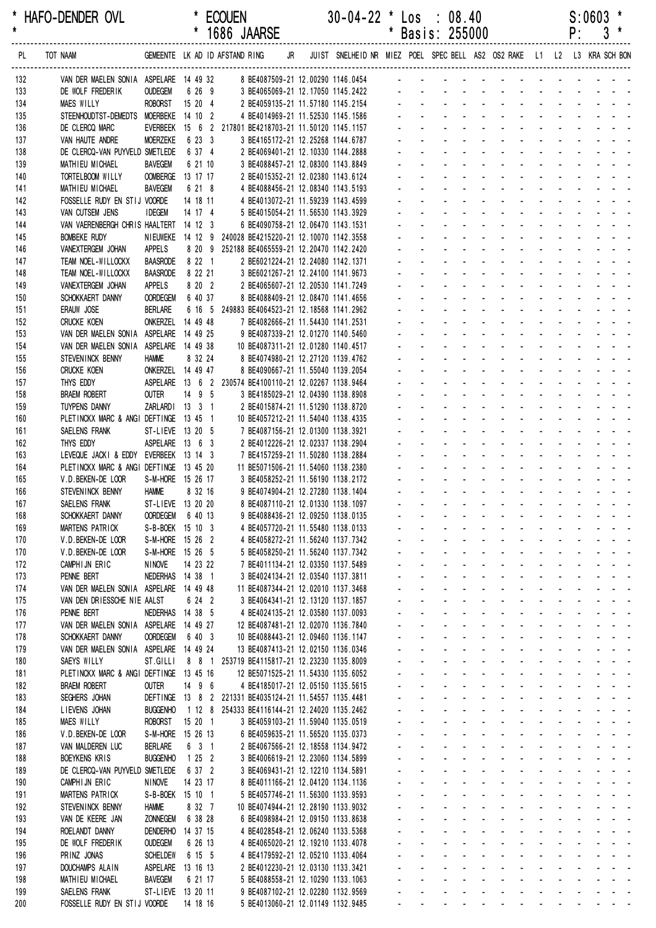|            |                                                                                          |                                     |                    |  | 1686 JAARSE                                                                                 |                                                                         |                | Basis: 255000                                                                         |                                               |                                                      |                                          |                                                      | ۲:                                                        |                                                                                      | კ                |
|------------|------------------------------------------------------------------------------------------|-------------------------------------|--------------------|--|---------------------------------------------------------------------------------------------|-------------------------------------------------------------------------|----------------|---------------------------------------------------------------------------------------|-----------------------------------------------|------------------------------------------------------|------------------------------------------|------------------------------------------------------|-----------------------------------------------------------|--------------------------------------------------------------------------------------|------------------|
| PL         | TOT NAAM                                                                                 |                                     |                    |  | GEMEENTE LK AD ID AFSTAND RING JR                                                           | JUIST SNELHEID NR MIEZ POEL SPEC BELL AS2 OS2 RAKE L1 L2 L3 KRA SCH BON |                |                                                                                       |                                               |                                                      |                                          |                                                      |                                                           |                                                                                      |                  |
| 132        | VAN DER MAELEN SONIA ASPELARE 14 49 32 8 BE4087509-21 12.00290 1146.0454 - - - - - - - - |                                     |                    |  |                                                                                             |                                                                         |                |                                                                                       |                                               |                                                      |                                          |                                                      |                                                           |                                                                                      |                  |
| 133        | DE WOLF FREDERIK                                                                         | <b>OUDEGEM</b>                      | 6 26 9             |  | 3 BE4065069-21 12.17050 1145.2422                                                           |                                                                         |                |                                                                                       |                                               |                                                      |                                          |                                                      |                                                           |                                                                                      |                  |
| 134        | <b>MAES WILLY</b>                                                                        | <b>ROBORST</b>                      | 15 20 4            |  | 2 BE4059135-21 11.57180 1145.2154                                                           |                                                                         |                |                                                                                       |                                               |                                                      |                                          |                                                      |                                                           |                                                                                      |                  |
| 135<br>136 | STEENHOUDTST-DEMEDTS MOERBEKE 14 10 2<br>DE CLERCQ MARC                                  |                                     |                    |  | 4 BE4014969-21 11.52530 1145.1586<br>EVERBEEK 15 6 2 217801 BE4218703-21 11.50120 1145.1157 |                                                                         |                |                                                                                       |                                               |                                                      |                                          |                                                      |                                                           |                                                                                      |                  |
| 137        | VAN HAUTE ANDRE                                                                          | <b>MOERZEKE</b>                     | 6 23 3             |  | 3 BE4165172-21 12.25268 1144.6787                                                           |                                                                         |                |                                                                                       |                                               |                                                      |                                          |                                                      |                                                           |                                                                                      |                  |
| 138        | DE CLERCQ-VAN PUYVELD SMETLEDE                                                           |                                     | 6 37 4             |  | 2 BE4069401-21 12.10330 1144.2888                                                           |                                                                         |                |                                                                                       |                                               |                                                      |                                          |                                                      |                                                           |                                                                                      |                  |
| 139        | MATHIEU MICHAEL                                                                          | <b>BAVEGEM</b>                      | 6 21 10            |  | 3 BE4088457-21 12.08300 1143.8849                                                           |                                                                         |                |                                                                                       |                                               |                                                      |                                          |                                                      |                                                           |                                                                                      |                  |
| 140        | TORTELBOOM WILLY                                                                         | OOMBERGE 13 17 17                   |                    |  | 2 BE4015352-21 12.02380 1143.6124                                                           |                                                                         |                |                                                                                       |                                               |                                                      |                                          |                                                      |                                                           |                                                                                      |                  |
| 141<br>142 | MATHIEU MICHAEL<br>FOSSELLE RUDY EN STIJ VOORDE                                          | <b>BAVEGEM</b>                      | 6 21 8<br>14 18 11 |  | 4 BE4088456-21 12.08340 1143.5193<br>4 BE4013072-21 11.59239 1143.4599                      |                                                                         |                |                                                                                       |                                               |                                                      |                                          |                                                      |                                                           |                                                                                      |                  |
| 143        | VAN CUTSEM JENS                                                                          | <b>IDEGEM</b>                       | 14 17 4            |  | 5 BE4015054-21 11.56530 1143.3929                                                           |                                                                         |                |                                                                                       |                                               |                                                      |                                          |                                                      |                                                           |                                                                                      |                  |
| 144        | VAN VAERENBERGH CHRIS HAALTERT 14 12 3                                                   |                                     |                    |  | 6 BE4090758-21 12.06470 1143.1531                                                           |                                                                         |                |                                                                                       |                                               |                                                      |                                          |                                                      |                                                           |                                                                                      |                  |
| 145        | <b>BOMBEKE RUDY</b>                                                                      | NIEUWEKE 14 12 9                    |                    |  | 240028 BE4215220-21 12.10070 1142.3558                                                      |                                                                         |                |                                                                                       |                                               |                                                      |                                          |                                                      |                                                           |                                                                                      |                  |
| 146        | VANEXTERGEM JOHAN                                                                        | APPELS                              |                    |  | 8 20 9 252188 BE4065559-21 12.20470 1142.2420                                               |                                                                         |                |                                                                                       |                                               |                                                      |                                          |                                                      |                                                           |                                                                                      |                  |
| 147<br>148 | TEAM NOEL-WILLOCKX<br>TEAM NOEL-WILLOCKX                                                 | <b>BAASRODE</b><br><b>BAASRODE</b>  | 8 22 1<br>8 22 21  |  | 2 BE6021224-21 12.24080 1142.1371<br>3 BE6021267-21 12.24100 1141.9673                      |                                                                         |                |                                                                                       |                                               |                                                      |                                          |                                                      |                                                           |                                                                                      |                  |
| 149        | VANEXTERGEM JOHAN                                                                        | <b>APPELS</b>                       | 8 20 2             |  | 2 BE4065607-21 12.20530 1141.7249                                                           |                                                                         |                |                                                                                       |                                               |                                                      |                                          |                                                      |                                                           |                                                                                      |                  |
| 150        | SCHOKKAERT DANNY                                                                         | <b>OORDEGEM</b>                     | 6 40 37            |  | 8 BE4088409-21 12.08470 1141.4656                                                           |                                                                         |                |                                                                                       |                                               |                                                      |                                          |                                                      |                                                           |                                                                                      |                  |
| 151        | ERAUW JOSE                                                                               | <b>BERLARE</b>                      |                    |  | 6 16 5 249883 BE4064523-21 12.18568 1141.2962                                               |                                                                         |                |                                                                                       |                                               |                                                      |                                          |                                                      |                                                           |                                                                                      |                  |
| 152        | <b>CRUCKE KOEN</b>                                                                       | ONKERZEL 14 49 48                   |                    |  | 7 BE4082666-21 11.54430 1141.2531                                                           |                                                                         |                |                                                                                       |                                               |                                                      |                                          |                                                      |                                                           |                                                                                      |                  |
| 153<br>154 | VAN DER MAELEN SONIA ASPELARE 14 49 25<br>VAN DER MAELEN SONIA ASPELARE 14 49 38         |                                     |                    |  | 9 BE4087339-21 12.01270 1140.5460<br>10 BE4087311-21 12.01280 1140.4517                     |                                                                         |                |                                                                                       |                                               |                                                      |                                          |                                                      |                                                           |                                                                                      |                  |
| 155        | STEVENINCK BENNY                                                                         | <b>HAMME</b>                        | 8 32 24            |  | 8 BE4074980-21 12.27120 1139.4762                                                           |                                                                         |                |                                                                                       |                                               |                                                      |                                          |                                                      |                                                           |                                                                                      |                  |
| 156        | <b>CRUCKE KOEN</b>                                                                       | ONKERZEL 14 49 47                   |                    |  | 8 BE4090667-21 11.55040 1139.2054                                                           |                                                                         |                |                                                                                       |                                               |                                                      |                                          |                                                      |                                                           |                                                                                      |                  |
| 157        | THYS EDDY                                                                                |                                     |                    |  | ASPELARE  13 6 2 230574 BE4100110-21 12.02267 1138.9464                                     |                                                                         |                |                                                                                       |                                               |                                                      |                                          |                                                      |                                                           |                                                                                      |                  |
| 158        | <b>BRAEM ROBERT</b>                                                                      | <b>OUTER</b>                        | 14 9 5             |  | 3 BE4185029-21 12.04390 1138.8908                                                           |                                                                         |                |                                                                                       |                                               |                                                      |                                          |                                                      |                                                           |                                                                                      |                  |
| 159        | TUYPENS DANNY                                                                            | ZARLARDI 13 3 1                     |                    |  | 2 BE4015874-21 11.51290 1138.8720                                                           |                                                                         |                |                                                                                       |                                               |                                                      |                                          |                                                      |                                                           |                                                                                      |                  |
| 160<br>161 | PLETINCKX MARC & ANGI DEFTINGE 13 45 1<br>SAELENS FRANK                                  | ST-LIEVE 13 20 5                    |                    |  | 10 BE4057212-21 11.54040 1138.4335<br>7 BE4087156-21 12.01300 1138.3921                     |                                                                         |                |                                                                                       |                                               |                                                      |                                          |                                                      |                                                           |                                                                                      |                  |
| 162        | THYS EDDY                                                                                | ASPELARE 13 6 3                     |                    |  | 2 BE4012226-21 12.02337 1138.2904                                                           |                                                                         |                |                                                                                       |                                               |                                                      |                                          |                                                      |                                                           |                                                                                      |                  |
| 163        | LEVEQUE JACKI & EDDY                                                                     | EVERBEEK 13 14 3                    |                    |  | 7 BE4157259-21 11.50280 1138.2884                                                           |                                                                         |                |                                                                                       |                                               |                                                      |                                          |                                                      |                                                           |                                                                                      |                  |
| 164        | PLETINCKX MARC & ANGI DEFTINGE 13 45 20                                                  |                                     |                    |  | 11 BE5071506-21 11.54060 1138.2380                                                          |                                                                         |                |                                                                                       |                                               |                                                      |                                          |                                                      |                                                           |                                                                                      |                  |
| 165        | V.D.BEKEN-DE LOOR                                                                        | S-M-HORE 15 26 17                   |                    |  | 3 BE4058252-21 11.56190 1138.2172                                                           |                                                                         |                |                                                                                       |                                               |                                                      | $\sim$                                   |                                                      |                                                           |                                                                                      |                  |
| 166<br>167 | STEVENINCK BENNY                                                                         | <b>HAMME</b><br>ST-LIEVE 13 20 20   | 8 32 16            |  | 9 BE4074904-21 12.27280 1138.1404<br>8 BE4087110-21 12.01330 1138.1097                      |                                                                         |                |                                                                                       |                                               |                                                      |                                          |                                                      |                                                           |                                                                                      |                  |
| 168        | SAELENS FRANK<br>SCHOKKAERT DANNY                                                        | OORDEGEM 6 40 13                    |                    |  | 9 BE4088436-21 12.09250 1138.0135                                                           |                                                                         |                |                                                                                       |                                               |                                                      |                                          |                                                      |                                                           |                                                                                      |                  |
| 169        | MARTENS PATRICK                                                                          | S-B-BOEK 15 10 3                    |                    |  | 4 BE4057720-21 11.55480 1138.0133                                                           |                                                                         |                |                                                                                       | $\sim$                                        | $\sim$<br>$\blacksquare$                             | <b>Contract Contract</b>                 |                                                      |                                                           |                                                                                      |                  |
| 170        | V.D. BEKEN-DE LOOR                                                                       | S-M-HORE 15 26 2                    |                    |  | 4 BE4058272-21 11.56240 1137.7342                                                           |                                                                         |                |                                                                                       |                                               |                                                      |                                          |                                                      |                                                           |                                                                                      |                  |
| 170        | V.D. BEKEN-DE LOOR                                                                       | S-M-HORE 15 26 5                    |                    |  | 5 BE4058250-21 11.56240 1137.7342                                                           |                                                                         |                | $\overline{\phantom{a}}$                                                              |                                               | $\sim$<br>$\sim$                                     |                                          |                                                      | $\sim$ $\sim$                                             |                                                                                      |                  |
| 172        | CAMPHIJN ERIC                                                                            | NINOVE                              | 14 23 22           |  | 7 BE4011134-21 12.03350 1137.5489                                                           |                                                                         |                |                                                                                       | $\blacksquare$                                | $\Delta \sim 100$                                    | $\omega$<br>$\sim$                       |                                                      | $\omega_{\rm{max}}=0.1$                                   |                                                                                      |                  |
| 173<br>174 | PENNE BERT<br>VAN DER MAELEN SONIA ASPELARE 14 49 48                                     | NEDERHAS 14 38 1                    |                    |  | 3 BE4024134-21 12.03540 1137.3811<br>11 BE4087344-21 12.02010 1137.3468                     |                                                                         | $\blacksquare$ | $\blacksquare$                                                                        |                                               | $\sim$<br>$\sim$                                     | $\omega$<br>$\blacksquare$<br>$\sim$     | $\sim 100$                                           |                                                           |                                                                                      |                  |
| 175        | VAN DEN DRIESSCHE NIE AALST                                                              |                                     | 6 24 2             |  | 3 BE4064341-21 12.13120 1137.1857                                                           |                                                                         |                |                                                                                       |                                               |                                                      |                                          |                                                      |                                                           |                                                                                      |                  |
| 176        | PENNE BERT                                                                               | NEDERHAS 14 38 5                    |                    |  | 4 BE4024135-21 12.03580 1137.0093                                                           |                                                                         |                |                                                                                       |                                               |                                                      |                                          | $\mathcal{L}^{\text{max}}$                           |                                                           |                                                                                      |                  |
| 177        | VAN DER MAELEN SONIA ASPELARE 14 49 27                                                   |                                     |                    |  | 12 BE4087481-21 12.02070 1136.7840                                                          |                                                                         |                | $\mathbf{r}$<br>$\overline{a}$                                                        |                                               |                                                      | $\sim$                                   |                                                      | $\mathbf{L}^{\text{max}}$ , and $\mathbf{L}^{\text{max}}$ |                                                                                      |                  |
| 178        | SCHOKKAERT DANNY                                                                         | <b>OORDEGEM</b>                     | 6 40 3             |  | 10 BE4088443-21 12.09460 1136.1147                                                          |                                                                         |                | $\mathcal{L}_{\mathcal{A}}$                                                           |                                               | $\Delta \sim 100$<br>$\sim$<br>$\Delta \sim 10^{-1}$ | $\sim$<br>÷.                             |                                                      |                                                           | $\mathbf{L} = \mathbf{L} \mathbf{L} + \mathbf{L} \mathbf{L} + \mathbf{L} \mathbf{L}$ |                  |
| 179<br>180 | VAN DER MAELEN SONIA ASPELARE 14 49 24<br>SAEYS WILLY                                    | ST.GILLI                            | 8 8 1              |  | 13 BE4087413-21 12.02150 1136.0346<br>253719 BE4115817-21 12.23230 1135.8009                |                                                                         | $\blacksquare$ | $\mathbf{L}^{\text{max}}$<br>$\mathbf{r}$<br>$\mathbb{Z}^+$                           | $\mathcal{L}_{\mathcal{A}}$<br>$\blacksquare$ | $\sim$                                               | $\blacksquare$<br>$\blacksquare$         | $\mathbf{z}$ and $\mathbf{z}$<br>$\omega_{\rm{max}}$ | $\mathbf{L}^{\text{max}}$                                 | and a state                                                                          |                  |
| 181        | PLETINCKX MARC & ANGI DEFTINGE 13 45 16                                                  |                                     |                    |  | 12 BE5071525-21 11.54330 1135.6052                                                          |                                                                         |                |                                                                                       |                                               | $\sim$                                               |                                          |                                                      |                                                           |                                                                                      |                  |
| 182        | <b>BRAEM ROBERT</b>                                                                      | <b>OUTER</b>                        | 14 9 6             |  | 4 BE4185017-21 12.05150 1135.5615                                                           |                                                                         |                |                                                                                       |                                               |                                                      | $\blacksquare$                           | $\mathcal{L}^{\text{max}}$                           |                                                           |                                                                                      |                  |
| 183        | SEGHERS JOHAN                                                                            |                                     |                    |  | DEFTINGE 13 8 2 221331 BE4035124-21 11.54557 1135.4481                                      |                                                                         |                |                                                                                       |                                               |                                                      | $\mathbf{r}$                             |                                                      | $\omega_{\rm{max}}=0.1$                                   |                                                                                      |                  |
| 184        | LIEVENS JOHAN                                                                            | <b>BUGGENHO</b>                     |                    |  | 1 12 8 254333 BE4116144-21 12.24020 1135.2462                                               |                                                                         |                |                                                                                       |                                               | $\sim$                                               | $\omega$                                 |                                                      |                                                           |                                                                                      |                  |
| 185<br>186 | MAES WILLY<br>V.D. BEKEN-DE LOOR                                                         | <b>ROBORST</b><br>S-M-HORE 15 26 13 | 15 20 1            |  | 3 BE4059103-21 11.59040 1135.0519<br>6 BE4059635-21 11.56520 1135.0373                      |                                                                         | ÷.             | $\mathbf{L}^{\text{max}}$<br>$\mathcal{L}^{\text{max}}$<br>$\omega$<br>$\blacksquare$ | $\mathbf{r}$                                  | $\Delta \sim 100$<br>$\sim$                          | $\mathbf{r}$<br>$\blacksquare$<br>$\sim$ | $\omega_{\rm{max}}$<br>$\sim$                        | $\mathbf{r}$                                              |                                                                                      |                  |
| 187        | VAN MALDEREN LUC                                                                         | <b>BERLARE</b>                      | 6 3 1              |  | 2 BE4067566-21 12.18558 1134.9472                                                           |                                                                         |                |                                                                                       |                                               |                                                      |                                          |                                                      |                                                           |                                                                                      |                  |
| 188        | BOEYKENS KRIS                                                                            | <b>BUGGENHO</b>                     | 1252               |  | 3 BE4006619-21 12.23060 1134.5899                                                           |                                                                         |                |                                                                                       |                                               |                                                      |                                          |                                                      |                                                           |                                                                                      |                  |
| 189        | DE CLERCQ-VAN PUYVELD SMETLEDE                                                           |                                     | 6 37 2             |  | 3 BE4069431-21 12.12210 1134.5891                                                           |                                                                         |                | $\sim$                                                                                |                                               | $\sim$                                               | ä,                                       |                                                      | $\omega_{\rm{max}}=2.5$                                   |                                                                                      |                  |
| 190        | CAMPHIJN ERIC                                                                            | <b>NINOVE</b>                       | 14 23 17           |  | 8 BE4011166-21 12.04120 1134.1136                                                           |                                                                         |                |                                                                                       |                                               | $\sim$                                               | ä,                                       |                                                      |                                                           |                                                                                      |                  |
| 191        | MARTENS PATRICK<br>STEVENINCK BENNY                                                      | S-B-BOEK 15 10 1<br><b>HAMME</b>    | 8 32 7             |  | 5 BE4057746-21 11.56300 1133.9593<br>10 BE4074944-21 12.28190 1133.9032                     |                                                                         | $\blacksquare$ | $\mathbf{L}^{\text{max}}$<br>$\mathbf{r}$<br>$\mathbf{r}$                             | $\mathcal{L}^{\pm}$                           | $\Delta \sim 10^{-1}$                                | $\mathbf{r}$<br>$\omega$<br>$\mathbf{r}$ | $\mathbf{z}$ and $\mathbf{z}$                        | $\mathbf{L}^{\text{max}}$                                 |                                                                                      |                  |
| 192<br>193 | VAN DE KEERE JAN                                                                         | <b>ZONNEGEM</b>                     | 6 38 28            |  | 6 BE4098984-21 12.09150 1133.8638                                                           |                                                                         |                |                                                                                       |                                               | $\sim$                                               |                                          | $\mathcal{L}_{\rm{max}}$                             |                                                           |                                                                                      |                  |
| 194        | ROELANDT DANNY                                                                           | DENDERHO                            | 14 37 15           |  | 4 BE4028548-21 12.06240 1133.5368                                                           |                                                                         |                | $\mathbf{r}$                                                                          |                                               | $\sim$                                               | $\blacksquare$                           | $\sim 100$                                           |                                                           |                                                                                      |                  |
| 195        | DE WOLF FREDERIK                                                                         | <b>OUDEGEM</b>                      | 6 26 13            |  | 4 BE4065020-21 12.19210 1133.4078                                                           |                                                                         |                |                                                                                       |                                               | $\sim$                                               | $\mathbf{r}$                             |                                                      | $\mathcal{L}^{\mathcal{L}}$<br>$\omega_{\rm{max}}$        |                                                                                      |                  |
| 196        | PRINZ JONAS                                                                              | <b>SCHELDEW</b>                     | 6 15 5             |  | 4 BE4179592-21 12.05210 1133.4064                                                           |                                                                         |                | $\mathbf{r}$                                                                          |                                               | $\sim$                                               | $\omega$                                 |                                                      | $\mathbf{r}$                                              |                                                                                      |                  |
| 197        | DOUCHAMPS ALAIN                                                                          | ASPELARE                            | 13 16 13           |  | 2 BE4012230-21 12.03130 1133.3421                                                           |                                                                         | $\blacksquare$ | $\mathcal{L}^{\text{max}}$<br>$\mathbf{r}$                                            | $\blacksquare$                                | $\sim$                                               | $\blacksquare$                           | $\mathbf{a}$                                         | $\sim$                                                    |                                                                                      |                  |
| 198<br>199 | MATHIEU MICHAEL<br>SAELENS FRANK                                                         | <b>BAVEGEM</b><br>ST-LIEVE 13 20 11 | 6 21 17            |  | 5 BE4088558-21 12.10290 1133.1063<br>9 BE4087102-21 12.02280 1132.9569                      |                                                                         |                | $\sim 10$                                                                             |                                               | $\sim$                                               | $\blacksquare$<br>$\blacksquare$         | $\sim 100$                                           |                                                           |                                                                                      |                  |
| 200        | FOSSELLE RUDY EN STIJ VOORDE                                                             |                                     | 14 18 16           |  | 5 BE4013060-21 12.01149 1132.9485                                                           |                                                                         |                |                                                                                       | $\sim 100$                                    | $\sim$<br>$\sim$ 100 $\pm$                           |                                          |                                                      |                                                           |                                                                                      | and a strain and |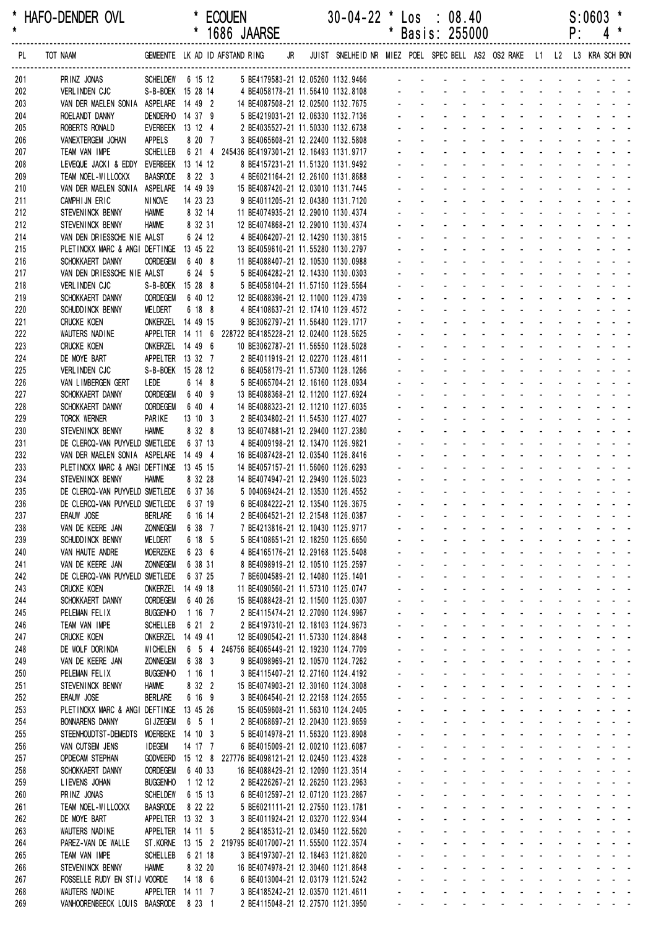\* HAFO-DENDER OVL \* ECOUEN 30-04-22 \* Los : 08.40 S:0603 \*

|            |                                                                                                                    |                                      |                    | 1686 JAARSE                                                                                  |  |                     |                           | Basis: 255000                                                                                        |                                                         |                                                             |                                            |                       | ۲.                                        |                                           |                                                                                                                                                                                                                                                                    |  |
|------------|--------------------------------------------------------------------------------------------------------------------|--------------------------------------|--------------------|----------------------------------------------------------------------------------------------|--|---------------------|---------------------------|------------------------------------------------------------------------------------------------------|---------------------------------------------------------|-------------------------------------------------------------|--------------------------------------------|-----------------------|-------------------------------------------|-------------------------------------------|--------------------------------------------------------------------------------------------------------------------------------------------------------------------------------------------------------------------------------------------------------------------|--|
| PL         | TOT NAAM GEMEENTE LK AD ID AFSTAND RING JR JUIST SNELHEID NR MIEZ POEL SPEC BELL AS2 OS2 RAKE L1 L2 L3 KRA SCH BON |                                      |                    |                                                                                              |  |                     |                           |                                                                                                      |                                                         |                                                             |                                            |                       |                                           |                                           |                                                                                                                                                                                                                                                                    |  |
| 201        | PRINZ JONAS                                                                                                        |                                      |                    | SCHELDEW 6 15 12 5 BE4179583-21 12.05260 1132.9466 - - - - - - - - -                         |  |                     |                           |                                                                                                      |                                                         |                                                             |                                            |                       |                                           |                                           |                                                                                                                                                                                                                                                                    |  |
| 202        | VERLINDEN CJC                                                                                                      | S-B-BOEK 15 28 14                    |                    | 4 BE4058178-21 11.56410 1132.8108                                                            |  |                     |                           |                                                                                                      |                                                         |                                                             |                                            |                       |                                           |                                           |                                                                                                                                                                                                                                                                    |  |
| 203        | VAN DER MAELEN SONIA ASPELARE 14 49 2                                                                              |                                      |                    | 14 BE4087508-21 12.02500 1132.7675                                                           |  |                     |                           |                                                                                                      |                                                         |                                                             |                                            |                       |                                           |                                           |                                                                                                                                                                                                                                                                    |  |
| 204        | ROELANDT DANNY                                                                                                     | DENDERHO 14 37 9                     |                    | 5 BE4219031-21 12.06330 1132.7136                                                            |  |                     |                           |                                                                                                      |                                                         |                                                             |                                            |                       |                                           |                                           |                                                                                                                                                                                                                                                                    |  |
| 205        | ROBERTS RONALD                                                                                                     | EVERBEEK 13 12 4                     |                    | 2 BE4035527-21 11.50330 1132.6738                                                            |  |                     |                           |                                                                                                      |                                                         |                                                             |                                            |                       |                                           |                                           |                                                                                                                                                                                                                                                                    |  |
| 206        | VANEXTERGEM JOHAN                                                                                                  | <b>APPELS</b>                        | 8 20 7             | 3 BE4065608-21 12.22400 1132.5808                                                            |  |                     |                           |                                                                                                      |                                                         |                                                             |                                            |                       |                                           |                                           |                                                                                                                                                                                                                                                                    |  |
| 207<br>208 | TEAM VAN IMPE<br>LEVEQUE JACKI & EDDY                                                                              | <b>SCHELLEB</b><br>EVERBEEK 13 14 12 |                    | 6 21 4 245436 BE4197301-21 12.16493 1131.9717<br>8 BE4157231-21 11.51320 1131.9492           |  |                     |                           |                                                                                                      |                                                         |                                                             |                                            |                       |                                           |                                           |                                                                                                                                                                                                                                                                    |  |
| 209        | TEAM NOEL-WILLOCKX                                                                                                 | <b>BAASRODE</b>                      | 8 22 3             | 4 BE6021164-21 12.26100 1131.8688                                                            |  |                     |                           |                                                                                                      |                                                         |                                                             |                                            |                       |                                           |                                           |                                                                                                                                                                                                                                                                    |  |
| 210        | VAN DER MAELEN SONIA ASPELARE 14 49 39                                                                             |                                      |                    | 15 BE4087420-21 12.03010 1131.7445                                                           |  |                     |                           |                                                                                                      |                                                         |                                                             |                                            |                       |                                           |                                           |                                                                                                                                                                                                                                                                    |  |
| 211        | CAMPHIJN ERIC                                                                                                      | <b>NINOVE</b>                        | 14 23 23           | 9 BE4011205-21 12.04380 1131.7120                                                            |  |                     |                           |                                                                                                      |                                                         |                                                             |                                            |                       |                                           |                                           |                                                                                                                                                                                                                                                                    |  |
| 212        | STEVENINCK BENNY                                                                                                   | <b>HAMME</b>                         | 8 32 14            | 11 BE4074935-21 12.29010 1130.4374                                                           |  |                     |                           |                                                                                                      |                                                         |                                                             |                                            |                       |                                           |                                           |                                                                                                                                                                                                                                                                    |  |
| 212        | STEVENINCK BENNY                                                                                                   | <b>HAMME</b>                         | 8 32 31            | 12 BE4074868-21 12.29010 1130.4374                                                           |  |                     |                           |                                                                                                      |                                                         |                                                             |                                            |                       |                                           |                                           |                                                                                                                                                                                                                                                                    |  |
| 214        | VAN DEN DRIESSCHE NIE AALST                                                                                        |                                      | 6 24 12            | 4 BE4064207-21 12.14290 1130.3815                                                            |  |                     |                           |                                                                                                      |                                                         |                                                             |                                            |                       |                                           |                                           |                                                                                                                                                                                                                                                                    |  |
| 215        | PLETINCKX MARC & ANGI DEFTINGE 13 45 22                                                                            |                                      |                    | 13 BE4059610-21 11.55280 1130.2797                                                           |  |                     |                           |                                                                                                      |                                                         |                                                             |                                            |                       |                                           |                                           |                                                                                                                                                                                                                                                                    |  |
| 216        | SCHOKKAERT DANNY                                                                                                   | <b>OORDEGEM</b>                      | 6 40 8             | 11 BE4088407-21 12.10530 1130.0988                                                           |  |                     |                           |                                                                                                      |                                                         |                                                             |                                            |                       |                                           |                                           |                                                                                                                                                                                                                                                                    |  |
| 217<br>218 | VAN DEN DRIESSCHE NIE AALST<br>VERLINDEN CJC                                                                       | S-B-BOEK 15 28 8                     | 6 24 5             | 5 BE4064282-21 12.14330 1130.0303<br>5 BE4058104-21 11.57150 1129.5564                       |  |                     |                           |                                                                                                      |                                                         |                                                             |                                            |                       |                                           |                                           |                                                                                                                                                                                                                                                                    |  |
| 219        | SCHOKKAERT DANNY                                                                                                   | <b>OORDEGEM</b>                      | 6 40 12            | 12 BE4088396-21 12.11000 1129.4739                                                           |  |                     |                           |                                                                                                      |                                                         |                                                             |                                            |                       |                                           |                                           |                                                                                                                                                                                                                                                                    |  |
| 220        | SCHUDD INCK BENNY                                                                                                  | MELDERT                              | 6 18 8             | 4 BE4108637-21 12.17410 1129.4572                                                            |  |                     |                           |                                                                                                      |                                                         |                                                             |                                            |                       |                                           |                                           |                                                                                                                                                                                                                                                                    |  |
| 221        | <b>CRUCKE KOEN</b>                                                                                                 | ONKERZEL 14 49 15                    |                    | 9 BE3062797-21 11.56480 1129.1717                                                            |  |                     |                           |                                                                                                      |                                                         |                                                             |                                            |                       |                                           |                                           |                                                                                                                                                                                                                                                                    |  |
| 222        | WAUTERS NADINE                                                                                                     | APPELTER 14 11 6                     |                    | 228722 BE4185228-21 12.02400 1128.5625                                                       |  |                     |                           |                                                                                                      |                                                         |                                                             |                                            |                       |                                           |                                           |                                                                                                                                                                                                                                                                    |  |
| 223        | <b>CRUCKE KOEN</b>                                                                                                 | ONKERZEL 14 49 6                     |                    | 10 BE3062787-21 11.56550 1128.5028                                                           |  |                     |                           |                                                                                                      |                                                         |                                                             |                                            |                       |                                           |                                           |                                                                                                                                                                                                                                                                    |  |
| 224        | DE MOYE BART                                                                                                       | APPELTER 13 32 7                     |                    | 2 BE4011919-21 12.02270 1128.4811                                                            |  |                     |                           |                                                                                                      |                                                         |                                                             |                                            |                       |                                           |                                           |                                                                                                                                                                                                                                                                    |  |
| 225        | VERLINDEN CJC                                                                                                      | S-B-BOEK 15 28 12                    |                    | 6 BE4058179-21 11.57300 1128.1266                                                            |  |                     |                           |                                                                                                      |                                                         |                                                             |                                            |                       |                                           |                                           |                                                                                                                                                                                                                                                                    |  |
| 226        | VAN LIMBERGEN GERT                                                                                                 | LEDE                                 | 6 14 8             | 5 BE4065704-21 12.16160 1128.0934                                                            |  |                     |                           |                                                                                                      |                                                         |                                                             |                                            |                       |                                           |                                           |                                                                                                                                                                                                                                                                    |  |
| 227<br>228 | SCHOKKAERT DANNY<br>SCHOKKAERT DANNY                                                                               | <b>OORDEGEM</b><br><b>OORDEGEM</b>   | 6 40 9<br>6 40 4   | 13 BE4088368-21 12.11200 1127.6924<br>14 BE4088323-21 12.11210 1127.6035                     |  |                     |                           |                                                                                                      |                                                         |                                                             |                                            |                       |                                           |                                           |                                                                                                                                                                                                                                                                    |  |
| 229        | <b>TORCK WERNER</b>                                                                                                | PARIKE                               | 13 10 3            | 2 BE4034802-21 11.54530 1127.4027                                                            |  |                     |                           |                                                                                                      |                                                         |                                                             |                                            |                       |                                           |                                           |                                                                                                                                                                                                                                                                    |  |
| 230        | STEVENINCK BENNY                                                                                                   | <b>HAMME</b>                         | 8 32 8             | 13 BE4074881-21 12.29400 1127.2380                                                           |  |                     |                           |                                                                                                      |                                                         |                                                             |                                            |                       |                                           |                                           |                                                                                                                                                                                                                                                                    |  |
| 231        | DE CLERCQ-VAN PUYVELD SMETLEDE                                                                                     |                                      | 6 37 13            | 4 BE4009198-21 12.13470 1126.9821                                                            |  |                     |                           |                                                                                                      |                                                         |                                                             |                                            |                       |                                           |                                           |                                                                                                                                                                                                                                                                    |  |
| 232        | VAN DER MAELEN SONIA ASPELARE 14 49 4                                                                              |                                      |                    | 16 BE4087428-21 12.03540 1126.8416                                                           |  |                     |                           |                                                                                                      |                                                         |                                                             |                                            |                       |                                           |                                           |                                                                                                                                                                                                                                                                    |  |
| 233        | PLETINCKX MARC & ANGI DEFTINGE 13 45 15                                                                            |                                      |                    | 14 BE4057157-21 11.56060 1126.6293                                                           |  |                     |                           |                                                                                                      |                                                         |                                                             |                                            |                       |                                           |                                           |                                                                                                                                                                                                                                                                    |  |
| 234        | STEVENINCK BENNY                                                                                                   | <b>HAMME</b>                         | 8 32 28            | 14 BE4074947-21 12.29490 1126.5023                                                           |  |                     |                           |                                                                                                      |                                                         | $\mathbf{r}$                                                | $\sim$                                     |                       | $\omega_{\rm{max}}$ , $\omega_{\rm{max}}$ |                                           |                                                                                                                                                                                                                                                                    |  |
| 235        | DE CLERCQ-VAN PUYVELD SMETLEDE 6 37 36                                                                             |                                      |                    | 5 004069424-21 12.13530 1126.4552                                                            |  |                     |                           |                                                                                                      |                                                         |                                                             |                                            |                       |                                           |                                           |                                                                                                                                                                                                                                                                    |  |
| 236<br>237 | DE CLERCQ-VAN PUYVELD SMETLEDE<br>ERAUW JOSE                                                                       | <b>BERLARE</b>                       | 6 37 19<br>6 16 14 | 6 BE4084222-21 12.13540 1126.3675<br>2 BE4064521-21 12.21548 1126.0387                       |  |                     |                           |                                                                                                      | $\sim$                                                  | $\mathbf{r}$                                                | <b>Contractor</b>                          | $\sim 10$             | $\Delta \phi = 0.01$                      |                                           |                                                                                                                                                                                                                                                                    |  |
| 238        | VAN DE KEERE JAN                                                                                                   | <b>ZONNEGEM</b>                      | 6 38 7             | 7 BE4213816-21 12.10430 1125.9717                                                            |  |                     |                           |                                                                                                      |                                                         | the company of the company of the                           |                                            |                       |                                           |                                           |                                                                                                                                                                                                                                                                    |  |
| 239        | SCHUDD INCK BENNY                                                                                                  | <b>MELDERT</b>                       | 6 18 5             | 5 BE4108651-21 12.18250 1125.6650                                                            |  |                     |                           |                                                                                                      |                                                         | $\mathcal{L}_{\text{max}}$ and $\mathcal{L}_{\text{max}}$   |                                            |                       |                                           |                                           |                                                                                                                                                                                                                                                                    |  |
| 240        | VAN HAUTE ANDRE                                                                                                    | <b>MOERZEKE</b>                      | 6 23 6             | 4 BE4165176-21 12.29168 1125.5408                                                            |  |                     | $\overline{\phantom{a}}$  | $\mathbf{r}$<br>$\mathbf{r}$                                                                         | $\mathbf{r}$                                            | <b>Contact Card</b>                                         | and the state of the state of the state of |                       |                                           |                                           |                                                                                                                                                                                                                                                                    |  |
| 241        | VAN DE KEERE JAN                                                                                                   | <b>ZONNEGEM</b>                      | 6 38 31            | 8 BE4098919-21 12.10510 1125.2597                                                            |  |                     | ä,                        | ÷.                                                                                                   | $\omega_{\rm{max}}$                                     | and a series of the series of the                           |                                            |                       |                                           |                                           |                                                                                                                                                                                                                                                                    |  |
| 242        | DE CLERCQ-VAN PUYVELD SMETLEDE                                                                                     |                                      | 6 37 25            | 7 BE6004589-21 12.14080 1125.1401                                                            |  |                     | $\mathcal{L}^{\pm}$       | $\mathcal{L}^{\text{max}}$                                                                           | $\Delta \sim 100$                                       | $\omega_{\rm{max}}$<br>$\Delta \sim 100$                    | <b>All Service</b>                         | $\Delta \sim 10^{-1}$ |                                           | $\omega_{\rm{max}}$ , $\omega_{\rm{max}}$ |                                                                                                                                                                                                                                                                    |  |
| 243        | <b>CRUCKE KOEN</b>                                                                                                 | ONKERZEL 14 49 18                    |                    | 11 BE4090560-21 11.57310 1125.0747                                                           |  |                     | $\mathbf{r}$              | ¥.                                                                                                   | $\sim 100$                                              | <b>All Cards</b>                                            | <b>All Service</b>                         | $\Delta \sim 100$     |                                           |                                           |                                                                                                                                                                                                                                                                    |  |
| 244        | SCHOKKAERT DANNY                                                                                                   | <b>OORDEGEM</b>                      | 6 40 26            | 15 BE4088428-21 12.11500 1125.0307                                                           |  |                     |                           |                                                                                                      |                                                         | and the company<br>$\mathbf{u}$                             |                                            |                       |                                           |                                           |                                                                                                                                                                                                                                                                    |  |
| 245<br>246 | PELEMAN FELIX<br>TEAM VAN IMPE                                                                                     | <b>BUGGENHO</b><br><b>SCHELLEB</b>   | 1167<br>6 21 2     | 2 BE4115474-21 12.27090 1124.9967<br>2 BE4197310-21 12.18103 1124.9673                       |  |                     | ¥.<br>$\mathbf{r}$        | $\sim$<br>$\mathbf{r}$<br>$\sim$                                                                     | $\mathcal{L}_{\mathcal{A}}$<br>$\mathbf{r}$             | $\sim$<br>$\blacksquare$<br><b>College</b><br>$\mathcal{L}$ |                                            |                       |                                           |                                           | المنابذ المنابذ المنابذ والمنابذ<br>in the contract of the contract of the contract of the contract of the contract of the contract of the contract of the contract of the contract of the contract of the contract of the contract of the contract of the contrac |  |
| 247        | <b>CRUCKE KOEN</b>                                                                                                 | ONKERZEL 14 49 41                    |                    | 12 BE4090542-21 11.57330 1124.8848                                                           |  | $\mathbf{r}$        | ÷.                        | $\Delta \sim 10^{-1}$                                                                                |                                                         | and a straightful contract and a straight                   |                                            |                       |                                           |                                           |                                                                                                                                                                                                                                                                    |  |
| 248        | DE WOLF DORINDA                                                                                                    | <b>WICHELEN</b>                      |                    | 6 5 4 246756 BE4065449-21 12.19230 1124.7709                                                 |  | ä,                  |                           | $\omega_{\rm{max}}$<br>$\omega_{\rm{max}}$                                                           | $\Delta \sim 100$                                       | <b>Service Control</b>                                      | and a strain and a strain and              |                       |                                           |                                           |                                                                                                                                                                                                                                                                    |  |
| 249        | VAN DE KEERE JAN                                                                                                   | <b>ZONNEGEM</b>                      | 6 38 3             | 9 BE4098969-21 12.10570 1124.7262                                                            |  | $\mathbf{r}$        | $\mathcal{L}^{\pm}$       | $\sim 100$                                                                                           | $\sim 100$                                              | $\Delta \sim 10^4$<br>$\Delta \sim 10^4$                    | and a straight and a straight and          |                       |                                           |                                           |                                                                                                                                                                                                                                                                    |  |
| 250        | PELEMAN FELIX                                                                                                      | <b>BUGGENHO</b>                      | 1161               | 3 BE4115407-21 12.27160 1124.4192                                                            |  |                     |                           |                                                                                                      |                                                         | $\Delta \sim 100$<br>$\omega$<br>$\Delta \sim 100$          |                                            |                       |                                           |                                           |                                                                                                                                                                                                                                                                    |  |
| 251        | STEVENINCK BENNY                                                                                                   | <b>HAMME</b>                         | 8 32 2             | 15 BE4074903-21 12.30160 1124.3008                                                           |  |                     | $\mathbf{r}$              |                                                                                                      | $\mathcal{L}_{\mathcal{A}}$                             | $\mathcal{L}$<br>$\sim$                                     |                                            |                       |                                           |                                           | and the state of the state of                                                                                                                                                                                                                                      |  |
| 252        | ERAUW JOSE                                                                                                         | <b>BERLARE</b>                       | 6 16 9             | 3 BE4064540-21 12.22158 1124.2655                                                            |  |                     | $\omega$                  | ÷.<br>$\sim$                                                                                         |                                                         | <b>Contractor</b><br>$\mathcal{L}^{\mathcal{A}}$            | <b>Contract Contract</b>                   |                       |                                           |                                           | and a strain and a                                                                                                                                                                                                                                                 |  |
| 253        | PLETINCKX MARC & ANGI DEFTINGE 13 45 26                                                                            |                                      |                    | 15 BE4059608-21 11.56310 1124.2405                                                           |  | $\mathbf{r}$        | $\omega$                  | ÷.<br>$\mathcal{L}^{\mathcal{A}}$                                                                    |                                                         | $\omega_{\rm{eff}}=2.00\pm0.02$                             | <b>Contract Contract Contract</b>          |                       |                                           |                                           |                                                                                                                                                                                                                                                                    |  |
| 254        | <b>BONNARENS DANNY</b><br>STEENHOUDTST-DEMEDTS                                                                     | <b>GI JZEGEM</b><br>MOERBEKE 14 10 3 | 6 5 1              | 2 BE4068697-21 12.20430 1123.9659<br>5 BE4014978-21 11.56320 1123.8908                       |  |                     |                           | $\omega_{\rm{max}}$<br>$\mathbf{L}^{\text{max}}$<br>$\omega_{\rm{max}}$<br>$\mathbf{L}^{\text{max}}$ | $\mathcal{L}^{\text{max}}$<br>$\mathbf{u} = \mathbf{0}$ | <b>All States</b><br><b>All States</b>                      | <b>Service</b> State<br><b>All Service</b> | $\Delta \sim 100$     |                                           | <b>All States</b>                         |                                                                                                                                                                                                                                                                    |  |
| 255<br>256 | VAN CUTSEM JENS                                                                                                    | <b>IDEGEM</b>                        | 14 17 7            | 6 BE4015009-21 12.00210 1123.6087                                                            |  |                     |                           |                                                                                                      |                                                         | and the control                                             |                                            |                       |                                           |                                           |                                                                                                                                                                                                                                                                    |  |
| 257        | OPDECAM STEPHAN                                                                                                    |                                      |                    | GODVEERD 15 12 8 227776 BE4098121-21 12.02450 1123.4328                                      |  |                     | $\mathcal{L}^{\pm}$       | $\sim$                                                                                               | $\sim 100$                                              | $\sim$<br>$\blacksquare$                                    |                                            |                       |                                           |                                           | and a straight and a straight                                                                                                                                                                                                                                      |  |
| 258        | SCHOKKAERT DANNY                                                                                                   | <b>OORDEGEM</b>                      | 6 40 33            | 16 BE4088429-21 12.12090 1123.3514                                                           |  |                     | $\sim$                    | $\mathbf{r}$<br>$\sim$                                                                               |                                                         | and a state<br>$\mathcal{L}^{\mathcal{A}}$                  |                                            |                       |                                           |                                           | and the state of the state of the                                                                                                                                                                                                                                  |  |
| 259        | LIEVENS JOHAN                                                                                                      | <b>BUGGENHO</b>                      | 1 12 12            | 2 BE4226267-21 12.26250 1123.2963                                                            |  | $\mathbf{r}$        | ÷.                        | ÷.                                                                                                   |                                                         | and a state<br>ч.                                           | and the state of the state of the state of |                       |                                           |                                           |                                                                                                                                                                                                                                                                    |  |
| 260        | PRINZ JONAS                                                                                                        | <b>SCHELDEW</b>                      | 6 15 13            | 6 BE4012597-21 12.07120 1123.2867                                                            |  | $\mathcal{L}^{\pm}$ |                           | $\omega_{\rm{max}}$<br>$\mathbf{L}^{\text{max}}$                                                     | $\Delta \sim 100$                                       | <b>All Cards</b>                                            | and a straightful contract and             |                       |                                           |                                           |                                                                                                                                                                                                                                                                    |  |
| 261        | TEAM NOEL-WILLOCKX                                                                                                 | <b>BAASRODE</b>                      | 8 22 22            | 5 BE6021111-21 12.27550 1123.1781                                                            |  | $\mathbf{r}$        | ¥.                        | $\mathcal{L}^{\text{max}}$                                                                           | $\sim 100$<br>$\Delta \sim 10^4$                        | $\mathcal{L}^{\pm}$                                         | <b>All Service</b>                         |                       |                                           |                                           | and a straight and                                                                                                                                                                                                                                                 |  |
| 262        | DE MOYE BART                                                                                                       | APPELTER 13 32 3                     |                    | 3 BE4011924-21 12.03270 1122.9344                                                            |  |                     |                           |                                                                                                      | $\blacksquare$                                          | $\omega$<br>$\Delta \sim 100$                               |                                            |                       |                                           |                                           |                                                                                                                                                                                                                                                                    |  |
| 263<br>264 | WAUTERS NADINE<br>PAREZ-VAN DE WALLE                                                                               | APPELTER 14 11 5                     |                    | 2 BE4185312-21 12.03450 1122.5620<br>ST.KORNE 13 15 2 219795 BE4017007-21 11.55500 1122.3574 |  |                     | $\mathbf{r}$<br>$\omega$  | ÷.<br>$\mathbf{r}$                                                                                   | $\mathcal{L}_{\mathcal{A}}$                             | $\omega$<br>$\sim$<br>$\sim$<br>$\mathcal{L}$               | ÷.                                         |                       | $\Delta \sim 100$                         |                                           | and the state of the state of<br>$\begin{array}{cccccccccccccc} \bullet & \bullet & \bullet & \bullet & \bullet & \bullet & \bullet \end{array}$                                                                                                                   |  |
| 265        | TEAM VAN IMPE                                                                                                      | <b>SCHELLEB</b>                      | 6 21 18            | 3 BE4197307-21 12.18463 1121.8820                                                            |  |                     | $\omega$                  | ÷.<br>$\mathbf{r}$                                                                                   | $\mathbf{r}$                                            | <b>Contractor</b><br>$\mathbf{r}$                           | $\mathcal{L}^{\mathcal{A}}$                |                       | $\Delta \sim 100$                         |                                           |                                                                                                                                                                                                                                                                    |  |
| 266        | STEVENINCK BENNY                                                                                                   | <b>HAMME</b>                         | 8 32 20            | 16 BE4074978-21 12.30460 1121.8648                                                           |  |                     |                           | $\omega_{\rm{max}}$<br>$\mathbf{L}^{\text{max}}$                                                     | $\mathcal{L}^{\text{max}}$                              | $\omega_{\rm{max}}$<br>$\Delta \sim 100$                    | $\omega_{\rm{max}}$<br>$\sim 100$          | $\omega_{\rm{max}}$   |                                           |                                           | $\mathbf{z} = \left\{ \mathbf{z}_1, \ldots, \mathbf{z}_n \right\}$ , where                                                                                                                                                                                         |  |
| 267        | FOSSELLE RUDY EN STIJ VOORDE                                                                                       |                                      | 14 18 6            | 6 BE4013004-21 12.03179 1121.5242                                                            |  |                     | $\mathbf{L}^{\text{max}}$ | $\mathbf{z}$ and $\mathbf{z}$<br>$\Delta \sim 100$                                                   | $\Delta \sim 100$                                       | $\Delta \sim 100$<br>$\sim 100$                             | <b>All Service</b>                         | $\sim 10$             |                                           |                                           |                                                                                                                                                                                                                                                                    |  |
| 268        | WAUTERS NADINE                                                                                                     | APPELTER 14 11 7                     |                    | 3 BE4185242-21 12.03570 1121.4611                                                            |  |                     |                           |                                                                                                      |                                                         |                                                             |                                            |                       |                                           |                                           |                                                                                                                                                                                                                                                                    |  |
| 269        | VANHOORENBEECK LOUIS BAASRODE                                                                                      |                                      | 8 23 1             | 2 BE4115048-21 12.27570 1121.3950                                                            |  |                     |                           | $\omega_{\rm{max}}$                                                                                  |                                                         | and a series of the contract of the series of               |                                            |                       |                                           |                                           |                                                                                                                                                                                                                                                                    |  |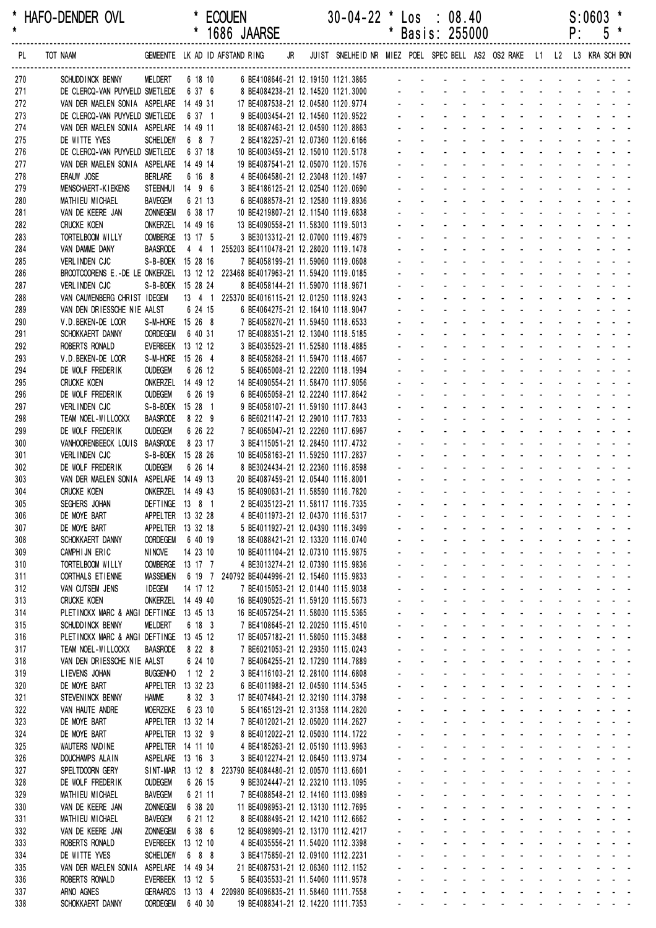|            |                                                                                |                                       |                     | 1686 JAARSE                                                              |  |                                                                         |                    |                                      | Basis: 255000                                                             |                                                  |                                                                                                                                                     |                                                         |                          | ۲.                                                                                                                                                                                                                             |                   | C                                                                                            |  |
|------------|--------------------------------------------------------------------------------|---------------------------------------|---------------------|--------------------------------------------------------------------------|--|-------------------------------------------------------------------------|--------------------|--------------------------------------|---------------------------------------------------------------------------|--------------------------------------------------|-----------------------------------------------------------------------------------------------------------------------------------------------------|---------------------------------------------------------|--------------------------|--------------------------------------------------------------------------------------------------------------------------------------------------------------------------------------------------------------------------------|-------------------|----------------------------------------------------------------------------------------------|--|
| PL         | TOT NAAM                                                                       |                                       |                     | GEMEENTE LK AD ID AFSTAND RING JR                                        |  | JUIST SNELHEID NR MIEZ POEL SPEC BELL AS2 OS2 RAKE L1 L2 L3 KRA SCH BON |                    |                                      |                                                                           |                                                  |                                                                                                                                                     |                                                         |                          |                                                                                                                                                                                                                                |                   |                                                                                              |  |
| 270        | SCHUDD INCK BENNY                                                              | MELDERT                               |                     | 6 18 10 6 BE4108646-21 12.19150 1121.3865 - - - - - - - - -              |  |                                                                         |                    |                                      |                                                                           |                                                  |                                                                                                                                                     |                                                         |                          |                                                                                                                                                                                                                                |                   |                                                                                              |  |
| 271        | DE CLERCQ-VAN PUYVELD SMETLEDE 6 37 6                                          |                                       |                     | 8 BE4084238-21 12.14520 1121.3000                                        |  |                                                                         |                    |                                      |                                                                           |                                                  |                                                                                                                                                     |                                                         |                          |                                                                                                                                                                                                                                |                   |                                                                                              |  |
| 272        | VAN DER MAELEN SONIA ASPELARE 14 49 31                                         |                                       |                     | 17 BE4087538-21 12.04580 1120.9774                                       |  |                                                                         |                    |                                      |                                                                           |                                                  |                                                                                                                                                     |                                                         |                          |                                                                                                                                                                                                                                |                   |                                                                                              |  |
| 273        | DE CLERCQ-VAN PUYVELD SMETLEDE                                                 |                                       | 6 37 1              | 9 BE4003454-21 12.14560 1120.9522                                        |  |                                                                         |                    |                                      |                                                                           |                                                  |                                                                                                                                                     |                                                         |                          |                                                                                                                                                                                                                                |                   |                                                                                              |  |
| 274<br>275 | VAN DER MAELEN SONIA ASPELARE 14 49 11<br>DE WITTE YVES                        | <b>SCHELDEW</b>                       | 6 8 7               | 18 BE4087463-21 12.04590 1120.8863<br>2 BE4182257-21 12.07360 1120.6166  |  |                                                                         |                    |                                      |                                                                           |                                                  |                                                                                                                                                     |                                                         |                          |                                                                                                                                                                                                                                |                   |                                                                                              |  |
| 276        | DE CLERCQ-VAN PUYVELD SMETLEDE                                                 |                                       | 6 37 18             | 10 BE4003459-21 12.15010 1120.5178                                       |  |                                                                         |                    |                                      |                                                                           |                                                  |                                                                                                                                                     |                                                         |                          |                                                                                                                                                                                                                                |                   |                                                                                              |  |
| 277        | VAN DER MAELEN SONIA ASPELARE                                                  |                                       | 14 49 14            | 19 BE4087541-21 12.05070 1120.1576                                       |  |                                                                         |                    |                                      |                                                                           |                                                  |                                                                                                                                                     |                                                         |                          |                                                                                                                                                                                                                                |                   |                                                                                              |  |
| 278        | ERAUW JOSE                                                                     | <b>BERLARE</b>                        | 6 16 8              | 4 BE4064580-21 12.23048 1120.1497                                        |  |                                                                         |                    |                                      |                                                                           |                                                  |                                                                                                                                                     |                                                         |                          |                                                                                                                                                                                                                                |                   |                                                                                              |  |
| 279        | MENSCHAERT-KIEKENS                                                             | STEENHUI 14 9 6                       |                     | 3 BE4186125-21 12.02540 1120.0690                                        |  |                                                                         |                    |                                      |                                                                           |                                                  |                                                                                                                                                     | $\mathbf{r}$                                            |                          |                                                                                                                                                                                                                                |                   |                                                                                              |  |
| 280        | MATHIEU MICHAEL                                                                | <b>BAVEGEM</b>                        | 6 21 13             | 6 BE4088578-21 12.12580 1119.8936                                        |  |                                                                         |                    |                                      |                                                                           |                                                  |                                                                                                                                                     |                                                         |                          |                                                                                                                                                                                                                                |                   |                                                                                              |  |
| 281        | VAN DE KEERE JAN                                                               | <b>ZONNEGEM</b>                       | 6 38 17             | 10 BE4219807-21 12.11540 1119.6838                                       |  |                                                                         |                    |                                      |                                                                           |                                                  |                                                                                                                                                     | $\mathbf{r}$                                            |                          |                                                                                                                                                                                                                                |                   |                                                                                              |  |
| 282        | <b>CRUCKE KOEN</b><br>TORTELBOOM WILLY                                         | ONKERZEL 14 49 16<br>OOMBERGE 13 17 5 |                     | 13 BE4090558-21 11.58300 1119.5013<br>3 BE3013312-21 12.07000 1119.4879  |  |                                                                         |                    |                                      |                                                                           |                                                  |                                                                                                                                                     |                                                         |                          |                                                                                                                                                                                                                                |                   |                                                                                              |  |
| 283<br>284 | VAN DAMME DANY                                                                 | <b>BAASRODE</b>                       |                     | 4 4 1 255203 BE4110478-21 12.28020 1119.1478                             |  |                                                                         |                    |                                      |                                                                           |                                                  |                                                                                                                                                     |                                                         |                          |                                                                                                                                                                                                                                |                   |                                                                                              |  |
| 285        | <b>VERLINDEN CJC</b>                                                           | S-B-BOEK 15 28 16                     |                     | 7 BE4058199-21 11.59060 1119.0608                                        |  |                                                                         |                    |                                      |                                                                           |                                                  |                                                                                                                                                     |                                                         |                          |                                                                                                                                                                                                                                |                   |                                                                                              |  |
| 286        | BROOTCOORENS E.-DE LE ONKERZEL 13 12 12 223468 BE4017963-21 11.59420 1119.0185 |                                       |                     |                                                                          |  |                                                                         |                    |                                      |                                                                           |                                                  |                                                                                                                                                     |                                                         |                          |                                                                                                                                                                                                                                |                   |                                                                                              |  |
| 287        | VERLINDEN CJC                                                                  | S-B-BOEK 15 28 24                     |                     | 8 BE4058144-21 11.59070 1118.9671                                        |  |                                                                         |                    |                                      |                                                                           |                                                  |                                                                                                                                                     |                                                         |                          |                                                                                                                                                                                                                                |                   |                                                                                              |  |
| 288        | VAN CAUWENBERG CHRIST IDEGEM                                                   |                                       |                     | 13 4 1 225370 BE4016115-21 12.01250 1118.9243                            |  |                                                                         |                    |                                      |                                                                           |                                                  |                                                                                                                                                     |                                                         |                          |                                                                                                                                                                                                                                |                   |                                                                                              |  |
| 289        | VAN DEN DRIESSCHE NIE AALST                                                    |                                       | 6 24 15             | 6 BE4064275-21 12.16410 1118.9047                                        |  |                                                                         |                    |                                      |                                                                           |                                                  |                                                                                                                                                     |                                                         |                          |                                                                                                                                                                                                                                |                   |                                                                                              |  |
| 290        | V.D.BEKEN-DE LOOR                                                              | S-M-HORE 15 26 8                      |                     | 7 BE4058270-21 11.59450 1118.6533                                        |  |                                                                         |                    |                                      |                                                                           |                                                  |                                                                                                                                                     | $\mathbf{r}$                                            |                          |                                                                                                                                                                                                                                |                   |                                                                                              |  |
| 291<br>292 | SCHOKKAERT DANNY<br>ROBERTS RONALD                                             | <b>OORDEGEM</b><br>EVERBEEK 13 12 12  | 6 40 31             | 17 BE4088351-21 12.13040 1118.5185<br>3 BE4035529-21 11.52580 1118.4885  |  |                                                                         |                    |                                      |                                                                           |                                                  |                                                                                                                                                     |                                                         |                          |                                                                                                                                                                                                                                |                   |                                                                                              |  |
| 293        | V.D.BEKEN-DE LOOR                                                              | S-M-HORE 15 26 4                      |                     | 8 BE4058268-21 11.59470 1118.4667                                        |  |                                                                         |                    |                                      |                                                                           |                                                  |                                                                                                                                                     | $\mathbf{r}$                                            |                          |                                                                                                                                                                                                                                |                   |                                                                                              |  |
| 294        | DE WOLF FREDERIK                                                               | <b>OUDEGEM</b>                        | 6 26 12             | 5 BE4065008-21 12.22200 1118.1994                                        |  |                                                                         |                    |                                      |                                                                           |                                                  |                                                                                                                                                     |                                                         |                          |                                                                                                                                                                                                                                |                   |                                                                                              |  |
| 295        | <b>CRUCKE KOEN</b>                                                             | ONKERZEL 14 49 12                     |                     | 14 BE4090554-21 11.58470 1117.9056                                       |  |                                                                         |                    |                                      |                                                                           |                                                  |                                                                                                                                                     |                                                         |                          |                                                                                                                                                                                                                                |                   |                                                                                              |  |
| 296        | DE WOLF FREDERIK                                                               | <b>OUDEGEM</b>                        | 6 26 19             | 6 BE4065058-21 12.22240 1117.8642                                        |  |                                                                         |                    |                                      |                                                                           |                                                  |                                                                                                                                                     |                                                         |                          |                                                                                                                                                                                                                                |                   |                                                                                              |  |
| 297        | VERLINDEN CJC                                                                  | S-B-BOEK 15 28 1                      |                     | 9 BE4058107-21 11.59190 1117.8443                                        |  |                                                                         |                    |                                      |                                                                           |                                                  |                                                                                                                                                     |                                                         |                          |                                                                                                                                                                                                                                |                   |                                                                                              |  |
| 298        | TEAM NOEL-WILLOCKX                                                             | <b>BAASRODE</b>                       | 8 2 2 9             | 6 BE6021147-21 12.29010 1117.7833                                        |  |                                                                         |                    |                                      |                                                                           |                                                  |                                                                                                                                                     |                                                         |                          |                                                                                                                                                                                                                                |                   |                                                                                              |  |
| 299<br>300 | DE WOLF FREDERIK<br>VANHOORENBEECK LOUIS                                       | <b>OUDEGEM</b><br><b>BAASRODE</b>     | 6 26 22<br>8 23 17  | 7 BE4065047-21 12.22260 1117.6967<br>3 BE4115051-21 12.28450 1117.4732   |  |                                                                         |                    |                                      |                                                                           |                                                  |                                                                                                                                                     |                                                         |                          |                                                                                                                                                                                                                                |                   |                                                                                              |  |
| 301        | VERLINDEN CJC                                                                  | S-B-BOEK 15 28 26                     |                     | 10 BE4058163-21 11.59250 1117.2837                                       |  |                                                                         |                    |                                      |                                                                           |                                                  |                                                                                                                                                     |                                                         |                          |                                                                                                                                                                                                                                |                   |                                                                                              |  |
| 302        | DE WOLF FREDERIK                                                               | <b>OUDEGEM</b>                        | 6 26 14             | 8 BE3024434-21 12.22360 1116.8598                                        |  |                                                                         |                    |                                      |                                                                           |                                                  |                                                                                                                                                     |                                                         |                          |                                                                                                                                                                                                                                |                   |                                                                                              |  |
| 303        | VAN DER MAELEN SONIA ASPELARE 14 49 13                                         |                                       |                     | 20 BE4087459-21 12.05440 1116.8001                                       |  |                                                                         |                    |                                      |                                                                           |                                                  | $\sim 100$                                                                                                                                          | $\mathcal{L}$<br>$\sim 100$                             |                          | <b>Contract Contract</b>                                                                                                                                                                                                       |                   |                                                                                              |  |
| 304        | <b>CRUCKE KOEN</b>                                                             | ONKERZEL 14 49 43                     |                     | 15 BE4090631-21 11.58590 1116.7820                                       |  |                                                                         |                    |                                      |                                                                           |                                                  |                                                                                                                                                     |                                                         |                          |                                                                                                                                                                                                                                |                   |                                                                                              |  |
| 305        | SEGHERS JOHAN                                                                  | DEFTINGE 13 8 1                       |                     | 2 BE4035123-21 11.58117 1116.7335                                        |  |                                                                         |                    |                                      |                                                                           |                                                  |                                                                                                                                                     | $\mathbf{L} = \mathbf{L} \mathbf{L}$                    | $\Delta \sim 10^{-1}$    |                                                                                                                                                                                                                                |                   |                                                                                              |  |
| 306        | DE MOYE BART                                                                   | APPELTER 13 32 28                     |                     | 4 BE4011973-21 12.04370 1116.5317                                        |  |                                                                         | $\sim$             |                                      | $\sim$                                                                    | <b>All Cards</b>                                 |                                                                                                                                                     | and a straight and a straight                           |                          |                                                                                                                                                                                                                                |                   |                                                                                              |  |
| 307        | DE MOYE BART                                                                   | APPELTER 13 32 18                     |                     | 5 BE4011927-21 12.04390 1116.3499                                        |  |                                                                         |                    |                                      |                                                                           |                                                  | and the company of the company of                                                                                                                   |                                                         |                          |                                                                                                                                                                                                                                |                   |                                                                                              |  |
| 308<br>309 | SCHOKKAERT DANNY<br>CAMPHIJN ERIC                                              | <b>OORDEGEM</b><br><b>NINOVE</b>      | 6 40 19<br>14 23 10 | 18 BE4088421-21 12.13320 1116.0740<br>10 BE4011104-21 12.07310 1115.9875 |  |                                                                         |                    | $\overline{\phantom{a}}$             | $\mathbf{r}$<br>$\mathbf{r}$                                              |                                                  | $\omega_{\rm{eff}}=0.01$ and $\omega_{\rm{eff}}=0.01$<br>and a strategies                                                                           |                                                         |                          | in the second contract of the second second and the second second the second second and second the second second and second the second second and second the second second and second second and second second and second seco |                   |                                                                                              |  |
| 310        | TORTELBOOM WILLY                                                               | OOMBERGE 13 17 7                      |                     | 4 BE3013274-21 12.07390 1115.9836                                        |  |                                                                         |                    | ä,                                   | ÷.                                                                        | $\omega_{\rm{max}}$                              | and a strain and a strain and a                                                                                                                     |                                                         |                          |                                                                                                                                                                                                                                |                   |                                                                                              |  |
| 311        | CORTHALS ETIENNE                                                               | <b>MASSEMEN</b>                       |                     | 6 19 7 240792 BE4044996-21 12.15460 1115.9833                            |  |                                                                         |                    |                                      | $\omega_{\rm{max}}$<br>$\mathcal{L}^{\text{max}}$                         | $\Delta \sim 10^{-1}$<br>$\omega_{\rm{max}}$     | $\Delta \sim 10^4$                                                                                                                                  | <b>All Service</b>                                      | $\Delta \sim 100$        |                                                                                                                                                                                                                                | <b>All States</b> |                                                                                              |  |
| 312        | VAN CUTSEM JENS                                                                | <b>IDEGEM</b>                         | 14 17 12            | 7 BE4015053-21 12.01440 1115.9038                                        |  |                                                                         |                    | $\mathbf{r}$                         | ¥.                                                                        | $\sim 100$                                       | <b>All Cards</b>                                                                                                                                    | <b>All States</b>                                       | $\Delta \sim 100$        |                                                                                                                                                                                                                                |                   |                                                                                              |  |
| 313        | <b>CRUCKE KOEN</b>                                                             | ONKERZEL 14 49 40                     |                     | 16 BE4090525-21 11.59120 1115.5673                                       |  |                                                                         |                    |                                      |                                                                           |                                                  | and a straight                                                                                                                                      | $\mathbf{u}$                                            |                          |                                                                                                                                                                                                                                |                   |                                                                                              |  |
| 314        | PLETINCKX MARC & ANGI DEFTINGE                                                 |                                       | 13 45 13            | 16 BE4057254-21 11.58030 1115.5365                                       |  |                                                                         |                    | ¥.                                   | $\mathbf{L}^{\text{max}}$<br>$\sim$                                       | $\Delta \sim 10^4$                               | $\sim$                                                                                                                                              | $\mathbf{r}$                                            |                          | المنابذ المنابذ المنابذ والمنابذ                                                                                                                                                                                               |                   |                                                                                              |  |
| 315        | SCHUDD INCK BENNY                                                              | <b>MELDERT</b>                        | 6 18 3              | 7 BE4108645-21 12.20250 1115.4510                                        |  |                                                                         |                    | $\mathbf{r}$                         | $\mathbf{r}$<br>$\sim$                                                    | $\mathbf{r}$                                     | <b>Contract</b>                                                                                                                                     | $\mathcal{L}$                                           |                          | and the state of the state of the                                                                                                                                                                                              |                   |                                                                                              |  |
| 316<br>317 | PLETINCKX MARC & ANGI DEFTINGE<br>TEAM NOEL-WILLOCKX                           | <b>BAASRODE</b>                       | 13 45 12<br>8 2 2 8 | 17 BE4057182-21 11.58050 1115.3488<br>7 BE6021053-21 12.29350 1115.0243  |  |                                                                         | $\mathbf{r}$<br>a. | ÷.                                   | $\Delta \sim 10^{-1}$<br>$\omega_{\rm{max}}$<br>$\mathbf{L}^{\text{max}}$ | $\mathcal{L}^{\text{max}}$                       | and a state of the state of the state of the state of the state of the state of the state of the state of the<br>$\Delta \phi = \Delta \phi = 0.01$ | and a straight and a straight                           |                          |                                                                                                                                                                                                                                |                   |                                                                                              |  |
| 318        | VAN DEN DRIESSCHE NIE AALST                                                    |                                       | 6 24 10             | 7 BE4064255-21 12.17290 1114.7889                                        |  |                                                                         | $\mathbf{r}$       | $\mathcal{L}^{\pm}$                  | $\mathbf{L}^{\text{max}}$                                                 | $\Delta \sim 10^4$<br>$\mathbf{u} = \mathbf{0}$  | $\Delta \sim 10^4$                                                                                                                                  | المنابذ المنابذ المنابذ المنابذ                         |                          |                                                                                                                                                                                                                                |                   |                                                                                              |  |
| 319        | LIEVENS JOHAN                                                                  | <b>BUGGENHO</b>                       | 1122                | 3 BE4116103-21 12.28100 1114.6808                                        |  |                                                                         |                    |                                      |                                                                           | $\omega_{\rm{max}}$                              | $\sim 100$                                                                                                                                          | $\omega$<br>$\sim 100$                                  |                          | and the company of the company of                                                                                                                                                                                              |                   |                                                                                              |  |
| 320        | DE MOYE BART                                                                   | APPELTER                              | 13 32 23            | 6 BE4011988-21 12.04590 1114.5345                                        |  |                                                                         |                    | $\mathbf{r}$                         | $\mathbf{r}$                                                              | $\blacksquare$                                   | $\mathcal{L}_{\rm{max}}$ and $\mathcal{L}_{\rm{max}}$                                                                                               |                                                         |                          | and a straight and a straight                                                                                                                                                                                                  |                   |                                                                                              |  |
| 321        | STEVENINCK BENNY                                                               | <b>HAMME</b>                          | 8 32 3              | 17 BE4074843-21 12.32190 1114.3798                                       |  |                                                                         |                    | $\omega$                             | a.<br>$\sim$                                                              | $\mathcal{L}^{\mathcal{L}}$                      | <b>Contractor</b>                                                                                                                                   | $\mathcal{L}^{\mathcal{A}}$<br><b>Contract Contract</b> |                          | and a strain and a                                                                                                                                                                                                             |                   |                                                                                              |  |
| 322        | VAN HAUTE ANDRE                                                                | MOERZEKE                              | 6 23 10             | 5 BE4165129-21 12.31358 1114.2820                                        |  |                                                                         |                    | $\omega$                             | ÷.<br>$\mathbf{r}$                                                        |                                                  | and a strategies                                                                                                                                    | <b>Contract Contract Contract</b>                       |                          | $\mathcal{L}^{\pm}$                                                                                                                                                                                                            |                   |                                                                                              |  |
| 323        | DE MOYE BART                                                                   | APPELTER 13 32 14                     |                     | 7 BE4012021-21 12.05020 1114.2627                                        |  |                                                                         |                    |                                      | $\omega_{\rm{max}}$<br>$\mathbf{L}^{\text{max}}$                          | $\Delta \sim 100$                                | <b>All States</b>                                                                                                                                   | <b>Service</b> State                                    |                          | $\Delta \sim 100$                                                                                                                                                                                                              | <b>All States</b> |                                                                                              |  |
| 324        | DE MOYE BART                                                                   | APPELTER 13 32 9                      |                     | 8 BE4012022-21 12.05030 1114.1722                                        |  |                                                                         |                    |                                      | $\omega_{\rm{max}}$<br>$\omega_{\rm{max}}$                                | $\Delta \sim 100$                                | $\Delta \phi = 0.000$ .                                                                                                                             | <b>All Service</b>                                      | $\mathcal{L}_{\rm{max}}$ |                                                                                                                                                                                                                                |                   |                                                                                              |  |
| 325<br>326 | WAUTERS NADINE<br>DOUCHAMPS ALAIN                                              | APPELTER 14 11 10<br>ASPELARE 13 16 3 |                     | 4 BE4185263-21 12.05190 1113.9963<br>3 BE4012274-21 12.06450 1113.9734   |  |                                                                         |                    | $\mathcal{L}^{\pm}$                  | $\omega_{\rm{max}}$<br>$\sim$                                             | $\Delta \sim 10^4$                               | <b>All Carl Carl</b><br>$\sim$                                                                                                                      | $\mathbf{r}$<br>$\mathbf{r}$                            |                          | and a straight and a straight                                                                                                                                                                                                  |                   |                                                                                              |  |
| 327        | SPELTDOORN GERY                                                                |                                       |                     | SINT-MAR 13 12 8 223790 BE4084480-21 12.00570 1113.6601                  |  |                                                                         |                    | $\mathcal{L}^{\pm}$                  | $\omega$ .<br>$\sim$                                                      |                                                  | and a state                                                                                                                                         | $\mathcal{L}^{\mathcal{A}}$                             |                          | and the state of the state of the                                                                                                                                                                                              |                   |                                                                                              |  |
| 328        | DE WOLF FREDERIK                                                               | <b>OUDEGEM</b>                        | 6 26 15             | 9 BE3024447-21 12.23210 1113.1095                                        |  |                                                                         |                    | ÷.                                   | ÷.                                                                        | $\Delta \sim 100$                                | and a strategies                                                                                                                                    |                                                         |                          | and the state of the state of the state of                                                                                                                                                                                     |                   |                                                                                              |  |
| 329        | MATHIEU MICHAEL                                                                | <b>BAVEGEM</b>                        | 6 21 11             | 7 BE4088548-21 12.14160 1113.0989                                        |  |                                                                         | ÷.                 |                                      | $\omega_{\rm{max}}$<br>$\mathbf{L}^{\text{max}}$                          | $\Delta \sim 100$                                | $\Delta \phi = \Delta \phi = 0.01$                                                                                                                  | and a straightful contract and                          |                          |                                                                                                                                                                                                                                |                   |                                                                                              |  |
| 330        | VAN DE KEERE JAN                                                               | <b>ZONNEGEM</b>                       | 6 38 20             | 11 BE4098953-21 12.13130 1112.7695                                       |  |                                                                         | ÷.                 | ¥.                                   | $\sim 100$                                                                | $\mathcal{L}^{\text{max}}$<br>$\Delta \sim 10^4$ | $\Delta \sim 10^4$                                                                                                                                  | المنابذ المنابذ المنابذ المنابذ                         |                          |                                                                                                                                                                                                                                |                   |                                                                                              |  |
| 331        | MATHIEU MICHAEL                                                                | <b>BAVEGEM</b>                        | 6 21 12             | 8 BE4088495-21 12.14210 1112.6662                                        |  |                                                                         |                    |                                      |                                                                           | $\sim 100$                                       | $\sim 100$                                                                                                                                          | $\blacksquare$<br>$\sim 100$                            |                          | and a straight and                                                                                                                                                                                                             |                   |                                                                                              |  |
| 332        | VAN DE KEERE JAN                                                               | <b>ZONNEGEM</b>                       | 6 38 6              | 12 BE4098909-21 12.13170 1112.4217                                       |  |                                                                         |                    | $\mathbf{r}$                         | $\mathbf{r}$                                                              | $\mathcal{L}_{\mathcal{A}}$                      | $\Delta \sim 100$                                                                                                                                   | $\mathcal{L}$                                           |                          | and a straight and a straight                                                                                                                                                                                                  |                   |                                                                                              |  |
| 333<br>334 | ROBERTS RONALD<br>DE WITTE YVES                                                | <b>EVERBEEK</b><br><b>SCHELDEW</b>    | 13 12 10<br>6 8 8   | 4 BE4035556-21 11.54020 1112.3398<br>3 BE4175850-21 12.09100 1112.2231   |  |                                                                         |                    | $\overline{\phantom{a}}$<br>$\omega$ | ÷.<br>$\mathbf{r}$<br>÷.<br>$\mathbf{r}$                                  | $\omega$<br>$\mathbf{r}$                         | $\sim$<br><b>Contractor</b>                                                                                                                         | $\mathcal{L}$<br>÷.<br>$\mathbf{r}$<br>÷.               |                          | $\Delta \sim 100$<br>$\Delta \sim 10^4$<br>$\sim$                                                                                                                                                                              |                   | and a state of                                                                               |  |
| 335        | VAN DER MAELEN SONIA                                                           | ASPELARE 14 49 34                     |                     | 21 BE4087531-21 12.06360 1112.1152                                       |  |                                                                         |                    |                                      | $\omega_{\rm{max}}$<br>$\omega_{\rm{max}}$                                | $\Delta \sim 100$                                | $\Delta \phi = 0.000$ and $\Delta \phi = 0.000$                                                                                                     | $\omega_{\rm{max}}$<br>$\mathbf{z}$ and $\mathbf{z}$    | $\omega_{\rm{max}}$      |                                                                                                                                                                                                                                |                   | $\mathbf{z} = \left\{ \mathbf{z} \in \mathbb{R}^d \mid \mathbf{z} \in \mathbb{R}^d \right\}$ |  |
| 336        | ROBERTS RONALD                                                                 | EVERBEEK 13 12 5                      |                     | 5 BE4035533-21 11.54060 1111.9578                                        |  |                                                                         |                    |                                      | $\mathbf{z}$ and $\mathbf{z}$<br>$\Delta \sim 100$                        | $\Delta \sim 100$                                | <b>Service Control</b>                                                                                                                              | <b>All States</b>                                       |                          |                                                                                                                                                                                                                                |                   |                                                                                              |  |
| 337        | ARNO AGNES                                                                     |                                       |                     | GERAARDS 13 13 4 220980 BE4096835-21 11.58460 1111.7558                  |  |                                                                         |                    |                                      |                                                                           |                                                  |                                                                                                                                                     |                                                         |                          |                                                                                                                                                                                                                                |                   |                                                                                              |  |
| 338        | SCHOKKAERT DANNY                                                               | <b>OORDEGEM</b>                       | 6 40 30             | 19 BE4088341-21 12.14220 1111.7353                                       |  |                                                                         |                    |                                      | $\Delta \sim 100$                                                         |                                                  | design and a state of the state of the state                                                                                                        |                                                         |                          |                                                                                                                                                                                                                                |                   |                                                                                              |  |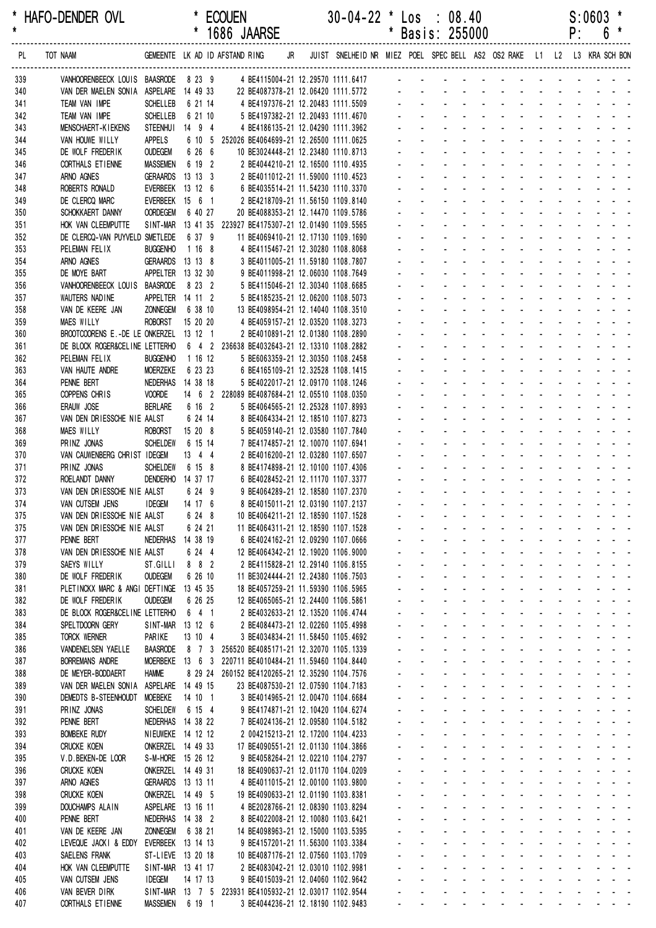|            |                                                                                      |                                       |                     | 1686 JAARSE                                                                                               |  |                                |                                   | Basis: 255000                                              |                                        |                                                                                                                               |                                                               |                                            | ۲. | 0                                                                                                                                             |
|------------|--------------------------------------------------------------------------------------|---------------------------------------|---------------------|-----------------------------------------------------------------------------------------------------------|--|--------------------------------|-----------------------------------|------------------------------------------------------------|----------------------------------------|-------------------------------------------------------------------------------------------------------------------------------|---------------------------------------------------------------|--------------------------------------------|----|-----------------------------------------------------------------------------------------------------------------------------------------------|
| PL         | TOT NAAM                                                                             |                                       |                     | GEMEENTE LK AD ID AFSTAND RING JR JUIST SNELHEID NR MIEZ POEL SPEC BELL AS2 OS2 RAKE L1 L2 L3 KRA SCH BON |  |                                |                                   |                                                            |                                        |                                                                                                                               |                                                               |                                            |    |                                                                                                                                               |
| 339        | VANHOORENBEECK LOUIS BAASRODE 8 23 9 4 BE4115004-21 12.29570 1111.6417 - - - - - - - |                                       |                     |                                                                                                           |  |                                |                                   |                                                            |                                        |                                                                                                                               |                                                               |                                            |    |                                                                                                                                               |
| 340        | VAN DER MAELEN SONIA ASPELARE 14 49 33                                               |                                       |                     | 22 BE4087378-21 12.06420 1111.5772                                                                        |  |                                |                                   |                                                            |                                        |                                                                                                                               |                                                               |                                            |    |                                                                                                                                               |
| 341        | TEAM VAN IMPE                                                                        | <b>SCHELLEB</b>                       | 6 21 14             | 4 BE4197376-21 12.20483 1111.5509                                                                         |  |                                |                                   |                                                            |                                        |                                                                                                                               |                                                               |                                            |    |                                                                                                                                               |
| 342<br>343 | TEAM VAN IMPE<br>MENSCHAERT-KIEKENS                                                  | <b>SCHELLEB</b><br><b>STEENHUI</b>    | 6 21 10<br>14 9 4   | 5 BE4197382-21 12.20493 1111.4670                                                                         |  |                                |                                   |                                                            |                                        |                                                                                                                               |                                                               |                                            |    |                                                                                                                                               |
| 344        | VAN HOUWE WILLY                                                                      | APPELS                                | 6 10 5              | 4 BE4186135-21 12.04290 1111.3962<br>252026 BE4064699-21 12.26500 1111.0625                               |  |                                |                                   |                                                            |                                        |                                                                                                                               |                                                               |                                            |    |                                                                                                                                               |
| 345        | DE WOLF FREDERIK                                                                     | <b>OUDEGEM</b>                        | 6 26 6              | 10 BE3024448-21 12.23480 1110.8713                                                                        |  |                                |                                   |                                                            |                                        |                                                                                                                               |                                                               |                                            |    |                                                                                                                                               |
| 346        | CORTHALS ET IENNE                                                                    | <b>MASSEMEN</b>                       | 6 19 2              | 2 BE4044210-21 12.16500 1110.4935                                                                         |  |                                |                                   |                                                            |                                        |                                                                                                                               |                                                               |                                            |    |                                                                                                                                               |
| 347        | ARNO AGNES                                                                           | GERAARDS 13 13 3                      |                     | 2 BE4011012-21 11.59000 1110.4523                                                                         |  |                                |                                   |                                                            |                                        |                                                                                                                               |                                                               |                                            |    |                                                                                                                                               |
| 348        | ROBERTS RONALD                                                                       | EVERBEEK 13 12 6                      |                     | 6 BE4035514-21 11.54230 1110.3370                                                                         |  |                                |                                   |                                                            |                                        |                                                                                                                               |                                                               |                                            |    |                                                                                                                                               |
| 349        | DE CLERCQ MARC                                                                       | EVERBEEK 15 6 1                       |                     | 2 BE4218709-21 11.56150 1109.8140                                                                         |  |                                |                                   |                                                            |                                        |                                                                                                                               |                                                               |                                            |    |                                                                                                                                               |
| 350<br>351 | SCHOKKAERT DANNY<br>HOK VAN CLEEMPUTTE                                               | <b>OORDEGEM</b>                       | 6 40 27             | 20 BE4088353-21 12.14470 1109.5786<br>SINT-MAR 13 41 35 223927 BE4175307-21 12.01490 1109.5565            |  |                                |                                   |                                                            |                                        |                                                                                                                               |                                                               |                                            |    |                                                                                                                                               |
| 352        | DE CLERCQ-VAN PUYVELD SMETLEDE                                                       |                                       | 6 37 9              | 11 BE4069410-21 12.17130 1109.1690                                                                        |  |                                |                                   |                                                            |                                        |                                                                                                                               |                                                               |                                            |    |                                                                                                                                               |
| 353        | PELEMAN FELIX                                                                        | <b>BUGGENHO</b>                       | 1168                | 4 BE4115467-21 12.30280 1108.8068                                                                         |  |                                |                                   |                                                            |                                        |                                                                                                                               |                                                               |                                            |    |                                                                                                                                               |
| 354        | ARNO AGNES                                                                           | GERAARDS 13 13 8                      |                     | 3 BE4011005-21 11.59180 1108.7807                                                                         |  |                                |                                   |                                                            |                                        |                                                                                                                               |                                                               |                                            |    |                                                                                                                                               |
| 355        | DE MOYE BART                                                                         | APPELTER 13 32 30                     |                     | 9 BE4011998-21 12.06030 1108.7649                                                                         |  |                                |                                   |                                                            |                                        |                                                                                                                               |                                                               |                                            |    |                                                                                                                                               |
| 356<br>357 | VANHOORENBEECK LOUIS BAASRODE<br>WAUTERS NADINE                                      | APPELTER 14 11 2                      | 8 2 3 2             | 5 BE4115046-21 12.30340 1108.6685<br>5 BE4185235-21 12.06200 1108.5073                                    |  |                                |                                   |                                                            |                                        |                                                                                                                               |                                                               |                                            |    |                                                                                                                                               |
| 358        | VAN DE KEERE JAN                                                                     | <b>ZONNEGEM</b>                       | 6 38 10             | 13 BE4098954-21 12.14040 1108.3510                                                                        |  |                                |                                   |                                                            |                                        |                                                                                                                               |                                                               |                                            |    |                                                                                                                                               |
| 359        | <b>MAES WILLY</b>                                                                    | <b>ROBORST</b>                        | 15 20 20            | 4 BE4059157-21 12.03520 1108.3273                                                                         |  |                                |                                   |                                                            |                                        |                                                                                                                               |                                                               |                                            |    |                                                                                                                                               |
| 360        | BROOTCOORENS E.-DE LE ONKERZEL 13 12 1                                               |                                       |                     | 2 BE4010891-21 12.01380 1108.2890                                                                         |  |                                |                                   |                                                            |                                        |                                                                                                                               |                                                               |                                            |    |                                                                                                                                               |
| 361        | DE BLOCK ROGER&CELINE LETTERHO                                                       |                                       |                     | 6 4 2 236638 BE4032643-21 12.13310 1108.2882                                                              |  |                                |                                   |                                                            |                                        |                                                                                                                               |                                                               |                                            |    |                                                                                                                                               |
| 362        | PELEMAN FELIX                                                                        | <b>BUGGENHO</b>                       | 1 16 12             | 5 BE6063359-21 12.30350 1108.2458                                                                         |  |                                |                                   |                                                            |                                        |                                                                                                                               |                                                               |                                            |    |                                                                                                                                               |
| 363        | VAN HAUTE ANDRE<br>PENNE BERT                                                        | <b>MOERZEKE</b><br>NEDERHAS 14 38 18  | 6 23 23             | 6 BE4165109-21 12.32528 1108.1415<br>5 BE4022017-21 12.09170 1108.1246                                    |  |                                |                                   |                                                            |                                        |                                                                                                                               |                                                               |                                            |    |                                                                                                                                               |
| 364<br>365 | COPPENS CHRIS                                                                        | <b>VOORDE</b>                         |                     | 14 6 2 228089 BE4087684-21 12.05510 1108.0350                                                             |  |                                |                                   |                                                            |                                        |                                                                                                                               |                                                               |                                            |    |                                                                                                                                               |
| 366        | ERAUW JOSE                                                                           | <b>BERLARE</b>                        | 6 16 2              | 5 BE4064565-21 12.25328 1107.8993                                                                         |  |                                |                                   |                                                            |                                        |                                                                                                                               |                                                               |                                            |    |                                                                                                                                               |
| 367        | VAN DEN DRIESSCHE NIE AALST                                                          |                                       | 6 24 14             | 8 BE4064334-21 12.18510 1107.8273                                                                         |  |                                |                                   |                                                            |                                        |                                                                                                                               |                                                               |                                            |    |                                                                                                                                               |
| 368        | <b>MAES WILLY</b>                                                                    | <b>ROBORST</b>                        | 15 20 8             | 5 BE4059140-21 12.03580 1107.7840                                                                         |  |                                |                                   |                                                            |                                        |                                                                                                                               |                                                               |                                            |    |                                                                                                                                               |
| 369        | PRINZ JONAS                                                                          | <b>SCHELDEW</b>                       | 6 15 14             | 7 BE4174857-21 12.10070 1107.6941                                                                         |  |                                |                                   |                                                            |                                        |                                                                                                                               |                                                               |                                            |    |                                                                                                                                               |
| 370<br>371 | VAN CAUWENBERG CHRIST IDEGEM<br>PRINZ JONAS                                          | <b>SCHELDEW</b>                       | 13 4 4<br>6 15 8    | 2 BE4016200-21 12.03280 1107.6507<br>8 BE4174898-21 12.10100 1107.4306                                    |  |                                |                                   |                                                            |                                        |                                                                                                                               |                                                               |                                            |    |                                                                                                                                               |
| 372        | ROELANDT DANNY                                                                       | DENDERHO 14 37 17                     |                     | 6 BE4028452-21 12.11170 1107.3377                                                                         |  |                                |                                   |                                                            |                                        | $\overline{a}$                                                                                                                | $\sim$                                                        |                                            |    |                                                                                                                                               |
| 373        | VAN DEN DRIESSCHE NIE AALST                                                          |                                       | 6 24 9              | 9 BE4064289-21 12.18580 1107.2370                                                                         |  |                                |                                   |                                                            |                                        |                                                                                                                               |                                                               |                                            |    |                                                                                                                                               |
| 374        | VAN CUTSEM JENS                                                                      | <b>IDEGEM</b>                         | 14 17 6             | 8 BE4015011-21 12.03190 1107.2137                                                                         |  |                                |                                   |                                                            |                                        |                                                                                                                               |                                                               |                                            |    |                                                                                                                                               |
| 375        | VAN DEN DRIESSCHE NIE AALST                                                          |                                       | 6 24 8              | 10 BE4064211-21 12.18590 1107.1528                                                                        |  |                                |                                   |                                                            |                                        | $\mathbf{r}$                                                                                                                  | $\sim 100$                                                    |                                            |    |                                                                                                                                               |
| 375<br>377 | VAN DEN DRIESSCHE NIE AALST<br>PENNE BERT                                            |                                       | 6 24 21<br>14 38 19 | 11 BE4064311-21 12.18590 1107.1528<br>6 BE4024162-21 12.09290 1107.0666                                   |  |                                |                                   |                                                            |                                        | and a straightful and state and                                                                                               |                                                               |                                            |    |                                                                                                                                               |
| 378        | VAN DEN DRIESSCHE NIE AALST                                                          | NEDERHAS                              | 6 24 4              | 12 BE4064342-21 12.19020 1106.9000                                                                        |  |                                | $\sim$                            | $\sim$                                                     |                                        | and the company<br>and a strain and a strain and a                                                                            |                                                               |                                            |    |                                                                                                                                               |
| 379        | SAEYS WILLY                                                                          | ST.GILLI                              | 8 8 2               | 2 BE4115828-21 12.29140 1106.8155                                                                         |  |                                |                                   | $\mathcal{L}^{\mathcal{A}}$                                | $\Delta \sim 100$                      | and a series of the series of the series of the series of the series of the series of the series of the series                |                                                               |                                            |    |                                                                                                                                               |
| 380        | DE WOLF FREDERIK                                                                     | <b>OUDEGEM</b>                        | 6 26 10             | 11 BE3024444-21 12.24380 1106.7503                                                                        |  |                                | $\mathcal{L}^{\pm}$               | $\omega_{\rm{max}}$                                        | $\sim 100$                             | $\sim 100$<br>$\omega_{\rm{max}}$                                                                                             | $\Delta \sim 100$<br>$\mathbf{L}^{\text{max}}$                | $\Delta \sim 10^{-1}$                      |    | $\mathbf{z} = \left\{ \mathbf{z} \in \mathbb{R}^d \mid \mathbf{z} \in \mathbb{R}^d \right\}$                                                  |
| 381        | PLETINCKX MARC & ANGI DEFTINGE 13 45 35                                              |                                       |                     | 18 BE4057259-21 11.59390 1106.5965                                                                        |  |                                | $\mathbf{r}$                      | $\mathcal{L}_{\mathcal{A}}$<br>$\sim$                      |                                        | $\omega_{\rm{max}}=0.01$                                                                                                      | $\omega_{\rm{max}}$<br>$\sim$                                 |                                            |    |                                                                                                                                               |
| 382        | DE WOLF FREDERIK                                                                     | <b>OUDEGEM</b>                        | 6 26 25             | 12 BE4065065-21 12.24400 1106.5861                                                                        |  |                                |                                   |                                                            | $\omega$<br>$\sim 100$                 |                                                                                                                               |                                                               |                                            |    |                                                                                                                                               |
| 383<br>384 | DE BLOCK ROGER&CELINE LETTERHO<br>SPELTDOORN GERY                                    | SINT-MAR 13 12 6                      | 6 4 1               | 2 BE4032633-21 12.13520 1106.4744<br>2 BE4084473-21 12.02260 1105.4998                                    |  |                                | $\mathbf{r}$<br>$\mathbf{r}$      | $\sim$<br>÷.<br>$\sim$                                     | $\mathcal{L}$<br>$\mathcal{L}$         | $\sim 100$<br>$\mathbf{r}$                                                                                                    | $\blacksquare$<br>$\sim$                                      |                                            |    | and a strain and a<br>and the contract of the contract of                                                                                     |
| 385        | <b>TORCK WERNER</b>                                                                  | PARIKE                                | 13 10 4             | 3 BE4034834-21 11.58450 1105.4692                                                                         |  | ä,                             |                                   | $\Delta \phi = \Delta \phi = 0.01$                         |                                        | and a strain and a strain and                                                                                                 |                                                               |                                            |    |                                                                                                                                               |
| 386        | VANDENELSEN YAELLE                                                                   | <b>BAASRODE</b>                       | 8 7 3               | 256520 BE4085171-21 12.32070 1105.1339                                                                    |  | ÷.                             |                                   | $\omega_{\rm{max}}$<br>and a state                         |                                        | <b>All Card Corporation</b>                                                                                                   | $\mathbf{L}^{\text{max}}$<br>$\mathcal{L}^{\text{max}}$       |                                            |    | and a straight and                                                                                                                            |
| 387        | <b>BORREMANS ANDRE</b>                                                               |                                       |                     | MOERBEKE 13 6 3 220711 BE4010484-21 11.59460 1104.8440                                                    |  | $\mathbf{r}$                   | $\mathcal{L}^{\pm}$               | $\omega_{\rm{max}}$                                        | $\Delta \sim 10^4$<br>$\sim 100$       | $\sim$                                                                                                                        | $\mathbf{z} = \mathbf{z}$                                     | $\Delta \sim 100$                          |    |                                                                                                                                               |
| 388        | DE MEYER-BODDAERT                                                                    | <b>HAMME</b>                          | 8 29 24             | 260152 BE4120265-21 12.35290 1104.7576                                                                    |  |                                |                                   |                                                            |                                        | $\Delta\phi$ and $\Delta\phi$                                                                                                 |                                                               |                                            |    |                                                                                                                                               |
| 389        | VAN DER MAELEN SONIA                                                                 | ASPELARE 14 49 15                     |                     | 23 BE4087530-21 12.07590 1104.7183                                                                        |  |                                | $\mathbf{r}$                      | $\mathbf{r}$                                               |                                        | and a straight                                                                                                                |                                                               |                                            |    | and a straight and a straight                                                                                                                 |
| 390<br>391 | DEMEDTS B-STEENHOUDT<br>PRINZ JONAS                                                  | MOEBEKE<br><b>SCHELDEW</b>            | 14 10 1<br>6 15 4   | 3 BE4014965-21 12.00470 1104.6684<br>9 BE4174871-21 12.10420 1104.6274                                    |  | $\mathbf{r}$                   | $\mathcal{L}^{\mathcal{A}}$<br>÷. | $\sim$<br>÷.<br>$\sim$                                     |                                        | and a state<br>and a series of the series of the series of the series of the series of the series of the series of the series |                                                               |                                            |    | and a straight and a straight                                                                                                                 |
| 392        | PENNE BERT                                                                           | NEDERHAS 14 38 22                     |                     | 7 BE4024136-21 12.09580 1104.5182                                                                         |  |                                | $\omega_{\rm{max}}$               | $\omega_{\rm{max}}$<br>$\omega_{\rm{max}}$                 | $\Delta \sim 100$                      | and the company                                                                                                               | $\Delta \sim 100$                                             | $\Delta \sim 10^{-1}$                      |    | $\mathbf{1}^{\prime}$ , $\mathbf{1}^{\prime}$ , $\mathbf{1}^{\prime}$ , $\mathbf{1}^{\prime}$ , $\mathbf{1}^{\prime}$ , $\mathbf{1}^{\prime}$ |
| 393        | <b>BOMBEKE RUDY</b>                                                                  | NIEUWEKE 14 12 12                     |                     | 2 004215213-21 12.17200 1104.4233                                                                         |  | $\blacksquare$                 |                                   | $\omega_{\rm{max}}$<br>$\omega_{\rm{max}}$                 | $\sim 100$<br>$\Delta \sim 100$        | $\sim 100$                                                                                                                    | $\Delta \sim 100$<br>$\sim 100$                               | $\Delta \sim 100$                          |    |                                                                                                                                               |
| 394        | <b>CRUCKE KOEN</b>                                                                   | ONKERZEL 14 49 33                     |                     | 17 BE4090551-21 12.01130 1104.3866                                                                        |  |                                |                                   |                                                            | $\Delta \sim 100$                      | $\mathcal{L}_{\text{max}}$ , and $\mathcal{L}_{\text{max}}$                                                                   |                                                               |                                            |    |                                                                                                                                               |
| 395        | V.D. BEKEN-DE LOOR                                                                   | S-M-HORE 15 26 12                     |                     | 9 BE4058264-21 12.02210 1104.2797                                                                         |  |                                | $\mathbf{r}$                      |                                                            | $\mathcal{L}$                          |                                                                                                                               | $\blacksquare$                                                |                                            |    | المنابذ المنابذ المنابذة                                                                                                                      |
| 396        | <b>CRUCKE KOEN</b>                                                                   | ONKERZEL 14 49 31                     |                     | 18 BE4090637-21 12.01170 1104.0209                                                                        |  |                                | $\mathcal{L}^{\mathcal{A}}$       | $\sim$<br>$\sim$                                           |                                        | $\omega_{\rm{max}}$ and $\omega_{\rm{max}}$<br>$\mathbf{r}$                                                                   |                                                               |                                            |    | and a straight and a straight                                                                                                                 |
| 397<br>398 | ARNO AGNES<br><b>CRUCKE KOEN</b>                                                     | GERAARDS 13 13 11<br>ONKERZEL 14 49 5 |                     | 4 BE4011015-21 12.00100 1103.9800<br>19 BE4090633-21 12.01190 1103.8381                                   |  | $\blacksquare$<br>$\mathbf{r}$ | ÷.                                | ÷.<br>$\sim$<br>$\omega_{\rm{max}}$<br>$\omega_{\rm{max}}$ | ÷.<br>$\sim 100$                       | <b>Contractor</b><br>$\Delta \phi = 0.0000$ and $\Delta \phi = 0.000$                                                         | ä,<br>$\mathbf{L}^{\text{max}}$<br>$\mathcal{L}^{\text{max}}$ |                                            |    | and the contract of the second<br>and a strain and a                                                                                          |
| 399        | DOUCHAMPS ALAIN                                                                      | ASPELARE 13 16 11                     |                     | 4 BE2028766-21 12.08390 1103.8294                                                                         |  | $\mathbf{r}$                   | ¥.                                | $\omega_{\rm{max}}$                                        | $\Delta \sim 100$<br>$\Delta \sim 100$ | $\sim$                                                                                                                        | $\omega_{\rm{max}}$                                           |                                            |    | and a straight and                                                                                                                            |
| 400        | PENNE BERT                                                                           | NEDERHAS 14 38 2                      |                     | 8 BE4022008-21 12.10080 1103.6421                                                                         |  |                                |                                   | $\sim$                                                     | $\omega$                               | $\sim 100$                                                                                                                    |                                                               |                                            |    |                                                                                                                                               |
| 401        | VAN DE KEERE JAN                                                                     | <b>ZONNEGEM</b>                       | 6 38 21             | 14 BE4098963-21 12.15000 1103.5395                                                                        |  |                                | $\mathcal{L}^{\mathcal{A}}$       |                                                            |                                        | and a straight                                                                                                                |                                                               |                                            |    | and a straight and a straight                                                                                                                 |
| 402        | LEVEQUE JACKI & EDDY EVERBEEK 13 14 13                                               |                                       |                     | 9 BE4157201-21 11.56300 1103.3384                                                                         |  |                                | $\mathcal{L}^{\mathcal{A}}$       | $\mathbf{r}$<br>$\sim$                                     |                                        | and a state                                                                                                                   | $\Delta \sim 100$                                             |                                            |    | and a straight and a straight                                                                                                                 |
| 403        | SAELENS FRANK                                                                        | ST-LIEVE 13 20 18                     |                     | 10 BE4087176-21 12.07560 1103.1709                                                                        |  |                                | ÷.<br>$\omega_{\rm{max}}$         | ÷.<br>$\sim$<br>$\omega_{\rm{max}}$<br><b>All Service</b>  |                                        | and a state<br>÷.<br>and a straight of                                                                                        | $\sim$<br>$\mathbf{L}^{\text{max}}$                           | <b>Contractor</b><br>$\Delta \sim 10^{-1}$ |    | and a state of                                                                                                                                |
| 404<br>405 | HOK VAN CLEEMPUTTE<br>VAN CUTSEM JENS                                                | SINT-MAR 13 41 17<br><b>IDEGEM</b>    | 14 17 13            | 2 BE4083042-21 12.03010 1102.9981<br>9 BE4015039-21 12.04060 1102.9642                                    |  |                                | $\mathbf{L}^{\text{max}}$         | $\Delta \sim 100$                                          |                                        | and a straightful and a straight                                                                                              |                                                               | $\Delta \sim 100$                          |    | $\mathbf{z} = \mathbf{z} + \mathbf{z} + \mathbf{z} + \mathbf{z}$                                                                              |
| 406        | VAN BEVER DIRK                                                                       |                                       |                     | SINT-MAR 13 7 5 223931 BE4105932-21 12.03017 1102.9544                                                    |  |                                |                                   |                                                            |                                        |                                                                                                                               |                                                               |                                            |    |                                                                                                                                               |
| 407        | CORTHALS ETIENNE                                                                     | MASSEMEN 6 19 1                       |                     | 3 BE4044236-21 12.18190 1102.9483                                                                         |  |                                |                                   | and a series of the series of the series of the            |                                        |                                                                                                                               |                                                               |                                            |    |                                                                                                                                               |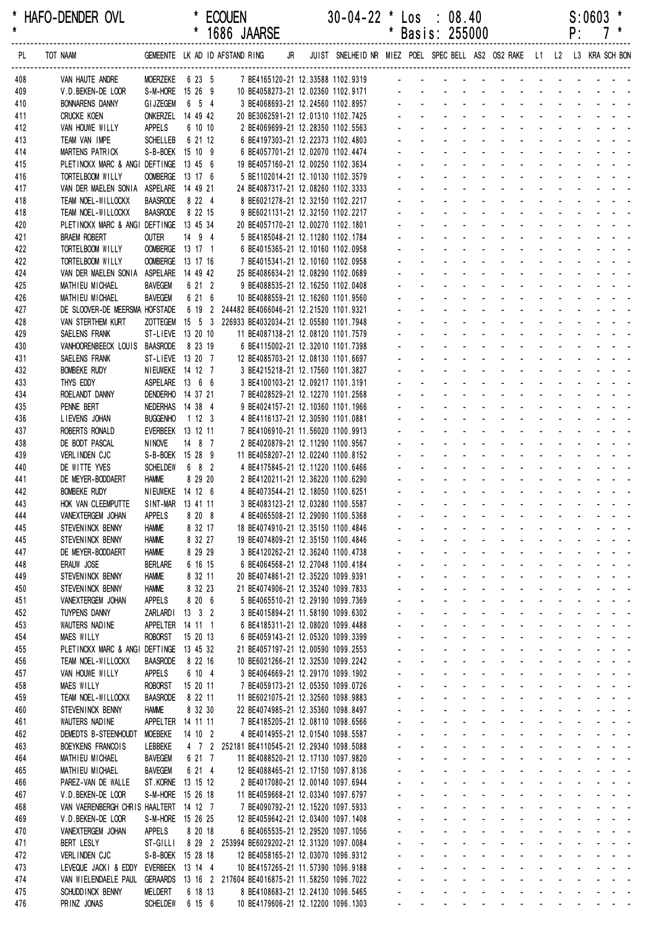|            |                                                               |                                       |                      | 1686 JAARSE                                                                                   |                                                                         |              |                                                  | Basis: 255000                                                                            |                                         |                                                                                                                |                                                                  |                                        | ۲.                                |                                           |                                                     |  |
|------------|---------------------------------------------------------------|---------------------------------------|----------------------|-----------------------------------------------------------------------------------------------|-------------------------------------------------------------------------|--------------|--------------------------------------------------|------------------------------------------------------------------------------------------|-----------------------------------------|----------------------------------------------------------------------------------------------------------------|------------------------------------------------------------------|----------------------------------------|-----------------------------------|-------------------------------------------|-----------------------------------------------------|--|
| PL         | TOT NAAM                                                      |                                       |                      | GEMEENTE LK AD ID AFSTAND RING JR                                                             | JUIST SNELHEID NR MIEZ POEL SPEC BELL AS2 OS2 RAKE L1 L2 L3 KRA SCH BON |              |                                                  |                                                                                          |                                         |                                                                                                                |                                                                  |                                        |                                   |                                           |                                                     |  |
| 408        | VAN HAUTE ANDRE                                               | MOERZEKE 6 23 5                       |                      | 7 BE4165120-21 12.33588 1102.9319                                                             |                                                                         |              |                                                  |                                                                                          |                                         |                                                                                                                |                                                                  |                                        |                                   |                                           |                                                     |  |
| 409        | V.D.BEKEN-DE LOOR                                             | S-M-HORE 15 26 9                      |                      | 10 BE4058273-21 12.02360 1102.9171                                                            |                                                                         |              |                                                  |                                                                                          |                                         |                                                                                                                |                                                                  |                                        |                                   |                                           |                                                     |  |
| 410        | <b>BONNARENS DANNY</b>                                        | <b>GI JZEGEM</b>                      | 6 5 4                | 3 BE4068693-21 12.24560 1102.8957                                                             |                                                                         |              |                                                  |                                                                                          |                                         |                                                                                                                |                                                                  |                                        |                                   |                                           |                                                     |  |
| 411<br>412 | <b>CRUCKE KOEN</b><br>VAN HOUWE WILLY                         | ONKERZEL 14 49 42<br>APPELS           | 6 10 10              | 20 BE3062591-21 12.01310 1102.7425<br>2 BE4069699-21 12.28350 1102.5563                       |                                                                         |              |                                                  |                                                                                          |                                         |                                                                                                                |                                                                  |                                        |                                   |                                           |                                                     |  |
| 413        | TEAM VAN IMPE                                                 | <b>SCHELLEB</b>                       | 6 21 12              | 6 BE4197303-21 12.22373 1102.4803                                                             |                                                                         |              |                                                  |                                                                                          |                                         |                                                                                                                |                                                                  |                                        |                                   |                                           |                                                     |  |
| 414        | MARTENS PATRICK                                               | S-B-BOEK 15 10 9                      |                      | 6 BE4057701-21 12.02070 1102.4474                                                             |                                                                         |              |                                                  |                                                                                          |                                         |                                                                                                                |                                                                  |                                        |                                   |                                           |                                                     |  |
| 415        | PLETINCKX MARC & ANGI DEFTINGE 13 45 6                        |                                       |                      | 19 BE4057160-21 12.00250 1102.3634                                                            |                                                                         |              |                                                  |                                                                                          |                                         |                                                                                                                |                                                                  |                                        |                                   |                                           |                                                     |  |
| 416        | TORTELBOOM WILLY                                              | OOMBERGE 13 17 6                      |                      | 5 BE1102014-21 12.10130 1102.3579                                                             |                                                                         |              |                                                  |                                                                                          |                                         |                                                                                                                |                                                                  |                                        |                                   |                                           |                                                     |  |
| 417<br>418 | VAN DER MAELEN SONIA ASPELARE 14 49 21<br>TEAM NOEL-WILLOCKX  | <b>BAASRODE</b>                       | 8 2 2 4              | 24 BE4087317-21 12.08260 1102.3333                                                            |                                                                         |              |                                                  |                                                                                          |                                         |                                                                                                                |                                                                  |                                        |                                   |                                           |                                                     |  |
| 418        | TEAM NOEL-WILLOCKX                                            | <b>BAASRODE</b>                       | 8 22 15              | 8 BE6021278-21 12.32150 1102.2217<br>9 BE6021131-21 12.32150 1102.2217                        |                                                                         |              |                                                  |                                                                                          |                                         | ä,                                                                                                             |                                                                  |                                        |                                   |                                           |                                                     |  |
| 420        | PLETINCKX MARC & ANGI DEFTINGE 13 45 34                       |                                       |                      | 20 BE4057170-21 12.00270 1102.1801                                                            |                                                                         |              |                                                  |                                                                                          |                                         |                                                                                                                |                                                                  |                                        |                                   |                                           |                                                     |  |
| 421        | <b>BRAEM ROBERT</b>                                           | <b>OUTER</b>                          | 14 9 4               | 5 BE4185048-21 12.11280 1102.1784                                                             |                                                                         |              |                                                  |                                                                                          |                                         |                                                                                                                |                                                                  |                                        |                                   |                                           |                                                     |  |
| 422        | TORTELBOOM WILLY                                              | OOMBERGE 13 17 1                      |                      | 6 BE4015365-21 12.10160 1102.0958                                                             |                                                                         |              |                                                  |                                                                                          |                                         |                                                                                                                |                                                                  |                                        |                                   |                                           |                                                     |  |
| 422<br>424 | TORTELBOOM WILLY<br>VAN DER MAELEN SONIA ASPELARE 14 49 42    | OOMBERGE 13 17 16                     |                      | 7 BE4015341-21 12.10160 1102.0958<br>25 BE4086634-21 12.08290 1102.0689                       |                                                                         |              |                                                  |                                                                                          |                                         |                                                                                                                |                                                                  |                                        |                                   |                                           |                                                     |  |
| 425        | MATHIEU MICHAEL                                               | <b>BAVEGEM</b>                        | 6 21 2               | 9 BE4088535-21 12.16250 1102.0408                                                             |                                                                         |              |                                                  |                                                                                          |                                         |                                                                                                                |                                                                  |                                        |                                   |                                           |                                                     |  |
| 426        | MATHIEU MICHAEL                                               | <b>BAVEGEM</b>                        | 6 21 6               | 10 BE4088559-21 12.16260 1101.9560                                                            |                                                                         |              |                                                  |                                                                                          |                                         |                                                                                                                |                                                                  |                                        |                                   |                                           |                                                     |  |
| 427        | DE SLOOVER-DE MEERSMA HOFSTADE                                |                                       |                      | 6 19 2 244482 BE4066046-21 12.21520 1101.9321                                                 |                                                                         |              |                                                  |                                                                                          |                                         |                                                                                                                |                                                                  |                                        |                                   |                                           |                                                     |  |
| 428        | VAN STERTHEM KURT                                             |                                       |                      | ZOTTEGEM  15  5  3  226933 BE4032034-21  12.05580  1101.7948                                  |                                                                         |              |                                                  |                                                                                          |                                         |                                                                                                                |                                                                  |                                        |                                   |                                           |                                                     |  |
| 429        | SAELENS FRANK                                                 | ST-LIEVE 13 20 10                     |                      | 11 BE4087138-21 12.08120 1101.7579                                                            |                                                                         |              |                                                  |                                                                                          |                                         |                                                                                                                |                                                                  |                                        |                                   |                                           |                                                     |  |
| 430<br>431 | VANHOORENBEECK LOUIS BAASRODE<br>SAELENS FRANK                | ST-LIEVE 13 20 7                      | 8 23 19              | 6 BE4115002-21 12.32010 1101.7398<br>12 BE4085703-21 12.08130 1101.6697                       |                                                                         |              |                                                  |                                                                                          |                                         |                                                                                                                |                                                                  |                                        |                                   |                                           |                                                     |  |
| 432        | <b>BOMBEKE RUDY</b>                                           | <b>NIEUWEKE</b> 14 12 7               |                      | 3 BE4215218-21 12.17560 1101.3827                                                             |                                                                         |              |                                                  |                                                                                          |                                         |                                                                                                                |                                                                  |                                        |                                   |                                           |                                                     |  |
| 433        | THYS EDDY                                                     | ASPELARE 13 6 6                       |                      | 3 BE4100103-21 12.09217 1101.3191                                                             |                                                                         |              |                                                  |                                                                                          |                                         |                                                                                                                |                                                                  |                                        |                                   |                                           |                                                     |  |
| 434        | ROELANDT DANNY                                                | DENDERHO 14 37 21                     |                      | 7 BE4028529-21 12.12270 1101.2568                                                             |                                                                         |              |                                                  |                                                                                          |                                         |                                                                                                                |                                                                  |                                        |                                   |                                           |                                                     |  |
| 435        | PENNE BERT                                                    | NEDERHAS 14 38 4                      |                      | 9 BE4024157-21 12.10360 1101.1966                                                             |                                                                         |              |                                                  |                                                                                          |                                         |                                                                                                                |                                                                  |                                        |                                   |                                           |                                                     |  |
| 436<br>437 | LIEVENS JOHAN<br>ROBERTS RONALD                               | <b>BUGGENHO</b><br>EVERBEEK 13 12 11  | 1123                 | 4 BE4116137-21 12.30590 1101.0881<br>7 BE4106910-21 11.56020 1100.9913                        |                                                                         |              |                                                  |                                                                                          |                                         |                                                                                                                |                                                                  |                                        |                                   |                                           |                                                     |  |
| 438        | DE BODT PASCAL                                                | <b>NINOVE</b>                         | 14 8 7               | 2 BE4020879-21 12.11290 1100.9567                                                             |                                                                         |              |                                                  |                                                                                          |                                         |                                                                                                                |                                                                  |                                        |                                   |                                           |                                                     |  |
| 439        | VERLINDEN CJC                                                 | S-B-BOEK 15 28 9                      |                      | 11 BE4058207-21 12.02240 1100.8152                                                            |                                                                         |              |                                                  |                                                                                          |                                         |                                                                                                                |                                                                  |                                        |                                   |                                           |                                                     |  |
| 440        | DE WITTE YVES                                                 | <b>SCHELDEW</b>                       | 6 8 2                | 4 BE4175845-21 12.11220 1100.6466                                                             |                                                                         |              |                                                  |                                                                                          |                                         |                                                                                                                |                                                                  |                                        |                                   |                                           |                                                     |  |
| 441        | DE MEYER-BODDAERT                                             | <b>HAMME</b>                          | 8 29 20              | 2 BE4120211-21 12.36220 1100.6290                                                             |                                                                         |              |                                                  |                                                                                          |                                         | $\mathbf{r}$                                                                                                   | $\sim 100$                                                       |                                        | <b>Contract Contract Street</b>   |                                           |                                                     |  |
| 442<br>443 | <b>BOMBEKE RUDY</b><br>HOK VAN CLEEMPUTTE                     | NIEUWEKE 14 12 6<br>SINT-MAR 13 41 11 |                      | 4 BE4073544-21 12.18050 1100.6251                                                             |                                                                         |              |                                                  |                                                                                          |                                         | $\mathcal{L}^{\mathcal{A}}$                                                                                    |                                                                  | $\Delta \sim 10^4$                     |                                   |                                           |                                                     |  |
| 444        | VANEXTERGEM JOHAN                                             | <b>APPELS</b>                         | 8 20 8               | 3 BE4083123-21 12.03280 1100.5587<br>4 BE4065508-21 12.29090 1100.5368                        |                                                                         | $\mathbf{r}$ |                                                  |                                                                                          | $\Delta \phi = 0.01$                    | $\sim$                                                                                                         | and the state of the state of the state of                       |                                        |                                   |                                           |                                                     |  |
| 445        | STEVENINCK BENNY                                              | <b>HAMME</b>                          | 8 32 17              | 18 BE4074910-21 12.35150 1100.4846                                                            |                                                                         |              |                                                  |                                                                                          |                                         | and the company of the company of the                                                                          |                                                                  |                                        |                                   |                                           |                                                     |  |
| 445        | STEVENINCK BENNY                                              | <b>HAMME</b>                          | 8 32 27              | 19 BE4074809-21 12.35150 1100.4846                                                            |                                                                         |              |                                                  |                                                                                          |                                         | $\omega_{\rm{eff}}=0.01$ and $\omega_{\rm{eff}}=0.01$                                                          |                                                                  |                                        |                                   |                                           |                                                     |  |
| 447        | DE MEYER-BODDAERT                                             | <b>HAMME</b>                          | 8 29 29              | 3 BE4120262-21 12.36240 1100.4738                                                             |                                                                         |              | $\mathbf{r}$                                     | $\mathbf{r}$<br>$\sim$                                                                   |                                         | and a strategies                                                                                               | and the state of the state of the state of                       |                                        |                                   |                                           |                                                     |  |
| 448        | ERAUW JOSE                                                    | <b>BERLARE</b>                        | 6 16 15              | 6 BE4064568-21 12.27048 1100.4184                                                             |                                                                         |              | ÷.                                               | ÷.<br>$\omega_{\rm{max}}$                                                                | $\omega_{\rm{max}}$                     | and a series of the series of the series of the series of the series of the series of the series of the series |                                                                  |                                        |                                   | $\omega_{\rm{max}}$ , $\omega_{\rm{max}}$ |                                                     |  |
| 449<br>450 | STEVEN INCK BENNY<br>STEVENINCK BENNY                         | <b>HAMME</b><br><b>HAMME</b>          | 8 32 11<br>8 32 23   | 20 BE4074861-21 12.35220 1099.9391<br>21 BE4074906-21 12.35240 1099.7833                      |                                                                         | $\mathbf{r}$ |                                                  | $\mathcal{L}^{\text{max}}$<br>$\mathbf{L}^{\text{max}}$<br>$\mathcal{L}_{\mathcal{A}}$   | $\Delta \sim 100$<br>$\Delta \sim 100$  | All Card<br><b>All Cards</b>                                                                                   | All Carolina<br><b>All States</b>                                | $\Delta \sim 100$<br>$\Delta \sim 100$ |                                   |                                           |                                                     |  |
| 451        | VANEXTERGEM JOHAN                                             | <b>APPELS</b>                         | 8 20 6               | 5 BE4065510-21 12.29190 1099.7369                                                             |                                                                         |              |                                                  |                                                                                          |                                         | and a straight and                                                                                             |                                                                  |                                        |                                   |                                           |                                                     |  |
| 452        | <b>TUYPENS DANNY</b>                                          | ZARLARDI                              | $13 \quad 3 \quad 2$ | 3 BE4015894-21 11.58190 1099.6302                                                             |                                                                         |              | $\mathcal{L}^{\mathcal{A}}$                      | $\omega_{\rm{max}}$<br>$\sim$                                                            | $\Delta \sim 10^4$                      | $\omega$<br>$\sim$                                                                                             |                                                                  |                                        | and a straight and a straight     |                                           |                                                     |  |
| 453        | WAUTERS NADINE                                                | APPELTER 14 11 1                      |                      | 6 BE4185311-21 12.08020 1099.4488                                                             |                                                                         | $\sim$       | $\mathbf{r}$                                     | $\sim$<br>$\sim$                                                                         | $\sim$                                  | <b>Contract Contract</b>                                                                                       |                                                                  |                                        | and the state of the state of the |                                           |                                                     |  |
| 454        | <b>MAES WILLY</b>                                             | <b>ROBORST</b>                        | 15 20 13             | 6 BE4059143-21 12.05320 1099.3399                                                             |                                                                         | ÷.           |                                                  | $\mathbf{L}^{\text{max}}$<br>$\Delta \sim 100$                                           |                                         | and a strain and a strain and a                                                                                |                                                                  |                                        |                                   |                                           |                                                     |  |
| 455<br>456 | PLETINCKX MARC & ANGI DEFTINGE 13 45 32<br>TEAM NOEL-WILLOCKX | <b>BAASRODE</b>                       | 8 22 16              | 21 BE4057197-21 12.00590 1099.2553<br>10 BE6021266-21 12.32530 1099.2242                      |                                                                         | $\omega$ .   | $\omega_{\rm{max}}$<br>$\mathcal{L}^{\pm}$       | $\omega_{\rm{max}}$<br>$\omega_{\rm{max}}$<br>$\mathcal{L}^{\text{max}}$                 | $\mathbf{z} = \mathbf{z}$               | and a series of the series of the series<br>$\Delta \sim 10^4$<br>$\Delta \sim 10^4$                           | and a straight and a straight and                                |                                        |                                   |                                           |                                                     |  |
| 457        | VAN HOUWE WILLY                                               | <b>APPELS</b>                         | 6 10 4               | 3 BE4064669-21 12.29170 1099.1902                                                             |                                                                         |              |                                                  |                                                                                          |                                         | $\Delta \sim 10^4$<br>$\Delta \sim 10^4$<br>$\omega$                                                           |                                                                  |                                        |                                   |                                           |                                                     |  |
| 458        | MAES WILLY                                                    | <b>ROBORST</b>                        | 15 20 11             | 7 BE4059173-21 12.05350 1099.0726                                                             |                                                                         |              | $\mathbf{r}$                                     | ä.<br>$\mathbf{r}$                                                                       | $\Delta \sim 100$                       | $\Delta \sim 100$<br>$\mathcal{L}$                                                                             |                                                                  |                                        | and a straight and a straight     |                                           |                                                     |  |
| 459        | TEAM NOEL-WILLOCKX                                            | <b>BAASRODE</b>                       | 8 22 11              | 11 BE6021075-21 12.32560 1098.9883                                                            |                                                                         |              | $\omega$                                         | $\sim$<br>$\sim$                                                                         |                                         | and a state                                                                                                    | and a state                                                      |                                        | and a strain and a                |                                           |                                                     |  |
| 460        | STEVENINCK BENNY                                              | <b>HAMME</b>                          | 8 32 30              | 22 BE4074985-21 12.35360 1098.8497                                                            |                                                                         | ÷.           | ä,                                               | ÷.<br>$\mathcal{L}^{\mathcal{L}}$                                                        |                                         | and a straight and a straight                                                                                  |                                                                  |                                        |                                   |                                           |                                                     |  |
| 461<br>462 | WAUTERS NADINE<br>DEMEDTS B-STEENHOUDT                        | APPELTER 14 11 11<br><b>MOEBEKE</b>   | 14 10 2              | 7 BE4185205-21 12.08110 1098.6566<br>4 BE4014955-21 12.01540 1098.5587                        |                                                                         | $\sim$       | $\mathbf{L}^{\text{max}}$                        | $\omega_{\rm{max}}$<br>$\omega_{\rm{max}}$<br>$\omega_{\rm{max}}$<br>$\omega_{\rm{max}}$ | $\Delta \sim 100$<br>$\Delta \sim 100$  | and a straightful and state<br>$\Delta \phi = 0.000$ .                                                         | <b>All Service</b>                                               | $\mathcal{L}^{\text{max}}$             |                                   | $\Delta \phi = 0.000$                     |                                                     |  |
| 463        | BOEYKENS FRANCOIS                                             | LEBBEKE                               |                      | 4 7 2 252181 BE4110545-21 12.29340 1098.5088                                                  |                                                                         |              |                                                  |                                                                                          |                                         | and a straight<br>$\mathcal{L}$                                                                                |                                                                  |                                        |                                   |                                           |                                                     |  |
| 464        | MATHIEU MICHAEL                                               | <b>BAVEGEM</b>                        | 6 21 7               | 11 BE4088520-21 12.17130 1097.9820                                                            |                                                                         |              | $\mathcal{L}^{\pm}$                              | $\omega_{\rm{max}}$<br>$\sim$                                                            |                                         | $\Delta\phi$ and $\Delta\phi$<br>$\omega$                                                                      |                                                                  |                                        | and a straight and a straight     |                                           |                                                     |  |
| 465        | MATHIEU MICHAEL                                               | <b>BAVEGEM</b>                        | 6 21 4               | 12 BE4088465-21 12.17150 1097.8136                                                            |                                                                         |              |                                                  | $\mathbf{L}^{\text{max}}$<br>$\Delta \sim 100$                                           | $\Delta \sim 100$                       | and a state<br>÷.                                                                                              | and the state of the state of the state of                       |                                        |                                   |                                           |                                                     |  |
| 466        | PAREZ-VAN DE WALLE                                            | ST.KORNE 13 15 12                     |                      | 2 BE4017080-21 12.00140 1097.6944                                                             |                                                                         | ÷.           | ÷.                                               | ÷.                                                                                       | $\Delta \sim 10^4$                      | $\omega_{\rm{max}}$ , and $\omega_{\rm{max}}$                                                                  | and the state of the state of the state of                       |                                        |                                   |                                           |                                                     |  |
| 467<br>468 | V.D. BEKEN-DE LOOR<br>VAN VAERENBERGH CHRIS HAALTERT 14 12 7  | S-M-HORE 15 26 18                     |                      | 11 BE4059668-21 12.03340 1097.6797<br>7 BE4090792-21 12.15220 1097.5933                       |                                                                         | $\omega$ .   | $\mathbf{L}^{\text{max}}$<br>$\mathcal{L}^{\pm}$ | $\omega_{\rm{max}}$<br>$\omega_{\rm{max}}$<br>$\mathcal{L}^{\text{max}}$                 | $\Delta \sim 100$<br>$\Delta \sim 10^4$ | and a straight<br>$\Delta \sim 10^4$                                                                           | and a strain and a strain and<br>المنابذ المنابذ المنابذ المنابذ |                                        |                                   |                                           |                                                     |  |
| 469        | V.D.BEKEN-DE LOOR                                             | S-M-HORE 15 26 25                     |                      | 12 BE4059642-21 12.03400 1097.1408                                                            |                                                                         |              |                                                  |                                                                                          | $\blacksquare$                          | $\Delta \sim 100$<br>$\omega$                                                                                  |                                                                  |                                        |                                   |                                           |                                                     |  |
| 470        | VANEXTERGEM JOHAN                                             | APPELS                                | 8 20 18              | 6 BE4065535-21 12.29520 1097.1056                                                             |                                                                         |              | $\mathbf{r}$                                     | ÷.<br>$\mathbf{r}$                                                                       | $\mathbf{u}$                            | $\Delta \sim 100$<br>$\mathcal{L}$                                                                             |                                                                  |                                        | and a straight and a straight     |                                           |                                                     |  |
| 471        | <b>BERT LESLY</b>                                             | ST-GILLI                              |                      | 8 29 2 253994 BE6029202-21 12.31320 1097.0084                                                 |                                                                         |              | $\omega$                                         | ÷.<br>$\mathcal{L}^{\mathcal{A}}$                                                        | ÷.                                      | $\Delta \sim 100$<br>$\mathcal{L}^{\mathcal{A}}$                                                               | $\mathcal{L}^{\mathcal{A}}$                                      |                                        | and a strain and a                |                                           |                                                     |  |
| 472        | VERLINDEN CJC                                                 | S-B-BOEK 15 28 18                     |                      | 12 BE4058165-21 12.03070 1096.9312                                                            |                                                                         | ÷.           | ä,                                               | ÷.<br>$\mathbf{r}$                                                                       | $\mathcal{L}^{\mathcal{L}}$             | $\mathcal{L}$<br><b>Contact Contact</b>                                                                        | $\sim 100$                                                       |                                        | $\Delta \sim 100$                 |                                           | $\omega_{\rm{eff}}=2.5\pm0.02$                      |  |
| 473<br>474 | LEVEQUE JACKI & EDDY<br>VAN WIELENDAELE PAUL                  | EVERBEEK 13 14 4                      |                      | 10 BE4157265-21 11.57390 1096.9188<br>GERAARDS 13 16 2 217604 BE4016875-21 11.58250 1096.7022 |                                                                         |              | $\omega_{\rm{max}}$<br>$\mathbf{L}^{\text{max}}$ | $\omega_{\rm{max}}$<br>$\omega_{\rm{max}}$<br>$\mathbf{L}^{\text{max}}$                  | $\Delta \sim 100$                       | $\Delta \phi = 0.000$ and $\Delta \phi = 0.000$<br>and a straightful and a straight                            | <b>Service</b> State                                             | $\omega_{\rm{max}}$                    |                                   |                                           | $\mathbf{z} = \mathbf{z} + \mathbf{z} + \mathbf{z}$ |  |
| 475        | SCHUDD INCK BENNY                                             | <b>MELDERT</b>                        | 6 18 13              | 8 BE4108683-21 12.24130 1096.5465                                                             |                                                                         |              |                                                  |                                                                                          |                                         |                                                                                                                |                                                                  |                                        |                                   |                                           |                                                     |  |
| 476        | PRINZ JONAS                                                   | <b>SCHELDEW</b>                       | 6 15 6               | 10 BE4179606-21 12.12200 1096.1303                                                            |                                                                         |              |                                                  | and a series of the series of the series of the series                                   |                                         |                                                                                                                |                                                                  |                                        |                                   |                                           |                                                     |  |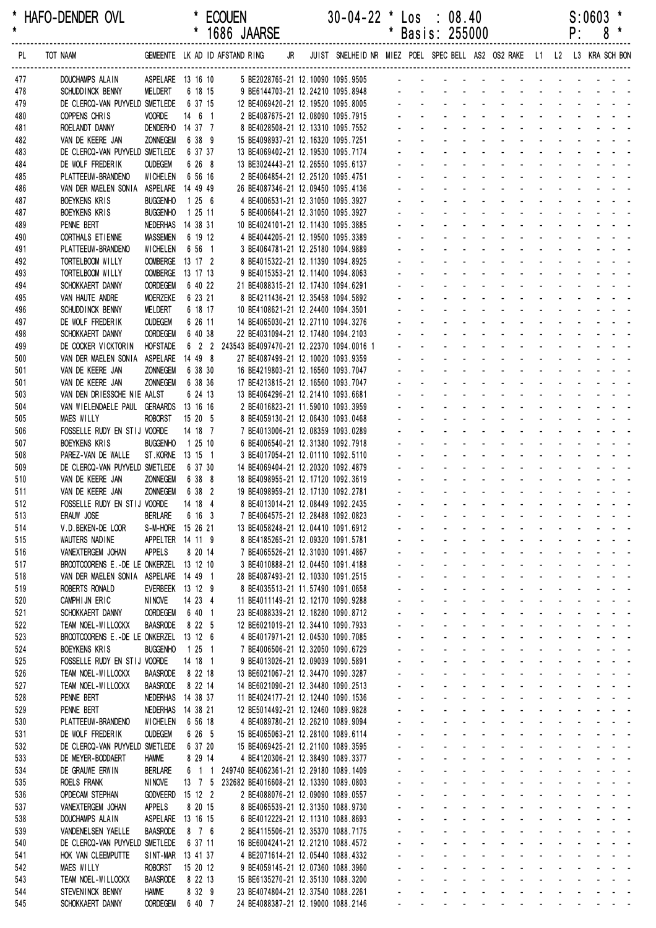| *<br>$\star$ | HAFO-DENDER OVL                                              |                                      | $\star$                 |                | <b>ECOUEN</b><br>1686 JAARSE                   |    |  | $30 - 04 - 22$ * $\text{Los}$ :                                          |                             | Basis: 255000                     |                            | 08.40                                          |                                    |                                                                       |                                         |                             |            | P:                              | S:0603                                                                                                         |                |
|--------------|--------------------------------------------------------------|--------------------------------------|-------------------------|----------------|------------------------------------------------|----|--|--------------------------------------------------------------------------|-----------------------------|-----------------------------------|----------------------------|------------------------------------------------|------------------------------------|-----------------------------------------------------------------------|-----------------------------------------|-----------------------------|------------|---------------------------------|----------------------------------------------------------------------------------------------------------------|----------------|
| PL           | TOT NAAM                                                     |                                      |                         |                | GEMEENTE LK AD ID AFSTAND RING                 | JR |  | JUIST SNELHEID NR MIEZ POEL SPEC BELL AS2 OS2 RAKE L1 L2 L3 KRA SCH BON  |                             |                                   |                            |                                                |                                    |                                                                       |                                         |                             |            |                                 |                                                                                                                |                |
| 477          | DOUCHAMPS ALAIN                                              | ASPELARE 13 16 10                    |                         |                |                                                |    |  | 5 BE2028765-21 12.10090 1095.9505                                        |                             |                                   |                            |                                                |                                    |                                                                       |                                         |                             |            |                                 |                                                                                                                |                |
| 478          | SCHUDD INCK BENNY                                            | MELDERT                              |                         | 6 18 15        |                                                |    |  | 9 BE6144703-21 12.24210 1095.8948                                        |                             |                                   |                            |                                                |                                    |                                                                       |                                         |                             |            |                                 |                                                                                                                |                |
| 479<br>480   | DE CLERCQ-VAN PUYVELD SMETLEDE<br>COPPENS CHRIS              | <b>VOORDE</b>                        | 6 37 15<br>$14 \t6 \t1$ |                |                                                |    |  | 12 BE4069420-21 12.19520 1095.8005<br>2 BE4087675-21 12.08090 1095.7915  |                             |                                   |                            |                                                |                                    |                                                                       |                                         |                             |            |                                 |                                                                                                                |                |
| 481          | ROELANDT DANNY                                               | DENDERHO 14 37 7                     |                         |                |                                                |    |  | 8 BE4028508-21 12.13310 1095.7552                                        |                             |                                   |                            |                                                |                                    |                                                                       |                                         |                             |            |                                 |                                                                                                                |                |
| 482          | VAN DE KEERE JAN                                             | <b>ZONNEGEM</b>                      | 6 38 9                  |                |                                                |    |  | 15 BE4098937-21 12.16320 1095.7251                                       |                             |                                   |                            |                                                |                                    |                                                                       |                                         |                             |            |                                 |                                                                                                                |                |
| 483          | DE CLERCQ-VAN PUYVELD SMETLEDE                               |                                      | 6 37 37                 |                |                                                |    |  | 13 BE4069402-21 12.19530 1095.7174                                       |                             |                                   |                            |                                                |                                    |                                                                       |                                         |                             |            |                                 |                                                                                                                |                |
| 484<br>485   | DE WOLF FREDERIK<br>PLATTEEUW-BRANDENO                       | <b>OUDEGEM</b><br><b>WICHELEN</b>    | 6 26 8<br>6 56 16       |                |                                                |    |  | 13 BE3024443-21 12.26550 1095.6137<br>2 BE4064854-21 12.25120 1095.4751  |                             |                                   |                            |                                                |                                    |                                                                       |                                         |                             |            |                                 |                                                                                                                |                |
| 486          | VAN DER MAELEN SONIA                                         | ASPELARE 14 49 49                    |                         |                |                                                |    |  | 26 BE4087346-21 12.09450 1095.4136                                       |                             |                                   |                            |                                                |                                    |                                                                       |                                         |                             |            |                                 |                                                                                                                |                |
| 487          | <b>BOEYKENS KRIS</b>                                         | <b>BUGGENHO</b>                      | 1256                    |                |                                                |    |  | 4 BE4006531-21 12.31050 1095.3927                                        |                             |                                   |                            |                                                |                                    |                                                                       |                                         |                             |            |                                 |                                                                                                                |                |
| 487          | BOEYKENS KRIS                                                | <b>BUGGENHO</b>                      | 1 25 11                 |                |                                                |    |  | 5 BE4006641-21 12.31050 1095.3927                                        |                             |                                   |                            |                                                |                                    |                                                                       |                                         |                             |            |                                 |                                                                                                                |                |
| 489<br>490   | PENNE BERT<br>CORTHALS ET IENNE                              | NEDERHAS 14 38 31<br><b>MASSEMEN</b> | 6 19 12                 |                |                                                |    |  | 10 BE4024101-21 12.11430 1095.3885<br>4 BE4044205-21 12.19500 1095.3389  |                             |                                   |                            |                                                |                                    |                                                                       |                                         |                             |            |                                 |                                                                                                                |                |
| 491          | PLATTEEUW-BRANDENO                                           | WICHELEN                             | 6 56 1                  |                |                                                |    |  | 3 BE4064781-21 12.25180 1094.9889                                        |                             |                                   |                            |                                                |                                    |                                                                       |                                         |                             |            |                                 |                                                                                                                |                |
| 492          | TORTELBOOM WILLY                                             | <b>OOMBERGE</b>                      | 13 17 2                 |                |                                                |    |  | 8 BE4015322-21 12.11390 1094.8925                                        |                             |                                   |                            |                                                |                                    |                                                                       |                                         |                             |            |                                 |                                                                                                                |                |
| 493          | TORTELBOOM WILLY                                             | <b>OOMBERGE</b>                      | 13 17 13                |                |                                                |    |  | 9 BE4015353-21 12.11400 1094.8063                                        |                             |                                   |                            |                                                |                                    |                                                                       |                                         |                             |            |                                 |                                                                                                                |                |
| 494<br>495   | SCHOKKAERT DANNY<br>VAN HAUTE ANDRE                          | <b>OORDEGEM</b><br><b>MOERZEKE</b>   | 6 40 22<br>6 23 21      |                |                                                |    |  | 21 BE4088315-21 12.17430 1094.6291<br>8 BE4211436-21 12.35458 1094.5892  |                             |                                   |                            |                                                |                                    |                                                                       |                                         |                             |            |                                 |                                                                                                                |                |
| 496          | SCHUDD INCK BENNY                                            | MELDERT                              | 6 18 17                 |                |                                                |    |  | 10 BE4108621-21 12.24400 1094.3501                                       |                             |                                   |                            |                                                |                                    |                                                                       |                                         |                             |            |                                 |                                                                                                                |                |
| 497          | DE WOLF FREDERIK                                             | <b>OUDEGEM</b>                       | 6 26 11                 |                |                                                |    |  | 14 BE4065030-21 12.27110 1094.3276                                       |                             |                                   |                            |                                                |                                    |                                                                       |                                         |                             |            |                                 |                                                                                                                |                |
| 498          | SCHOKKAERT DANNY                                             | <b>OORDEGEM</b>                      | 6 40 38                 |                |                                                |    |  | 22 BE4031094-21 12.17480 1094.2103                                       |                             |                                   |                            |                                                |                                    |                                                                       |                                         |                             |            |                                 |                                                                                                                |                |
| 499          | DE COCKER VICKTORIN                                          | <b>HOFSTADE</b>                      |                         |                | 6 2 2 243543 BE4097470-21 12.22370 1094.0016 1 |    |  |                                                                          |                             |                                   |                            |                                                |                                    |                                                                       |                                         |                             |            |                                 |                                                                                                                |                |
| 500<br>501   | VAN DER MAELEN SONIA<br>VAN DE KEERE JAN                     | ASPELARE<br><b>ZONNEGEM</b>          | 14 49 8<br>6 38 30      |                |                                                |    |  | 27 BE4087499-21 12.10020 1093.9359<br>16 BE4219803-21 12.16560 1093.7047 |                             |                                   |                            |                                                |                                    |                                                                       |                                         |                             |            |                                 |                                                                                                                |                |
| 501          | VAN DE KEERE JAN                                             | ZONNEGEM                             | 6 38 36                 |                |                                                |    |  | 17 BE4213815-21 12.16560 1093.7047                                       |                             |                                   |                            |                                                |                                    |                                                                       |                                         |                             |            |                                 |                                                                                                                |                |
| 503          | VAN DEN DRIESSCHE NIE AALST                                  |                                      | 6 24 13                 |                |                                                |    |  | 13 BE4064296-21 12.21410 1093.6681                                       |                             |                                   |                            |                                                |                                    |                                                                       |                                         |                             |            |                                 |                                                                                                                |                |
| 504          | VAN WIELENDAELE PAUL GERAARDS                                |                                      | 13 16 16                |                |                                                |    |  | 2 BE4016823-21 11.59010 1093.3959                                        |                             |                                   |                            |                                                |                                    |                                                                       |                                         |                             |            |                                 |                                                                                                                |                |
| 505          | <b>MAES WILLY</b>                                            | <b>ROBORST</b>                       | 15 20 5                 |                |                                                |    |  | 8 BE4059130-21 12.06430 1093.0468                                        |                             |                                   |                            |                                                |                                    |                                                                       |                                         |                             |            |                                 |                                                                                                                |                |
| 506<br>507   | FOSSELLE RUDY EN STIJ VOORDE<br><b>BOEYKENS KRIS</b>         | <b>BUGGENHO</b>                      | 14 18 7<br>1 25 10      |                |                                                |    |  | 7 BE4013006-21 12.08359 1093.0289<br>6 BE4006540-21 12.31380 1092.7918   |                             |                                   |                            |                                                |                                    |                                                                       |                                         |                             |            |                                 |                                                                                                                |                |
| 508          | PAREZ-VAN DE WALLE                                           | ST.KORNE                             | 13 15 1                 |                |                                                |    |  | 3 BE4017054-21 12.01110 1092.5110                                        |                             |                                   |                            |                                                |                                    |                                                                       |                                         |                             |            |                                 |                                                                                                                |                |
| 509          | DE CLERCQ-VAN PUYVELD SMETLEDE                               |                                      | 6 37 30                 |                |                                                |    |  | 14 BE4069404-21 12.20320 1092.4879                                       |                             |                                   |                            |                                                |                                    |                                                                       |                                         |                             |            |                                 |                                                                                                                |                |
| 510          | VAN DE KEERE JAN                                             | <b>ZONNEGEM</b>                      | 6 38 8                  |                |                                                |    |  | 18 BE4098955-21 12.17120 1092.3619                                       |                             |                                   |                            |                                                |                                    |                                                                       |                                         |                             |            |                                 |                                                                                                                |                |
| 511<br>512   | VAN DE KEERE JAN<br>FOSSELLE RUDY EN STIJ VOORDE             | ZONNEGEM                             | 6 38 2<br>14 18 4       |                |                                                |    |  | 19 BE4098959-21 12.17130 1092.2781<br>8 BE4013014-21 12.08449 1092.2435  |                             |                                   |                            |                                                | and the state of the state of the  |                                                                       |                                         |                             |            |                                 | and the company of the company of                                                                              |                |
| 513          | ERAUW JOSE                                                   | <b>BERLARE</b>                       | 6 16 3                  |                |                                                |    |  | 7 BE4064575-21 12.28488 1092.0823                                        |                             |                                   |                            |                                                | and the state of the state of the  |                                                                       |                                         |                             |            |                                 |                                                                                                                |                |
| 514          | V.D.BEKEN-DE LOOR                                            | S-M-HORE 15 26 21                    |                         |                |                                                |    |  | 13 BE4058248-21 12.04410 1091.6912                                       |                             | $\mathcal{L}^{\mathcal{A}}$       | $\mathbf{r}$               |                                                | and the state of the state of      |                                                                       | $\Delta \sim 100$                       | $\mathbf{r}$                | $\sim 100$ | $\Delta \sim 100$               | $\omega_{\rm{eff}}=2.00$ km s $^{-1}$                                                                          |                |
| 515          | WAUTERS NADINE                                               | APPELTER 14 11 9                     |                         |                |                                                |    |  | 8 BE4185265-21 12.09320 1091.5781                                        |                             |                                   | $\Delta \sim 100$          |                                                | and a straight and                 |                                                                       | $\Delta \sim 10^4$                      | $\mathcal{L}^{\mathcal{A}}$ |            | $\Delta \sim 100$               |                                                                                                                |                |
| 516<br>517   | VANEXTERGEM JOHAN<br>BROOTCOORENS E.-DE LE ONKERZEL 13 12 10 | <b>APPELS</b>                        | 8 20 14                 |                |                                                |    |  | 7 BE4065526-21 12.31030 1091.4867<br>3 BE4010888-21 12.04450 1091.4188   |                             | $\mathbf{r}$                      |                            | $\sim 100$<br><b>All States</b>                | $\Delta \sim 100$                  | and the con-<br>$\mathcal{L}_{\rm{max}}$ and $\mathcal{L}_{\rm{max}}$ |                                         |                             |            |                                 |                                                                                                                | $\sim$ $ \sim$ |
| 518          | VAN DER MAELEN SONIA ASPELARE 14 49 1                        |                                      |                         |                |                                                |    |  | 28 BE4087493-21 12.10330 1091.2515                                       |                             |                                   |                            | $\omega_{\rm{max}}$ , and $\omega_{\rm{max}}$  | $\mathcal{L}^{\mathcal{A}}$        |                                                                       |                                         |                             |            |                                 |                                                                                                                |                |
| 519          | ROBERTS RONALD                                               | EVERBEEK 13 12 9                     |                         |                |                                                |    |  | 8 BE4035513-21 11.57490 1091.0658                                        |                             | $\sim$                            |                            | and a state                                    | $\mathcal{L}^{\mathcal{A}}$        |                                                                       | <b>Contract Contract</b>                |                             |            |                                 | and a state of                                                                                                 |                |
| 520          | CAMPHIJN ERIC                                                | <b>NINOVE</b>                        | 14 23 4                 |                |                                                |    |  | 11 BE4011149-21 12.12170 1090.9288                                       | $\mathbf{r}$                | $\mathcal{L}^{\mathcal{A}}$       | $\mathbf{r}$               | <b>Contractor</b>                              | $\sim$                             |                                                                       | <b>Contract Contract Contract</b>       | $\mathcal{L}$               | $\sim$     |                                 | $\Delta \sim 100$<br>$\omega_{\rm{max}}$ and $\omega_{\rm{max}}$                                               |                |
| 521          | SCHOKKAERT DANNY                                             | <b>OORDEGEM</b>                      | 6 40 1                  |                |                                                |    |  | 23 BE4088339-21 12.18280 1090.8712                                       | a.                          | ÷.                                |                            | $\Delta \sim 100$                              | $\Delta \sim 10^4$                 | $\Delta \sim 10^4$<br>$\Delta \sim 10^{-1}$                           | $\mathcal{L}^{\text{max}}$              | ÷.                          |            | $\Delta \sim 100$               | $\omega_{\rm{max}}$ and $\omega_{\rm{max}}$                                                                    |                |
| 522<br>523   | TEAM NOEL-WILLOCKX<br>BROOTCOORENS E.-DE LE ONKERZEL 13 12 6 | <b>BAASRODE</b>                      | 8 22 5                  |                |                                                |    |  | 12 BE6021019-21 12.34410 1090.7933<br>4 BE4017971-21 12.04530 1090.7085  |                             | $\omega$<br>$\mathbf{r}$          | $\mathbf{r}$               | $\mathcal{L}^{\text{max}}$<br>$\sim$<br>$\sim$ | $\blacksquare$                     | $\omega_{\rm{max}}$<br>$\sim$                                         | $\blacksquare$                          |                             |            |                                 | $\omega_{\rm{eff}}$ , $\omega_{\rm{eff}}$ , $\omega_{\rm{eff}}$<br>$\omega_{\rm{max}}$ and $\omega_{\rm{max}}$ |                |
| 524          | BOEYKENS KRIS                                                | <b>BUGGENHO</b>                      | 1251                    |                |                                                |    |  | 7 BE4006506-21 12.32050 1090.6729                                        |                             |                                   |                            | $\Delta \phi = 0.01$                           |                                    |                                                                       |                                         |                             |            |                                 |                                                                                                                |                |
| 525          | FOSSELLE RUDY EN STIJ VOORDE                                 |                                      | 14 18 1                 |                |                                                |    |  | 9 BE4013026-21 12.09039 1090.5891                                        |                             | ÷.                                |                            | and a state                                    | $\Delta \sim 10^4$                 |                                                                       |                                         |                             |            |                                 | $\mathbf{1}^{\prime}$ , and $\mathbf{1}^{\prime}$ , and $\mathbf{1}^{\prime}$                                  |                |
| 526          | TEAM NOEL-WILLOCKX                                           | <b>BAASRODE</b>                      | 8 22 18                 |                |                                                |    |  | 13 BE6021067-21 12.34470 1090.3287                                       | $\mathbf{r}$                | ÷.                                | $\mathbf{r}$               |                                                | <b>Contract Contract</b>           | <b>Contractor</b>                                                     | $\sim$                                  |                             |            |                                 | $\omega_{\rm{max}}$ , and $\omega_{\rm{max}}$                                                                  |                |
| 527          | TEAM NOEL-WILLOCKX<br>PENNE BERT                             | <b>BAASRODE</b><br>NEDERHAS 14 38 37 | 8 22 14                 |                |                                                |    |  | 14 BE6021090-21 12.34480 1090.2513<br>11 BE4024177-21 12.12440 1090.1536 | a.<br>$\mathcal{L}^{\pm}$   | $\mathcal{L}^{\pm}$               | $\Delta \sim 100$          | $\mathbf{L}^{\text{max}}$                      | $\sim 100$                         | <b>All States</b>                                                     | and a straight and a straight<br>$\sim$ | $\mathbf{r}$                |            |                                 |                                                                                                                |                |
| 528<br>529   | PENNE BERT                                                   | NEDERHAS 14 38 21                    |                         |                |                                                |    |  | 12 BE5014492-21 12.12460 1089.9828                                       |                             | $\mathbf{r}$                      |                            | <b>All Service</b>                             |                                    | <b>All States</b>                                                     | $\mathbf{r}$                            |                             |            |                                 | .                                                                                                              |                |
| 530          | PLATTEEUW-BRANDENO                                           | WICHELEN                             | 6 56 18                 |                |                                                |    |  | 4 BE4089780-21 12.26210 1089.9094                                        |                             |                                   |                            | $\omega_{\rm{max}}$ , $\omega_{\rm{max}}$      | $\mathbf{r}$                       |                                                                       | $\Delta \sim 100$                       |                             |            |                                 |                                                                                                                |                |
| 531          | DE WOLF FREDERIK                                             | <b>OUDEGEM</b>                       | 6 26 5                  |                |                                                |    |  | 15 BE4065063-21 12.28100 1089.6114                                       |                             | $\sim$                            |                            | and a state                                    |                                    |                                                                       | and a straight                          |                             |            |                                 | $\mathbf{1}^{\prime}$ , and $\mathbf{1}^{\prime}$ , and $\mathbf{1}^{\prime}$                                  |                |
| 532          | DE CLERCQ-VAN PUYVELD SMETLEDE                               |                                      | 6 37 20                 |                |                                                |    |  | 15 BE4069425-21 12.21100 1089.3595                                       | $\mathbf{r}$                | ÷.                                | $\mathbf{r}$               |                                                | $\Delta \sim 100$<br>$\sim$        | $\mathcal{L}^{\mathcal{A}}$                                           | $\mathcal{L}^{\pm}$                     |                             |            | $\Delta \sim 10^{-1}$           | $\omega_{\rm{eff}}=2.00$ km $^{-1}$                                                                            |                |
| 533<br>534   | DE MEYER-BODDAERT<br>DE GRAUWE ERWIN                         | <b>HAMME</b><br><b>BERLARE</b>       | 8 29 14                 | 6 1 1          | 249740 BE4062361-21 12.29180 1089.1409         |    |  | 4 BE4120306-21 12.38490 1089.3377                                        |                             | ÷.<br>$\mathbf{r}$                |                            | and a state<br>$\Delta \sim 100$               | $\sim 100$                         | and a state<br>$\mathbf{z} = \mathbf{0}$<br>$\sim 100$                | $\Delta \sim 100$<br>$\sim$             | $\Delta \sim 10^4$          |            | $\Delta \sim 100$<br>$\sim 100$ | $\omega_{\rm{eff}}=2.00$ km s $^{-1}$<br>$\sim$ 10 $\sim$ 10 $\sim$                                            |                |
| 535          | <b>ROELS FRANK</b>                                           | <b>NINOVE</b>                        |                         | $13 \t 7 \t 5$ | 232682 BE4016608-21 12.13390 1089.0803         |    |  |                                                                          |                             |                                   | $\mathbf{r}$               | $\sim$                                         |                                    | $\sim$                                                                |                                         |                             |            |                                 | $\omega_{\rm{eff}}$ , $\omega_{\rm{eff}}$ , $\omega_{\rm{eff}}$                                                |                |
| 536          | OPDECAM STEPHAN                                              | <b>GODVEERD</b>                      | 15 12 2                 |                |                                                |    |  | 2 BE4088076-21 12.09090 1089.0557                                        |                             |                                   |                            | and a state                                    | $\mathbf{r}$                       | $\sim$                                                                | $\mathbf{r}$                            |                             |            |                                 | $\omega_{\rm{max}}$ and $\omega_{\rm{max}}$                                                                    |                |
| 537          | VANEXTERGEM JOHAN                                            | <b>APPELS</b>                        | 8 20 15                 |                |                                                |    |  | 8 BE4065539-21 12.31350 1088.9730                                        |                             |                                   |                            | and a state                                    | $\mathbf{r}$                       |                                                                       |                                         |                             |            |                                 | $\omega_{\rm{eff}}=0.01$ and $\omega_{\rm{eff}}=0.01$                                                          |                |
| 538<br>539   | DOUCHAMPS ALAIN                                              | ASPELARE 13 16 15                    |                         |                |                                                |    |  | 6 BE4012229-21 12.11310 1088.8693                                        |                             | $\mathcal{L}^{\mathcal{A}}$<br>a. | $\mathbf{r}$               | <b>Contractor</b>                              | $\mathbf{r}$<br>and a straight and | $\sim 100$                                                            | ÷.<br>$\sim$                            |                             |            |                                 | $\omega_{\rm{max}}$ , and $\omega_{\rm{max}}$                                                                  |                |
| 540          | VANDENELSEN YAELLE<br>DE CLERCQ-VAN PUYVELD SMETLEDE         | <b>BAASRODE</b>                      | 8 7 6<br>6 37 11        |                |                                                |    |  | 2 BE4115506-21 12.35370 1088.7175<br>16 BE6004241-21 12.21210 1088.4572  | $\sim$                      |                                   | $\mathbf{L}^{\text{max}}$  | <b>All Service</b>                             |                                    | <b>All States</b>                                                     | $\mathbf{r}$                            |                             |            |                                 | $\omega_{\rm{max}}$ , and $\omega_{\rm{max}}$                                                                  |                |
| 541          | HOK VAN CLEEMPUTTE                                           | SINT-MAR 13 41 37                    |                         |                |                                                |    |  | 4 BE2071614-21 12.05440 1088.4332                                        |                             | $\mathcal{L}^{\pm}$               |                            | <b>All Service</b>                             |                                    | $\mathcal{L}_{\text{max}}$ , and $\mathcal{L}_{\text{max}}$           |                                         |                             |            |                                 |                                                                                                                |                |
| 542          | <b>MAES WILLY</b>                                            | <b>ROBORST</b>                       | 15 20 12                |                |                                                |    |  | 9 BE4059145-21 12.07360 1088.3960                                        |                             |                                   | $\Delta \sim 100$          | and a state                                    | $\sim$                             | <b>Contractor</b>                                                     |                                         |                             |            |                                 |                                                                                                                |                |
| 543          | TEAM NOEL-WILLOCKX                                           | <b>BAASRODE</b>                      | 8 22 13                 |                |                                                |    |  | 15 BE6135270-21 12.35130 1088.3200                                       |                             |                                   | $\Delta \sim 100$          | $\mathbf{L} = \mathbf{L} \mathbf{L}$           |                                    |                                                                       | and a straight                          |                             |            |                                 |                                                                                                                |                |
| 544<br>545   | STEVENINCK BENNY<br>SCHOKKAERT DANNY                         | <b>HAMME</b><br><b>OORDEGEM</b>      | 8 32 9                  | 6 40 7         |                                                |    |  | 23 BE4074804-21 12.37540 1088.2261<br>24 BE4088387-21 12.19000 1088.2146 | $\mathcal{L}^{\mathcal{L}}$ | $\omega_{\rm{max}}$               | $\mathcal{L}^{\text{max}}$ |                                                |                                    |                                                                       | and a straightful contract to the       |                             |            |                                 | an an an a<br>والمناور والمناور والمناور والمناور والمناور                                                     |                |
|              |                                                              |                                      |                         |                |                                                |    |  |                                                                          |                             |                                   |                            |                                                |                                    |                                                                       |                                         |                             |            |                                 |                                                                                                                |                |